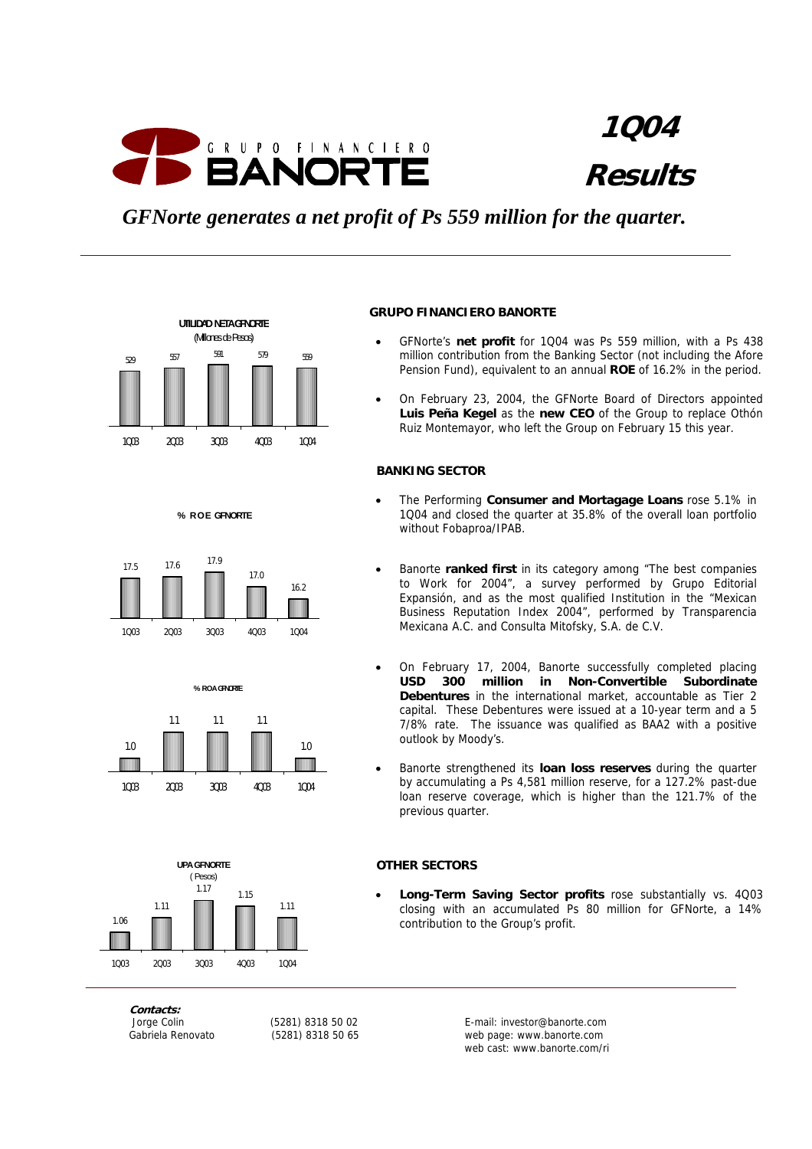

*GFNorte generates a net profit of Ps 559 million for the quarter.*



#### **% R O E GFNORTE**







# **Contacts:**

#### **GRUPO FINANCIERO BANORTE**

- GFNorte's **net profit** for 1Q04 was Ps 559 million, with a Ps 438 million contribution from the Banking Sector (not including the Afore Pension Fund), equivalent to an annual **ROE** of 16.2% in the period.
- On February 23, 2004, the GFNorte Board of Directors appointed **Luis Peña Kegel** as the **new CEO** of the Group to replace Othón Ruiz Montemayor, who left the Group on February 15 this year.

#### **BANKING SECTOR**

- The Performing **Consumer and Mortagage Loans** rose 5.1% in 1Q04 and closed the quarter at 35.8% of the overall loan portfolio without Fobaproa/IPAB.
- Banorte **ranked first** in its category among "The best companies to Work for 2004", a survey performed by Grupo Editorial Expansión, and as the most qualified Institution in the "Mexican Business Reputation Index 2004", performed by Transparencia Mexicana A.C. and Consulta Mitofsky, S.A. de C.V.
- On February 17, 2004, Banorte successfully completed placing **USD 300 million in Non-Convertible Subordinate Debentures** in the international market, accountable as Tier 2 capital. These Debentures were issued at a 10-year term and a 5 7/8% rate. The issuance was qualified as BAA2 with a positive outlook by Moody's.
- Banorte strengthened its **loan loss reserves** during the quarter by accumulating a Ps 4,581 million reserve, for a 127.2% past-due loan reserve coverage, which is higher than the 121.7% of the previous quarter.

#### **OTHER SECTORS**

• **Long-Term Saving Sector profits** rose substantially vs. 4Q03 closing with an accumulated Ps 80 million for GFNorte, a 14% contribution to the Group's profit.

 Jorge Colin (5281) 8318 50 02 E-mail: investor@banorte.com Gabriela Renovato (5281) 8318 50 65 web page: www.banorte.com web cast: www.banorte.com/ri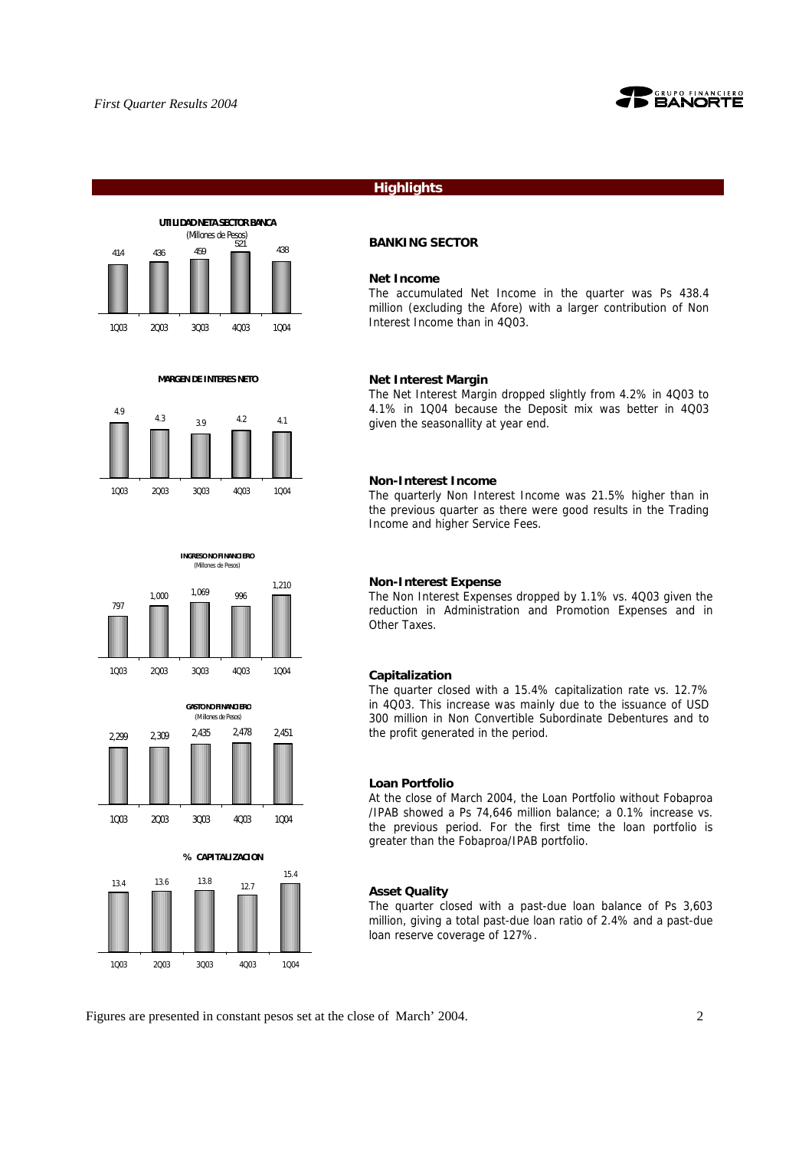





 **MARGEN DE INTERES NETO**

**INGRESO NO FINANCIERO** (Millones de Pesos)







#### **Highlights**

#### **BANKING SECTOR**

#### **Net Income**

The accumulated Net Income in the quarter was Ps 438.4 million (excluding the Afore) with a larger contribution of Non Interest Income than in 4Q03.

#### **Net Interest Margin**

The Net Interest Margin dropped slightly from 4.2% in 4Q03 to 4.1% in 1Q04 because the Deposit mix was better in 4Q03 given the seasonallity at year end.

#### **Non-Interest Income**

The quarterly Non Interest Income was 21.5% higher than in the previous quarter as there were good results in the Trading Income and higher Service Fees.

#### **Non-Interest Expense**

The Non Interest Expenses dropped by 1.1% vs. 4Q03 given the reduction in Administration and Promotion Expenses and in Other Taxes.

#### **Capitalization**

The quarter closed with a 15.4% capitalization rate vs. 12.7% in 4Q03. This increase was mainly due to the issuance of USD 300 million in Non Convertible Subordinate Debentures and to the profit generated in the period.

#### **Loan Portfolio**

At the close of March 2004, the Loan Portfolio without Fobaproa /IPAB showed a Ps 74,646 million balance; a 0.1% increase vs. the previous period. For the first time the loan portfolio is greater than the Fobaproa/IPAB portfolio.

#### **Asset Quality**

The quarter closed with a past-due loan balance of Ps 3,603 million, giving a total past-due loan ratio of 2.4% and a past-due loan reserve coverage of 127%.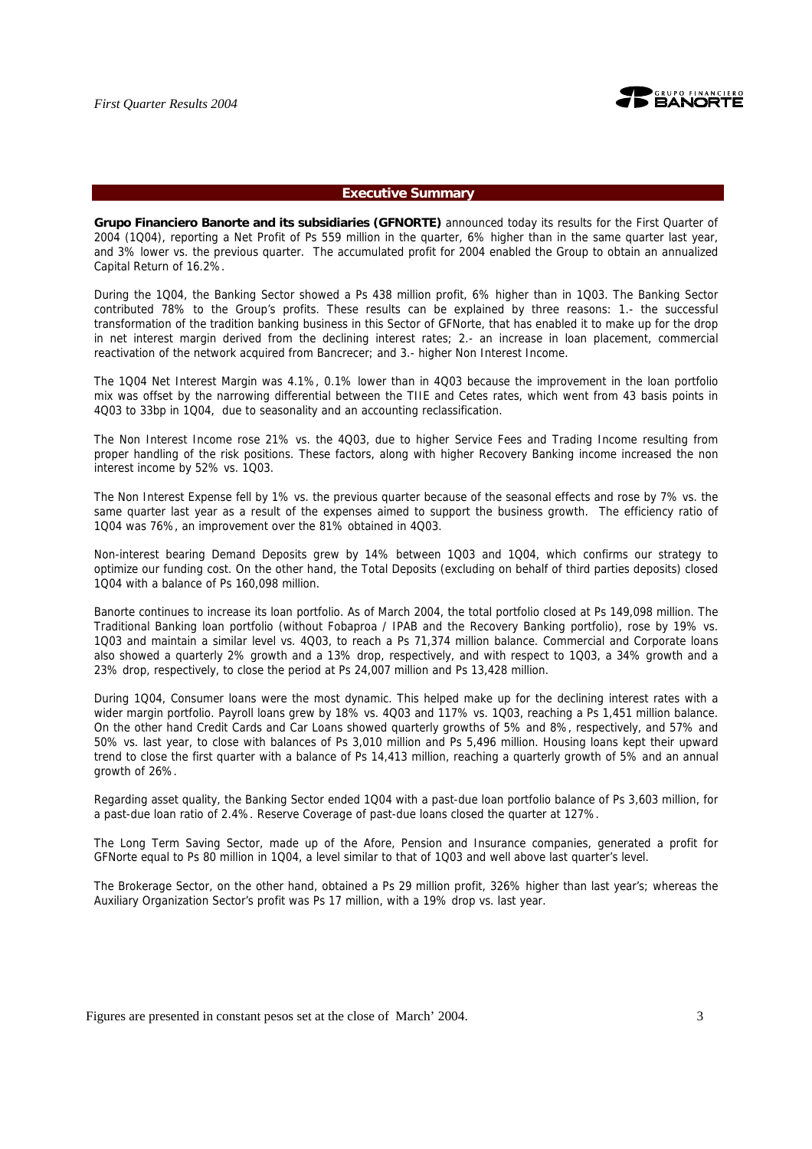

#### **Executive Summary**

**Grupo Financiero Banorte and its subsidiaries (GFNORTE)** announced today its results for the First Quarter of 2004 (1Q04), reporting a Net Profit of Ps 559 million in the quarter, 6% higher than in the same quarter last year, and 3% lower vs. the previous quarter. The accumulated profit for 2004 enabled the Group to obtain an annualized Capital Return of 16.2%.

During the 1Q04, the Banking Sector showed a Ps 438 million profit, 6% higher than in 1Q03. The Banking Sector contributed 78% to the Group's profits. These results can be explained by three reasons: 1.- the successful transformation of the tradition banking business in this Sector of GFNorte, that has enabled it to make up for the drop in net interest margin derived from the declining interest rates; 2.- an increase in loan placement, commercial reactivation of the network acquired from Bancrecer; and 3.- higher Non Interest Income.

The 1Q04 Net Interest Margin was 4.1%, 0.1% lower than in 4Q03 because the improvement in the loan portfolio mix was offset by the narrowing differential between the TIIE and Cetes rates, which went from 43 basis points in 4Q03 to 33bp in 1Q04, due to seasonality and an accounting reclassification.

The Non Interest Income rose 21% vs. the 4Q03, due to higher Service Fees and Trading Income resulting from proper handling of the risk positions. These factors, along with higher Recovery Banking income increased the non interest income by 52% vs. 1Q03.

The Non Interest Expense fell by 1% vs. the previous quarter because of the seasonal effects and rose by 7% vs. the same quarter last year as a result of the expenses aimed to support the business growth. The efficiency ratio of 1Q04 was 76%, an improvement over the 81% obtained in 4Q03.

Non-interest bearing Demand Deposits grew by 14% between 1Q03 and 1Q04, which confirms our strategy to optimize our funding cost. On the other hand, the Total Deposits (excluding on behalf of third parties deposits) closed 1Q04 with a balance of Ps 160,098 million.

Banorte continues to increase its loan portfolio. As of March 2004, the total portfolio closed at Ps 149,098 million. The Traditional Banking loan portfolio (without Fobaproa / IPAB and the Recovery Banking portfolio), rose by 19% vs. 1Q03 and maintain a similar level vs. 4Q03, to reach a Ps 71,374 million balance. Commercial and Corporate loans also showed a quarterly 2% growth and a 13% drop, respectively, and with respect to 1Q03, a 34% growth and a 23% drop, respectively, to close the period at Ps 24,007 million and Ps 13,428 million.

During 1Q04, Consumer loans were the most dynamic. This helped make up for the declining interest rates with a wider margin portfolio. Payroll loans grew by 18% vs. 4Q03 and 117% vs. 1Q03, reaching a Ps 1,451 million balance. On the other hand Credit Cards and Car Loans showed quarterly growths of 5% and 8%, respectively, and 57% and 50% vs. last year, to close with balances of Ps 3,010 million and Ps 5,496 million. Housing loans kept their upward trend to close the first quarter with a balance of Ps 14,413 million, reaching a quarterly growth of 5% and an annual growth of 26%.

Regarding asset quality, the Banking Sector ended 1Q04 with a past-due loan portfolio balance of Ps 3,603 million, for a past-due loan ratio of 2.4%. Reserve Coverage of past-due loans closed the quarter at 127%.

The Long Term Saving Sector, made up of the Afore, Pension and Insurance companies, generated a profit for GFNorte equal to Ps 80 million in 1Q04, a level similar to that of 1Q03 and well above last quarter's level.

The Brokerage Sector, on the other hand, obtained a Ps 29 million profit, 326% higher than last year's; whereas the Auxiliary Organization Sector's profit was Ps 17 million, with a 19% drop vs. last year.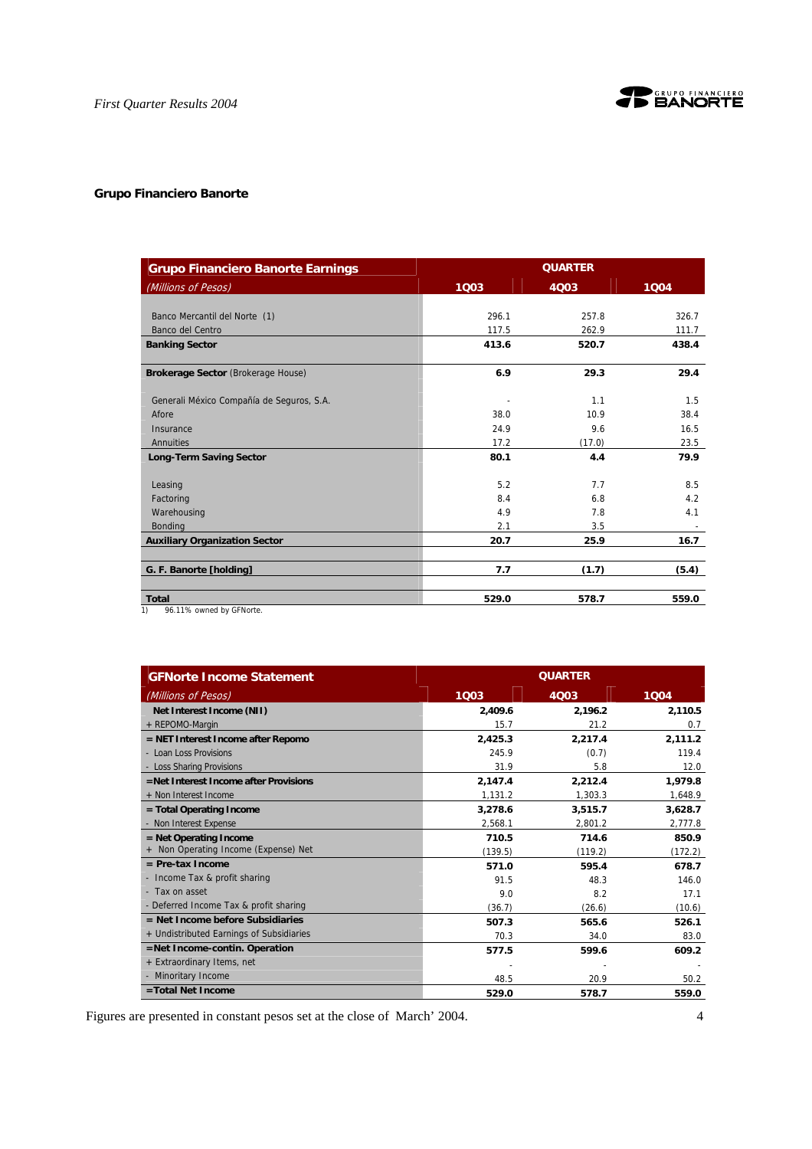

# **Grupo Financiero Banorte**

| <b>Grupo Financiero Banorte Earnings</b>       |       | <b>QUARTER</b> |                          |
|------------------------------------------------|-------|----------------|--------------------------|
| (Millions of Pesos)                            | 1003  | 4003           | 1004                     |
|                                                |       |                |                          |
| Banco Mercantil del Norte (1)                  | 296.1 | 257.8          | 326.7                    |
| Banco del Centro                               | 117.5 | 262.9          | 111.7                    |
| <b>Banking Sector</b>                          | 413.6 | 520.7          | 438.4                    |
| Brokerage Sector (Brokerage House)             | 6.9   | 29.3           | 29.4                     |
| Generali México Compañía de Seguros, S.A.      |       | 1.1            | 1.5                      |
| Afore                                          | 38.0  | 10.9           | 38.4                     |
| Insurance                                      | 24.9  | 9.6            | 16.5                     |
| Annuities                                      | 17.2  | (17.0)         | 23.5                     |
| <b>Long-Term Saving Sector</b>                 | 80.1  | 4.4            | 79.9                     |
| Leasing                                        | 5.2   | 7.7            | 8.5                      |
| Factoring                                      | 8.4   | 6.8            | 4.2                      |
| Warehousing                                    | 4.9   | 7.8            | 4.1                      |
| <b>Bonding</b>                                 | 2.1   | 3.5            | $\overline{\phantom{a}}$ |
| <b>Auxiliary Organization Sector</b>           | 20.7  | 25.9           | 16.7                     |
| G. F. Banorte [holding]                        | 7.7   | (1.7)          | (5.4)                    |
| <b>Total</b><br>96.11% owned by GFNorte.<br>1) | 529.0 | 578.7          | 559.0                    |

| <b>GFNorte Income Statement</b>          | <b>QUARTER</b> |         |         |  |
|------------------------------------------|----------------|---------|---------|--|
| (Millions of Pesos)                      | 1Q03           | 4Q03    | 1004    |  |
| Net Interest Income (NII)                | 2.409.6        | 2,196.2 | 2,110.5 |  |
| + REPOMO-Margin                          | 15.7           | 21.2    | 0.7     |  |
| = NET Interest Income after Repomo       | 2,425.3        | 2,217.4 | 2,111.2 |  |
| - Loan Loss Provisions                   | 245.9          | (0.7)   | 119.4   |  |
| - Loss Sharing Provisions                | 31.9           | 5.8     | 12.0    |  |
| =Net Interest Income after Provisions    | 2,147.4        | 2,212.4 | 1,979.8 |  |
| + Non Interest Income                    | 1,131.2        | 1,303.3 | 1,648.9 |  |
| = Total Operating Income                 | 3.278.6        | 3,515.7 | 3,628.7 |  |
| - Non Interest Expense                   | 2,568.1        | 2,801.2 | 2,777.8 |  |
| $=$ Net Operating Income                 | 710.5          | 714.6   | 850.9   |  |
| Non Operating Income (Expense) Net       | (139.5)        | (119.2) | (172.2) |  |
| $=$ Pre-tax Income                       | 571.0          | 595.4   | 678.7   |  |
| - Income Tax & profit sharing            | 91.5           | 48.3    | 146.0   |  |
| - Tax on asset                           | 9.0            | 8.2     | 17.1    |  |
| - Deferred Income Tax & profit sharing   | (36.7)         | (26.6)  | (10.6)  |  |
| $=$ Net Income before Subsidiaries       | 507.3          | 565.6   | 526.1   |  |
| + Undistributed Earnings of Subsidiaries | 70.3           | 34.0    | 83.0    |  |
| =Net Income-contin. Operation            | 577.5          | 599.6   | 609.2   |  |
| + Extraordinary Items, net               |                |         |         |  |
| - Minoritary Income                      | 48.5           | 20.9    | 50.2    |  |
| =Total Net Income                        | 529.0          | 578.7   | 559.0   |  |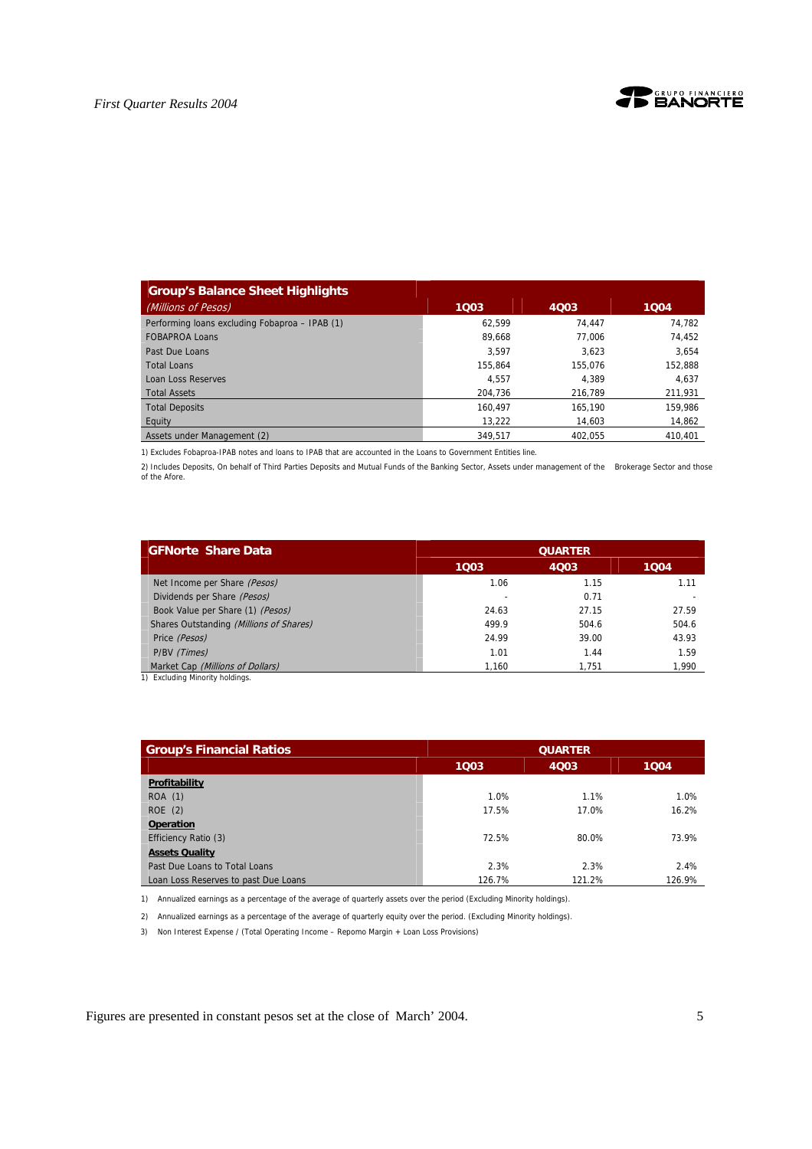

| <b>Group's Balance Sheet Highlights</b>        |         |         |         |
|------------------------------------------------|---------|---------|---------|
| (Millions of Pesos)                            | 1003    | 4Q03    | 1004    |
| Performing loans excluding Fobaproa - IPAB (1) | 62.599  | 74.447  | 74.782  |
| <b>FOBAPROA Loans</b>                          | 89.668  | 77.006  | 74,452  |
| Past Due Loans                                 | 3.597   | 3.623   | 3,654   |
| <b>Total Loans</b>                             | 155.864 | 155.076 | 152,888 |
| <b>Loan Loss Reserves</b>                      | 4.557   | 4.389   | 4,637   |
| <b>Total Assets</b>                            | 204.736 | 216.789 | 211,931 |
| <b>Total Deposits</b>                          | 160.497 | 165.190 | 159.986 |
| Equity                                         | 13,222  | 14.603  | 14,862  |
| Assets under Management (2)                    | 349.517 | 402.055 | 410.401 |

1) Excludes Fobaproa-IPAB notes and loans to IPAB that are accounted in the Loans to Government Entities line.

2) Includes Deposits, On behalf of Third Parties Deposits and Mutual Funds of the Banking Sector, Assets under management of the Brokerage Sector and those of the Afore.

| <b>GFNorte Share Data</b>               | <b>QUARTER</b> |       |       |  |  |
|-----------------------------------------|----------------|-------|-------|--|--|
|                                         | 1003           | 4Q03  | 1004  |  |  |
| Net Income per Share (Pesos)            | 1.06           | 1.15  | 1.11  |  |  |
| Dividends per Share (Pesos)             |                | 0.71  |       |  |  |
| Book Value per Share (1) (Pesos)        | 24.63          | 27.15 | 27.59 |  |  |
| Shares Outstanding (Millions of Shares) | 499.9          | 504.6 | 504.6 |  |  |
| Price (Pesos)                           | 24.99          | 39.00 | 43.93 |  |  |
| P/BV (Times)                            | 1.01           | 1.44  | 1.59  |  |  |
| Market Cap (Millions of Dollars)        | 1,160          | 1.751 | 1,990 |  |  |
| 1) Excluding Minority holdings.         |                |       |       |  |  |

| <b>Group's Financial Ratios</b>      |        | <b>QUARTER</b> |        |  |  |
|--------------------------------------|--------|----------------|--------|--|--|
|                                      | 1003   | 1004<br>4Q03   |        |  |  |
| Profitability                        |        |                |        |  |  |
| <b>ROA</b> (1)                       | 1.0%   | 1.1%           | 1.0%   |  |  |
| ROE(2)                               | 17.5%  | 17.0%          | 16.2%  |  |  |
| <b>Operation</b>                     |        |                |        |  |  |
| Efficiency Ratio (3)                 | 72.5%  | 80.0%          | 73.9%  |  |  |
| <b>Assets Quality</b>                |        |                |        |  |  |
| Past Due Loans to Total Loans        | 2.3%   | 2.3%           | 2.4%   |  |  |
| Loan Loss Reserves to past Due Loans | 126.7% | 121.2%         | 126.9% |  |  |

1) Annualized earnings as a percentage of the average of quarterly assets over the period (Excluding Minority holdings).

2) Annualized earnings as a percentage of the average of quarterly equity over the period. (Excluding Minority holdings).

3) Non Interest Expense / (Total Operating Income – Repomo Margin + Loan Loss Provisions)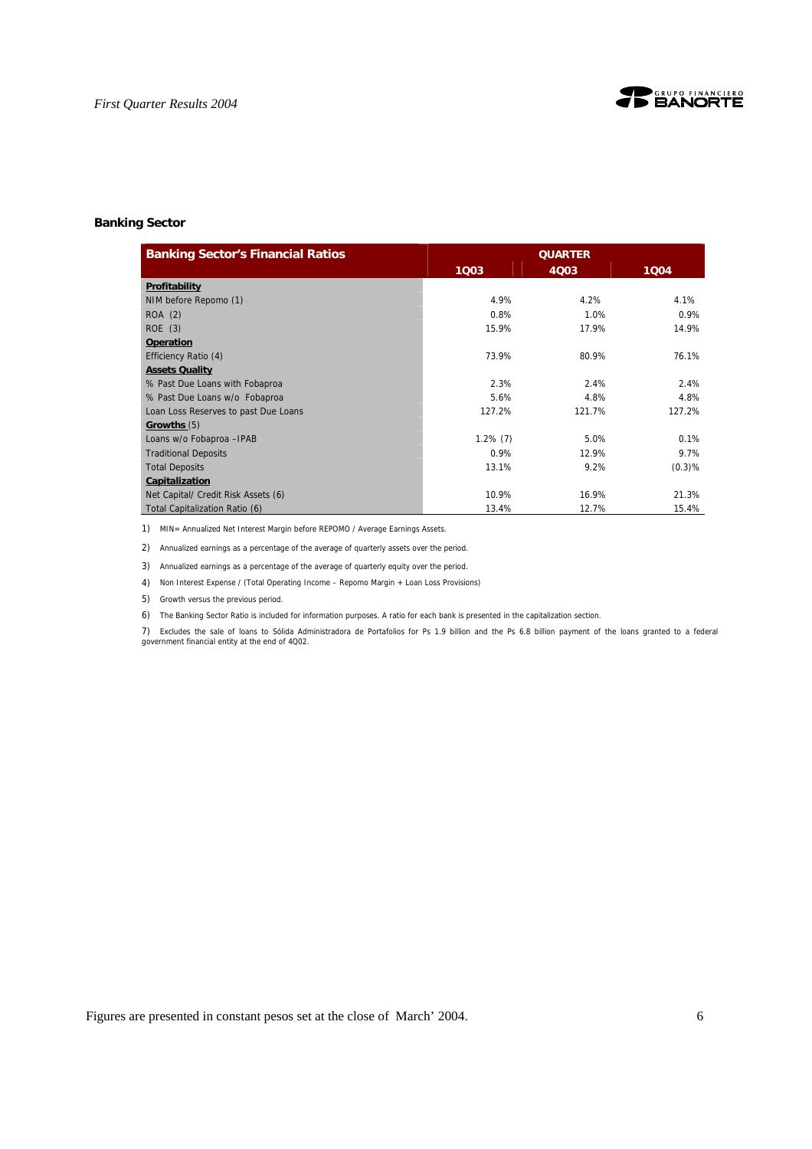



### **Banking Sector**

| <b>Banking Sector's Financial Ratios</b> | <b>QUARTER</b> |        |        |  |  |
|------------------------------------------|----------------|--------|--------|--|--|
|                                          | 1003           | 4Q03   | 1004   |  |  |
| Profitability                            |                |        |        |  |  |
| NIM before Repomo (1)                    | 4.9%           | 4.2%   | 4.1%   |  |  |
| ROA (2)                                  | 0.8%           | 1.0%   | 0.9%   |  |  |
| ROE (3)                                  | 15.9%          | 17.9%  | 14.9%  |  |  |
| <b>Operation</b>                         |                |        |        |  |  |
| Efficiency Ratio (4)                     | 73.9%          | 80.9%  | 76.1%  |  |  |
| <b>Assets Quality</b>                    |                |        |        |  |  |
| % Past Due Loans with Fobaproa           | 2.3%           | 2.4%   | 2.4%   |  |  |
| % Past Due Loans w/o Fobaproa            | 5.6%           | 4.8%   | 4.8%   |  |  |
| Loan Loss Reserves to past Due Loans     | 127.2%         | 121.7% | 127.2% |  |  |
| Growths(5)                               |                |        |        |  |  |
| Loans w/o Fobaproa - IPAB                | $1.2\%$ (7)    | 5.0%   | 0.1%   |  |  |
| <b>Traditional Deposits</b>              | 0.9%           | 12.9%  | 9.7%   |  |  |
| <b>Total Deposits</b>                    | 13.1%          | 9.2%   | (0.3)% |  |  |
| Capitalization                           |                |        |        |  |  |
| Net Capital/ Credit Risk Assets (6)      | 10.9%          | 16.9%  | 21.3%  |  |  |
| Total Capitalization Ratio (6)           | 13.4%          | 12.7%  | 15.4%  |  |  |

1) MIN= Annualized Net Interest Margin before REPOMO / Average Earnings Assets.

2) Annualized earnings as a percentage of the average of quarterly assets over the period.

3) Annualized earnings as a percentage of the average of quarterly equity over the period.

4) Non Interest Expense / (Total Operating Income – Repomo Margin + Loan Loss Provisions)

5) Growth versus the previous period.

6) The Banking Sector Ratio is included for information purposes. A ratio for each bank is presented in the capitalization section.

7) Excludes the sale of loans to Sólida Administradora de Portafolios for Ps 1.9 billion and the Ps 6.8 billion payment of the loans granted to a federal government financial entity at the end of 4Q02.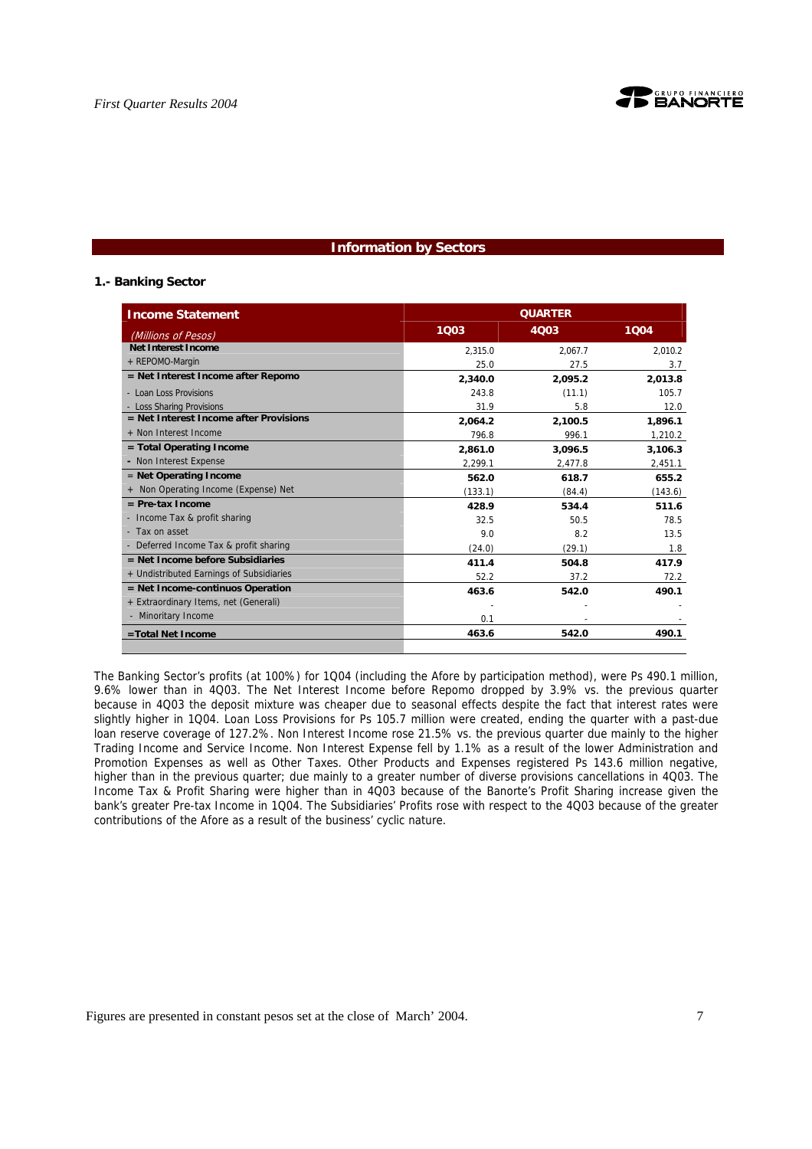

## **Information by Sectors**

#### **1.- Banking Sector**

| <b>Income Statement</b>                  | <b>QUARTER</b> |         |         |  |  |
|------------------------------------------|----------------|---------|---------|--|--|
| (Millions of Pesos)                      | 1003           | 4003    | 1004    |  |  |
| <b>Net Interest Income</b>               | 2.315.0        | 2.067.7 | 2.010.2 |  |  |
| + REPOMO-Margin                          | 25.0           | 27.5    | 3.7     |  |  |
| = Net Interest Income after Repomo       | 2,340.0        | 2.095.2 | 2.013.8 |  |  |
| - Loan Loss Provisions                   | 243.8          | (11.1)  | 105.7   |  |  |
| - Loss Sharing Provisions                | 31.9           | 5.8     | 12.0    |  |  |
| = Net Interest Income after Provisions   | 2.064.2        | 2.100.5 | 1.896.1 |  |  |
| + Non Interest Income                    | 796.8          | 996.1   | 1,210.2 |  |  |
| $=$ Total Operating Income               | 2.861.0        | 3.096.5 | 3.106.3 |  |  |
| - Non Interest Expense                   | 2,299.1        | 2,477.8 | 2,451.1 |  |  |
| $=$ Net Operating Income                 | 562.0          | 618.7   | 655.2   |  |  |
| + Non Operating Income (Expense) Net     | (133.1)        | (84.4)  | (143.6) |  |  |
| $=$ Pre-tax Income                       | 428.9          | 534.4   | 511.6   |  |  |
| - Income Tax & profit sharing            | 32.5           | 50.5    | 78.5    |  |  |
| - Tax on asset                           | 9.0            | 8.2     | 13.5    |  |  |
| - Deferred Income Tax & profit sharing   | (24.0)         | (29.1)  | 1.8     |  |  |
| $=$ Net Income before Subsidiaries       | 411.4          | 504.8   | 417.9   |  |  |
| + Undistributed Earnings of Subsidiaries | 52.2           | 37.2    | 72.2    |  |  |
| $=$ Net Income-continuos Operation       | 463.6          | 542.0   | 490.1   |  |  |
| + Extraordinary Items, net (Generali)    |                |         |         |  |  |
| - Minoritary Income                      | 0.1            |         |         |  |  |
| =Total Net Income                        | 463.6          | 542.0   | 490.1   |  |  |

The Banking Sector's profits (at 100%) for 1Q04 (including the Afore by participation method), were Ps 490.1 million, 9.6% lower than in 4Q03. The Net Interest Income before Repomo dropped by 3.9% vs. the previous quarter because in 4Q03 the deposit mixture was cheaper due to seasonal effects despite the fact that interest rates were slightly higher in 1Q04. Loan Loss Provisions for Ps 105.7 million were created, ending the quarter with a past-due loan reserve coverage of 127.2%. Non Interest Income rose 21.5% vs. the previous quarter due mainly to the higher Trading Income and Service Income. Non Interest Expense fell by 1.1% as a result of the lower Administration and Promotion Expenses as well as Other Taxes. Other Products and Expenses registered Ps 143.6 million negative, higher than in the previous quarter; due mainly to a greater number of diverse provisions cancellations in 4Q03. The Income Tax & Profit Sharing were higher than in 4Q03 because of the Banorte's Profit Sharing increase given the bank's greater Pre-tax Income in 1Q04. The Subsidiaries' Profits rose with respect to the 4Q03 because of the greater contributions of the Afore as a result of the business' cyclic nature.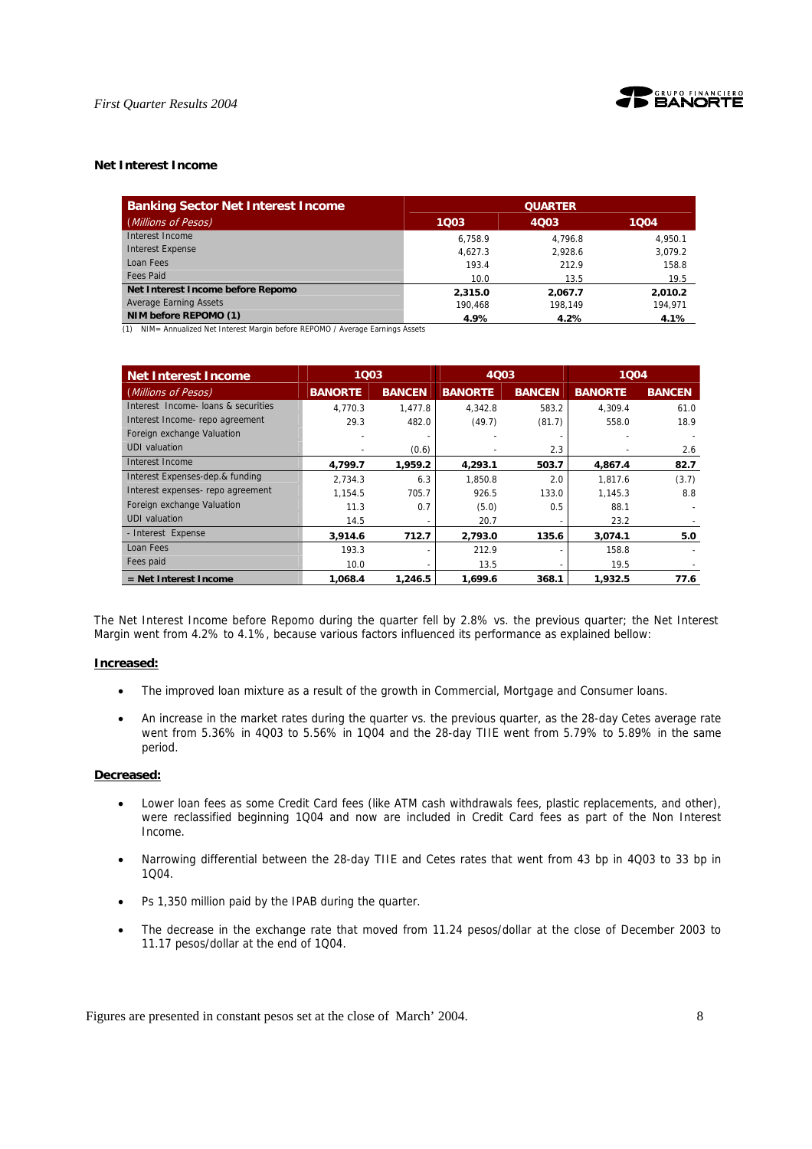



#### **Net Interest Income**

| <b>Banking Sector Net Interest Income</b> | <b>QUARTER</b> |         |         |  |
|-------------------------------------------|----------------|---------|---------|--|
| (Millions of Pesos)                       | 1003           | 4Q03    | 1004    |  |
| Interest Income                           | 6.758.9        | 4.796.8 | 4.950.1 |  |
| <b>Interest Expense</b>                   | 4.627.3        | 2.928.6 | 3.079.2 |  |
| Loan Fees                                 | 193.4          | 212.9   | 158.8   |  |
| Fees Paid                                 | 10.0           | 13.5    | 19.5    |  |
| Net Interest Income before Repomo         | 2,315.0        | 2.067.7 | 2.010.2 |  |
| <b>Average Earning Assets</b>             | 190.468        | 198.149 | 194.971 |  |
| NIM before REPOMO (1)                     | 4.9%           | 4.2%    | 4.1%    |  |

(1) NIM= Annualized Net Interest Margin before REPOMO / Average Earnings Assets

| <b>Net Interest Income</b>          |                | 1003          |                | 4Q03          |                | 1004          |  |
|-------------------------------------|----------------|---------------|----------------|---------------|----------------|---------------|--|
| (Millions of Pesos)                 | <b>BANORTE</b> | <b>BANCEN</b> | <b>BANORTE</b> | <b>BANCEN</b> | <b>BANORTE</b> | <b>BANCEN</b> |  |
| Interest Income- loans & securities | 4.770.3        | 1,477.8       | 4.342.8        | 583.2         | 4.309.4        | 61.0          |  |
| Interest Income- repo agreement     | 29.3           | 482.0         | (49.7)         | (81.7)        | 558.0          | 18.9          |  |
| Foreign exchange Valuation          |                |               |                |               |                |               |  |
| <b>UDI</b> valuation                |                | (0.6)         |                | 2.3           |                | 2.6           |  |
| Interest Income                     | 4,799.7        | 1.959.2       | 4,293.1        | 503.7         | 4,867.4        | 82.7          |  |
| Interest Expenses-dep.& funding     | 2.734.3        | 6.3           | 1.850.8        | 2.0           | 1.817.6        | (3.7)         |  |
| Interest expenses- repo agreement   | 1.154.5        | 705.7         | 926.5          | 133.0         | 1.145.3        | 8.8           |  |
| Foreign exchange Valuation          | 11.3           | 0.7           | (5.0)          | 0.5           | 88.1           |               |  |
| <b>UDI</b> valuation                | 14.5           |               | 20.7           |               | 23.2           |               |  |
| - Interest Expense                  | 3,914.6        | 712.7         | 2.793.0        | 135.6         | 3.074.1        | 5.0           |  |
| Loan Fees                           | 193.3          |               | 212.9          |               | 158.8          |               |  |
| Fees paid                           | 10.0           |               | 13.5           |               | 19.5           |               |  |
| = Net Interest Income               | 1.068.4        | 1,246.5       | 1,699.6        | 368.1         | 1,932.5        | 77.6          |  |

The Net Interest Income before Repomo during the quarter fell by 2.8% vs. the previous quarter; the Net Interest Margin went from 4.2% to 4.1%, because various factors influenced its performance as explained bellow:

### **Increased:**

- The improved loan mixture as a result of the growth in Commercial, Mortgage and Consumer loans.
- An increase in the market rates during the quarter vs. the previous quarter, as the 28-day Cetes average rate went from 5.36% in 4Q03 to 5.56% in 1Q04 and the 28-day TIIE went from 5.79% to 5.89% in the same period.

#### **Decreased:**

- Lower loan fees as some Credit Card fees (like ATM cash withdrawals fees, plastic replacements, and other), were reclassified beginning 1Q04 and now are included in Credit Card fees as part of the Non Interest Income.
- Narrowing differential between the 28-day TIIE and Cetes rates that went from 43 bp in 4Q03 to 33 bp in 1Q04.
- Ps 1,350 million paid by the IPAB during the quarter.
- The decrease in the exchange rate that moved from 11.24 pesos/dollar at the close of December 2003 to 11.17 pesos/dollar at the end of 1Q04.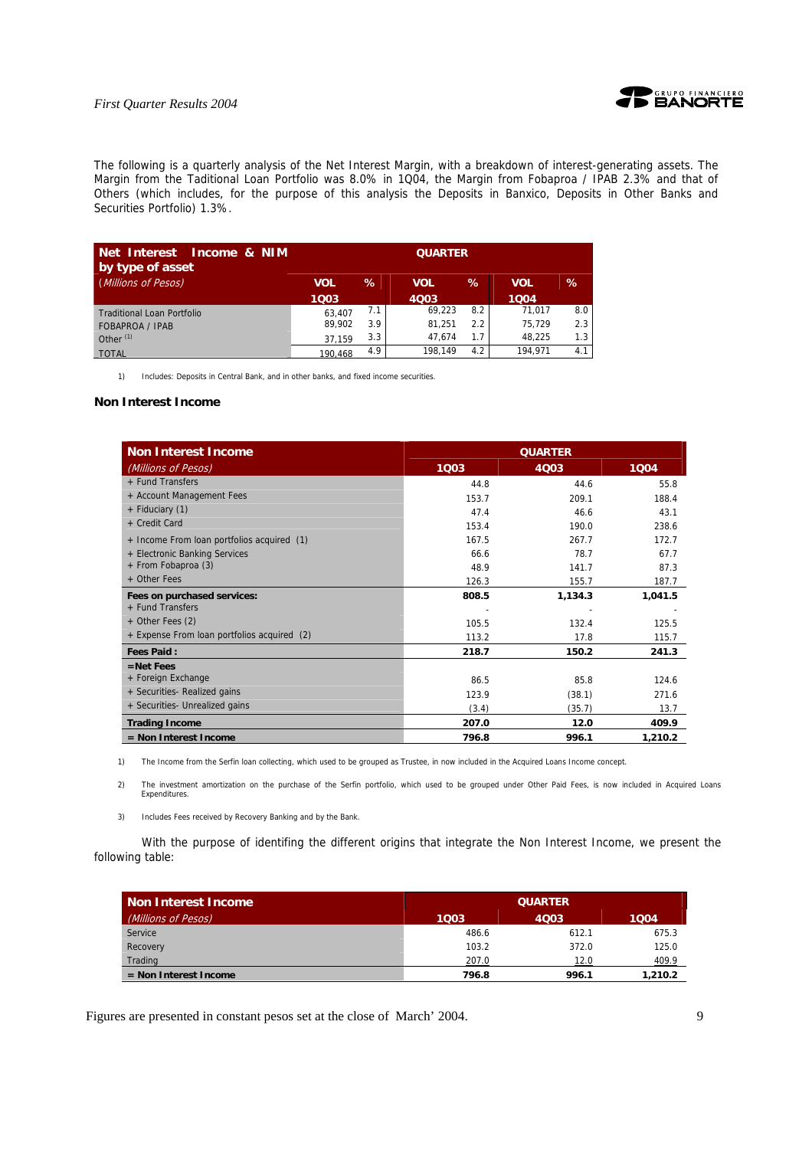

The following is a quarterly analysis of the Net Interest Margin, with a breakdown of interest-generating assets. The Margin from the Taditional Loan Portfolio was 8.0% in 1Q04, the Margin from Fobaproa / IPAB 2.3% and that of Others (which includes, for the purpose of this analysis the Deposits in Banxico, Deposits in Other Banks and Securities Portfolio) 1.3%.

| Net Interest<br>Income & NIM<br>by type of asset | <b>QUARTER</b> |      |            |      |            |     |
|--------------------------------------------------|----------------|------|------------|------|------------|-----|
| (Millions of Pesos)                              | <b>VOL</b>     | $\%$ | <b>VOL</b> | $\%$ | <b>VOL</b> | ℅   |
|                                                  | 1003           |      | 4003       |      | 1004       |     |
| <b>Traditional Loan Portfolio</b>                | 63.407         | 7.1  | 69,223     | 8.2  | 71,017     | 8.0 |
| <b>FOBAPROA / IPAB</b>                           | 89,902         | 3.9  | 81,251     | 2.2  | 75,729     | 2.3 |
| Other $(1)$                                      | 37.159         | 3.3  | 47.674     | 1.7  | 48.225     | 1.3 |
| <b>TOTAL</b>                                     | 190.468        | 4.9  | 198.149    | 4.2  | 194.971    | 4.1 |

1) Includes: Deposits in Central Bank, and in other banks, and fixed income securities.

#### **Non Interest Income**

| <b>Non Interest Income</b>                  | <b>QUARTER</b> |         |         |  |
|---------------------------------------------|----------------|---------|---------|--|
| (Millions of Pesos)                         | 1003           | 4Q03    | 1004    |  |
| + Fund Transfers                            | 44.8           | 44.6    | 55.8    |  |
| + Account Management Fees                   | 153.7          | 209.1   | 188.4   |  |
| + Fiduciary (1)                             | 47.4           | 46.6    | 43.1    |  |
| + Credit Card                               | 153.4          | 190.0   | 238.6   |  |
| + Income From loan portfolios acquired (1)  | 167.5          | 267.7   | 172.7   |  |
| + Electronic Banking Services               | 66.6           | 78.7    | 67.7    |  |
| + From Fobaproa (3)                         | 48.9           | 141.7   | 87.3    |  |
| + Other Fees                                | 126.3          | 155.7   | 187.7   |  |
| Fees on purchased services:                 | 808.5          | 1,134.3 | 1,041.5 |  |
| + Fund Transfers                            |                |         |         |  |
| + Other Fees (2)                            | 105.5          | 132.4   | 125.5   |  |
| + Expense From loan portfolios acquired (2) | 113.2          | 17.8    | 115.7   |  |
| <b>Fees Paid:</b>                           | 218.7          | 150.2   | 241.3   |  |
| $=$ Net Fees                                |                |         |         |  |
| + Foreign Exchange                          | 86.5           | 85.8    | 124.6   |  |
| + Securities- Realized gains                | 123.9          | (38.1)  | 271.6   |  |
| + Securities- Unrealized gains              | (3.4)          | (35.7)  | 13.7    |  |
| <b>Trading Income</b>                       | 207.0          | 12.0    | 409.9   |  |
| $=$ Non Interest Income                     | 796.8          | 996.1   | 1,210.2 |  |

1) The Income from the Serfin loan collecting, which used to be grouped as Trustee, in now included in the Acquired Loans Income concept.

2) The investment amortization on the purchase of the Serfin portfolio, which used to be grouped under Other Paid Fees, is now included in Acquired Loans Expenditures.

3) Includes Fees received by Recovery Banking and by the Bank.

With the purpose of identifing the different origins that integrate the Non Interest Income, we present the following table:

| <b>Non Interest Income</b> | <b>QUARTER</b> |       |         |  |
|----------------------------|----------------|-------|---------|--|
| (Millions of Pesos)        | 1Q03           | 4003  | 1004    |  |
| Service                    | 486.6          | 612.1 | 675.3   |  |
| Recovery                   | 103.2          | 372.0 | 125.0   |  |
| Trading                    | 207.0          | 12.0  | 409.9   |  |
| $=$ Non Interest Income    | 796.8          | 996.1 | 1,210.2 |  |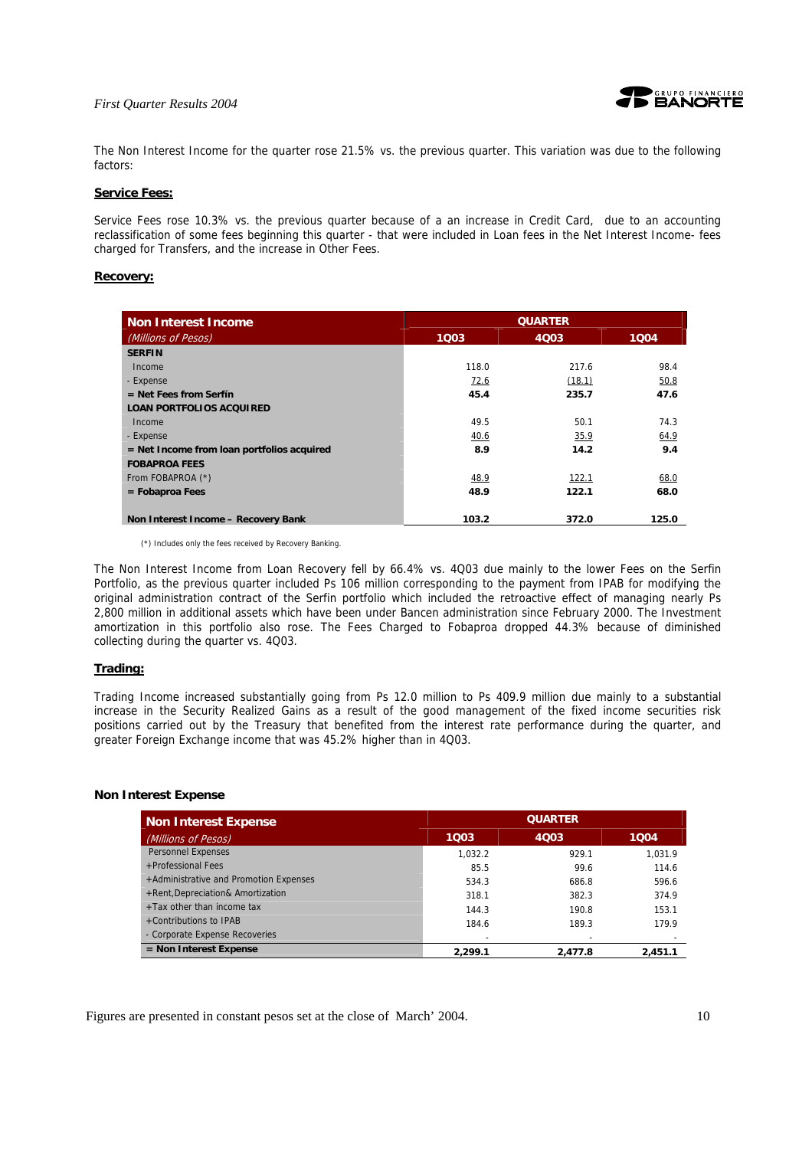

The Non Interest Income for the quarter rose 21.5% vs. the previous quarter. This variation was due to the following factors:

#### **Service Fees:**

Service Fees rose 10.3% vs. the previous quarter because of a an increase in Credit Card, due to an accounting reclassification of some fees beginning this quarter - that were included in Loan fees in the Net Interest Income- fees charged for Transfers, and the increase in Other Fees.

#### **Recovery:**

| Non Interest Income                        | <b>QUARTER</b> |        |       |  |
|--------------------------------------------|----------------|--------|-------|--|
| (Millions of Pesos)                        | 1003           | 4003   | 1004  |  |
| <b>SERFIN</b>                              |                |        |       |  |
| Income                                     | 118.0          | 217.6  | 98.4  |  |
| - Expense                                  | 72.6           | (18.1) | 50.8  |  |
| $=$ Net Fees from Serfín                   | 45.4           | 235.7  | 47.6  |  |
| <b>LOAN PORTFOLIOS ACQUIRED</b>            |                |        |       |  |
| Income                                     | 49.5           | 50.1   | 74.3  |  |
| - Expense                                  | 40.6           | 35.9   | 64.9  |  |
| = Net Income from loan portfolios acquired | 8.9            | 14.2   | 9.4   |  |
| <b>FOBAPROA FEES</b>                       |                |        |       |  |
| From FOBAPROA (*)                          | 48.9           | 122.1  | 68.0  |  |
| $=$ Fobaproa Fees                          | 48.9           | 122.1  | 68.0  |  |
|                                            |                |        |       |  |
| Non Interest Income - Recovery Bank        | 103.2          | 372.0  | 125.0 |  |

(\*) Includes only the fees received by Recovery Banking.

The Non Interest Income from Loan Recovery fell by 66.4% vs. 4Q03 due mainly to the lower Fees on the Serfin Portfolio, as the previous quarter included Ps 106 million corresponding to the payment from IPAB for modifying the original administration contract of the Serfin portfolio which included the retroactive effect of managing nearly Ps 2,800 million in additional assets which have been under Bancen administration since February 2000. The Investment amortization in this portfolio also rose. The Fees Charged to Fobaproa dropped 44.3% because of diminished collecting during the quarter vs. 4Q03.

#### **Trading:**

Trading Income increased substantially going from Ps 12.0 million to Ps 409.9 million due mainly to a substantial increase in the Security Realized Gains as a result of the good management of the fixed income securities risk positions carried out by the Treasury that benefited from the interest rate performance during the quarter, and greater Foreign Exchange income that was 45.2% higher than in 4Q03.

#### **Non Interest Expense**

| <b>Non Interest Expense</b>            |         | <b>QUARTER</b> |         |  |  |
|----------------------------------------|---------|----------------|---------|--|--|
| (Millions of Pesos)                    | 1003    | 4003           | 1004    |  |  |
| <b>Personnel Expenses</b>              | 1.032.2 | 929.1          | 1.031.9 |  |  |
| +Professional Fees                     | 85.5    | 99.6           | 114.6   |  |  |
| +Administrative and Promotion Expenses | 534.3   | 686.8          | 596.6   |  |  |
| +Rent, Depreciation& Amortization      | 318.1   | 382.3          | 374.9   |  |  |
| $+$ Tax other than income tax          | 144.3   | 190.8          | 153.1   |  |  |
| +Contributions to IPAB                 | 184.6   | 189.3          | 179.9   |  |  |
| - Corporate Expense Recoveries         |         |                |         |  |  |
| $=$ Non Interest Expense               | 2.299.1 | 2.477.8        | 2.451.1 |  |  |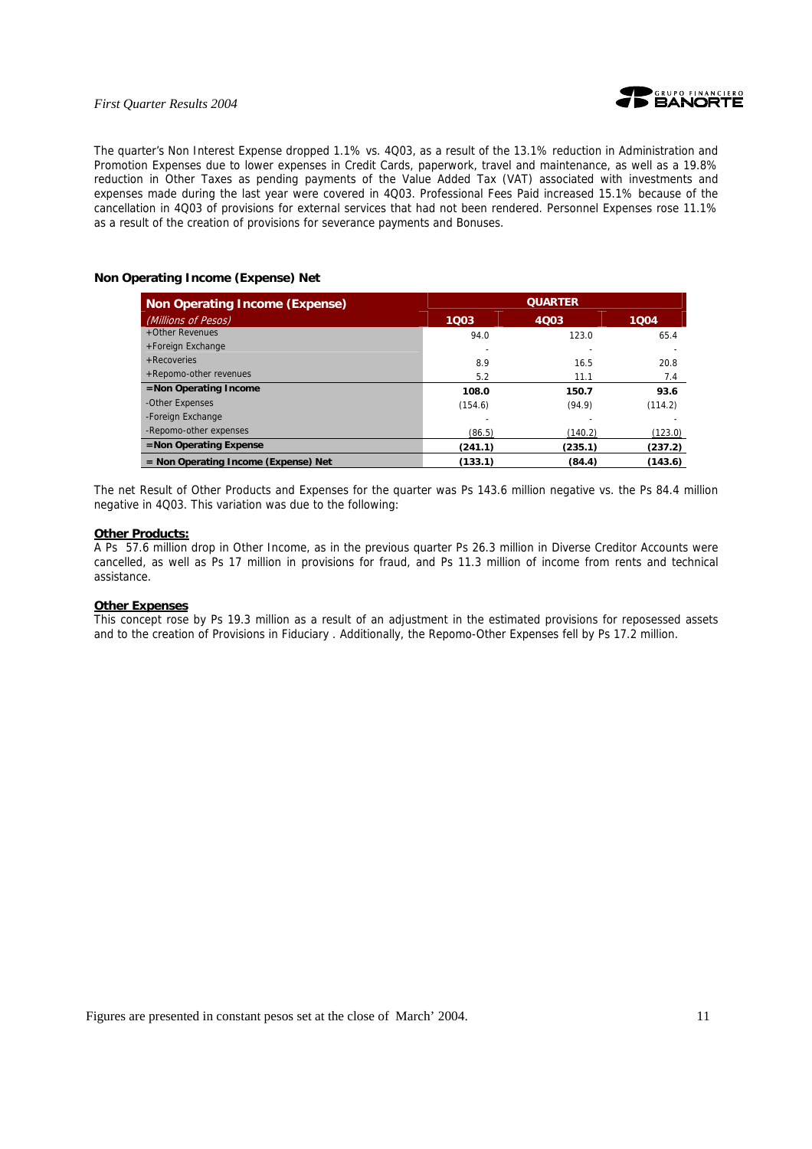

The quarter's Non Interest Expense dropped 1.1% vs. 4Q03, as a result of the 13.1% reduction in Administration and Promotion Expenses due to lower expenses in Credit Cards, paperwork, travel and maintenance, as well as a 19.8% reduction in Other Taxes as pending payments of the Value Added Tax (VAT) associated with investments and expenses made during the last year were covered in 4Q03. Professional Fees Paid increased 15.1% because of the cancellation in 4Q03 of provisions for external services that had not been rendered. Personnel Expenses rose 11.1% as a result of the creation of provisions for severance payments and Bonuses.

#### **Non Operating Income (Expense) Net**

| <b>Non Operating Income (Expense)</b> | <b>QUARTER</b> |         |         |
|---------------------------------------|----------------|---------|---------|
| (Millions of Pesos)                   | 1003           | 4003    | 1004    |
| +Other Revenues                       | 94.0           | 123.0   | 65.4    |
| +Foreign Exchange                     |                |         |         |
| $+$ Recoveries                        | 8.9            | 16.5    | 20.8    |
| +Repomo-other revenues                | 5.2            | 11.1    | 7.4     |
| =Non Operating Income                 | 108.0          | 150.7   | 93.6    |
| -Other Expenses                       | (154.6)        | (94.9)  | (114.2) |
| -Foreign Exchange                     |                |         |         |
| -Repomo-other expenses                | (86.5)         | (140.2) | (123.0) |
| =Non Operating Expense                | (241.1)        | (235.1) | (237.2) |
| = Non Operating Income (Expense) Net  | (133.1)        | (84.4)  | (143.6) |

The net Result of Other Products and Expenses for the quarter was Ps 143.6 million negative vs. the Ps 84.4 million negative in 4Q03. This variation was due to the following:

### **Other Products:**

A Ps 57.6 million drop in Other Income, as in the previous quarter Ps 26.3 million in Diverse Creditor Accounts were cancelled, as well as Ps 17 million in provisions for fraud, and Ps 11.3 million of income from rents and technical assistance.

#### **Other Expenses**

This concept rose by Ps 19.3 million as a result of an adjustment in the estimated provisions for reposessed assets and to the creation of Provisions in Fiduciary . Additionally, the Repomo-Other Expenses fell by Ps 17.2 million.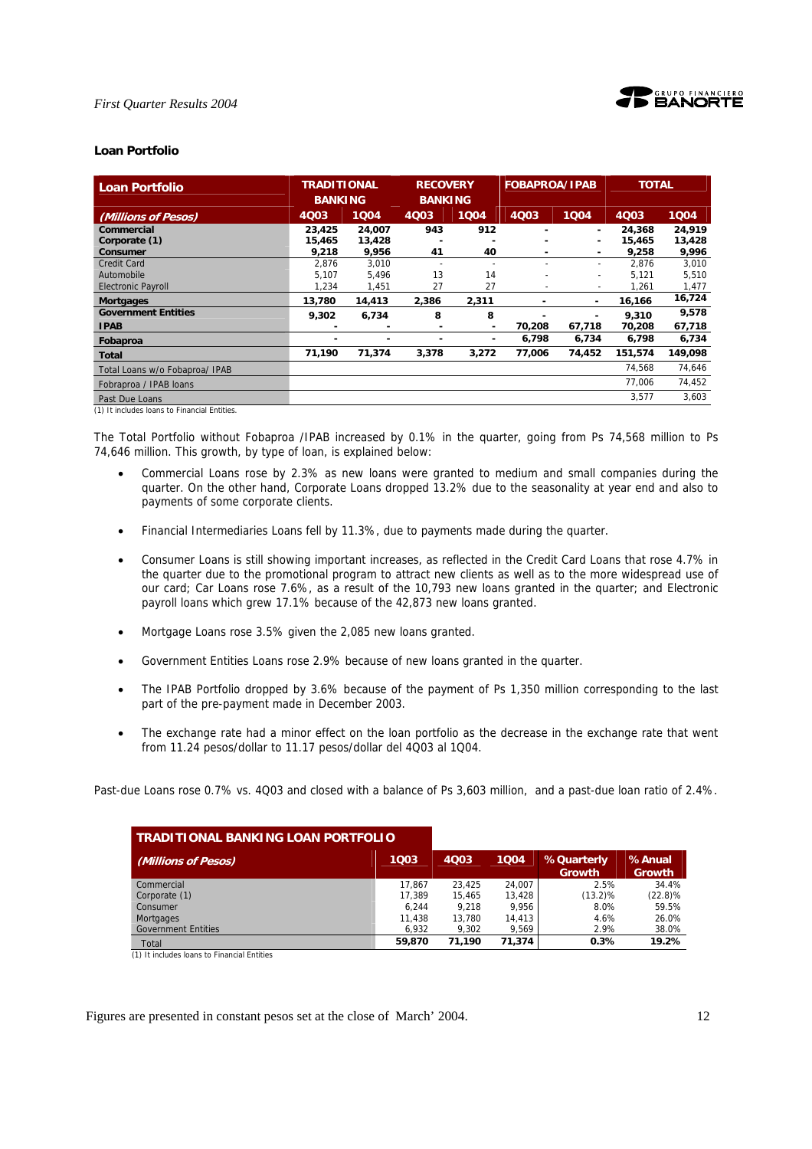

#### **Loan Portfolio**

| Loan Portfolio                 | <b>TRADITIONAL</b><br><b>BANKING</b> |        | <b>RECOVERY</b><br><b>BANKING</b> |       | <b>FOBAPROA/IPAB</b> |                          | <b>TOTAL</b> |         |
|--------------------------------|--------------------------------------|--------|-----------------------------------|-------|----------------------|--------------------------|--------------|---------|
| (Millions of Pesos)            | 4Q03                                 | 1004   | 4003                              | 1004  | 4Q03                 | 1004                     | 4Q03         | 1004    |
| Commercial                     | 23,425                               | 24,007 | 943                               | 912   |                      | ٠                        | 24,368       | 24,919  |
| Corporate (1)                  | 15,465                               | 13,428 |                                   |       |                      | $\overline{\phantom{0}}$ | 15,465       | 13,428  |
| <b>Consumer</b>                | 9.218                                | 9.956  | 41                                | 40    |                      | $\overline{\phantom{0}}$ | 9,258        | 9,996   |
| <b>Credit Card</b>             | 2,876                                | 3,010  |                                   |       |                      | $\overline{\phantom{a}}$ | 2,876        | 3,010   |
| Automobile                     | 5.107                                | 5.496  | 13                                | 14    |                      | $\tilde{\phantom{a}}$    | 5.121        | 5,510   |
| <b>Electronic Payroll</b>      | 1,234                                | 1,451  | 27                                | 27    |                      | $\overline{\phantom{a}}$ | 1,261        | 1,477   |
| <b>Mortgages</b>               | 13.780                               | 14,413 | 2,386                             | 2,311 | ٠                    | $\overline{\phantom{0}}$ | 16,166       | 16,724  |
| <b>Government Entities</b>     | 9,302                                | 6,734  | 8                                 | 8     |                      |                          | 9,310        | 9,578   |
| <b>IPAB</b>                    |                                      |        |                                   | ۰     | 70.208               | 67.718                   | 70.208       | 67,718  |
| Fobaproa                       | $\overline{\phantom{0}}$             |        |                                   | ۰     | 6,798                | 6,734                    | 6,798        | 6,734   |
| Total                          | 71,190                               | 71,374 | 3,378                             | 3,272 | 77,006               | 74,452                   | 151,574      | 149,098 |
| Total Loans w/o Fobaproa/ IPAB |                                      |        |                                   |       |                      |                          | 74,568       | 74,646  |
| Fobraproa / IPAB loans         |                                      |        |                                   |       |                      |                          | 77,006       | 74,452  |
| Past Due Loans                 |                                      |        |                                   |       |                      |                          | 3.577        | 3.603   |

(1) It includes loans to Financial Entities.

The Total Portfolio without Fobaproa /IPAB increased by 0.1% in the quarter, going from Ps 74,568 million to Ps 74,646 million. This growth, by type of loan, is explained below:

- Commercial Loans rose by 2.3% as new loans were granted to medium and small companies during the quarter. On the other hand, Corporate Loans dropped 13.2% due to the seasonality at year end and also to payments of some corporate clients.
- Financial Intermediaries Loans fell by 11.3%, due to payments made during the quarter.
- Consumer Loans is still showing important increases, as reflected in the Credit Card Loans that rose 4.7% in the quarter due to the promotional program to attract new clients as well as to the more widespread use of our card; Car Loans rose 7.6%, as a result of the 10,793 new loans granted in the quarter; and Electronic payroll loans which grew 17.1% because of the 42,873 new loans granted.
- Mortgage Loans rose 3.5% given the 2,085 new loans granted.
- Government Entities Loans rose 2.9% because of new loans granted in the quarter.
- The IPAB Portfolio dropped by 3.6% because of the payment of Ps 1,350 million corresponding to the last part of the pre-payment made in December 2003.
- The exchange rate had a minor effect on the loan portfolio as the decrease in the exchange rate that went from 11.24 pesos/dollar to 11.17 pesos/dollar del 4Q03 al 1Q04.

Past-due Loans rose 0.7% vs. 4Q03 and closed with a balance of Ps 3,603 million, and a past-due loan ratio of 2.4%.

| <b>TRADITIONAL BANKING LOAN PORTFOLIO</b> |        |             |        |                             |                         |
|-------------------------------------------|--------|-------------|--------|-----------------------------|-------------------------|
| (Millions of Pesos)                       | 1003   | <b>4Q03</b> | 1004   | %Quarterly<br><b>Growth</b> | %Anual<br><b>Growth</b> |
| Commercial                                | 17.867 | 23.425      | 24.007 | 2.5%                        | 34.4%                   |
| Corporate (1)                             | 17.389 | 15.465      | 13.428 | $(13.2)\%$                  | $(22.8)\%$              |
| Consumer                                  | 6.244  | 9.218       | 9.956  | 8.0%                        | 59.5%                   |
| Mortgages                                 | 11.438 | 13,780      | 14.413 | 4.6%                        | 26.0%                   |
| <b>Government Entities</b>                | 6.932  | 9,302       | 9.569  | 2.9%                        | 38.0%                   |
| Total                                     | 59,870 | 71.190      | 71.374 | 0.3%                        | 19.2%                   |

(1) It includes loans to Financial Entities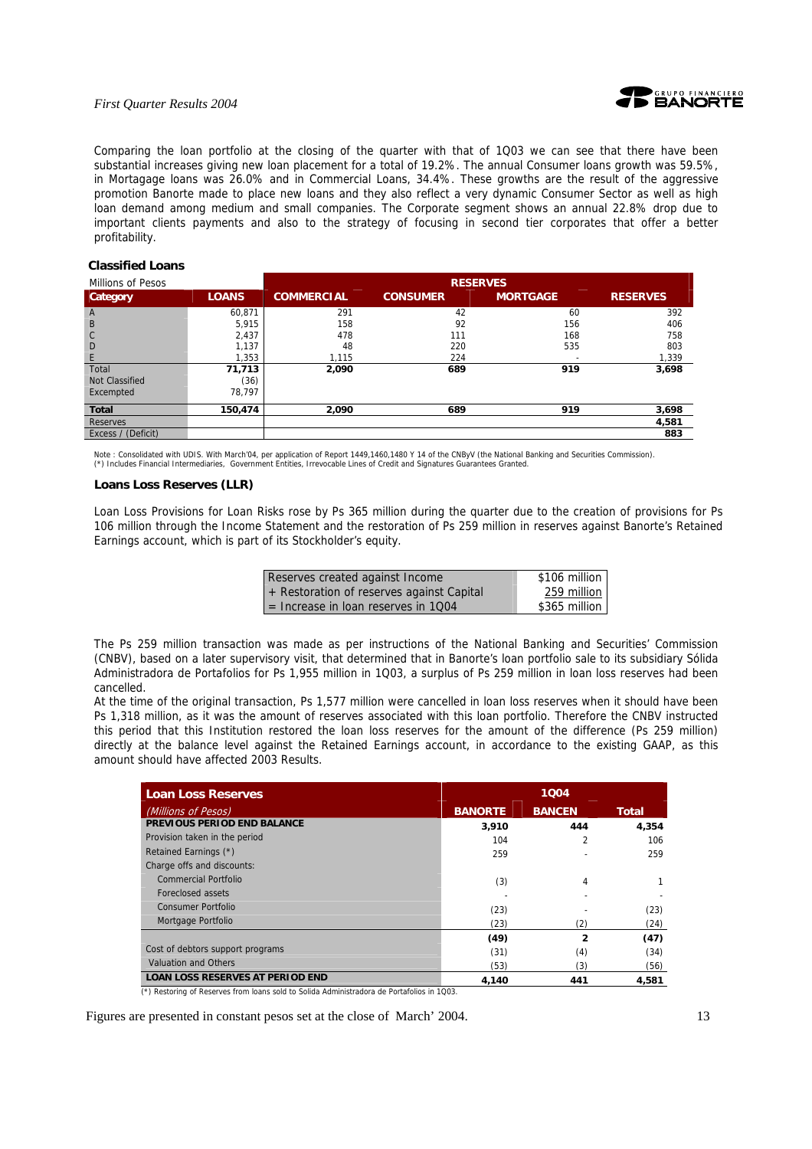

Comparing the loan portfolio at the closing of the quarter with that of 1Q03 we can see that there have been substantial increases giving new loan placement for a total of 19.2%. The annual Consumer loans growth was 59.5%, in Mortagage loans was 26.0% and in Commercial Loans, 34.4%. These growths are the result of the aggressive promotion Banorte made to place new loans and they also reflect a very dynamic Consumer Sector as well as high loan demand among medium and small companies. The Corporate segment shows an annual 22.8% drop due to important clients payments and also to the strategy of focusing in second tier corporates that offer a better profitability.

#### **Classified Loans**

| Millions of Pesos  |              | <b>RESERVES</b>   |                 |                 |                 |
|--------------------|--------------|-------------------|-----------------|-----------------|-----------------|
| <b>Category</b>    | <b>LOANS</b> | <b>COMMERCIAL</b> | <b>CONSUMER</b> | <b>MORTGAGE</b> | <b>RESERVES</b> |
| $\mathsf{A}$       | 60,871       | 291               | 42              | 60              | 392             |
| B                  | 5,915        | 158               | 92              | 156             | 406             |
| $\mathsf{C}$       | 2,437        | 478               | 111             | 168             | 758             |
| D                  | 1,137        | 48                | 220             | 535             | 803             |
| E                  | 1,353        | 1,115             | 224             |                 | 1,339           |
| Total              | 71,713       | 2,090             | 689             | 919             | 3,698           |
| Not Classified     | (36)         |                   |                 |                 |                 |
| Excempted          | 78.797       |                   |                 |                 |                 |
| <b>Total</b>       | 150,474      | 2,090             | 689             | 919             | 3,698           |
| Reserves           |              |                   |                 |                 | 4,581           |
| Excess / (Deficit) |              |                   |                 |                 | 883             |

Note : Consolidated with UDIS. With March'04, per application of Report 1449,1460,1480 Y 14 of the CNByV (the National Banking and Securities Commission).<br>(\*) Includes Financial Intermediaries, Government Entities, Irrevo

#### **Loans Loss Reserves (LLR)**

Loan Loss Provisions for Loan Risks rose by Ps 365 million during the quarter due to the creation of provisions for Ps 106 million through the Income Statement and the restoration of Ps 259 million in reserves against Banorte's Retained Earnings account, which is part of its Stockholder's equity.

| Reserves created against Income           | \$106 million |
|-------------------------------------------|---------------|
| + Restoration of reserves against Capital | 259 million   |
| $=$ Increase in loan reserves in 1004     | \$365 million |

The Ps 259 million transaction was made as per instructions of the National Banking and Securities' Commission (CNBV), based on a later supervisory visit, that determined that in Banorte's loan portfolio sale to its subsidiary Sólida Administradora de Portafolios for Ps 1,955 million in 1Q03, a surplus of Ps 259 million in loan loss reserves had been cancelled.

At the time of the original transaction, Ps 1,577 million were cancelled in loan loss reserves when it should have been Ps 1,318 million, as it was the amount of reserves associated with this loan portfolio. Therefore the CNBV instructed this period that this Institution restored the loan loss reserves for the amount of the difference (Ps 259 million) directly at the balance level against the Retained Earnings account, in accordance to the existing GAAP, as this amount should have affected 2003 Results.

| <b>Loan Loss Reserves</b>               |                | 1004                    |              |  |
|-----------------------------------------|----------------|-------------------------|--------------|--|
| (Millions of Pesos)                     | <b>BANORTE</b> | <b>BANCEN</b>           | <b>Total</b> |  |
| PREVIOUS PERIOD END BALANCE             | 3,910          | 444                     | 4,354        |  |
| Provision taken in the period           | 104            | $\overline{\mathbf{c}}$ | 106          |  |
| Retained Earnings (*)                   | 259            |                         | 259          |  |
| Charge offs and discounts:              |                |                         |              |  |
| Commercial Portfolio                    | (3)            | 4                       |              |  |
| Foreclosed assets                       |                |                         |              |  |
| <b>Consumer Portfolio</b>               | (23)           |                         | (23)         |  |
| Mortgage Portfolio                      | (23)           | (2)                     | (24)         |  |
|                                         | (49)           | 2                       | (47)         |  |
| Cost of debtors support programs        | (31)           | (4)                     | (34)         |  |
| Valuation and Others                    | (53)           | (3)                     | (56)         |  |
| <b>LOAN LOSS RESERVES AT PERIOD END</b> | 4.140          | 441                     | 4.581        |  |

(\*) Restoring of Reserves from loans sold to Solida Administradora de Portafolios in 1Q03.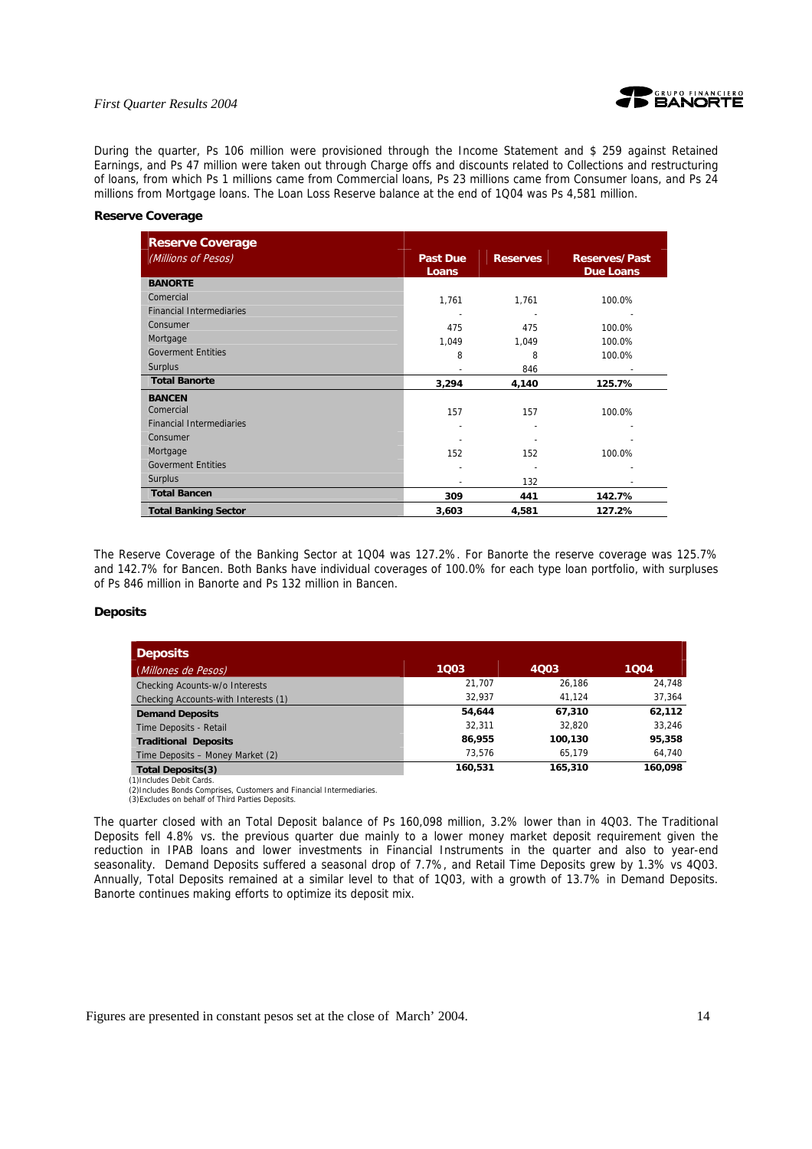

During the quarter, Ps 106 million were provisioned through the Income Statement and \$ 259 against Retained Earnings, and Ps 47 million were taken out through Charge offs and discounts related to Collections and restructuring of loans, from which Ps 1 millions came from Commercial loans, Ps 23 millions came from Consumer loans, and Ps 24 millions from Mortgage loans. The Loan Loss Reserve balance at the end of 1Q04 was Ps 4,581 million.

#### **Reserve Coverage**

| <b>Reserve Coverage</b>         |                          |                 |                                          |
|---------------------------------|--------------------------|-----------------|------------------------------------------|
| (Millions of Pesos)             | <b>Past Due</b><br>Loans | <b>Reserves</b> | <b>Reserves/Past</b><br><b>Due Loans</b> |
| <b>BANORTE</b>                  |                          |                 |                                          |
| Comercial                       | 1,761                    | 1,761           | 100.0%                                   |
| <b>Financial Intermediaries</b> |                          |                 |                                          |
| Consumer                        | 475                      | 475             | 100.0%                                   |
| Mortgage                        | 1,049                    | 1,049           | 100.0%                                   |
| <b>Goverment Entities</b>       | 8                        | 8               | 100.0%                                   |
| <b>Surplus</b>                  |                          | 846             |                                          |
| <b>Total Banorte</b>            | 3,294                    | 4,140           | 125.7%                                   |
| <b>BANCEN</b><br>Comercial      | 157                      | 157             | 100.0%                                   |
| <b>Financial Intermediaries</b> |                          |                 |                                          |
| Consumer                        |                          |                 |                                          |
| Mortgage                        | 152                      | 152             | 100.0%                                   |
| <b>Goverment Entities</b>       |                          |                 |                                          |
| <b>Surplus</b>                  |                          | 132             |                                          |
| <b>Total Bancen</b>             | 309                      | 441             | 142.7%                                   |
| <b>Total Banking Sector</b>     | 3,603                    | 4,581           | 127.2%                                   |

The Reserve Coverage of the Banking Sector at 1Q04 was 127.2%. For Banorte the reserve coverage was 125.7% and 142.7% for Bancen. Both Banks have individual coverages of 100.0% for each type loan portfolio, with surpluses of Ps 846 million in Banorte and Ps 132 million in Bancen.

#### **Deposits**

| <b>Deposits</b>                      |         |         |         |
|--------------------------------------|---------|---------|---------|
| (Millones de Pesos)                  | 1003    | 4003    | 1004    |
| Checking Acounts-w/o Interests       | 21.707  | 26.186  | 24,748  |
| Checking Accounts-with Interests (1) | 32.937  | 41.124  | 37,364  |
| <b>Demand Deposits</b>               | 54.644  | 67.310  | 62,112  |
| Time Deposits - Retail               | 32.311  | 32.820  | 33.246  |
| <b>Traditional Deposits</b>          | 86,955  | 100,130 | 95,358  |
| Time Deposits - Money Market (2)     | 73.576  | 65,179  | 64,740  |
| <b>Total Deposits(3)</b>             | 160,531 | 165,310 | 160,098 |

(1)Includes Debit Cards. (2)Includes Bonds Comprises, Customers and Financial Intermediaries.

(3)Excludes on behalf of Third Parties Deposits.

The quarter closed with an Total Deposit balance of Ps 160,098 million, 3.2% lower than in 4Q03. The Traditional Deposits fell 4.8% vs. the previous quarter due mainly to a lower money market deposit requirement given the reduction in IPAB loans and lower investments in Financial Instruments in the quarter and also to year-end seasonality. Demand Deposits suffered a seasonal drop of 7.7%, and Retail Time Deposits grew by 1.3% vs 4Q03. Annually, Total Deposits remained at a similar level to that of 1Q03, with a growth of 13.7% in Demand Deposits. Banorte continues making efforts to optimize its deposit mix.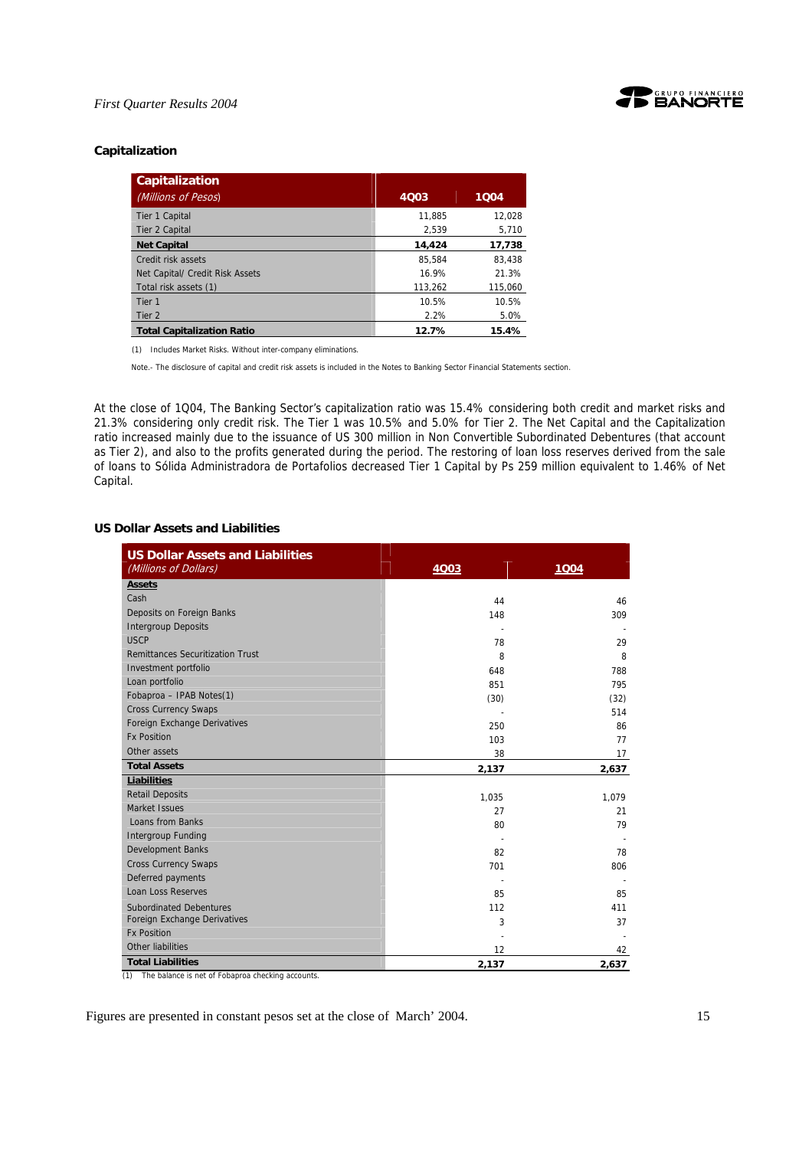



#### **Capitalization**

| Capitalization                    |         |         |
|-----------------------------------|---------|---------|
| (Millions of Pesos)               | 4Q03    | 1004    |
| Tier 1 Capital                    | 11.885  | 12.028  |
| Tier 2 Capital                    | 2,539   | 5,710   |
| <b>Net Capital</b>                | 14,424  | 17,738  |
| Credit risk assets                | 85.584  | 83.438  |
| Net Capital/ Credit Risk Assets   | 16.9%   | 21.3%   |
| Total risk assets (1)             | 113,262 | 115,060 |
| Tier 1                            | 10.5%   | 10.5%   |
| Tier <sub>2</sub>                 | 2.2%    | 5.0%    |
| <b>Total Capitalization Ratio</b> | 12.7%   | 15.4%   |

(1) Includes Market Risks. Without inter-company eliminations.

Note.- The disclosure of capital and credit risk assets is included in the Notes to Banking Sector Financial Statements section.

At the close of 1Q04, The Banking Sector's capitalization ratio was 15.4% considering both credit and market risks and 21.3% considering only credit risk. The Tier 1 was 10.5% and 5.0% for Tier 2. The Net Capital and the Capitalization ratio increased mainly due to the issuance of US 300 million in Non Convertible Subordinated Debentures (that account as Tier 2), and also to the profits generated during the period. The restoring of loan loss reserves derived from the sale of loans to Sólida Administradora de Portafolios decreased Tier 1 Capital by Ps 259 million equivalent to 1.46% of Net Capital.

### **US Dollar Assets and Liabilities**

| <b>US Dollar Assets and Liabilities</b><br>(Millions of Dollars) | 4003  | 1004  |
|------------------------------------------------------------------|-------|-------|
| <b>Assets</b>                                                    |       |       |
| Cash                                                             | 44    | 46    |
| Deposits on Foreign Banks                                        | 148   | 309   |
| <b>Intergroup Deposits</b>                                       |       |       |
| <b>USCP</b>                                                      | 78    | 29    |
| <b>Remittances Securitization Trust</b>                          | 8     | 8     |
| Investment portfolio                                             | 648   | 788   |
| Loan portfolio                                                   | 851   | 795   |
| Fobaproa - IPAB Notes(1)                                         | (30)  | (32)  |
| <b>Cross Currency Swaps</b>                                      |       | 514   |
| Foreign Exchange Derivatives                                     | 250   | 86    |
| <b>Fx Position</b>                                               | 103   | 77    |
| Other assets                                                     | 38    | 17    |
| <b>Total Assets</b>                                              | 2,137 | 2,637 |
| Liabilities                                                      |       |       |
| <b>Retail Deposits</b>                                           | 1,035 | 1,079 |
| Market Issues                                                    | 27    | 21    |
| Loans from Banks                                                 | 80    | 79    |
| <b>Intergroup Funding</b>                                        |       |       |
| <b>Development Banks</b>                                         | 82    | 78    |
| <b>Cross Currency Swaps</b>                                      | 701   | 806   |
| Deferred payments                                                |       |       |
| <b>Loan Loss Reserves</b>                                        | 85    | 85    |
| <b>Subordinated Debentures</b>                                   | 112   | 411   |
| Foreign Exchange Derivatives                                     | 3     | 37    |
| <b>Fx Position</b>                                               |       |       |
| Other liabilities                                                | 12    | 42    |
| <b>Total Liabilities</b>                                         | 2,137 | 2,637 |

(1) The balance is net of Fobaproa checking accounts.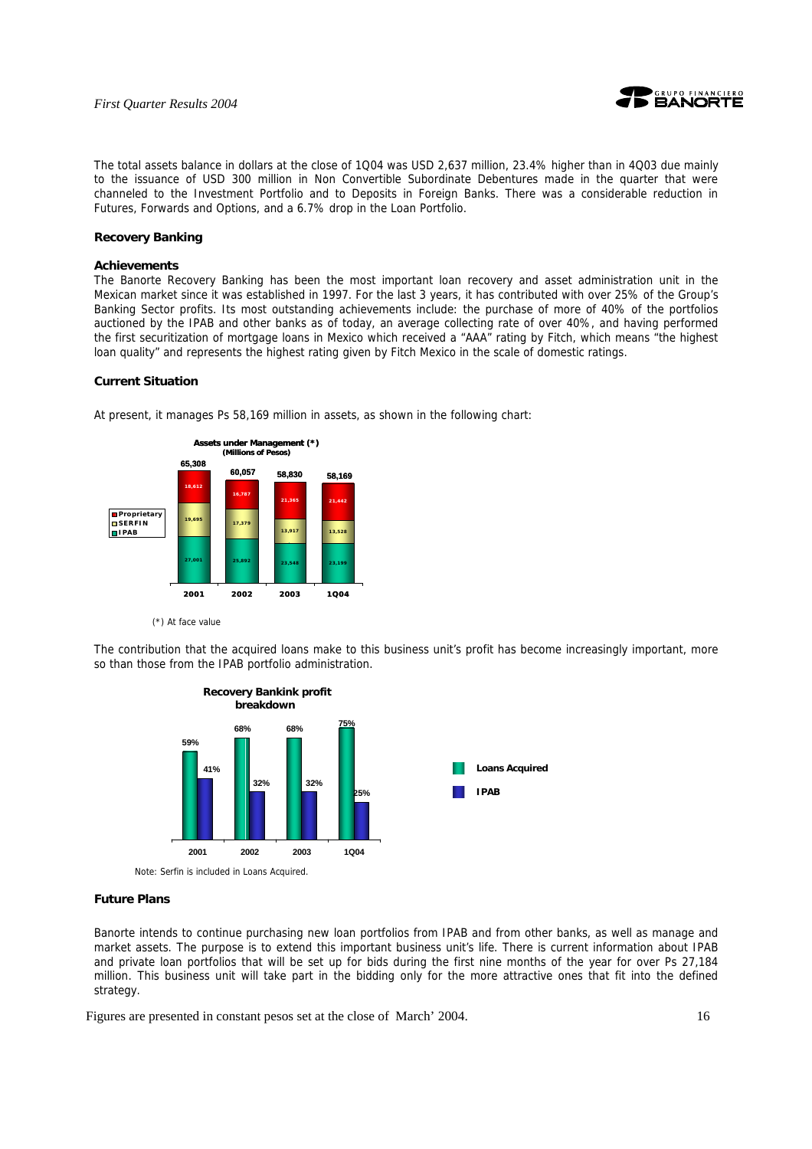

The total assets balance in dollars at the close of 1Q04 was USD 2,637 million, 23.4% higher than in 4Q03 due mainly to the issuance of USD 300 million in Non Convertible Subordinate Debentures made in the quarter that were channeled to the Investment Portfolio and to Deposits in Foreign Banks. There was a considerable reduction in Futures, Forwards and Options, and a 6.7% drop in the Loan Portfolio.

#### **Recovery Banking**

#### **Achievements**

The Banorte Recovery Banking has been the most important loan recovery and asset administration unit in the Mexican market since it was established in 1997. For the last 3 years, it has contributed with over 25% of the Group's Banking Sector profits. Its most outstanding achievements include: the purchase of more of 40% of the portfolios auctioned by the IPAB and other banks as of today, an average collecting rate of over 40%, and having performed the first securitization of mortgage loans in Mexico which received a "AAA" rating by Fitch, which means "the highest loan quality" and represents the highest rating given by Fitch Mexico in the scale of domestic ratings.

### **Current Situation**

At present, it manages Ps 58,169 million in assets, as shown in the following chart:



(\*) At face value

The contribution that the acquired loans make to this business unit's profit has become increasingly important, more so than those from the IPAB portfolio administration.



#### **Future Plans**

Banorte intends to continue purchasing new loan portfolios from IPAB and from other banks, as well as manage and market assets. The purpose is to extend this important business unit's life. There is current information about IPAB and private loan portfolios that will be set up for bids during the first nine months of the year for over Ps 27,184 million. This business unit will take part in the bidding only for the more attractive ones that fit into the defined strategy.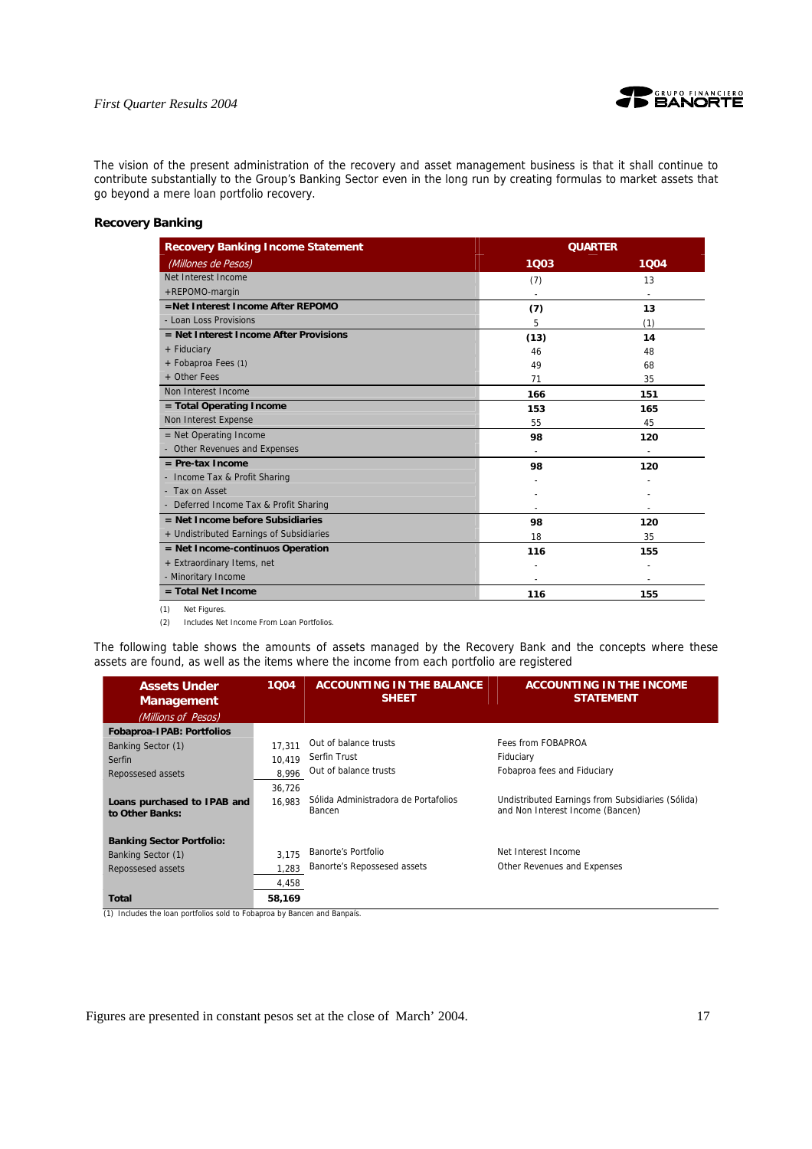

The vision of the present administration of the recovery and asset management business is that it shall continue to contribute substantially to the Group's Banking Sector even in the long run by creating formulas to market assets that go beyond a mere loan portfolio recovery.

# **Recovery Banking**

| <b>Recovery Banking Income Statement</b> | <b>QUARTER</b> |      |
|------------------------------------------|----------------|------|
| (Millones de Pesos)                      | 1003           | 1004 |
| Net Interest Income                      | (7)            | 13   |
| +REPOMO-margin                           |                |      |
| =Net Interest Income After REPOMO        | (7)            | 13   |
| - Loan Loss Provisions                   | 5              | (1)  |
| = Net Interest Income After Provisions   | (13)           | 14   |
| + Fiduciary                              | 46             | 48   |
| + Fobaproa Fees (1)                      | 49             | 68   |
| + Other Fees                             | 71             | 35   |
| Non Interest Income                      | 166            | 151  |
| = Total Operating Income                 | 153            | 165  |
| Non Interest Expense                     | 55             | 45   |
| $=$ Net Operating Income                 | 98             | 120  |
| - Other Revenues and Expenses            |                |      |
| $=$ Pre-tax Income                       | 98             | 120  |
| - Income Tax & Profit Sharing            |                |      |
| - Tax on Asset                           |                |      |
| - Deferred Income Tax & Profit Sharing   |                |      |
| $=$ Net Income before Subsidiaries       | 98             | 120  |
| + Undistributed Earnings of Subsidiaries | 18             | 35   |
| = Net Income-continuos Operation         | 116            | 155  |
| + Extraordinary Items, net               |                |      |
| - Minoritary Income                      |                |      |
| $=$ Total Net Income                     | 116            | 155  |

(2) Includes Net Income From Loan Portfolios.

The following table shows the amounts of assets managed by the Recovery Bank and the concepts where these assets are found, as well as the items where the income from each portfolio are registered

| <b>Assets Under</b><br><b>Management</b> | 1004   | <b>ACCOUNTING IN THE BALANCE</b><br><b>SHEET</b> | <b>ACCOUNTING IN THE INCOME</b><br><b>STATEMENT</b>                                   |
|------------------------------------------|--------|--------------------------------------------------|---------------------------------------------------------------------------------------|
| (Millions of Pesos)                      |        |                                                  |                                                                                       |
| <b>Fobaproa-IPAB: Portfolios</b>         |        |                                                  |                                                                                       |
| Banking Sector (1)                       | 17.311 | Out of balance trusts                            | Fees from FOBAPROA                                                                    |
| Serfin                                   | 10.419 | Serfin Trust                                     | Fiduciary                                                                             |
| Repossesed assets                        | 8,996  | Out of balance trusts                            | Fobaproa fees and Fiduciary                                                           |
|                                          | 36.726 |                                                  |                                                                                       |
| Loans purchased to IPAB and              | 16.983 | Sólida Administradora de Portafolios<br>Bancen   | Undistributed Earnings from Subsidiaries (Sólida)<br>and Non Interest Income (Bancen) |
| to Other Banks:                          |        |                                                  |                                                                                       |
| <b>Banking Sector Portfolio:</b>         |        |                                                  |                                                                                       |
| Banking Sector (1)                       | 3.175  | Banorte's Portfolio                              | Net Interest Income                                                                   |
| Repossesed assets                        | 1,283  | Banorte's Repossesed assets                      | Other Revenues and Expenses                                                           |
|                                          |        |                                                  |                                                                                       |
|                                          | 4,458  |                                                  |                                                                                       |
| Total                                    | 58.169 |                                                  |                                                                                       |

(1) Includes the loan portfolios sold to Fobaproa by Bancen and Banpaís.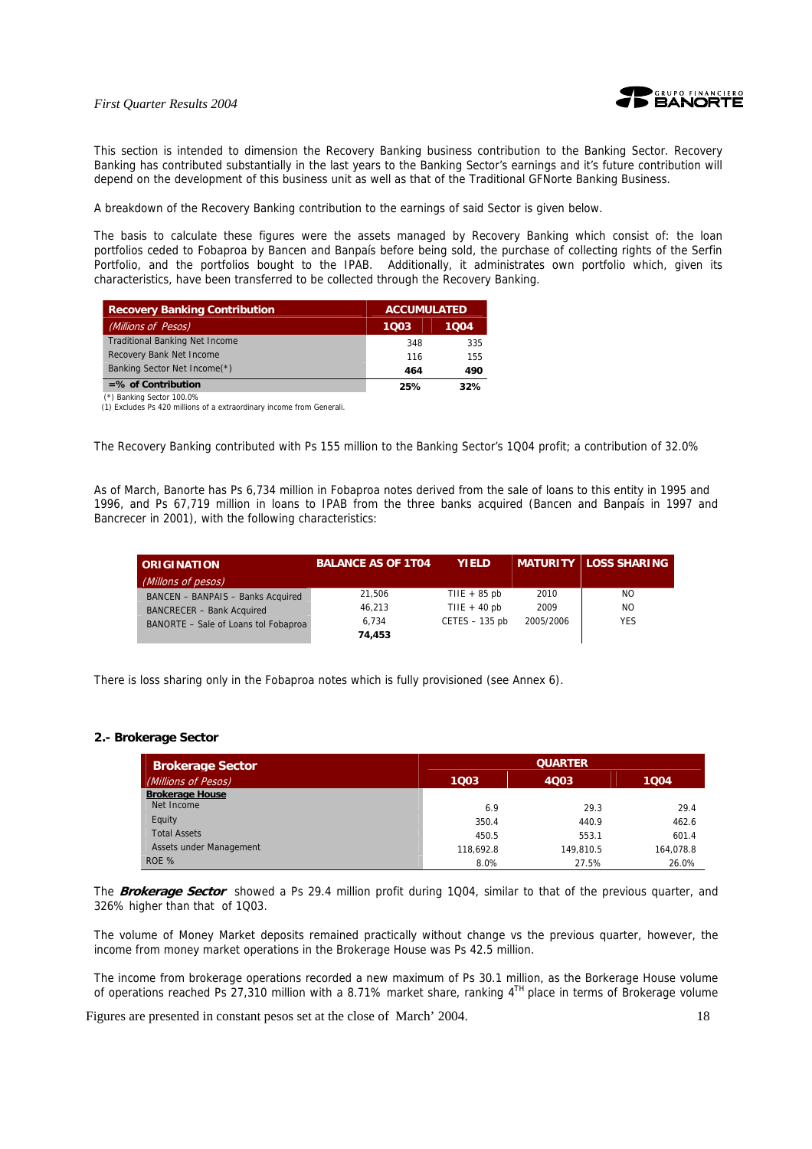

This section is intended to dimension the Recovery Banking business contribution to the Banking Sector. Recovery Banking has contributed substantially in the last years to the Banking Sector's earnings and it's future contribution will depend on the development of this business unit as well as that of the Traditional GFNorte Banking Business.

A breakdown of the Recovery Banking contribution to the earnings of said Sector is given below.

The basis to calculate these figures were the assets managed by Recovery Banking which consist of: the loan portfolios ceded to Fobaproa by Bancen and Banpaís before being sold, the purchase of collecting rights of the Serfin Portfolio, and the portfolios bought to the IPAB. Additionally, it administrates own portfolio which, given its characteristics, have been transferred to be collected through the Recovery Banking.

| <b>Recovery Banking Contribution</b>  | <b>ACCUMULATED</b> |      |
|---------------------------------------|--------------------|------|
| (Millions of Pesos)                   | 1003               | 1004 |
| <b>Traditional Banking Net Income</b> | 348                | 335  |
| Recovery Bank Net Income              | 116                | 155  |
| Banking Sector Net Income(*)          | 464                | 490  |
| $=$ % of Contribution                 | 25%                | 32%  |
| (*) Banking Sector 100.0%             |                    |      |

(1) Excludes Ps 420 millions of a extraordinary income from Generali.

The Recovery Banking contributed with Ps 155 million to the Banking Sector's 1Q04 profit; a contribution of 32.0%

As of March, Banorte has Ps 6,734 million in Fobaproa notes derived from the sale of loans to this entity in 1995 and 1996, and Ps 67,719 million in loans to IPAB from the three banks acquired (Bancen and Banpaís in 1997 and Bancrecer in 2001), with the following characteristics:

| <b>ORIGINATION</b>                   | <b>BALANCE AS OF 1T04</b> | <b>YIELD</b>     |           | <b>MATURITY LOSS SHARING</b> |
|--------------------------------------|---------------------------|------------------|-----------|------------------------------|
| (Millons of pesos)                   |                           |                  |           |                              |
| BANCEN - BANPAIS - Banks Acquired    | 21.506                    | TIIE $+85$ pb    | 2010      | NO.                          |
| <b>BANCRECER - Bank Acquired</b>     | 46.213                    | TIIE + $40$ pb   | 2009      | NO.                          |
| BANORTE - Sale of Loans tol Fobaproa | 6.734                     | $CETES - 135$ pb | 2005/2006 | <b>YES</b>                   |
|                                      | 74,453                    |                  |           |                              |

There is loss sharing only in the Fobaproa notes which is fully provisioned (see Annex 6).

#### **2.- Brokerage Sector**

| <b>Brokerage Sector</b> |           | <b>QUARTER</b> |           |  |  |
|-------------------------|-----------|----------------|-----------|--|--|
| (Millions of Pesos)     | 1003      | 4003           | 1004      |  |  |
| <b>Brokerage House</b>  |           |                |           |  |  |
| Net Income              | 6.9       | 29.3           | 29.4      |  |  |
| Equity                  | 350.4     | 440.9          | 462.6     |  |  |
| <b>Total Assets</b>     | 450.5     | 553.1          | 601.4     |  |  |
| Assets under Management | 118.692.8 | 149.810.5      | 164.078.8 |  |  |
| ROE %                   | 8.0%      | 27.5%          | 26.0%     |  |  |

The **Brokerage Sector** showed a Ps 29.4 million profit during 1Q04, similar to that of the previous quarter, and 326% higher than that of 1Q03.

The volume of Money Market deposits remained practically without change vs the previous quarter, however, the income from money market operations in the Brokerage House was Ps 42.5 million.

The income from brokerage operations recorded a new maximum of Ps 30.1 million, as the Borkerage House volume of operations reached Ps 27,310 million with a 8.71% market share, ranking  $4^{TH}$  place in terms of Brokerage volume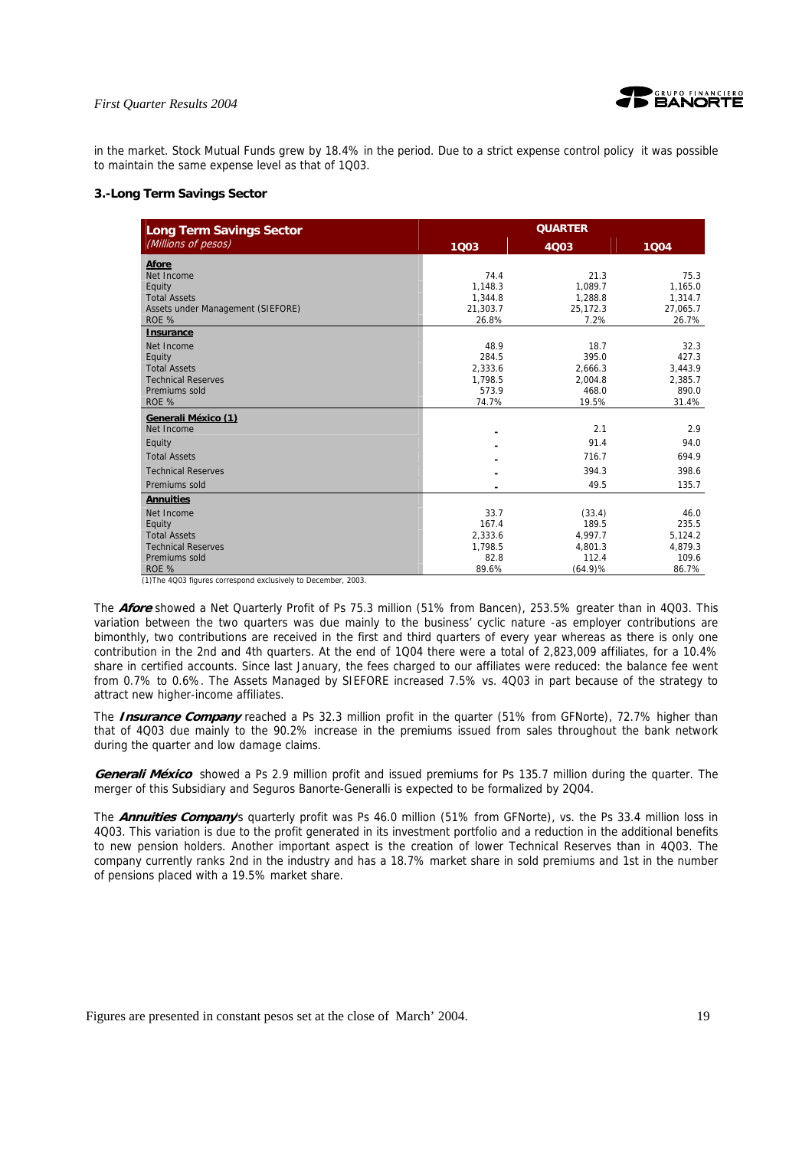

in the market. Stock Mutual Funds grew by 18.4% in the period. Due to a strict expense control policy it was possible to maintain the same expense level as that of 1Q03.

#### **3.-Long Term Savings Sector**

| <b>Long Term Savings Sector</b>   | <b>QUARTER</b> |          |          |  |
|-----------------------------------|----------------|----------|----------|--|
| (Millions of pesos)               | 1Q03           | 4Q03     | 1004     |  |
| <b>Afore</b>                      |                |          |          |  |
| Net Income                        | 74.4           | 21.3     | 75.3     |  |
| Equity                            | 1,148.3        | 1,089.7  | 1,165.0  |  |
| <b>Total Assets</b>               | 1,344.8        | 1,288.8  | 1,314.7  |  |
| Assets under Management (SIEFORE) | 21,303.7       | 25,172.3 | 27,065.7 |  |
| ROE %                             | 26.8%          | 7.2%     | 26.7%    |  |
| Insurance                         |                |          |          |  |
| Net Income                        | 48.9           | 18.7     | 32.3     |  |
| Equity                            | 284.5          | 395.0    | 427.3    |  |
| <b>Total Assets</b>               | 2,333.6        | 2,666.3  | 3,443.9  |  |
| <b>Technical Reserves</b>         | 1,798.5        | 2,004.8  | 2,385.7  |  |
| Premiums sold                     | 573.9          | 468.0    | 890.0    |  |
| ROE %                             | 74.7%          | 19.5%    | 31.4%    |  |
| Generali México (1)               |                |          |          |  |
| Net Income                        |                | 2.1      | 2.9      |  |
| Equity                            |                | 91.4     | 94.0     |  |
| <b>Total Assets</b>               |                | 716.7    | 694.9    |  |
| <b>Technical Reserves</b>         |                | 394.3    | 398.6    |  |
| Premiums sold                     |                | 49.5     | 135.7    |  |
| <b>Annuities</b>                  |                |          |          |  |
| Net Income                        | 33.7           | (33.4)   | 46.0     |  |
| Equity                            | 167.4          | 189.5    | 235.5    |  |
| <b>Total Assets</b>               | 2,333.6        | 4,997.7  | 5,124.2  |  |
| <b>Technical Reserves</b>         | 1,798.5        | 4,801.3  | 4,879.3  |  |
| Premiums sold                     | 82.8           | 112.4    | 109.6    |  |
| ROE %                             | 89.6%          | (64.9)%  | 86.7%    |  |

(1)The 4Q03 figures correspond exclusively to December, 2003.

The **Afore** showed a Net Quarterly Profit of Ps 75.3 million (51% from Bancen), 253.5% greater than in 4Q03. This variation between the two quarters was due mainly to the business' cyclic nature -as employer contributions are bimonthly, two contributions are received in the first and third quarters of every year whereas as there is only one contribution in the 2nd and 4th quarters. At the end of 1Q04 there were a total of 2,823,009 affiliates, for a 10.4% share in certified accounts. Since last January, the fees charged to our affiliates were reduced: the balance fee went from 0.7% to 0.6%. The Assets Managed by SIEFORE increased 7.5% vs. 4Q03 in part because of the strategy to attract new higher-income affiliates.

The **Insurance Company** reached a Ps 32.3 million profit in the quarter (51% from GFNorte), 72.7% higher than that of 4Q03 due mainly to the 90.2% increase in the premiums issued from sales throughout the bank network during the quarter and low damage claims.

**Generali México** showed a Ps 2.9 million profit and issued premiums for Ps 135.7 million during the quarter. The merger of this Subsidiary and Seguros Banorte-Generalli is expected to be formalized by 2Q04.

The **Annuities Company**'s quarterly profit was Ps 46.0 million (51% from GFNorte), vs. the Ps 33.4 million loss in 4Q03. This variation is due to the profit generated in its investment portfolio and a reduction in the additional benefits to new pension holders. Another important aspect is the creation of lower Technical Reserves than in 4Q03. The company currently ranks 2nd in the industry and has a 18.7% market share in sold premiums and 1st in the number of pensions placed with a 19.5% market share.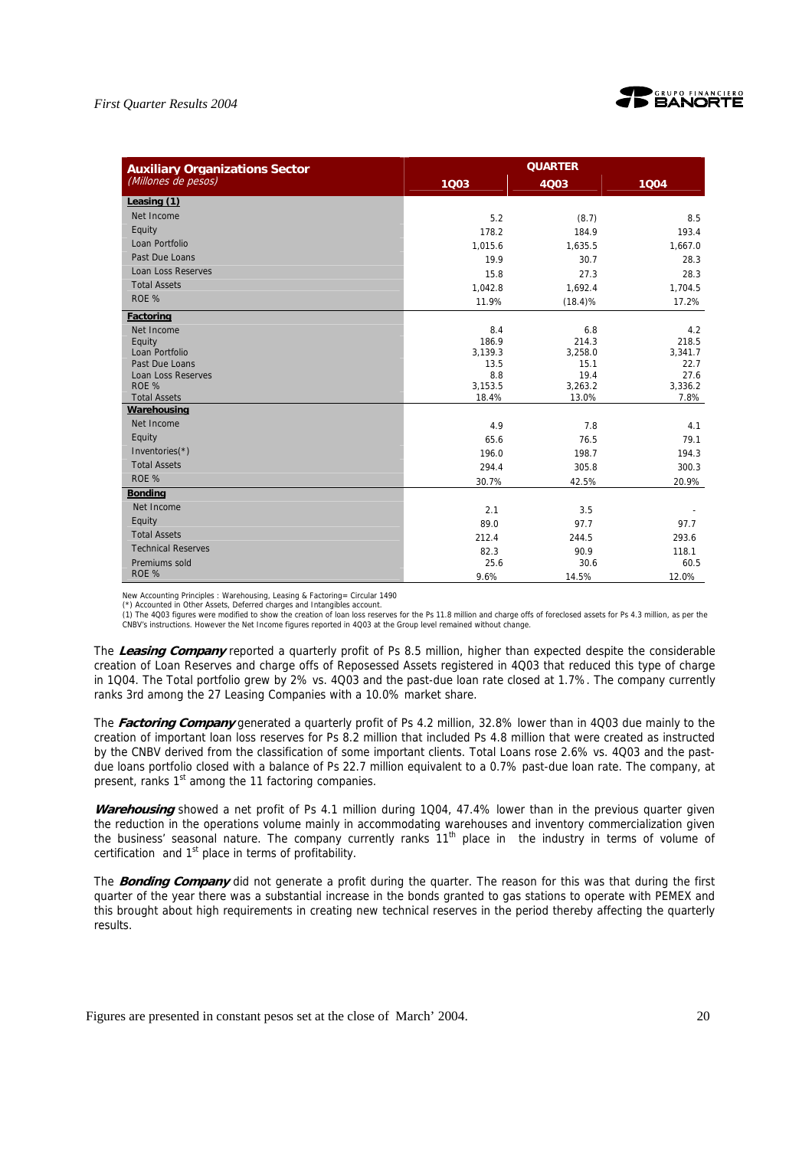

| <b>Auxiliary Organizations Sector</b>       | <b>QUARTER</b> |              |              |  |
|---------------------------------------------|----------------|--------------|--------------|--|
| (Millones de pesos)                         | 1003           | 4003         | 1004         |  |
| Leasing (1)                                 |                |              |              |  |
| Net Income                                  | 5.2            | (8.7)        | 8.5          |  |
| Equity                                      | 178.2          | 184.9        | 193.4        |  |
| Loan Portfolio                              | 1,015.6        | 1,635.5      | 1,667.0      |  |
| Past Due Loans                              | 19.9           | 30.7         | 28.3         |  |
| <b>Loan Loss Reserves</b>                   | 15.8           | 27.3         | 28.3         |  |
| <b>Total Assets</b>                         | 1,042.8        | 1,692.4      | 1,704.5      |  |
| ROE %                                       | 11.9%          | (18.4)%      | 17.2%        |  |
| <b>Factoring</b>                            |                |              |              |  |
| Net Income                                  | 8.4            | 6.8          | 4.2          |  |
| Equity                                      | 186.9          | 214.3        | 218.5        |  |
| Loan Portfolio                              | 3,139.3        | 3,258.0      | 3,341.7      |  |
| Past Due Loans<br><b>Loan Loss Reserves</b> | 13.5<br>8.8    | 15.1<br>19.4 | 22.7<br>27.6 |  |
| ROE %                                       | 3,153.5        | 3,263.2      | 3,336.2      |  |
| <b>Total Assets</b>                         | 18.4%          | 13.0%        | 7.8%         |  |
| Warehousing                                 |                |              |              |  |
| Net Income                                  | 4.9            | 7.8          | 4.1          |  |
| Equity                                      | 65.6           | 76.5         | 79.1         |  |
| Inventories $(*)$                           | 196.0          | 198.7        | 194.3        |  |
| <b>Total Assets</b>                         | 294.4          | 305.8        | 300.3        |  |
| ROE %                                       | 30.7%          | 42.5%        | 20.9%        |  |
| <b>Bonding</b>                              |                |              |              |  |
| Net Income                                  | 2.1            | 3.5          |              |  |
| Equity                                      | 89.0           | 97.7         | 97.7         |  |
| <b>Total Assets</b>                         | 212.4          | 244.5        | 293.6        |  |
| <b>Technical Reserves</b>                   | 82.3           | 90.9         | 118.1        |  |
| Premiums sold                               | 25.6           | 30.6         | 60.5         |  |
| ROE %                                       | 9.6%           | 14.5%        | 12.0%        |  |

New Accounting Principles : Warehousing, Leasing & Factoring= Circular 1490 (\*) Accounted in Other Assets, Deferred charges and Intangibles account.

(1) The 4Q03 figures were modified to show the creation of loan loss reserves for the Ps 11.8 million and charge offs of foreclosed assets for Ps 4.3 million, as per the<br>CNBV's instructions. However the Net Income figures

The **Leasing Company** reported a quarterly profit of Ps 8.5 million, higher than expected despite the considerable creation of Loan Reserves and charge offs of Reposessed Assets registered in 4Q03 that reduced this type of charge in 1Q04. The Total portfolio grew by 2% vs. 4Q03 and the past-due loan rate closed at 1.7%. The company currently ranks 3rd among the 27 Leasing Companies with a 10.0% market share.

The **Factoring Company** generated a quarterly profit of Ps 4.2 million, 32.8% lower than in 4Q03 due mainly to the creation of important loan loss reserves for Ps 8.2 million that included Ps 4.8 million that were created as instructed by the CNBV derived from the classification of some important clients. Total Loans rose 2.6% vs. 4Q03 and the pastdue loans portfolio closed with a balance of Ps 22.7 million equivalent to a 0.7% past-due loan rate. The company, at present, ranks 1<sup>st</sup> among the 11 factoring companies.

**Warehousing** showed a net profit of Ps 4.1 million during 1Q04, 47.4% lower than in the previous quarter given the reduction in the operations volume mainly in accommodating warehouses and inventory commercialization given the business' seasonal nature. The company currently ranks 11<sup>th</sup> place in the industry in terms of volume of certification and  $1<sup>st</sup>$  place in terms of profitability.

The **Bonding Company** did not generate a profit during the quarter. The reason for this was that during the first quarter of the year there was a substantial increase in the bonds granted to gas stations to operate with PEMEX and this brought about high requirements in creating new technical reserves in the period thereby affecting the quarterly results.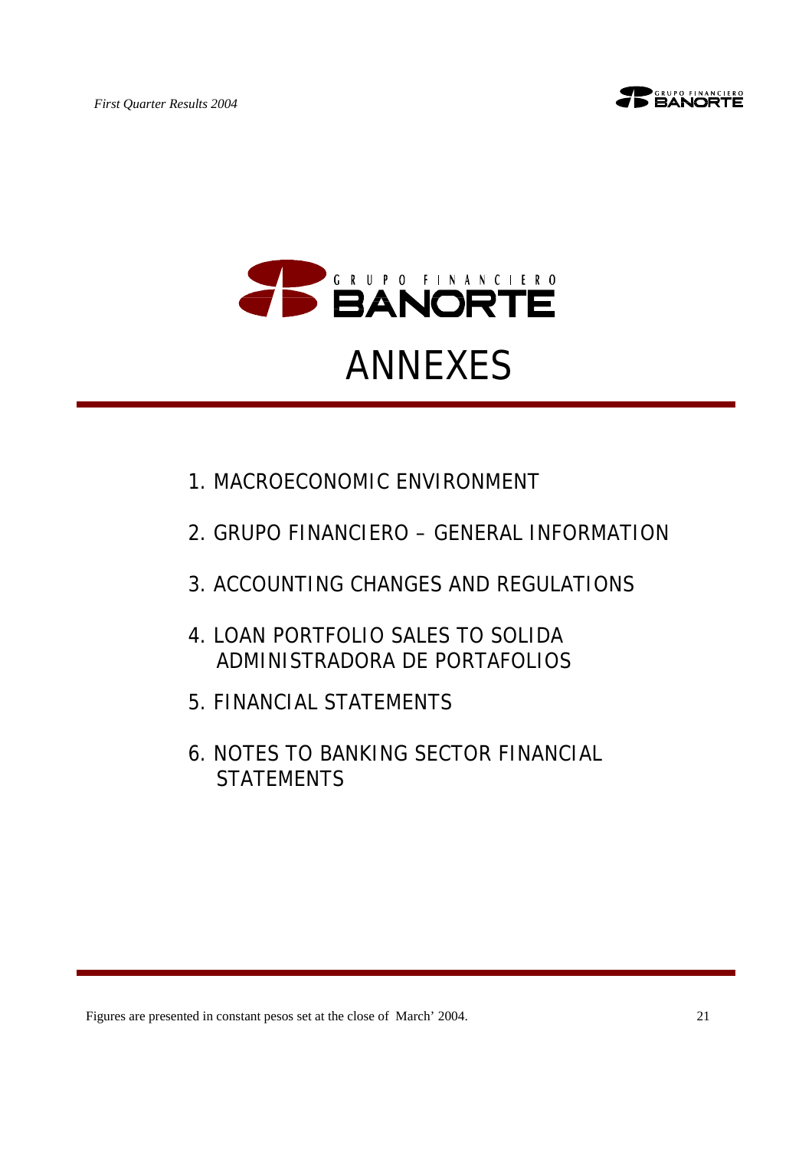



- 1.MACROECONOMIC ENVIRONMENT
- 2.GRUPO FINANCIERO GENERAL INFORMATION
- 3.ACCOUNTING CHANGES AND REGULATIONS
- 4.LOAN PORTFOLIO SALES TO SOLIDA ADMINISTRADORA DE PORTAFOLIOS
- 5.FINANCIAL STATEMENTS
- 6.NOTES TO BANKING SECTOR FINANCIAL **STATEMENTS**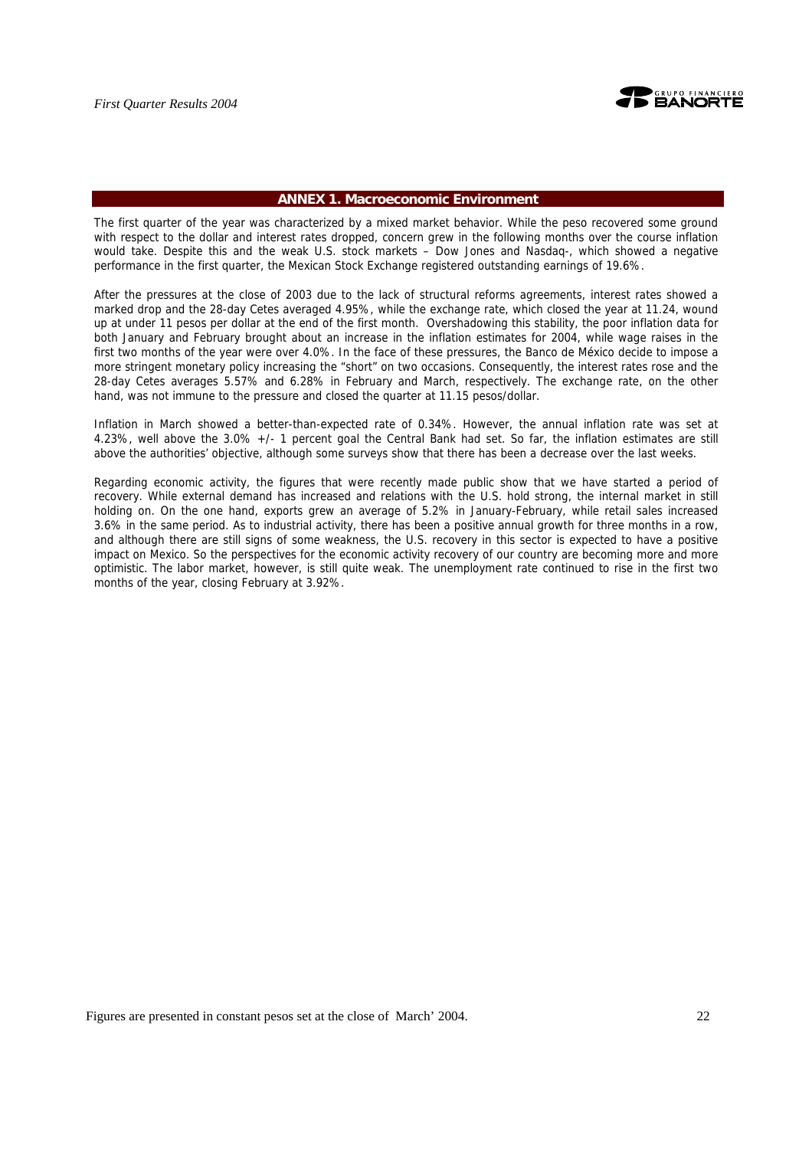

#### **ANNEX 1. Macroeconomic Environment**

The first quarter of the year was characterized by a mixed market behavior. While the peso recovered some ground with respect to the dollar and interest rates dropped, concern grew in the following months over the course inflation would take. Despite this and the weak U.S. stock markets – Dow Jones and Nasdaq-, which showed a negative performance in the first quarter, the Mexican Stock Exchange registered outstanding earnings of 19.6%.

After the pressures at the close of 2003 due to the lack of structural reforms agreements, interest rates showed a marked drop and the 28-day Cetes averaged 4.95%, while the exchange rate, which closed the year at 11.24, wound up at under 11 pesos per dollar at the end of the first month. Overshadowing this stability, the poor inflation data for both January and February brought about an increase in the inflation estimates for 2004, while wage raises in the first two months of the year were over 4.0%. In the face of these pressures, the Banco de México decide to impose a more stringent monetary policy increasing the "short" on two occasions. Consequently, the interest rates rose and the 28-day Cetes averages 5.57% and 6.28% in February and March, respectively. The exchange rate, on the other hand, was not immune to the pressure and closed the quarter at 11.15 pesos/dollar.

Inflation in March showed a better-than-expected rate of 0.34%. However, the annual inflation rate was set at 4.23%, well above the 3.0% +/- 1 percent goal the Central Bank had set. So far, the inflation estimates are still above the authorities' objective, although some surveys show that there has been a decrease over the last weeks.

Regarding economic activity, the figures that were recently made public show that we have started a period of recovery. While external demand has increased and relations with the U.S. hold strong, the internal market in still holding on. On the one hand, exports grew an average of 5.2% in January-February, while retail sales increased 3.6% in the same period. As to industrial activity, there has been a positive annual growth for three months in a row, and although there are still signs of some weakness, the U.S. recovery in this sector is expected to have a positive impact on Mexico. So the perspectives for the economic activity recovery of our country are becoming more and more optimistic. The labor market, however, is still quite weak. The unemployment rate continued to rise in the first two months of the year, closing February at 3.92%.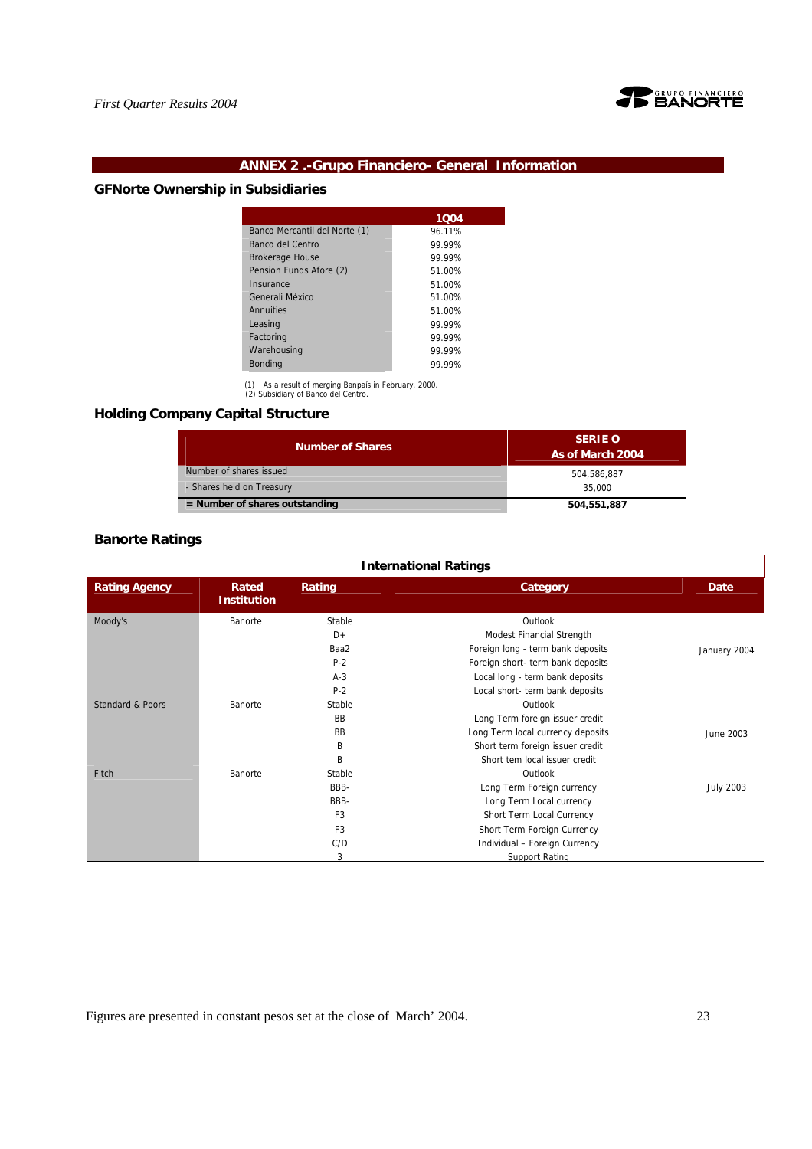

# **ANNEX 2 .-Grupo Financiero- General Information**

# **GFNorte Ownership in Subsidiaries**

|                               | 1004   |
|-------------------------------|--------|
| Banco Mercantil del Norte (1) | 96.11% |
| Banco del Centro              | 99.99% |
| <b>Brokerage House</b>        | 99.99% |
| Pension Funds Afore (2)       | 51.00% |
| Insurance                     | 51.00% |
| Generali México               | 51.00% |
| Annuities                     | 51.00% |
| Leasing                       | 99.99% |
| Factoring                     | 99.99% |
| Warehousing                   | 99.99% |
| <b>Bonding</b>                | 99.99% |

(1) As a result of merging Banpaís in February, 2000. (2) Subsidiary of Banco del Centro.

# **Holding Company Capital Structure**

| <b>Number of Shares</b>          | <b>SERIE O</b><br>As of March 2004 |
|----------------------------------|------------------------------------|
| Number of shares issued          | 504.586.887                        |
| - Shares held on Treasury        | 35,000                             |
| $=$ Number of shares outstanding | 504,551,887                        |

# **Banorte Ratings**

| <b>International Ratings</b> |                             |                |                                   |                  |
|------------------------------|-----------------------------|----------------|-----------------------------------|------------------|
| <b>Rating Agency</b>         | Rated<br><b>Institution</b> | Rating         | Category                          | Date             |
| Moody's                      | Banorte                     | Stable         | Outlook                           |                  |
|                              |                             | $D+$           | Modest Financial Strength         |                  |
|                              |                             | Baa2           | Foreign long - term bank deposits | January 2004     |
|                              |                             | $P-2$          | Foreign short- term bank deposits |                  |
|                              |                             | $A-3$          | Local long - term bank deposits   |                  |
|                              |                             | $P-2$          | Local short- term bank deposits   |                  |
| Standard & Poors             | Banorte                     | Stable         | Outlook                           |                  |
|                              |                             | BB             | Long Term foreign issuer credit   |                  |
|                              |                             | BB             | Long Term local currency deposits | June 2003        |
|                              |                             | B              | Short term foreign issuer credit  |                  |
|                              |                             | B              | Short tem local issuer credit     |                  |
| Fitch                        | Banorte                     | Stable         | Outlook                           |                  |
|                              |                             | BBB-           | Long Term Foreign currency        | <b>July 2003</b> |
|                              |                             | BBB-           | Long Term Local currency          |                  |
|                              |                             | F <sub>3</sub> | Short Term Local Currency         |                  |
|                              |                             | F <sub>3</sub> | Short Term Foreign Currency       |                  |
|                              |                             | C/D            | Individual - Foreign Currency     |                  |
|                              |                             | 3              | Support Rating                    |                  |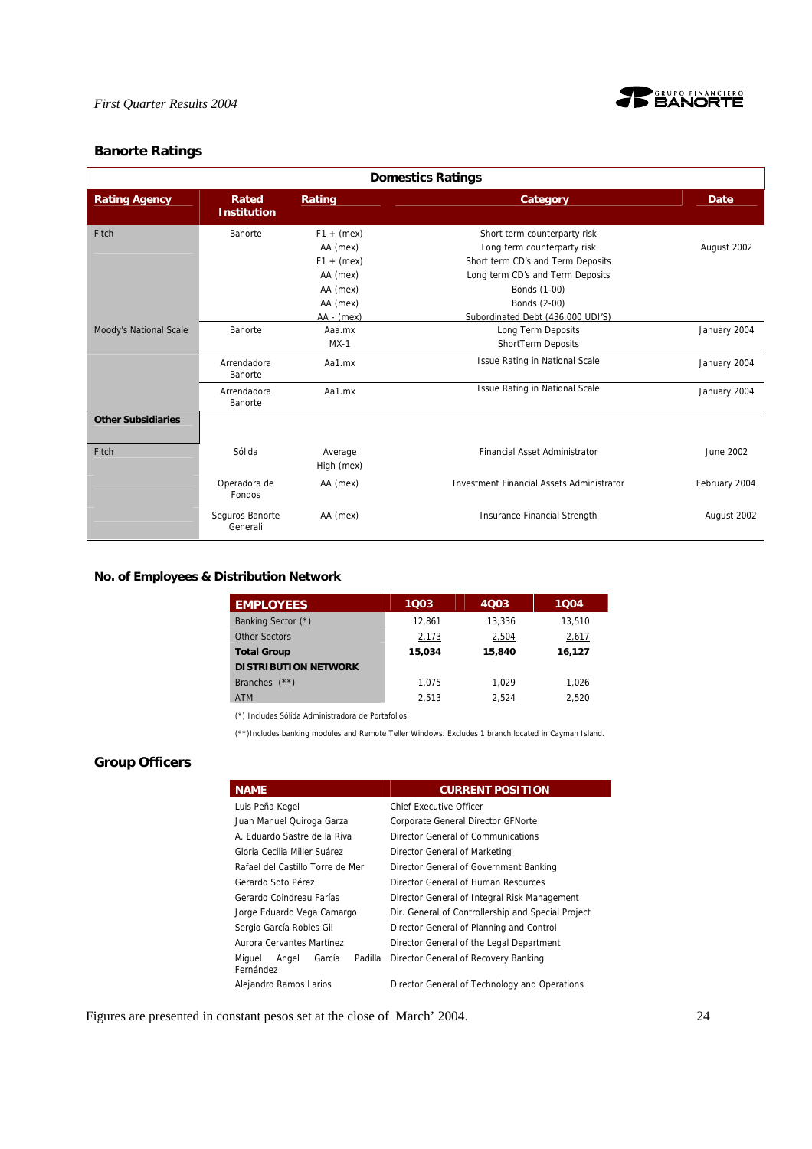

# **Banorte Ratings**

| <b>Domestics Ratings</b>  |                                   |                                                                              |                                                                                                                                                                      |                              |
|---------------------------|-----------------------------------|------------------------------------------------------------------------------|----------------------------------------------------------------------------------------------------------------------------------------------------------------------|------------------------------|
| <b>Rating Agency</b>      | Rated<br><b>Institution</b>       | Rating                                                                       | Category                                                                                                                                                             | <b>Date</b>                  |
| Fitch                     | Banorte                           | $F1 + (mex)$<br>AA (mex)<br>$F1 + (mex)$<br>AA (mex)<br>AA (mex)<br>AA (mex) | Short term counterparty risk<br>Long term counterparty risk<br>Short term CD's and Term Deposits<br>Long term CD's and Term Deposits<br>Bonds (1-00)<br>Bonds (2-00) | August 2002                  |
| Moody's National Scale    | Banorte<br>Arrendadora<br>Banorte | $AA - (mex)$<br>Aaa.mx<br>$MX-1$<br>Aa1.mx                                   | Subordinated Debt (436,000 UDI'S)<br>Long Term Deposits<br>ShortTerm Deposits<br><b>Issue Rating in National Scale</b>                                               | January 2004<br>January 2004 |
|                           | Arrendadora<br>Banorte            | Aa1.mx                                                                       | <b>Issue Rating in National Scale</b>                                                                                                                                | January 2004                 |
| <b>Other Subsidiaries</b> |                                   |                                                                              |                                                                                                                                                                      |                              |
| Fitch                     | Sólida                            | Average<br>High (mex)                                                        | <b>Financial Asset Administrator</b>                                                                                                                                 | June 2002                    |
|                           | Operadora de<br>Fondos            | AA (mex)                                                                     | <b>Investment Financial Assets Administrator</b>                                                                                                                     | February 2004                |
|                           | Seguros Banorte<br>Generali       | AA (mex)                                                                     | Insurance Financial Strength                                                                                                                                         | August 2002                  |

# **No. of Employees & Distribution Network**

| <b>EMPLOYEES</b>            | 1003   | 4003   | 1004   |
|-----------------------------|--------|--------|--------|
| Banking Sector (*)          | 12.861 | 13.336 | 13,510 |
| Other Sectors               | 2,173  | 2,504  | 2,617  |
| <b>Total Group</b>          | 15.034 | 15,840 | 16,127 |
| <b>DISTRIBUTION NETWORK</b> |        |        |        |
| Branches $(**)$             | 1.075  | 1.029  | 1.026  |
| <b>ATM</b>                  | 2.513  | 2.524  | 2.520  |

(\*) Includes Sólida Administradora de Portafolios.

(\*\*)Includes banking modules and Remote Teller Windows. Excludes 1 branch located in Cayman Island.

# **Group Officers**

| <b>NAME</b>                                       | <b>CURRENT POSITION</b>                            |
|---------------------------------------------------|----------------------------------------------------|
| Luis Peña Kegel                                   | Chief Executive Officer                            |
| Juan Manuel Quiroga Garza                         | Corporate General Director GFNorte                 |
| A. Eduardo Sastre de la Riva                      | Director General of Communications                 |
| Gloria Cecilia Miller Suárez                      | Director General of Marketing                      |
| Rafael del Castillo Torre de Mer                  | Director General of Government Banking             |
| Gerardo Soto Pérez                                | Director General of Human Resources                |
| Gerardo Coindreau Farías                          | Director General of Integral Risk Management       |
| Jorge Eduardo Vega Camargo                        | Dir. General of Controllership and Special Project |
| Sergio García Robles Gil                          | Director General of Planning and Control           |
| Aurora Cervantes Martínez                         | Director General of the Legal Department           |
| Padilla<br>Miguel<br>Angel<br>García<br>Fernández | Director General of Recovery Banking               |
| Alejandro Ramos Larios                            | Director General of Technology and Operations      |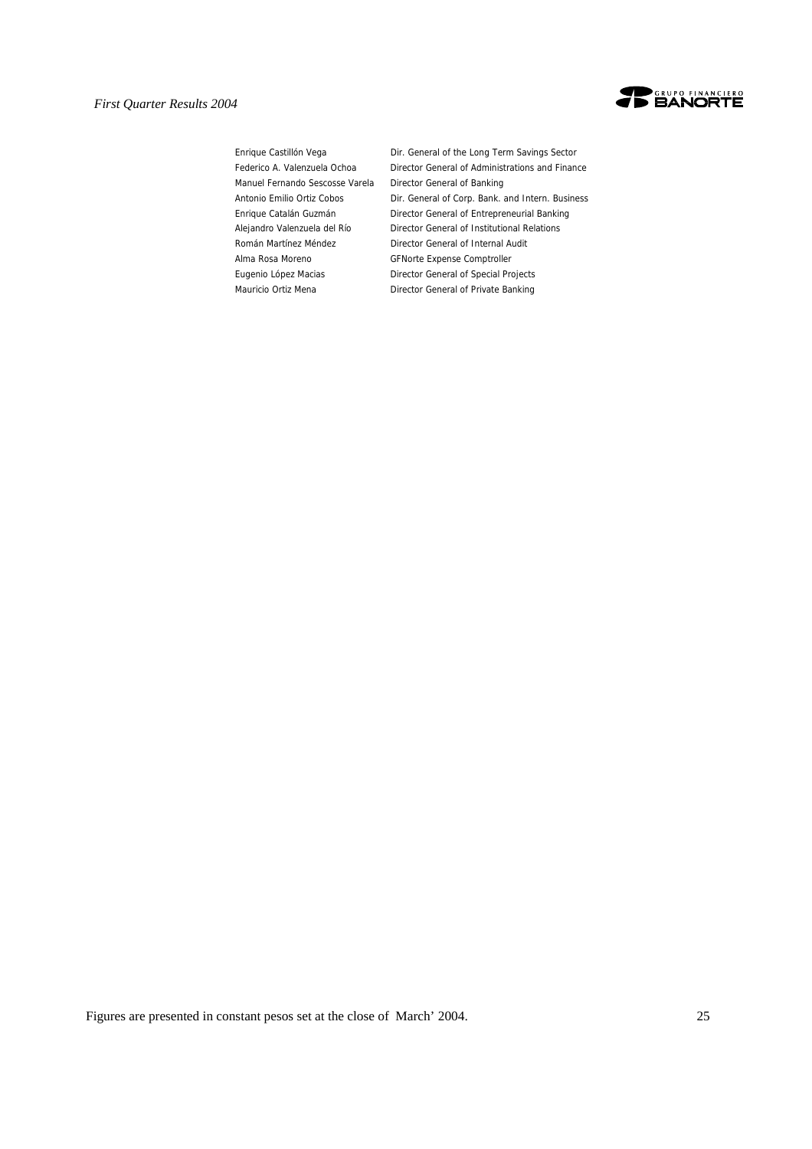

Manuel Fernando Sescosse Varela Director General of Banking Alma Rosa Moreno GFNorte Expense Comptroller

Enrique Castillón Vega Dir. General of the Long Term Savings Sector Federico A. Valenzuela Ochoa Director General of Administrations and Finance Antonio Emilio Ortiz Cobos Dir. General of Corp. Bank. and Intern. Business Enrique Catalán Guzmán Director General of Entrepreneurial Banking Alejandro Valenzuela del Río Director General of Institutional Relations Román Martínez Méndez Director General of Internal Audit Eugenio López Macias Director General of Special Projects Mauricio Ortiz Mena Director General of Private Banking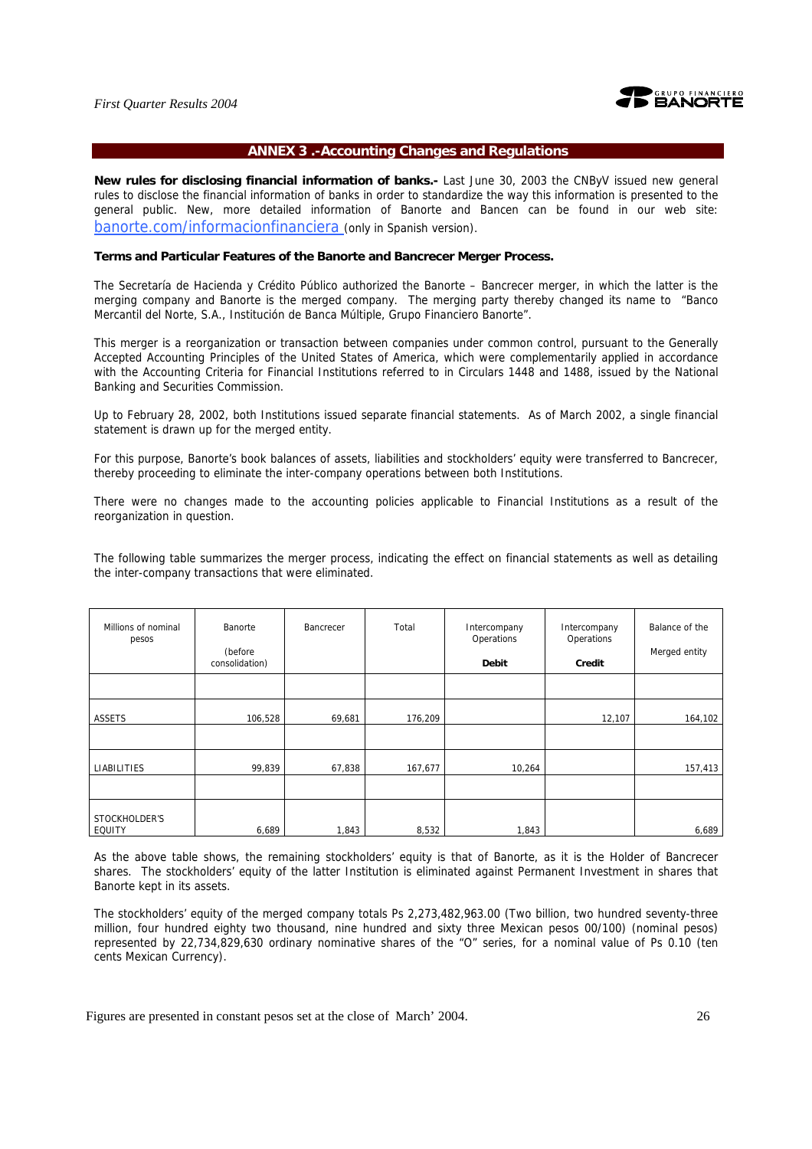

#### **ANNEX 3 .-Accounting Changes and Regulations**

**New rules for disclosing financial information of banks.-** Last June 30, 2003 the CNByV issued new general rules to disclose the financial information of banks in order to standardize the way this information is presented to the general public. New, more detailed information of Banorte and Bancen can be found in our web site: banorte.com/informacionfinanciera (only in Spanish version).

#### **Terms and Particular Features of the Banorte and Bancrecer Merger Process.**

The Secretaría de Hacienda y Crédito Público authorized the Banorte – Bancrecer merger, in which the latter is the merging company and Banorte is the merged company. The merging party thereby changed its name to "Banco Mercantil del Norte, S.A., Institución de Banca Múltiple, Grupo Financiero Banorte".

This merger is a reorganization or transaction between companies under common control, pursuant to the Generally Accepted Accounting Principles of the United States of America, which were complementarily applied in accordance with the Accounting Criteria for Financial Institutions referred to in Circulars 1448 and 1488, issued by the National Banking and Securities Commission.

Up to February 28, 2002, both Institutions issued separate financial statements. As of March 2002, a single financial statement is drawn up for the merged entity.

For this purpose, Banorte's book balances of assets, liabilities and stockholders' equity were transferred to Bancrecer, thereby proceeding to eliminate the inter-company operations between both Institutions.

There were no changes made to the accounting policies applicable to Financial Institutions as a result of the reorganization in question.

The following table summarizes the merger process, indicating the effect on financial statements as well as detailing the inter-company transactions that were eliminated.

| Millions of nominal<br>pesos | Banorte<br>(before<br>consolidation) | Bancrecer | Total   | Intercompany<br>Operations<br><b>Debit</b> | Intercompany<br>Operations<br>Credit | Balance of the<br>Merged entity |
|------------------------------|--------------------------------------|-----------|---------|--------------------------------------------|--------------------------------------|---------------------------------|
|                              |                                      |           |         |                                            |                                      |                                 |
| <b>ASSETS</b>                | 106,528                              | 69,681    | 176,209 |                                            | 12,107                               | 164,102                         |
|                              |                                      |           |         |                                            |                                      |                                 |
| LIABILITIES                  | 99,839                               | 67,838    | 167,677 | 10,264                                     |                                      | 157,413                         |
|                              |                                      |           |         |                                            |                                      |                                 |
| STOCKHOLDER'S<br>EQUITY      | 6,689                                | 1,843     | 8,532   | 1,843                                      |                                      | 6,689                           |

As the above table shows, the remaining stockholders' equity is that of Banorte, as it is the Holder of Bancrecer shares. The stockholders' equity of the latter Institution is eliminated against Permanent Investment in shares that Banorte kept in its assets.

The stockholders' equity of the merged company totals Ps 2,273,482,963.00 (Two billion, two hundred seventy-three million, four hundred eighty two thousand, nine hundred and sixty three Mexican pesos 00/100) (nominal pesos) represented by 22,734,829,630 ordinary nominative shares of the "O" series, for a nominal value of Ps 0.10 (ten cents Mexican Currency).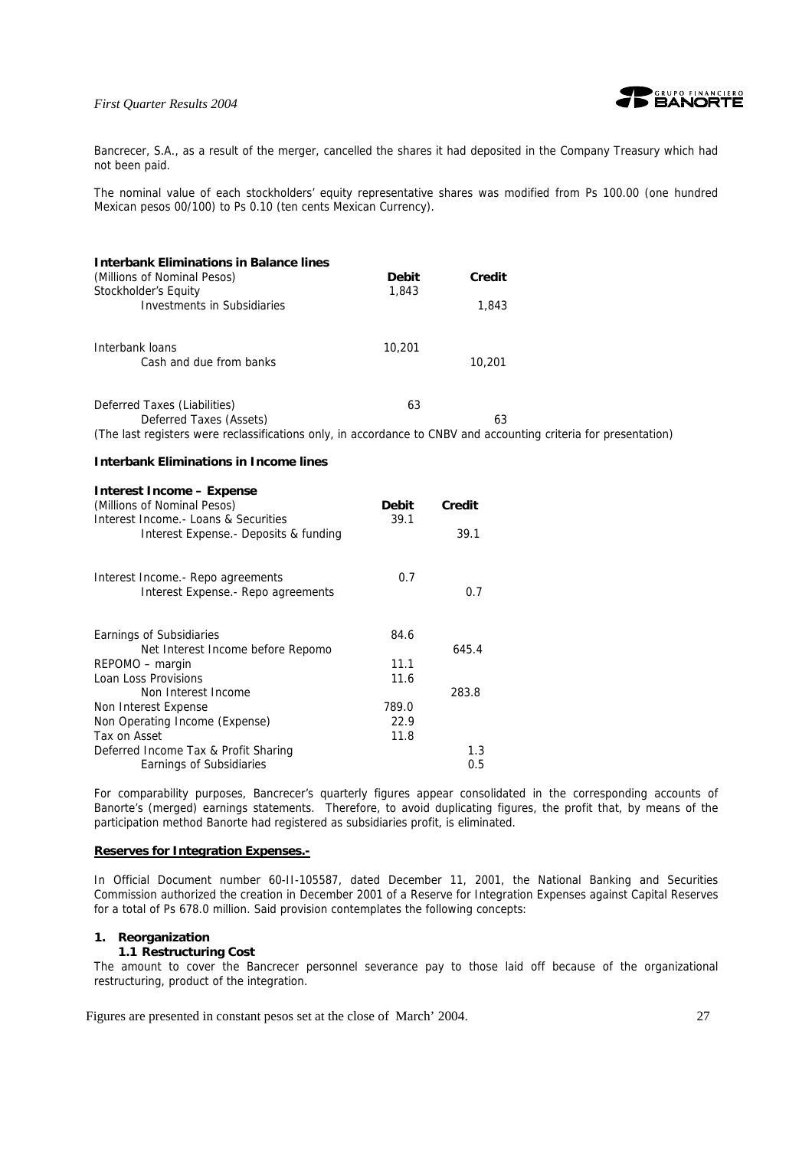

Bancrecer, S.A., as a result of the merger, cancelled the shares it had deposited in the Company Treasury which had not been paid.

The nominal value of each stockholders' equity representative shares was modified from Ps 100.00 (one hundred Mexican pesos 00/100) to Ps 0.10 (ten cents Mexican Currency).

| <b>Interbank Eliminations in Balance lines</b><br>(Millions of Nominal Pesos)<br>Stockholder's Equity            | <b>Debit</b><br>1,843 | <b>Credit</b> |  |
|------------------------------------------------------------------------------------------------------------------|-----------------------|---------------|--|
| <b>Investments in Subsidiaries</b>                                                                               |                       | 1,843         |  |
| Interbank loans<br>Cash and due from banks                                                                       | 10,201                | 10,201        |  |
| Deferred Taxes (Liabilities)<br>Deferred Taxes (Assets)                                                          | 63                    | 63            |  |
| (The last registers were reclassifications only, in accordance to CNBV and accounting criteria for presentation) |                       |               |  |
| <b>Interbank Eliminations in Income lines</b>                                                                    |                       |               |  |
| <b>Interest Income - Expense</b><br>(Millions of Nominal Pesos)<br>Interest Income. - Loans & Securities         | <b>Debit</b><br>39.1  | Credit        |  |
| Interest Expense.- Deposits & funding                                                                            |                       | 39.1          |  |
| Interest Income.- Repo agreements<br>Interest Expense.- Repo agreements                                          | 0.7                   | 0.7           |  |
| Earnings of Subsidiaries<br>Net Interest Income before Repomo                                                    | 84.6                  | 645.4         |  |
| REPOMO – margin                                                                                                  | 11.1                  |               |  |
| Loan Loss Provisions                                                                                             | 11.6                  |               |  |
| Non Interest Income                                                                                              |                       | 283.8         |  |
| Non Interest Expense                                                                                             | 789.0                 |               |  |
| Non Operating Income (Expense)                                                                                   | 22.9                  |               |  |
| Tax on Asset                                                                                                     | 11.8                  |               |  |
| Deferred Income Tax & Profit Sharing                                                                             |                       | 1.3           |  |
| Earnings of Subsidiaries                                                                                         |                       | 0.5           |  |

For comparability purposes, Bancrecer's quarterly figures appear consolidated in the corresponding accounts of Banorte's (merged) earnings statements. Therefore, to avoid duplicating figures, the profit that, by means of the participation method Banorte had registered as subsidiaries profit, is eliminated.

#### **Reserves for Integration Expenses.-**

In Official Document number 60-II-105587, dated December 11, 2001, the National Banking and Securities Commission authorized the creation in December 2001 of a Reserve for Integration Expenses against Capital Reserves for a total of Ps 678.0 million. Said provision contemplates the following concepts:

#### **1. Reorganization**

#### **1.1 Restructuring Cost**

The amount to cover the Bancrecer personnel severance pay to those laid off because of the organizational restructuring, product of the integration.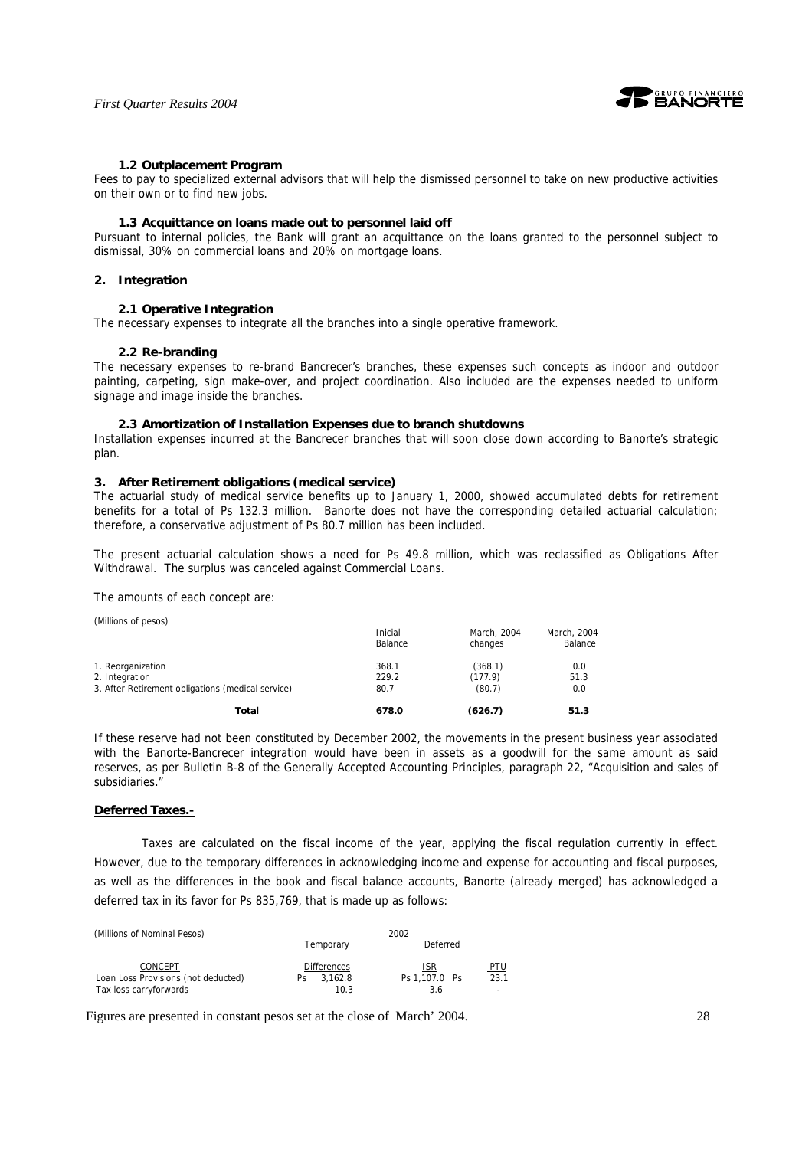

#### **1.2 Outplacement Program**

Fees to pay to specialized external advisors that will help the dismissed personnel to take on new productive activities on their own or to find new jobs.

#### **1.3 Acquittance on loans made out to personnel laid off**

Pursuant to internal policies, the Bank will grant an acquittance on the loans granted to the personnel subject to dismissal, 30% on commercial loans and 20% on mortgage loans.

#### **2. Integration**

#### **2.1 Operative Integration**

The necessary expenses to integrate all the branches into a single operative framework.

#### **2.2 Re-branding**

The necessary expenses to re-brand Bancrecer's branches, these expenses such concepts as indoor and outdoor painting, carpeting, sign make-over, and project coordination. Also included are the expenses needed to uniform signage and image inside the branches.

#### **2.3 Amortization of Installation Expenses due to branch shutdowns**

Installation expenses incurred at the Bancrecer branches that will soon close down according to Banorte's strategic plan.

#### **3. After Retirement obligations (medical service)**

The actuarial study of medical service benefits up to January 1, 2000, showed accumulated debts for retirement benefits for a total of Ps 132.3 million. Banorte does not have the corresponding detailed actuarial calculation; therefore, a conservative adjustment of Ps 80.7 million has been included.

The present actuarial calculation shows a need for Ps 49.8 million, which was reclassified as Obligations After Withdrawal. The surplus was canceled against Commercial Loans.

The amounts of each concept are:

(Millions of pesos) Inicial March, 2004 March, 2004 Balance Changes Balance Changes Balance 1. Reorganization 1. 1. 2010 1. 2010 1. 2010 1. 2010 1. 368.1 (368.1) 0.0<br>1. Integration 1. 229.2 (177.9) 51.3 2. Integration 3. After Retirement obligations (medical service) 80.7 (80.7) 80.0 **Total 678.0 (626.7) 51.3** 

If these reserve had not been constituted by December 2002, the movements in the present business year associated with the Banorte-Bancrecer integration would have been in assets as a goodwill for the same amount as said reserves, as per Bulletin B-8 of the Generally Accepted Accounting Principles, paragraph 22, "Acquisition and sales of subsidiaries."

#### **Deferred Taxes.-**

Taxes are calculated on the fiscal income of the year, applying the fiscal regulation currently in effect. However, due to the temporary differences in acknowledging income and expense for accounting and fiscal purposes, as well as the differences in the book and fiscal balance accounts, Banorte (already merged) has acknowledged a deferred tax in its favor for Ps 835,769, that is made up as follows:

| (Millions of Nominal Pesos)         | 2002               |               |            |  |  |  |  |  |
|-------------------------------------|--------------------|---------------|------------|--|--|--|--|--|
|                                     | Temporary          | Deferred      |            |  |  |  |  |  |
| CONCEPT                             | <b>Differences</b> | <b>ISR</b>    | <u>PTU</u> |  |  |  |  |  |
| Loan Loss Provisions (not deducted) | 3.162.8<br>Ps      | Ps 1.107.0 Ps | 23.1       |  |  |  |  |  |
| Tax loss carryforwards              | 10.3               | 3.6           | ٠          |  |  |  |  |  |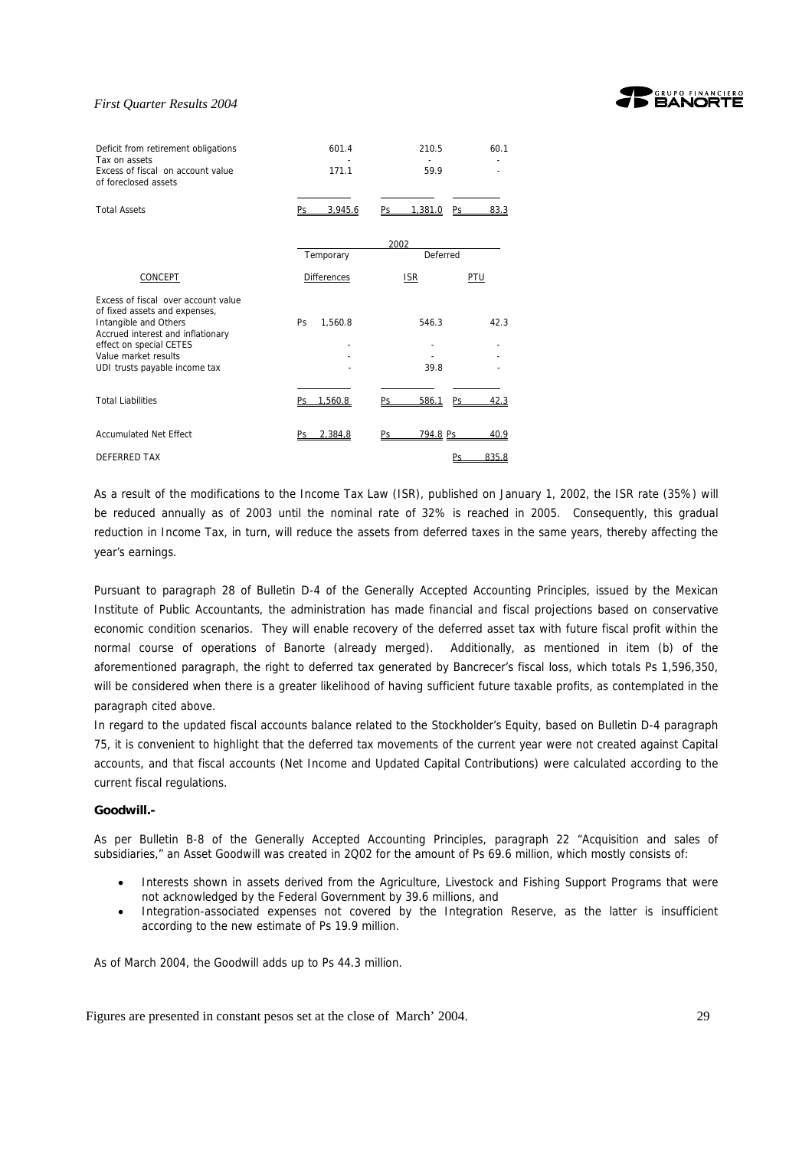

| Deficit from retirement obligations<br>Tax on assets<br>Excess of fiscal on account value<br>of foreclosed assets                                                                                                      | 601.4<br>171.1     | 210.5<br>60.1<br>59.9        |
|------------------------------------------------------------------------------------------------------------------------------------------------------------------------------------------------------------------------|--------------------|------------------------------|
| <b>Total Assets</b>                                                                                                                                                                                                    | 3.945.6<br>Ps      | 1.381.0<br>Ps.<br>Ps<br>83.3 |
|                                                                                                                                                                                                                        | Temporary          | 2002<br>Deferred             |
| CONCEPT                                                                                                                                                                                                                | <b>Differences</b> | <b>ISR</b><br>PTU            |
| Excess of fiscal over account value<br>of fixed assets and expenses,<br>Intangible and Others<br>Accrued interest and inflationary<br>effect on special CETES<br>Value market results<br>UDI trusts payable income tax | Ps<br>1.560.8      | 546.3<br>42.3<br>39.8        |
| <b>Total Liabilities</b>                                                                                                                                                                                               | 1.560.8<br>Pς      | 586.1<br>Ps.<br>Ps<br>423    |
| <b>Accumulated Net Effect</b>                                                                                                                                                                                          | 2.384.8<br>Ps      | 794.8 Ps<br>Ps<br>40.9       |
| <b>DEFERRED TAX</b>                                                                                                                                                                                                    |                    | Ps<br>835.8                  |

As a result of the modifications to the Income Tax Law (ISR), published on January 1, 2002, the ISR rate (35%) will be reduced annually as of 2003 until the nominal rate of 32% is reached in 2005. Consequently, this gradual reduction in Income Tax, in turn, will reduce the assets from deferred taxes in the same years, thereby affecting the year's earnings.

Pursuant to paragraph 28 of Bulletin D-4 of the Generally Accepted Accounting Principles, issued by the Mexican Institute of Public Accountants, the administration has made financial and fiscal projections based on conservative economic condition scenarios. They will enable recovery of the deferred asset tax with future fiscal profit within the normal course of operations of Banorte (already merged). Additionally, as mentioned in item (b) of the aforementioned paragraph, the right to deferred tax generated by Bancrecer's fiscal loss, which totals Ps 1,596,350, will be considered when there is a greater likelihood of having sufficient future taxable profits, as contemplated in the paragraph cited above.

In regard to the updated fiscal accounts balance related to the Stockholder's Equity, based on Bulletin D-4 paragraph 75, it is convenient to highlight that the deferred tax movements of the current year were not created against Capital accounts, and that fiscal accounts (Net Income and Updated Capital Contributions) were calculated according to the current fiscal regulations.

#### **Goodwill.-**

As per Bulletin B-8 of the Generally Accepted Accounting Principles, paragraph 22 "Acquisition and sales of subsidiaries," an Asset Goodwill was created in 2Q02 for the amount of Ps 69.6 million, which mostly consists of:

- Interests shown in assets derived from the Agriculture, Livestock and Fishing Support Programs that were not acknowledged by the Federal Government by 39.6 millions, and
- Integration-associated expenses not covered by the Integration Reserve, as the latter is insufficient according to the new estimate of Ps 19.9 million.

As of March 2004, the Goodwill adds up to Ps 44.3 million.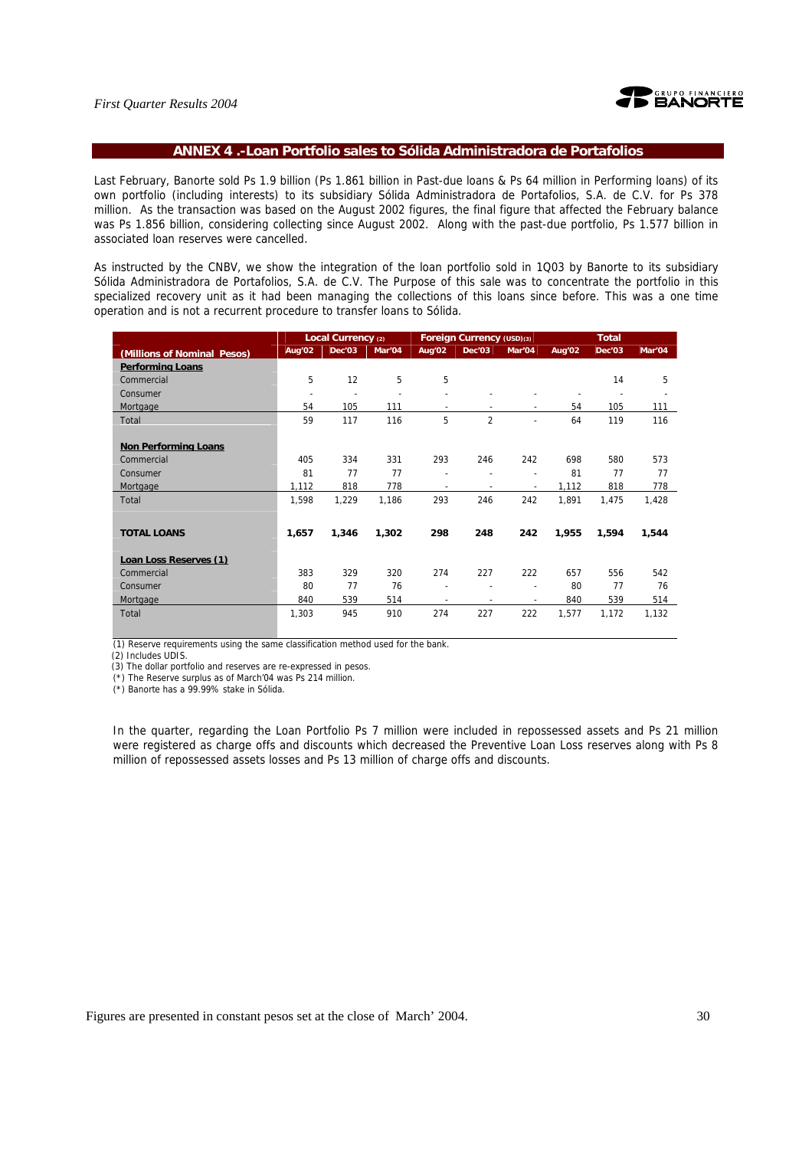

#### **ANNEX 4 .-Loan Portfolio sales to Sólida Administradora de Portafolios**

Last February, Banorte sold Ps 1.9 billion (Ps 1.861 billion in Past-due loans & Ps 64 million in Performing loans) of its own portfolio (including interests) to its subsidiary Sólida Administradora de Portafolios, S.A. de C.V. for Ps 378 million. As the transaction was based on the August 2002 figures, the final figure that affected the February balance was Ps 1.856 billion, considering collecting since August 2002. Along with the past-due portfolio, Ps 1.577 billion in associated loan reserves were cancelled.

As instructed by the CNBV, we show the integration of the loan portfolio sold in 1Q03 by Banorte to its subsidiary Sólida Administradora de Portafolios, S.A. de C.V. The Purpose of this sale was to concentrate the portfolio in this specialized recovery unit as it had been managing the collections of this loans since before. This was a one time operation and is not a recurrent procedure to transfer loans to Sólida.

|                             |                          | Local Currency (2) |        | <b>Foreign Currency (USD)(3)</b> |                          |                          |                    | <b>Total</b> |        |  |
|-----------------------------|--------------------------|--------------------|--------|----------------------------------|--------------------------|--------------------------|--------------------|--------------|--------|--|
| (Millions of Nominal Pesos) | Aug'02                   | Dec'03             | Mar'04 | Aug'02                           | Dec'03                   | Mar'04                   | Aug <sup>'02</sup> | Dec'03       | Mar'04 |  |
| <b>Performing Loans</b>     |                          |                    |        |                                  |                          |                          |                    |              |        |  |
| Commercial                  | 5                        | 12                 | 5      | 5                                |                          |                          |                    | 14           | 5      |  |
| Consumer                    | $\overline{\phantom{a}}$ | ٠                  |        |                                  |                          |                          |                    |              |        |  |
| Mortgage                    | 54                       | 105                | 111    | $\overline{\phantom{a}}$         | $\overline{\phantom{a}}$ | $\overline{\phantom{a}}$ | 54                 | 105          | 111    |  |
| Total                       | 59                       | 117                | 116    | 5                                | $\overline{2}$           | $\overline{\phantom{0}}$ | 64                 | 119          | 116    |  |
|                             |                          |                    |        |                                  |                          |                          |                    |              |        |  |
| <b>Non Performing Loans</b> |                          |                    |        |                                  |                          |                          |                    |              |        |  |
| Commercial                  | 405                      | 334                | 331    | 293                              | 246                      | 242                      | 698                | 580          | 573    |  |
| Consumer                    | 81                       | 77                 | 77     | $\overline{\phantom{a}}$         |                          | $\overline{\phantom{0}}$ | 81                 | 77           | 77     |  |
| Mortgage                    | 1,112                    | 818                | 778    | $\overline{\phantom{a}}$         | $\blacksquare$           | $\overline{\phantom{a}}$ | 1,112              | 818          | 778    |  |
| Total                       | 1,598                    | 1,229              | 1,186  | 293                              | 246                      | 242                      | 1,891              | 1,475        | 1,428  |  |
|                             |                          |                    |        |                                  |                          |                          |                    |              |        |  |
| <b>TOTAL LOANS</b>          | 1,657                    | 1,346              | 1,302  | 298                              | 248                      | 242                      | 1,955              | 1,594        | 1,544  |  |
|                             |                          |                    |        |                                  |                          |                          |                    |              |        |  |
| Loan Loss Reserves (1)      |                          |                    |        |                                  |                          |                          |                    |              |        |  |
| Commercial                  | 383                      | 329                | 320    | 274                              | 227                      | 222                      | 657                | 556          | 542    |  |
| Consumer                    | 80                       | 77                 | 76     | $\blacksquare$                   |                          | ٠                        | 80                 | 77           | 76     |  |
| Mortgage                    | 840                      | 539                | 514    | $\overline{\phantom{a}}$         | $\overline{\phantom{a}}$ | ٠                        | 840                | 539          | 514    |  |
| Total                       | 1,303                    | 945                | 910    | 274                              | 227                      | 222                      | 1,577              | 1,172        | 1,132  |  |
|                             |                          |                    |        |                                  |                          |                          |                    |              |        |  |

(1) Reserve requirements using the same classification method used for the bank.

(2) Includes UDIS.

(3) The dollar portfolio and reserves are re-expressed in pesos.

(\*) The Reserve surplus as of March'04 was Ps 214 million.

(\*) Banorte has a 99.99% stake in Sólida.

In the quarter, regarding the Loan Portfolio Ps 7 million were included in repossessed assets and Ps 21 million were registered as charge offs and discounts which decreased the Preventive Loan Loss reserves along with Ps 8 million of repossessed assets losses and Ps 13 million of charge offs and discounts.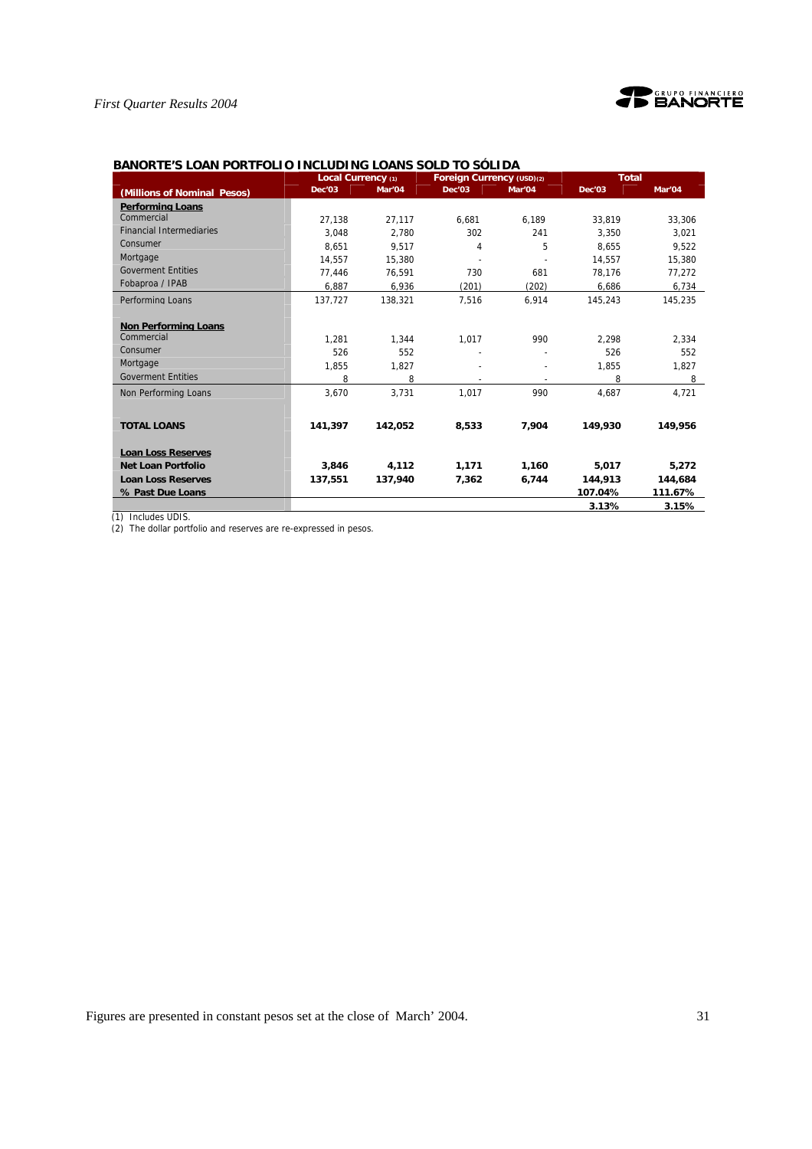

|                                           | Local Currency (1) |         | Foreign Currency (USD)(2) |        | <b>Total</b> |         |
|-------------------------------------------|--------------------|---------|---------------------------|--------|--------------|---------|
| (Millions of Nominal Pesos)               | Dec'03             | Mar'04  | Dec'03                    | Mar'04 | Dec'03       | Mar'04  |
| <b>Performing Loans</b>                   |                    |         |                           |        |              |         |
| Commercial                                | 27.138             | 27.117  | 6.681                     | 6.189  | 33.819       | 33,306  |
| <b>Financial Intermediaries</b>           | 3.048              | 2.780   | 302                       | 241    | 3.350        | 3.021   |
| Consumer                                  | 8,651              | 9.517   | 4                         | 5      | 8.655        | 9.522   |
| Mortgage                                  | 14,557             | 15,380  |                           |        | 14,557       | 15,380  |
| <b>Goverment Entities</b>                 | 77,446             | 76,591  | 730                       | 681    | 78,176       | 77,272  |
| Fobaproa / IPAB                           | 6,887              | 6,936   | (201)                     | (202)  | 6,686        | 6,734   |
| Performing Loans                          | 137.727            | 138.321 | 7.516                     | 6.914  | 145.243      | 145.235 |
|                                           |                    |         |                           |        |              |         |
| <b>Non Performing Loans</b><br>Commercial |                    |         |                           |        |              |         |
|                                           | 1.281              | 1.344   | 1,017                     | 990    | 2.298        | 2,334   |
| Consumer                                  | 526                | 552     |                           |        | 526          | 552     |
| Mortgage                                  | 1,855              | 1,827   |                           |        | 1,855        | 1,827   |
| <b>Goverment Entities</b>                 | 8                  | 8       |                           |        | 8            | 8       |
| Non Performing Loans                      | 3.670              | 3.731   | 1.017                     | 990    | 4.687        | 4,721   |
|                                           |                    |         |                           |        |              |         |
| <b>TOTAL LOANS</b>                        | 141,397            | 142,052 | 8,533                     | 7,904  | 149,930      | 149,956 |
| <b>Loan Loss Reserves</b>                 |                    |         |                           |        |              |         |
| Net Loan Portfolio                        | 3.846              | 4,112   | 1,171                     | 1,160  | 5.017        | 5.272   |
| <b>Loan Loss Reserves</b>                 | 137,551            | 137,940 | 7,362                     | 6,744  | 144.913      | 144,684 |
|                                           |                    |         |                           |        | 107.04%      | 111.67% |
| % Past Due Loans                          |                    |         |                           |        |              |         |
|                                           |                    |         |                           |        | 3.13%        | 3.15%   |

### **BANORTE'S LOAN PORTFOLIO INCLUDING LOANS SOLD TO SÓLIDA**

(1) Includes UDIS.

(2) The dollar portfolio and reserves are re-expressed in pesos.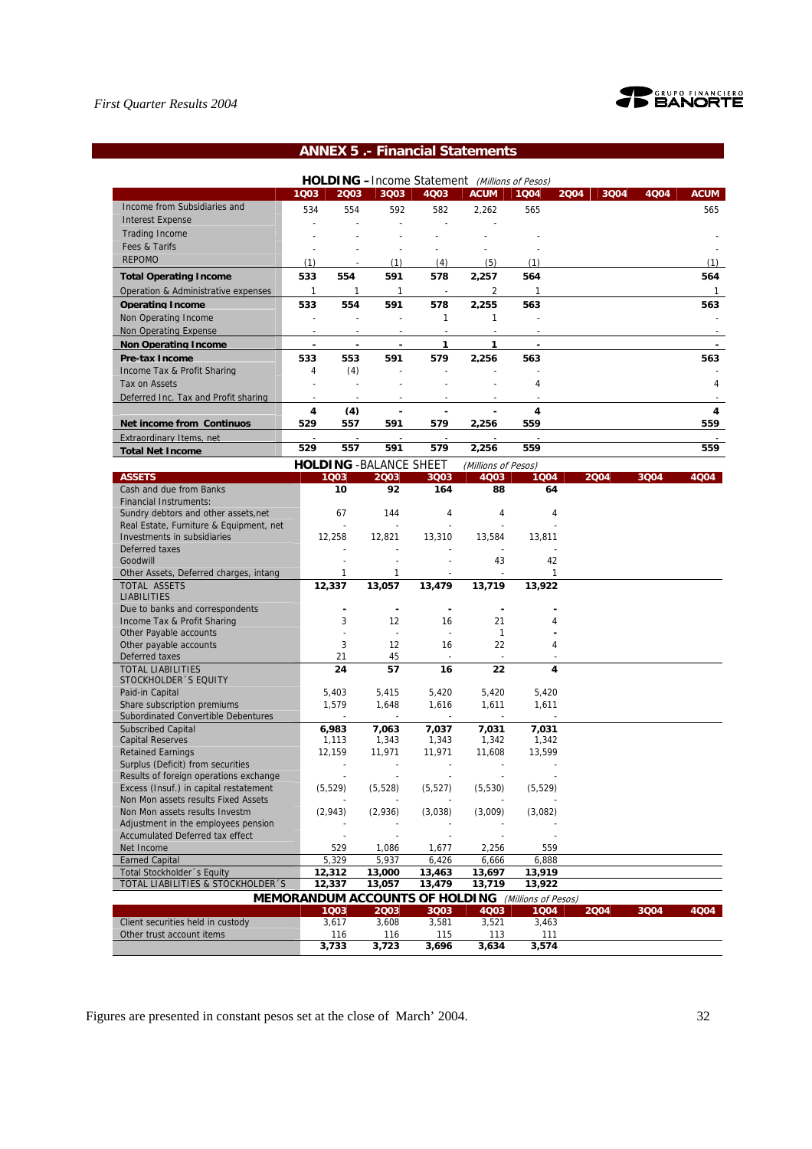

# **ANNEX 5 .- Financial Statements**

|                                      | <b>HOLDING</b> - Income Statement<br>(Millions of Pesos) |      |                                |      |                     |      |      |      |      |             |  |
|--------------------------------------|----------------------------------------------------------|------|--------------------------------|------|---------------------|------|------|------|------|-------------|--|
|                                      | 1003                                                     | 2003 | 3Q03                           | 4Q03 | <b>ACUM</b>         | 1004 | 2004 | 3004 | 4004 | <b>ACUM</b> |  |
| Income from Subsidiaries and         | 534                                                      | 554  | 592                            | 582  | 2,262               | 565  |      |      |      | 565         |  |
| <b>Interest Expense</b>              |                                                          |      |                                |      |                     |      |      |      |      |             |  |
| <b>Trading Income</b>                |                                                          |      |                                |      |                     |      |      |      |      |             |  |
| Fees & Tarifs                        |                                                          |      |                                |      |                     |      |      |      |      |             |  |
| <b>REPOMO</b>                        | (1                                                       |      | (1)                            | (4)  | (5)                 | (1)  |      |      |      | (1)         |  |
| <b>Total Operating Income</b>        | 533                                                      | 554  | 591                            | 578  | 2,257               | 564  |      |      |      | 564         |  |
| Operation & Administrative expenses  |                                                          |      |                                |      |                     |      |      |      |      |             |  |
| <b>Operating Income</b>              | 533                                                      | 554  | 591                            | 578  | 2.255               | 563  |      |      |      | 563         |  |
| Non Operating Income                 |                                                          |      |                                |      |                     |      |      |      |      |             |  |
| Non Operating Expense                |                                                          |      |                                |      |                     |      |      |      |      |             |  |
| <b>Non Operating Income</b>          |                                                          |      |                                |      |                     |      |      |      |      |             |  |
| <b>Pre-tax Income</b>                | 533                                                      | 553  | 591                            | 579  | 2.256               | 563  |      |      |      | 563         |  |
| Income Tax & Profit Sharing          | 4                                                        | (4)  |                                |      |                     |      |      |      |      |             |  |
| Tax on Assets                        |                                                          |      |                                |      |                     | 4    |      |      |      | 4           |  |
| Deferred Inc. Tax and Profit sharing |                                                          |      |                                |      |                     |      |      |      |      |             |  |
|                                      | 4                                                        | (4)  |                                |      |                     | 4    |      |      |      | 4           |  |
| <b>Net income from Continuos</b>     | 529                                                      | 557  | 591                            | 579  | 2,256               | 559  |      |      |      | 559         |  |
| Extraordinary Items, net             |                                                          |      |                                |      |                     |      |      |      |      |             |  |
| <b>Total Net Income</b>              | 529                                                      | 557  | 591                            | 579  | 2,256               | 559  |      |      |      | 559         |  |
|                                      |                                                          |      | <b>HOLDING - BALANCE SHEET</b> |      | (Millions of Pesos) |      |      |      |      |             |  |

| <b>ASSETS</b>                           | 1003                                                      | 2003         | 3Q03                     | 4Q03         | 1004     | 2004 | 3004 | 4004 |
|-----------------------------------------|-----------------------------------------------------------|--------------|--------------------------|--------------|----------|------|------|------|
| Cash and due from Banks                 | 10                                                        | 92           | 164                      | 88           | 64       |      |      |      |
| <b>Financial Instruments:</b>           |                                                           |              |                          |              |          |      |      |      |
| Sundry debtors and other assets, net    | 67                                                        | 144          | 4                        | 4            | 4        |      |      |      |
| Real Estate, Furniture & Equipment, net | $\blacksquare$                                            |              | $\sim$                   |              |          |      |      |      |
| Investments in subsidiaries             | 12,258                                                    | 12,821       | 13,310                   | 13,584       | 13,811   |      |      |      |
| Deferred taxes                          |                                                           |              |                          |              |          |      |      |      |
| Goodwill                                |                                                           |              |                          | 43           | 42       |      |      |      |
| Other Assets, Deferred charges, intang  | 1                                                         | $\mathbf{1}$ |                          |              | 1        |      |      |      |
| <b>TOTAL ASSETS</b>                     | 12,337                                                    | 13,057       | 13,479                   | 13,719       | 13,922   |      |      |      |
| <b>LIABILITIES</b>                      |                                                           |              |                          |              |          |      |      |      |
| Due to banks and correspondents         |                                                           |              |                          | ٠            |          |      |      |      |
| Income Tax & Profit Sharing             | 3                                                         | 12           | 16                       | 21           | 4        |      |      |      |
| Other Payable accounts                  |                                                           |              | $\overline{\phantom{a}}$ | $\mathbf{1}$ |          |      |      |      |
| Other payable accounts                  | 3                                                         | 12           | 16                       | 22           | 4        |      |      |      |
| Deferred taxes                          | 21                                                        | 45           |                          |              |          |      |      |      |
| <b>TOTAL LIABILITIES</b>                | 24                                                        | 57           | 16                       | 22           | 4        |      |      |      |
| STOCKHOLDER 'S EQUITY                   |                                                           |              |                          |              |          |      |      |      |
| Paid-in Capital                         | 5,403                                                     | 5,415        | 5,420                    | 5,420        | 5,420    |      |      |      |
| Share subscription premiums             | 1,579                                                     | 1,648        | 1,616                    | 1,611        | 1,611    |      |      |      |
| Subordinated Convertible Debentures     |                                                           |              |                          |              |          |      |      |      |
| <b>Subscribed Capital</b>               | 6,983                                                     | 7,063        | 7,037                    | 7,031        | 7,031    |      |      |      |
| <b>Capital Reserves</b>                 | 1,113                                                     | 1,343        | 1,343                    | 1,342        | 1,342    |      |      |      |
| <b>Retained Earnings</b>                | 12,159                                                    | 11,971       | 11,971                   | 11,608       | 13,599   |      |      |      |
| Surplus (Deficit) from securities       | $\sim$                                                    | $\sim$       | $\sim$                   | $\sim$       |          |      |      |      |
| Results of foreign operations exchange  |                                                           |              | $\blacksquare$           |              |          |      |      |      |
| Excess (Insuf.) in capital restatement  | (5, 529)                                                  | (5, 528)     | (5, 527)                 | (5, 530)     | (5, 529) |      |      |      |
| Non Mon assets results Fixed Assets     |                                                           |              |                          |              |          |      |      |      |
| Non Mon assets results Investm          | (2,943)                                                   | (2,936)      | (3,038)                  | (3,009)      | (3,082)  |      |      |      |
| Adjustment in the employees pension     |                                                           |              |                          |              |          |      |      |      |
| <b>Accumulated Deferred tax effect</b>  |                                                           |              |                          |              |          |      |      |      |
| Net Income                              | 529                                                       | 1,086        | 1,677                    | 2,256        | 559      |      |      |      |
| <b>Earned Capital</b>                   | 5,329                                                     | 5,937        | 6,426                    | 6,666        | 6,888    |      |      |      |
| Total Stockholder 's Equity             | 12,312                                                    | 13,000       | 13,463                   | 13,697       | 13,919   |      |      |      |
| TOTAL LIABILITIES & STOCKHOLDER 'S      | 12,337                                                    | 13,057       | 13,479                   | 13,719       | 13,922   |      |      |      |
|                                         | <b>MEMORANDUM ACCOUNTS OF HOLDING</b> (Millions of Pesos) |              |                          |              |          |      |      |      |
|                                         | 1003                                                      | 2003         | 3Q03                     | 4Q03         | 1004     | 2004 | 3004 | 4004 |
| Client securities held in custody       | 3,617                                                     | 3,608        | 3,581                    | 3,521        | 3,463    |      |      |      |
| Other trust account items               | 116                                                       | 116          | 115                      | 113          | 111      |      |      |      |
|                                         | 3,733                                                     | 3,723        | 3,696                    | 3,634        | 3,574    |      |      |      |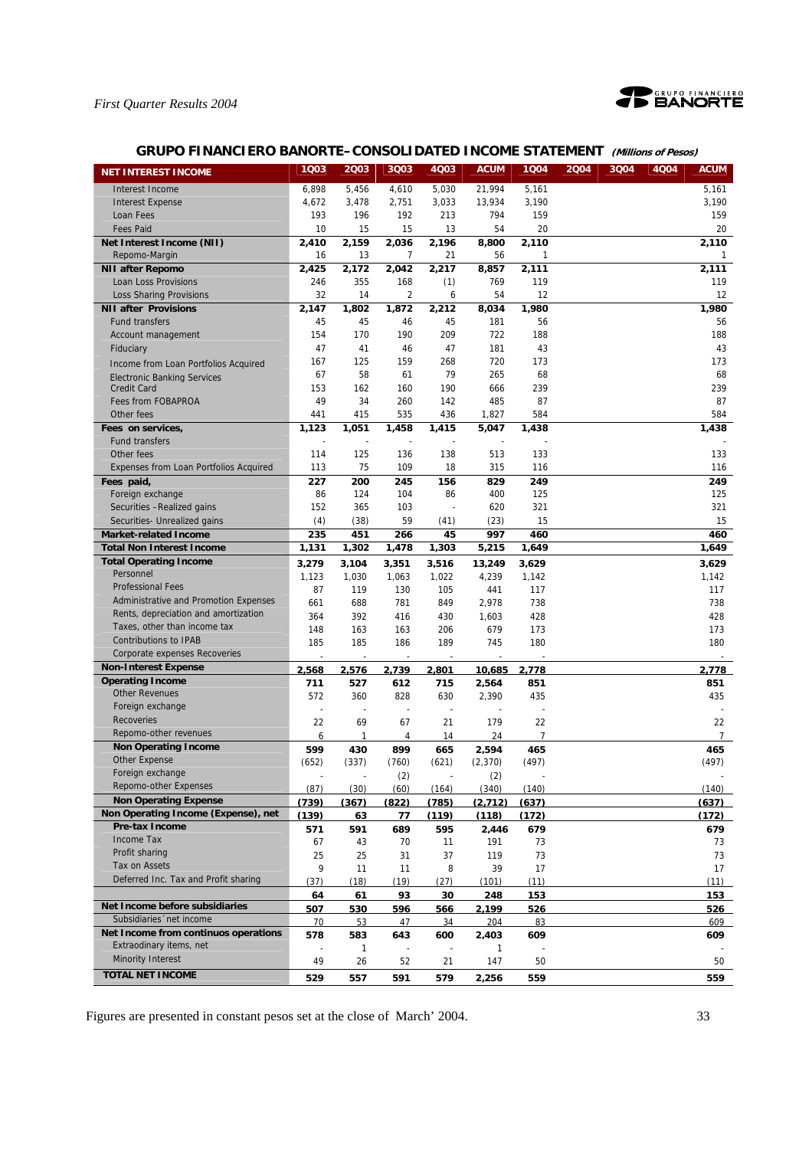

# **GRUPO FINANCIERO BANORTE–CONSOLIDATED INCOME STATEMENT (Millions of Pesos)**

| <b>NET INTEREST INCOME</b>                 | 1Q03       | 2Q03                | 3Q03           | 4Q03       | <b>ACUM</b>  | 1Q04           | 2004 | 3Q04 | 4Q04 | <b>ACUM</b>    |
|--------------------------------------------|------------|---------------------|----------------|------------|--------------|----------------|------|------|------|----------------|
| Interest Income                            | 6,898      | 5,456               | 4,610          | 5,030      | 21,994       | 5,161          |      |      |      | 5,161          |
| <b>Interest Expense</b>                    | 4,672      | 3,478               | 2,751          | 3,033      | 13,934       | 3,190          |      |      |      | 3,190          |
| Loan Fees                                  | 193        | 196                 | 192            | 213        | 794          | 159            |      |      |      | 159            |
| <b>Fees Paid</b>                           | 10         | 15                  | 15             | 13         | 54           | 20             |      |      |      | 20             |
| Net Interest Income (NII)                  | 2,410      | 2,159               | 2,036          | 2,196      | 8,800        | 2,110          |      |      |      | 2,110          |
| Repomo-Margin                              | 16         | 13                  | 7              | 21         | 56           | 1              |      |      |      | 1              |
| <b>NII after Repomo</b>                    | 2,425      | 2,172               | 2,042          | 2,217      | 8,857        | 2,111          |      |      |      | 2,111          |
| Loan Loss Provisions                       | 246        | 355                 | 168            | (1)        | 769          | 119            |      |      |      | 119            |
| <b>Loss Sharing Provisions</b>             | 32         | 14                  | $\overline{2}$ | 6          | 54           | 12             |      |      |      | 12             |
| <b>NII after Provisions</b>                | 2,147      | 1.802               | 1,872          | 2,212      | 8,034        | 1,980          |      |      |      | 1,980          |
| <b>Fund transfers</b>                      | 45         | 45                  | 46             | 45         | 181          | 56             |      |      |      | 56             |
| Account management                         | 154        | 170                 | 190            | 209        | 722          | 188            |      |      |      | 188            |
| Fiduciary                                  | 47         | 41                  | 46             | 47         | 181          | 43             |      |      |      | 43             |
| Income from Loan Portfolios Acquired       | 167        | 125                 | 159            | 268        | 720          | 173            |      |      |      | 173            |
| <b>Electronic Banking Services</b>         | 67         | 58                  | 61             | 79         | 265          | 68             |      |      |      | 68             |
| <b>Credit Card</b>                         | 153        | 162                 | 160            | 190        | 666          | 239            |      |      |      | 239            |
| Fees from FOBAPROA                         | 49         | 34                  | 260            | 142        | 485          | 87             |      |      |      | 87             |
| Other fees                                 | 441        | 415                 | 535            | 436        | 1,827        | 584            |      |      |      | 584            |
| Fees on services,                          | 1,123      | 1,051               | 1,458          | 1,415      | 5,047        | 1,438          |      |      |      | 1,438          |
| <b>Fund transfers</b>                      | ÷,         |                     | ÷,             |            |              |                |      |      |      |                |
| Other fees                                 | 114        | 125                 | 136            | 138        | 513          | 133            |      |      |      | 133            |
| Expenses from Loan Portfolios Acquired     | 113        | 75                  | 109            | 18         | 315          | 116            |      |      |      | 116            |
| Fees paid,                                 | 227        | 200                 | 245            | 156        | 829          | 249            |      |      |      | 249            |
| Foreign exchange                           | 86         | 124                 | 104            | 86         | 400          | 125            |      |      |      | 125            |
| Securities -Realized gains                 | 152        | 365                 | 103            |            | 620          | 321            |      |      |      | 321            |
| Securities- Unrealized gains               | (4)        | (38)                | 59             | (41)       | (23)         | 15             |      |      |      | 15             |
| <b>Market-related Income</b>               | 235        | 451                 | 266            | 45         | 997          | 460            |      |      |      | 460            |
| <b>Total Non Interest Income</b>           | 1,131      | 1,302               | 1,478          | 1,303      | 5,215        | 1,649          |      |      |      | 1,649          |
| <b>Total Operating Income</b><br>Personnel | 3,279      | 3.104               | 3,351          | 3,516      | 13,249       | 3,629          |      |      |      | 3.629          |
| <b>Professional Fees</b>                   | 1,123      | 1,030               | 1,063          | 1,022      | 4,239        | 1,142          |      |      |      | 1,142          |
| Administrative and Promotion Expenses      | 87         | 119                 | 130            | 105        | 441          | 117            |      |      |      | 117            |
| Rents, depreciation and amortization       | 661        | 688                 | 781            | 849        | 2,978        | 738            |      |      |      | 738            |
| Taxes, other than income tax               | 364        | 392                 | 416            | 430        | 1,603<br>679 | 428            |      |      |      | 428            |
| <b>Contributions to IPAB</b>               | 148<br>185 | 163<br>185          | 163<br>186     | 206<br>189 | 745          | 173<br>180     |      |      |      | 173<br>180     |
| Corporate expenses Recoveries              |            |                     |                |            |              |                |      |      |      |                |
| <b>Non-Interest Expense</b>                | 2.568      | 2.576               | 2.739          | 2.801      | 10.685       | 2.778          |      |      |      | 2.778          |
| <b>Operating Income</b>                    | 711        | 527                 | 612            | 715        | 2,564        | 851            |      |      |      | 851            |
| <b>Other Revenues</b>                      | 572        | 360                 | 828            | 630        | 2,390        | 435            |      |      |      | 435            |
| Foreign exchange                           |            |                     | ÷,             |            |              |                |      |      |      |                |
| <b>Recoveries</b>                          | 22         | 69                  | 67             | 21         | 179          | 22             |      |      |      | 22             |
| Repomo-other revenues                      | 6          | $\mathbf{1}$        | 4              | 14         | 24           | $\overline{7}$ |      |      |      | $\overline{7}$ |
| <b>Non Operating Income</b>                | 599        | 430                 | 899            | 665        | 2,594        | 465            |      |      |      | 465            |
| Other Expense                              | (652)      | (337)               | (760)          | (621)      | (2, 370)     | (497)          |      |      |      | (497)          |
| Foreign exchange                           |            |                     | (2)            |            | (2)          |                |      |      |      |                |
| Repomo-other Expenses                      | (87)       | (30)                | (60)           | (164)      | (340)        | (140)          |      |      |      | (140)          |
| <b>Non Operating Expense</b>               | (739)      | (367)               | (822)          | (785)      | (2.712)      | (637)          |      |      |      | (637)          |
| Non Operating Income (Expense), net        | (139)      | 63                  | 77             | (119)      | (118)        | (172)          |      |      |      | (172)          |
| Pre-tax Income                             | 571        | 591                 | 689            | 595        | 2.446        | 679            |      |      |      | 679            |
| Income Tax                                 | 67         | 43                  | 70             | 11         | 191          | 73             |      |      |      | 73             |
| Profit sharing                             | 25         | 25                  | 31             | 37         | 119          | 73             |      |      |      | 73             |
| Tax on Assets                              | 9          | 11                  | 11             | 8          | 39           | 17             |      |      |      | 17             |
| Deferred Inc. Tax and Profit sharing       | (37)       | (18)                | (19)           | (27)       | (101)        | (11)           |      |      |      | (11)           |
| Net Income before subsidiaries             | 64         | 61                  | 93             | 30         | 248          | 153            |      |      |      | <u> 153 </u>   |
| Subsidiaries 'net income                   | 507        | 530                 | 596            | 566        | 2,199        | 526            |      |      |      | 526            |
| Net Income from continuos operations       | 70         | 53                  | 47             | 34         | 204          | 83             |      |      |      | 609            |
| Extraodinary items, net                    | 578        | 583<br>$\mathbf{1}$ | 643            | 600        | 2,403<br>1   | 609            |      |      |      | 609            |
| <b>Minority Interest</b>                   | 49         | 26                  | 52             | 21         | 147          | 50             |      |      |      | 50             |
| <b>TOTAL NET INCOME</b>                    | 529        | 557                 | 591            | 579        | 2,256        | 559            |      |      |      | 559            |
|                                            |            |                     |                |            |              |                |      |      |      |                |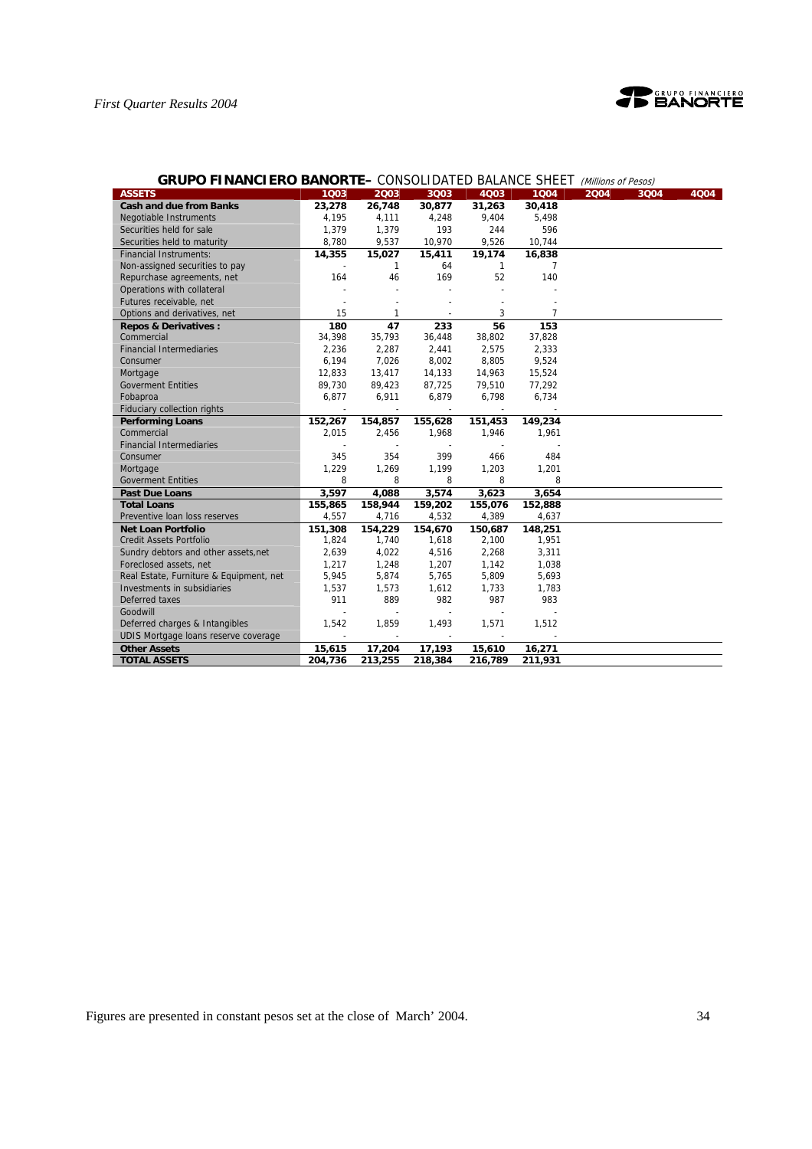

| <b>GRUPO FINANCIERO BANORTE–</b> CONSOLIDATED BALANCE SHEET |         |                |                          |                          |                | (Millions of Pesos) |      |
|-------------------------------------------------------------|---------|----------------|--------------------------|--------------------------|----------------|---------------------|------|
| <b>ASSETS</b>                                               | 1003    | 2003           | 3Q03                     | 4003                     | 1004           | 2004<br>3Q04        | 4004 |
| <b>Cash and due from Banks</b>                              | 23,278  | 26,748         | 30,877                   | 31,263                   | 30,418         |                     |      |
| Negotiable Instruments                                      | 4,195   | 4,111          | 4,248                    | 9,404                    | 5,498          |                     |      |
| Securities held for sale                                    | 1,379   | 1,379          | 193                      | 244                      | 596            |                     |      |
| Securities held to maturity                                 | 8,780   | 9,537          | 10,970                   | 9,526                    | 10,744         |                     |      |
| <b>Financial Instruments:</b>                               | 14,355  | 15,027         | 15,411                   | 19,174                   | 16,838         |                     |      |
| Non-assigned securities to pay                              |         | $\mathbf{1}$   | 64                       | $\mathbf{1}$             | $\overline{7}$ |                     |      |
| Repurchase agreements, net                                  | 164     | 46             | 169                      | 52                       | 140            |                     |      |
| Operations with collateral                                  |         |                |                          |                          |                |                     |      |
| Futures receivable, net                                     |         |                |                          |                          |                |                     |      |
| Options and derivatives, net                                | 15      | $\mathbf{1}$   |                          | 3                        | $\overline{7}$ |                     |      |
| <b>Repos &amp; Derivatives:</b>                             | 180     | 47             | 233                      | 56                       | 153            |                     |      |
| Commercial                                                  | 34,398  | 35,793         | 36,448                   | 38,802                   | 37,828         |                     |      |
| <b>Financial Intermediaries</b>                             | 2,236   | 2,287          | 2,441                    | 2,575                    | 2,333          |                     |      |
| Consumer                                                    | 6,194   | 7,026          | 8,002                    | 8,805                    | 9,524          |                     |      |
| Mortgage                                                    | 12,833  | 13,417         | 14,133                   | 14,963                   | 15,524         |                     |      |
| <b>Goverment Entities</b>                                   | 89,730  | 89,423         | 87,725                   | 79,510                   | 77,292         |                     |      |
| Fobaproa                                                    | 6,877   | 6,911          | 6,879                    | 6,798                    | 6,734          |                     |      |
| Fiduciary collection rights                                 |         | $\overline{a}$ | $\overline{\phantom{a}}$ | $\overline{\phantom{a}}$ |                |                     |      |
| <b>Performing Loans</b>                                     | 152,267 | 154,857        | 155,628                  | 151,453                  | 149,234        |                     |      |
| Commercial                                                  | 2,015   | 2,456          | 1,968                    | 1,946                    | 1,961          |                     |      |
| <b>Financial Intermediaries</b>                             |         |                |                          |                          |                |                     |      |
| Consumer                                                    | 345     | 354            | 399                      | 466                      | 484            |                     |      |
| Mortgage                                                    | 1,229   | 1,269          | 1,199                    | 1,203                    | 1,201          |                     |      |
| <b>Goverment Entities</b>                                   | 8       | 8              | 8                        | 8                        | 8              |                     |      |
| <b>Past Due Loans</b>                                       | 3,597   | 4,088          | 3,574                    | 3,623                    | 3,654          |                     |      |
| <b>Total Loans</b>                                          | 155,865 | 158,944        | 159,202                  | 155,076                  | 152,888        |                     |      |
| Preventive Ioan loss reserves                               | 4,557   | 4,716          | 4,532                    | 4,389                    | 4,637          |                     |      |
| <b>Net Loan Portfolio</b>                                   | 151,308 | 154,229        | 154,670                  | 150,687                  | 148,251        |                     |      |
| <b>Credit Assets Portfolio</b>                              | 1,824   | 1,740          | 1,618                    | 2,100                    | 1,951          |                     |      |
| Sundry debtors and other assets, net                        | 2,639   | 4,022          | 4,516                    | 2,268                    | 3,311          |                     |      |
| Foreclosed assets, net                                      | 1,217   | 1,248          | 1,207                    | 1,142                    | 1,038          |                     |      |
| Real Estate, Furniture & Equipment, net                     | 5,945   | 5,874          | 5,765                    | 5,809                    | 5,693          |                     |      |
| Investments in subsidiaries                                 | 1,537   | 1,573          | 1,612                    | 1,733                    | 1,783          |                     |      |
| Deferred taxes                                              | 911     | 889            | 982                      | 987                      | 983            |                     |      |
| Goodwill                                                    |         |                | $\overline{a}$           |                          |                |                     |      |
| Deferred charges & Intangibles                              | 1,542   | 1,859          | 1,493                    | 1,571                    | 1,512          |                     |      |
| UDIS Mortgage loans reserve coverage                        |         |                |                          |                          |                |                     |      |
| <b>Other Assets</b>                                         | 15,615  | 17,204         | 17,193                   | 15,610                   | 16,271         |                     |      |
| <b>TOTAL ASSETS</b>                                         | 204,736 | 213,255        | 218,384                  | 216,789                  | 211,931        |                     |      |

# **GRUPO FINANCIERO BANORTE–** CONSOLIDATED BALANCE SHEET (Millions of Pesos)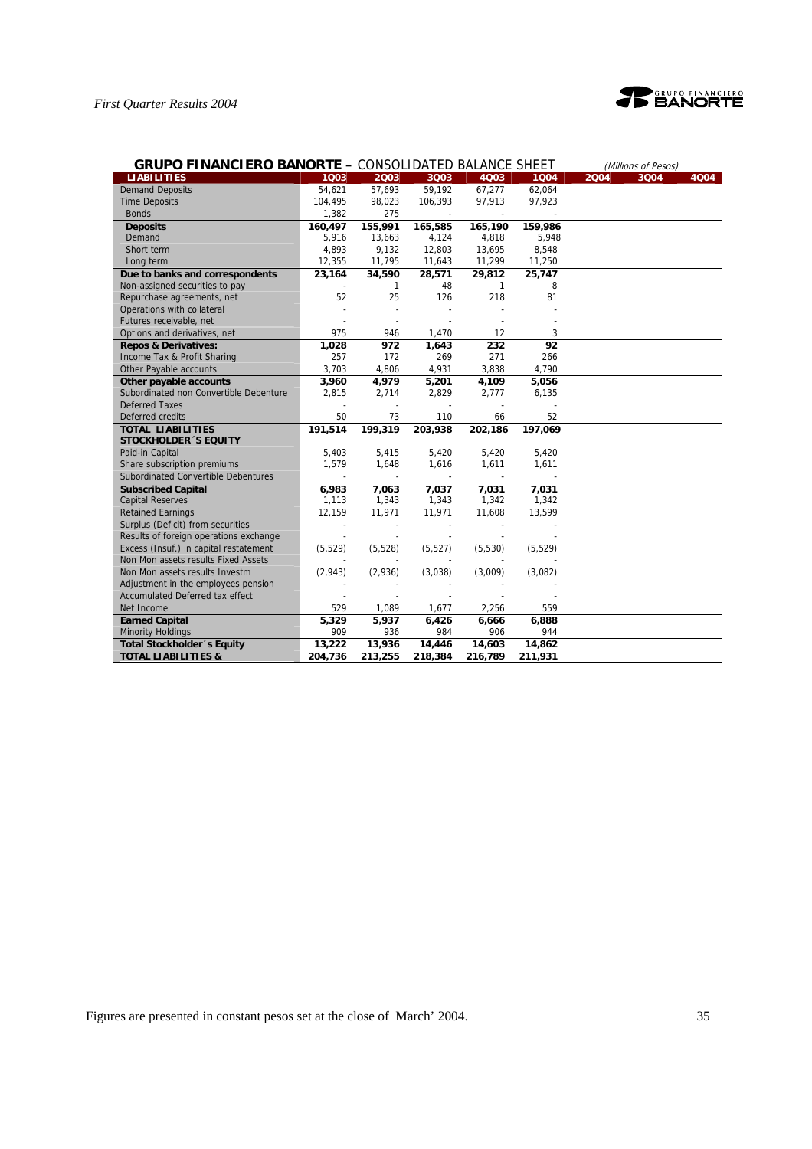

| <b>GRUPO FINANCIERO BANORTE - CONSOLIDATED BALANCE SHEET</b> |          |          |          |              |          |      | (Millions of Pesos) |      |
|--------------------------------------------------------------|----------|----------|----------|--------------|----------|------|---------------------|------|
| <b>LIABILITIES</b>                                           | 1003     | 2003     | 3Q03     | 4Q03         | 1004     | 2004 | 3Q04                | 4Q04 |
| <b>Demand Deposits</b>                                       | 54,621   | 57,693   | 59,192   | 67,277       | 62,064   |      |                     |      |
| <b>Time Deposits</b>                                         | 104,495  | 98,023   | 106,393  | 97,913       | 97,923   |      |                     |      |
| <b>Bonds</b>                                                 | 1,382    | 275      |          |              |          |      |                     |      |
| <b>Deposits</b>                                              | 160,497  | 155,991  | 165,585  | 165,190      | 159,986  |      |                     |      |
| Demand                                                       | 5,916    | 13,663   | 4,124    | 4,818        | 5,948    |      |                     |      |
| Short term                                                   | 4,893    | 9,132    | 12,803   | 13,695       | 8,548    |      |                     |      |
| Long term                                                    | 12,355   | 11,795   | 11,643   | 11,299       | 11,250   |      |                     |      |
| Due to banks and correspondents                              | 23,164   | 34,590   | 28,571   | 29.812       | 25,747   |      |                     |      |
| Non-assigned securities to pay                               |          | 1        | 48       | $\mathbf{1}$ | 8        |      |                     |      |
| Repurchase agreements, net                                   | 52       | 25       | 126      | 218          | 81       |      |                     |      |
| Operations with collateral                                   |          |          | $\sim$   |              |          |      |                     |      |
| Futures receivable, net                                      |          |          |          |              |          |      |                     |      |
| Options and derivatives, net                                 | 975      | 946      | 1,470    | 12           | 3        |      |                     |      |
| <b>Repos &amp; Derivatives:</b>                              | 1,028    | 972      | 1,643    | 232          | 92       |      |                     |      |
| Income Tax & Profit Sharing                                  | 257      | 172      | 269      | 271          | 266      |      |                     |      |
| Other Payable accounts                                       | 3,703    | 4,806    | 4,931    | 3,838        | 4,790    |      |                     |      |
| Other payable accounts                                       | 3,960    | 4,979    | 5,201    | 4,109        | 5,056    |      |                     |      |
| Subordinated non Convertible Debenture                       | 2,815    | 2,714    | 2,829    | 2,777        | 6,135    |      |                     |      |
| <b>Deferred Taxes</b>                                        |          |          |          |              |          |      |                     |      |
| Deferred credits                                             | 50       | 73       | 110      | 66           | 52       |      |                     |      |
| <b>TOTAL LIABILITIES</b>                                     | 191,514  | 199,319  | 203,938  | 202,186      | 197,069  |      |                     |      |
| <b>STOCKHOLDER 'S EQUITY</b>                                 |          |          |          |              |          |      |                     |      |
| Paid-in Capital                                              | 5,403    | 5,415    | 5,420    | 5,420        | 5,420    |      |                     |      |
| Share subscription premiums                                  | 1,579    | 1,648    | 1,616    | 1,611        | 1,611    |      |                     |      |
| Subordinated Convertible Debentures                          |          |          |          |              |          |      |                     |      |
| <b>Subscribed Capital</b>                                    | 6,983    | 7,063    | 7,037    | 7,031        | 7,031    |      |                     |      |
| <b>Capital Reserves</b>                                      | 1,113    | 1,343    | 1,343    | 1,342        | 1,342    |      |                     |      |
| <b>Retained Earnings</b>                                     | 12,159   | 11,971   | 11,971   | 11,608       | 13,599   |      |                     |      |
| Surplus (Deficit) from securities                            |          |          |          |              |          |      |                     |      |
| Results of foreign operations exchange                       |          |          |          |              |          |      |                     |      |
| Excess (Insuf.) in capital restatement                       | (5, 529) | (5, 528) | (5, 527) | (5,530)      | (5, 529) |      |                     |      |
| Non Mon assets results Fixed Assets                          |          |          |          |              |          |      |                     |      |
| Non Mon assets results Investm                               | (2,943)  | (2,936)  | (3,038)  | (3,009)      | (3,082)  |      |                     |      |
| Adjustment in the employees pension                          |          |          |          |              |          |      |                     |      |
| <b>Accumulated Deferred tax effect</b>                       |          |          |          |              |          |      |                     |      |
| Net Income                                                   | 529      | 1,089    | 1,677    | 2,256        | 559      |      |                     |      |
| <b>Earned Capital</b>                                        | 5,329    | 5,937    | 6,426    | 6,666        | 6,888    |      |                     |      |
| <b>Minority Holdings</b>                                     | 909      | 936      | 984      | 906          | 944      |      |                     |      |
| Total Stockholder 's Equity                                  | 13,222   | 13,936   | 14,446   | 14,603       | 14,862   |      |                     |      |
| <b>TOTAL LIABILITIES &amp;</b>                               | 204,736  | 213,255  | 218,384  | 216,789      | 211,931  |      |                     |      |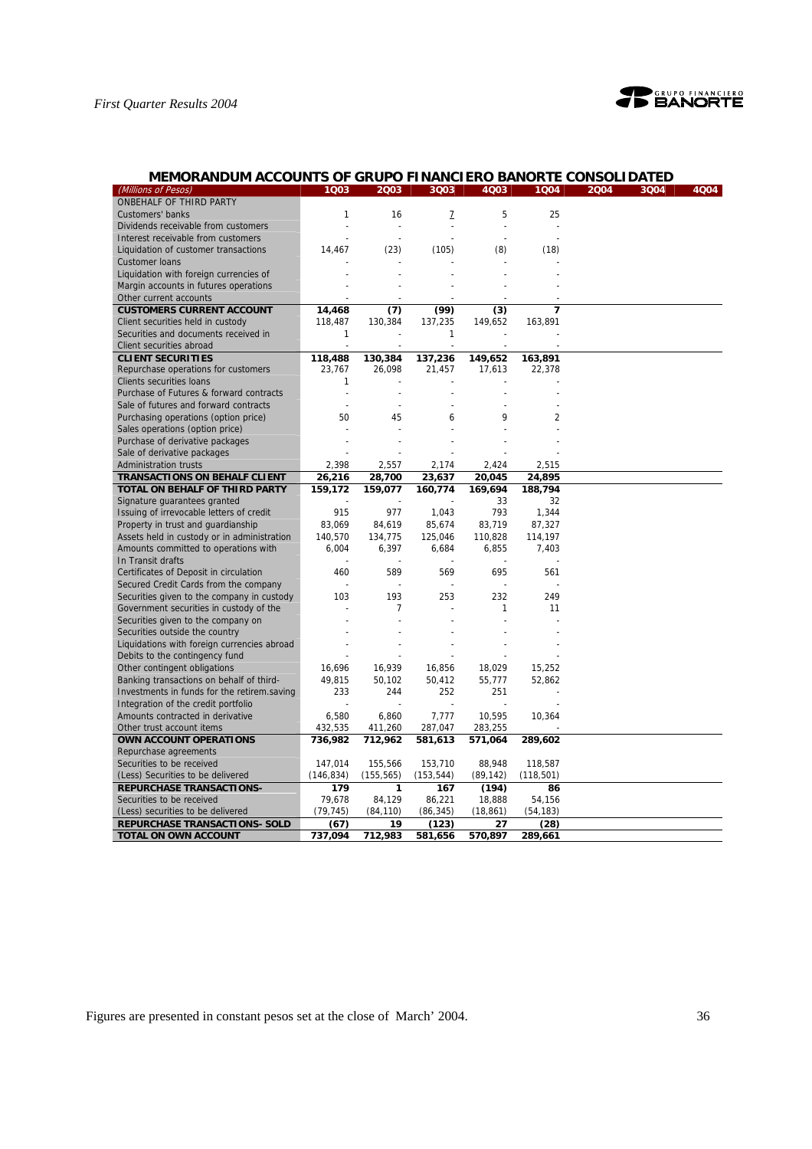

# **MEMORANDUM ACCOUNTS OF GRUPO FINANCIERO BANORTE CONSOLIDATED**

| (Millions of Pesos)                         | 1Q03         | 2003           | 3Q03           | 4Q03           | 1Q04       | 2004 | 3Q04 | 4Q04 |
|---------------------------------------------|--------------|----------------|----------------|----------------|------------|------|------|------|
| ONBEHALF OF THIRD PARTY                     |              |                |                |                |            |      |      |      |
| Customers' banks                            | 1            | 16             | 7              | 5              | 25         |      |      |      |
| Dividends receivable from customers         |              | $\overline{a}$ | $\overline{a}$ | $\overline{a}$ |            |      |      |      |
| Interest receivable from customers          |              |                |                |                |            |      |      |      |
| Liquidation of customer transactions        | 14,467       | (23)           | (105)          | (8)            | (18)       |      |      |      |
| <b>Customer loans</b>                       |              |                |                |                |            |      |      |      |
| Liquidation with foreign currencies of      |              |                |                |                |            |      |      |      |
| Margin accounts in futures operations       |              |                |                |                |            |      |      |      |
|                                             |              |                |                |                |            |      |      |      |
| Other current accounts                      |              |                |                |                |            |      |      |      |
| <b>CUSTOMERS CURRENT ACCOUNT</b>            | 14,468       | (7)            | (99)           | (3)            | 7          |      |      |      |
| Client securities held in custody           | 118,487      | 130,384        | 137,235        | 149,652        | 163,891    |      |      |      |
| Securities and documents received in        | $\mathbf{1}$ |                | 1              |                |            |      |      |      |
| Client securities abroad                    |              |                |                |                |            |      |      |      |
| <b>CLIENT SECURITIES</b>                    | 118,488      | 130,384        | 137,236        | 149,652        | 163,891    |      |      |      |
| Repurchase operations for customers         | 23.767       | 26,098         | 21,457         | 17,613         | 22,378     |      |      |      |
| <b>Clients securities loans</b>             | 1            |                |                |                |            |      |      |      |
| Purchase of Futures & forward contracts     |              |                |                |                |            |      |      |      |
| Sale of futures and forward contracts       |              | $\overline{a}$ |                |                |            |      |      |      |
| Purchasing operations (option price)        | 50           | 45             | 6              | 9              | 2          |      |      |      |
| Sales operations (option price)             |              |                |                |                |            |      |      |      |
| Purchase of derivative packages             |              |                |                |                |            |      |      |      |
| Sale of derivative packages                 |              |                |                |                |            |      |      |      |
| <b>Administration trusts</b>                | 2,398        | 2,557          | 2,174          | 2,424          | 2,515      |      |      |      |
| <b>TRANSACTIONS ON BEHALF CLIENT</b>        | 26,216       | 28,700         | 23,637         | 20,045         | 24,895     |      |      |      |
| TOTAL ON BEHALF OF THIRD PARTY              | 159,172      | 159,077        | 160,774        | 169,694        | 188,794    |      |      |      |
| Signature guarantees granted                |              |                |                | 33             | 32         |      |      |      |
| Issuing of irrevocable letters of credit    | 915          | 977            | 1,043          | 793            | 1,344      |      |      |      |
| Property in trust and guardianship          | 83,069       | 84,619         | 85,674         | 83,719         | 87,327     |      |      |      |
| Assets held in custody or in administration | 140,570      | 134,775        | 125,046        | 110,828        | 114,197    |      |      |      |
| Amounts committed to operations with        | 6,004        | 6,397          | 6,684          | 6,855          | 7,403      |      |      |      |
| In Transit drafts                           |              |                |                |                |            |      |      |      |
|                                             |              |                |                |                |            |      |      |      |
| Certificates of Deposit in circulation      | 460          | 589            | 569            | 695            | 561        |      |      |      |
| Secured Credit Cards from the company       |              |                |                |                |            |      |      |      |
| Securities given to the company in custody  | 103          | 193            | 253            | 232            | 249        |      |      |      |
| Government securities in custody of the     |              | 7              |                | 1              | 11         |      |      |      |
| Securities given to the company on          |              |                |                |                |            |      |      |      |
| Securities outside the country              |              |                |                |                |            |      |      |      |
| Liquidations with foreign currencies abroad |              |                |                |                |            |      |      |      |
| Debits to the contingency fund              |              |                |                |                |            |      |      |      |
| Other contingent obligations                | 16,696       | 16,939         | 16,856         | 18,029         | 15,252     |      |      |      |
| Banking transactions on behalf of third-    | 49,815       | 50,102         | 50,412         | 55,777         | 52,862     |      |      |      |
| Investments in funds for the retirem.saving | 233          | 244            | 252            | 251            |            |      |      |      |
| Integration of the credit portfolio         |              |                |                |                |            |      |      |      |
| Amounts contracted in derivative            | 6,580        | 6,860          | 7,777          | 10,595         | 10,364     |      |      |      |
| Other trust account items                   | 432,535      | 411,260        | 287,047        | 283,255        |            |      |      |      |
| OWN ACCOUNT OPERATIONS                      | 736,982      | 712,962        | 581,613        | 571,064        | 289,602    |      |      |      |
| Repurchase agreements                       |              |                |                |                |            |      |      |      |
| Securities to be received                   | 147,014      | 155,566        | 153,710        | 88,948         | 118,587    |      |      |      |
| (Less) Securities to be delivered           | (146, 834)   | (155, 565)     | (153, 544)     | (89, 142)      | (118, 501) |      |      |      |
| <b>REPURCHASE TRANSACTIONS-</b>             | 179          | 1              | 167            | (194)          | 86         |      |      |      |
| Securities to be received                   | 79,678       | 84,129         | 86,221         | 18,888         | 54,156     |      |      |      |
| (Less) securities to be delivered           | (79, 745)    | (84, 110)      | (86, 345)      | (18, 861)      | (54, 183)  |      |      |      |
| <b>REPURCHASE TRANSACTIONS- SOLD</b>        | (67)         | 19             | (123)          | 27             | (28)       |      |      |      |
| TOTAL ON OWN ACCOUNT                        | 737,094      | 712,983        | 581,656        | 570,897        | 289,661    |      |      |      |
|                                             |              |                |                |                |            |      |      |      |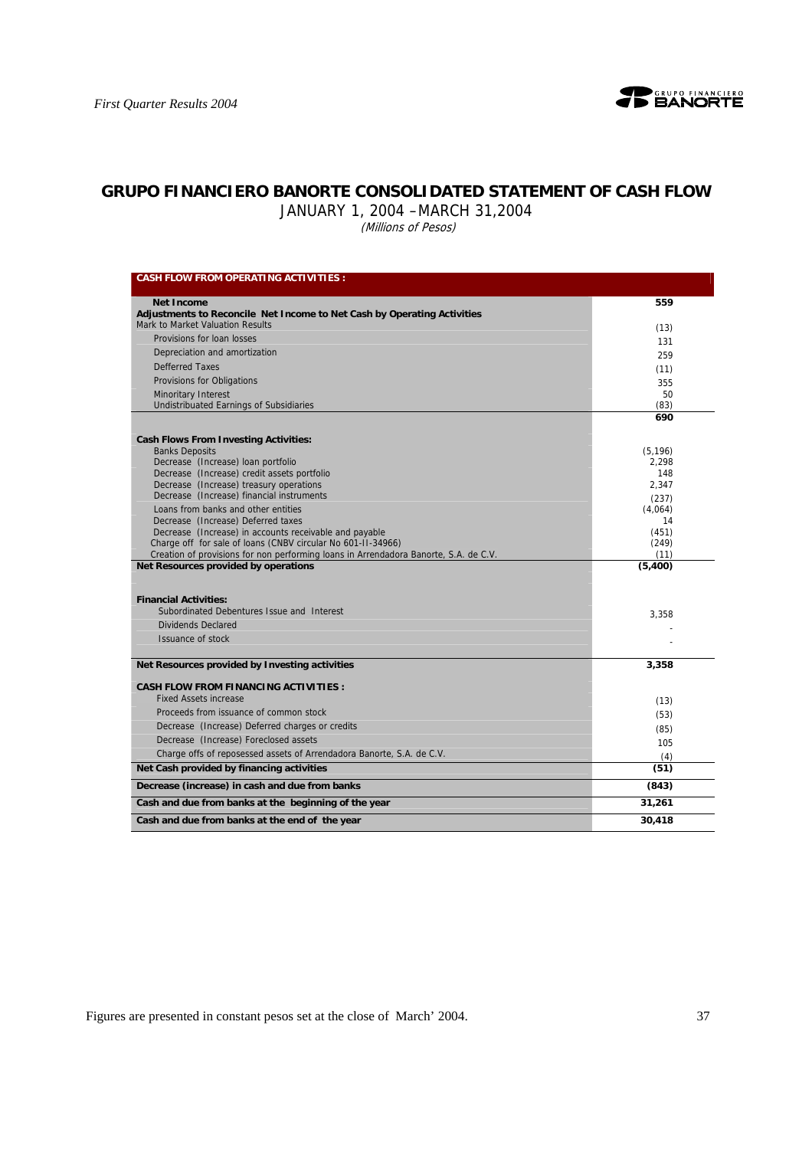

# **GRUPO FINANCIERO BANORTE CONSOLIDATED STATEMENT OF CASH FLOW**

JANUARY 1, 2004 –MARCH 31,2004

(Millions of Pesos)

| <b>CASH FLOW FROM OPERATING ACTIVITIES :</b>                                                                           |                |
|------------------------------------------------------------------------------------------------------------------------|----------------|
| <b>Net Income</b>                                                                                                      | 559            |
| Adjustments to Reconcile Net Income to Net Cash by Operating Activities                                                |                |
| Mark to Market Valuation Results                                                                                       | (13)           |
| Provisions for loan losses                                                                                             | 131            |
| Depreciation and amortization                                                                                          | 259            |
| <b>Defferred Taxes</b>                                                                                                 | (11)           |
| Provisions for Obligations                                                                                             | 355            |
| <b>Minoritary Interest</b>                                                                                             | 50             |
| <b>Undistribuated Earnings of Subsidiaries</b>                                                                         | (83)           |
|                                                                                                                        | 690            |
| <b>Cash Flows From Investing Activities:</b>                                                                           |                |
| <b>Banks Deposits</b>                                                                                                  | (5, 196)       |
| Decrease (Increase) Ioan portfolio                                                                                     | 2.298          |
| Decrease (Increase) credit assets portfolio                                                                            | 148            |
| Decrease (Increase) treasury operations                                                                                | 2.347          |
| Decrease (Increase) financial instruments                                                                              | (237)          |
| Loans from banks and other entities                                                                                    | (4,064)        |
| Decrease (Increase) Deferred taxes                                                                                     | 14             |
| Decrease (Increase) in accounts receivable and payable<br>Charge off for sale of loans (CNBV circular No 601-11-34966) | (451)<br>(249) |
| Creation of provisions for non performing loans in Arrendadora Banorte, S.A. de C.V.                                   | (11)           |
| Net Resources provided by operations                                                                                   | (5,400)        |
|                                                                                                                        |                |
| <b>Financial Activities:</b>                                                                                           |                |
| Subordinated Debentures Issue and Interest                                                                             | 3,358          |
| Dividends Declared                                                                                                     |                |
| Issuance of stock                                                                                                      |                |
| Net Resources provided by Investing activities                                                                         | 3,358          |
|                                                                                                                        |                |
| <b>CASH FLOW FROM FINANCING ACTIVITIES :</b>                                                                           |                |
| <b>Fixed Assets increase</b>                                                                                           | (13)           |
| Proceeds from issuance of common stock                                                                                 | (53)           |
| Decrease (Increase) Deferred charges or credits                                                                        | (85)           |
| Decrease (Increase) Foreclosed assets                                                                                  | 105            |
| Charge offs of reposessed assets of Arrendadora Banorte, S.A. de C.V.                                                  | (4)            |
| Net Cash provided by financing activities                                                                              | (51)           |
| Decrease (increase) in cash and due from banks                                                                         | (843)          |
| Cash and due from banks at the beginning of the year                                                                   | 31,261         |
| Cash and due from banks at the end of the year                                                                         | 30,418         |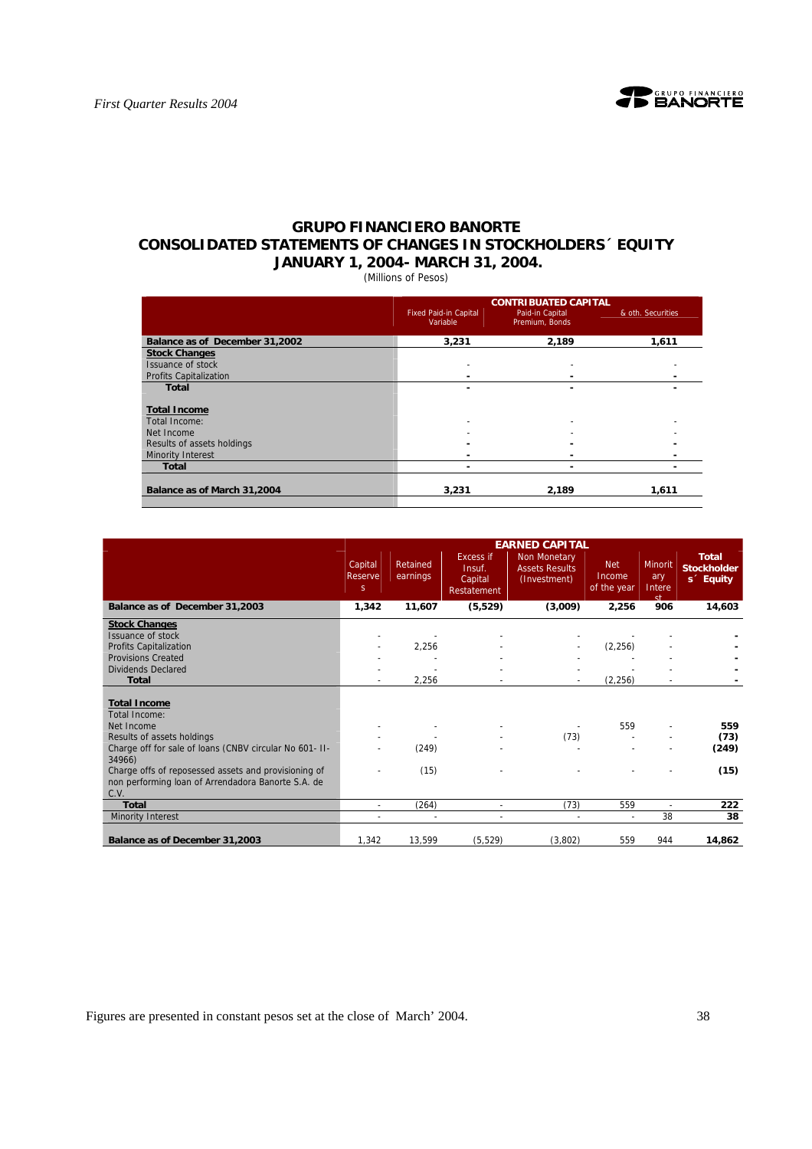

# **GRUPO FINANCIERO BANORTE CONSOLIDATED STATEMENTS OF CHANGES IN STOCKHOLDERS´ EQUITY JANUARY 1, 2004- MARCH 31, 2004.**

(Millions of Pesos)

|                                |                                          | <b>CONTRIBUATED CAPITAL</b>       |                   |
|--------------------------------|------------------------------------------|-----------------------------------|-------------------|
|                                | <b>Fixed Paid-in Capital</b><br>Variable | Paid-in Capital<br>Premium, Bonds | & oth. Securities |
| Balance as of December 31,2002 | 3,231                                    | 2,189                             | 1,611             |
| <b>Stock Changes</b>           |                                          |                                   |                   |
| Issuance of stock              |                                          |                                   |                   |
| <b>Profits Capitalization</b>  |                                          |                                   |                   |
| <b>Total</b>                   | ۰                                        | ٠                                 |                   |
| <b>Total Income</b>            |                                          |                                   |                   |
| Total Income:                  |                                          | ٠                                 |                   |
| Net Income                     |                                          |                                   |                   |
| Results of assets holdings     |                                          | -                                 |                   |
| <b>Minority Interest</b>       |                                          | -                                 |                   |
| <b>Total</b>                   |                                          |                                   |                   |
| Balance as of March 31,2004    | 3.231                                    | 2.189                             | 1,611             |

|                                                                                                                    |                          |                      |                                                      | <b>EARNED CAPITAL</b>                                        |                                     |                                |                                                             |
|--------------------------------------------------------------------------------------------------------------------|--------------------------|----------------------|------------------------------------------------------|--------------------------------------------------------------|-------------------------------------|--------------------------------|-------------------------------------------------------------|
|                                                                                                                    | Capital<br>Reserve<br>S. | Retained<br>earnings | <b>Excess if</b><br>Insuf.<br>Capital<br>Restatement | <b>Non Monetary</b><br><b>Assets Results</b><br>(Investment) | <b>Net</b><br>Income<br>of the year | Minorit<br>ary<br>Intere<br>ct | <b>Total</b><br><b>Stockholder</b><br>s <sup>2</sup> Equity |
| Balance as of December 31,2003                                                                                     | 1,342                    | 11,607               | (5, 529)                                             | (3,009)                                                      | 2,256                               | 906                            | 14,603                                                      |
| <b>Stock Changes</b>                                                                                               |                          |                      |                                                      |                                                              |                                     |                                |                                                             |
| Issuance of stock                                                                                                  |                          |                      |                                                      |                                                              |                                     |                                |                                                             |
| Profits Capitalization                                                                                             |                          | 2,256                |                                                      |                                                              | (2, 256)                            |                                |                                                             |
| <b>Provisions Created</b>                                                                                          |                          |                      |                                                      |                                                              |                                     |                                |                                                             |
| <b>Dividends Declared</b>                                                                                          |                          |                      |                                                      |                                                              |                                     |                                |                                                             |
| <b>Total</b>                                                                                                       |                          | 2,256                |                                                      |                                                              | (2, 256)                            |                                |                                                             |
|                                                                                                                    |                          |                      |                                                      |                                                              |                                     |                                |                                                             |
| <b>Total Income</b>                                                                                                |                          |                      |                                                      |                                                              |                                     |                                |                                                             |
| Total Income:                                                                                                      |                          |                      |                                                      |                                                              |                                     |                                |                                                             |
| Net Income                                                                                                         |                          |                      |                                                      |                                                              | 559                                 |                                | 559                                                         |
| Results of assets holdings                                                                                         |                          |                      |                                                      | (73)                                                         |                                     |                                | (73)                                                        |
| Charge off for sale of loans (CNBV circular No 601- II-<br>34966)                                                  |                          | (249)                |                                                      |                                                              |                                     |                                | (249)                                                       |
| Charge offs of reposessed assets and provisioning of<br>non performing loan of Arrendadora Banorte S.A. de<br>C.V. |                          | (15)                 |                                                      |                                                              |                                     |                                | (15)                                                        |
| <b>Total</b>                                                                                                       | ÷                        | (264)                |                                                      | (73)                                                         | 559                                 | $\overline{a}$                 | 222                                                         |
| <b>Minority Interest</b>                                                                                           | $\tilde{\phantom{a}}$    |                      |                                                      |                                                              | $\overline{\phantom{a}}$            | 38                             | 38                                                          |
| Balance as of December 31,2003                                                                                     | 1,342                    | 13,599               | (5, 529)                                             | (3,802)                                                      | 559                                 | 944                            | 14,862                                                      |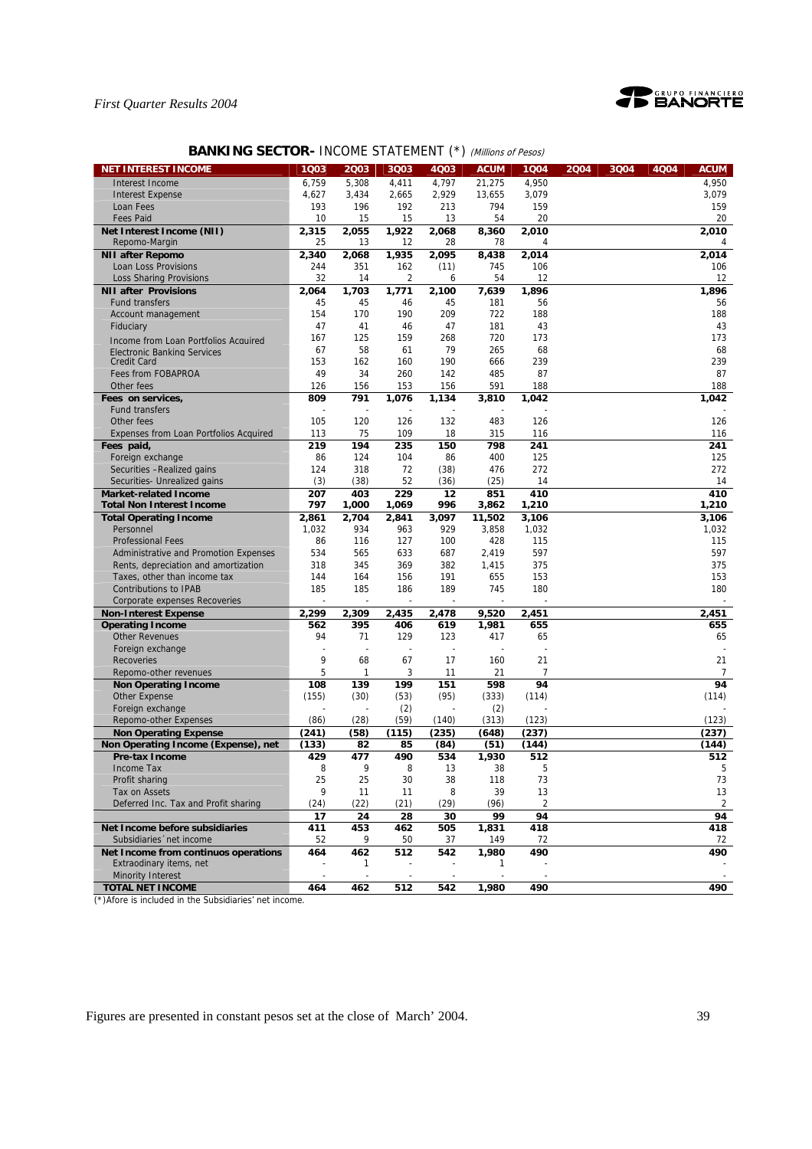

# **BANKING SECTOR- INCOME STATEMENT (\*) (Millions of Pesos)**

| Interest Income<br>6,759<br>5,308<br>4,411<br>4,797<br>21,275<br>4,950<br>4,950<br>3,079<br>4,627<br>3,434<br>2,665<br>2,929<br>13,655<br>3,079<br><b>Interest Expense</b><br>193<br>794<br>159<br>159<br>196<br>192<br>213<br>Loan Fees<br><b>Fees Paid</b><br>10<br>20<br>20<br>15<br>15<br>13<br>54<br>Net Interest Income (NII)<br>2,315<br>2,055<br>1,922<br>2,068<br>2,010<br>2,010<br>8,360<br>Repomo-Margin<br>25<br>13<br>12<br>28<br>78<br>4<br>2,095<br><b>NII after Repomo</b><br>2,340<br>2,068<br>1,935<br>8,438<br>2,014<br>2,014<br>Loan Loss Provisions<br>244<br>351<br>745<br>106<br>106<br>162<br>(11)<br>$\overline{2}$<br><b>Loss Sharing Provisions</b><br>32<br>54<br>12<br>12<br>14<br>6<br><b>NII after Provisions</b><br>1,703<br>1,771<br>2,100<br>1,896<br>1,896<br>2,064<br>7,639<br>45<br>45<br>45<br>181<br><b>Fund transfers</b><br>46<br>56<br>56<br>154<br>170<br>190<br>209<br>722<br>188<br>188<br>Account management<br>47<br>47<br>181<br>43<br>43<br>Fiduciary<br>41<br>46<br>125<br>720<br>173<br>173<br>167<br>159<br>268<br>Income from Loan Portfolios Acquired<br>79<br>265<br>67<br>58<br>68<br>68<br>61<br><b>Electronic Banking Services</b><br>153<br>162<br>160<br>190<br>666<br>239<br>239<br><b>Credit Card</b><br>Fees from FOBAPROA<br>49<br>34<br>260<br>142<br>485<br>87<br>87<br>126<br>156<br>591<br>188<br>188<br>Other fees<br>156<br>153<br>791<br>1,076<br>1,134<br>Fees on services,<br>809<br>3,810<br>1,042<br>1,042<br><b>Fund transfers</b><br>120<br>Other fees<br>105<br>126<br>132<br>483<br>126<br>126<br>75<br>109<br>18<br>315<br>Expenses from Loan Portfolios Acquired<br>113<br>116<br>116<br>Fees paid,<br>219<br>194<br>235<br>150<br>798<br>241<br>241<br>Foreign exchange<br>86<br>124<br>104<br>400<br>125<br>125<br>86<br>318<br>272<br>272<br>Securities -Realized gains<br>124<br>72<br>(38)<br>476<br>(3)<br>52<br>(25)<br>Securities- Unrealized gains<br>(38)<br>(36)<br>14<br>14<br>229<br>410<br>207<br>403<br>12<br>851<br>410<br><b>Market-related Income</b><br>797<br>1,000<br>996<br>3,862<br>1,210<br>1,210<br><b>Total Non Interest Income</b><br>1,069<br>2,861<br>2,704<br>2,841<br>3,097<br>11,502<br>3,106<br>3,106<br><b>Total Operating Income</b><br>1,032<br>934<br>963<br>929<br>3,858<br>1,032<br>1,032<br>Personnel<br>86<br>116<br>127<br>100<br>428<br><b>Professional Fees</b><br>115<br>115<br>597<br>597<br>Administrative and Promotion Expenses<br>534<br>565<br>633<br>687<br>2,419<br>318<br>345<br>369<br>382<br>1,415<br>375<br>375<br>Rents, depreciation and amortization<br>144<br>164<br>156<br>191<br>655<br>153<br>153<br>Taxes, other than income tax<br>745<br><b>Contributions to IPAB</b><br>185<br>185<br>186<br>189<br>180<br>180<br>Corporate expenses Recoveries<br>2,299<br>2,435<br><b>Non-Interest Expense</b><br>2,309<br>2,478<br>9,520<br>2,451<br>2,451<br><b>Operating Income</b><br>562<br>395<br>406<br>619<br>1,981<br>655<br>655<br><b>Other Revenues</b><br>94<br>71<br>129<br>123<br>417<br>65<br>65<br>Foreign exchange<br>9<br>17<br>21<br>68<br>67<br>160<br>21<br>Recoveries<br>5<br>3<br>21<br>$\overline{7}$<br>Repomo-other revenues<br>1<br>11<br>7<br>94<br>139<br>199<br>151<br>598<br>94<br><b>Non Operating Income</b><br>108<br>(30)<br>(95)<br>(114)<br>(114)<br><b>Other Expense</b><br>(155)<br>(53)<br>(333)<br>(2)<br>(2)<br>Foreign exchange<br>Repomo-other Expenses<br>(86)<br>(28)<br>(59)<br>(140)<br>(313)<br>(123)<br>(123)<br>(241)<br>(237)<br>(58)<br>(115)<br>(235)<br>(648)<br>(237)<br><b>Non Operating Expense</b><br>(133)<br>(144)<br>Non Operating Income (Expense), net<br>82<br>85<br>(84)<br>(51)<br>(144)<br><b>Pre-tax Income</b><br>429<br>477<br>490<br>534<br>1,930<br>512<br>512<br>9<br>5<br>Income Tax<br>8<br>8<br>13<br>38<br>5<br>25<br>25<br>30<br>38<br>118<br>73<br>Profit sharing<br>73<br>9<br>39<br>13<br>13<br>Tax on Assets<br>11<br>11<br>8<br>$\overline{2}$<br>Deferred Inc. Tax and Profit sharing<br>(24)<br>(22)<br>(21)<br>(29)<br>(96)<br>$\overline{2}$<br>94<br>94<br>17<br>24<br>28<br>30<br>99<br>Net Income before subsidiaries<br>418<br>418<br>411<br>453<br>462<br>505<br>1,831<br>Subsidiaries 'net income<br>37<br>52<br>9<br>50<br>149<br>72<br>72<br>462<br>512<br>542<br>490<br>490<br>Net Income from continuos operations<br>464<br>1,980<br>Extraodinary items, net<br>1<br>1<br>Minority Interest<br>÷,<br>$\overline{\phantom{a}}$<br>$\sim$<br>÷,<br>$\overline{a}$<br><b>TOTAL NET INCOME</b><br>464<br>462<br>512<br>542<br>1,980<br>490<br>490 | <b>NET INTEREST INCOME</b> | 1Q03 | 2003 | 3Q03 | 4Q03 | <b>ACUM</b> | 1Q04 | 2004 | 3Q04 | 4Q04 | <b>ACUM</b> |
|-----------------------------------------------------------------------------------------------------------------------------------------------------------------------------------------------------------------------------------------------------------------------------------------------------------------------------------------------------------------------------------------------------------------------------------------------------------------------------------------------------------------------------------------------------------------------------------------------------------------------------------------------------------------------------------------------------------------------------------------------------------------------------------------------------------------------------------------------------------------------------------------------------------------------------------------------------------------------------------------------------------------------------------------------------------------------------------------------------------------------------------------------------------------------------------------------------------------------------------------------------------------------------------------------------------------------------------------------------------------------------------------------------------------------------------------------------------------------------------------------------------------------------------------------------------------------------------------------------------------------------------------------------------------------------------------------------------------------------------------------------------------------------------------------------------------------------------------------------------------------------------------------------------------------------------------------------------------------------------------------------------------------------------------------------------------------------------------------------------------------------------------------------------------------------------------------------------------------------------------------------------------------------------------------------------------------------------------------------------------------------------------------------------------------------------------------------------------------------------------------------------------------------------------------------------------------------------------------------------------------------------------------------------------------------------------------------------------------------------------------------------------------------------------------------------------------------------------------------------------------------------------------------------------------------------------------------------------------------------------------------------------------------------------------------------------------------------------------------------------------------------------------------------------------------------------------------------------------------------------------------------------------------------------------------------------------------------------------------------------------------------------------------------------------------------------------------------------------------------------------------------------------------------------------------------------------------------------------------------------------------------------------------------------------------------------------------------------------------------------------------------------------------------------------------------------------------------------------------------------------------------------------------------------------------------------------------------------------------------------------------------------------------------------------------------------------------------------------------------------------------------------------------------------------------------------------------------------------------------------------------------------------------------------------------------------------------------------------------------------------------------------------------------------------------------------------------------------------------------------------------------------------------------------------------------------------------------------|----------------------------|------|------|------|------|-------------|------|------|------|------|-------------|
|                                                                                                                                                                                                                                                                                                                                                                                                                                                                                                                                                                                                                                                                                                                                                                                                                                                                                                                                                                                                                                                                                                                                                                                                                                                                                                                                                                                                                                                                                                                                                                                                                                                                                                                                                                                                                                                                                                                                                                                                                                                                                                                                                                                                                                                                                                                                                                                                                                                                                                                                                                                                                                                                                                                                                                                                                                                                                                                                                                                                                                                                                                                                                                                                                                                                                                                                                                                                                                                                                                                                                                                                                                                                                                                                                                                                                                                                                                                                                                                                                                                                                                                                                                                                                                                                                                                                                                                                                                                                                                                                                                                         |                            |      |      |      |      |             |      |      |      |      |             |
|                                                                                                                                                                                                                                                                                                                                                                                                                                                                                                                                                                                                                                                                                                                                                                                                                                                                                                                                                                                                                                                                                                                                                                                                                                                                                                                                                                                                                                                                                                                                                                                                                                                                                                                                                                                                                                                                                                                                                                                                                                                                                                                                                                                                                                                                                                                                                                                                                                                                                                                                                                                                                                                                                                                                                                                                                                                                                                                                                                                                                                                                                                                                                                                                                                                                                                                                                                                                                                                                                                                                                                                                                                                                                                                                                                                                                                                                                                                                                                                                                                                                                                                                                                                                                                                                                                                                                                                                                                                                                                                                                                                         |                            |      |      |      |      |             |      |      |      |      |             |
|                                                                                                                                                                                                                                                                                                                                                                                                                                                                                                                                                                                                                                                                                                                                                                                                                                                                                                                                                                                                                                                                                                                                                                                                                                                                                                                                                                                                                                                                                                                                                                                                                                                                                                                                                                                                                                                                                                                                                                                                                                                                                                                                                                                                                                                                                                                                                                                                                                                                                                                                                                                                                                                                                                                                                                                                                                                                                                                                                                                                                                                                                                                                                                                                                                                                                                                                                                                                                                                                                                                                                                                                                                                                                                                                                                                                                                                                                                                                                                                                                                                                                                                                                                                                                                                                                                                                                                                                                                                                                                                                                                                         |                            |      |      |      |      |             |      |      |      |      |             |
|                                                                                                                                                                                                                                                                                                                                                                                                                                                                                                                                                                                                                                                                                                                                                                                                                                                                                                                                                                                                                                                                                                                                                                                                                                                                                                                                                                                                                                                                                                                                                                                                                                                                                                                                                                                                                                                                                                                                                                                                                                                                                                                                                                                                                                                                                                                                                                                                                                                                                                                                                                                                                                                                                                                                                                                                                                                                                                                                                                                                                                                                                                                                                                                                                                                                                                                                                                                                                                                                                                                                                                                                                                                                                                                                                                                                                                                                                                                                                                                                                                                                                                                                                                                                                                                                                                                                                                                                                                                                                                                                                                                         |                            |      |      |      |      |             |      |      |      |      |             |
|                                                                                                                                                                                                                                                                                                                                                                                                                                                                                                                                                                                                                                                                                                                                                                                                                                                                                                                                                                                                                                                                                                                                                                                                                                                                                                                                                                                                                                                                                                                                                                                                                                                                                                                                                                                                                                                                                                                                                                                                                                                                                                                                                                                                                                                                                                                                                                                                                                                                                                                                                                                                                                                                                                                                                                                                                                                                                                                                                                                                                                                                                                                                                                                                                                                                                                                                                                                                                                                                                                                                                                                                                                                                                                                                                                                                                                                                                                                                                                                                                                                                                                                                                                                                                                                                                                                                                                                                                                                                                                                                                                                         |                            |      |      |      |      |             |      |      |      |      |             |
|                                                                                                                                                                                                                                                                                                                                                                                                                                                                                                                                                                                                                                                                                                                                                                                                                                                                                                                                                                                                                                                                                                                                                                                                                                                                                                                                                                                                                                                                                                                                                                                                                                                                                                                                                                                                                                                                                                                                                                                                                                                                                                                                                                                                                                                                                                                                                                                                                                                                                                                                                                                                                                                                                                                                                                                                                                                                                                                                                                                                                                                                                                                                                                                                                                                                                                                                                                                                                                                                                                                                                                                                                                                                                                                                                                                                                                                                                                                                                                                                                                                                                                                                                                                                                                                                                                                                                                                                                                                                                                                                                                                         |                            |      |      |      |      |             |      |      |      |      |             |
|                                                                                                                                                                                                                                                                                                                                                                                                                                                                                                                                                                                                                                                                                                                                                                                                                                                                                                                                                                                                                                                                                                                                                                                                                                                                                                                                                                                                                                                                                                                                                                                                                                                                                                                                                                                                                                                                                                                                                                                                                                                                                                                                                                                                                                                                                                                                                                                                                                                                                                                                                                                                                                                                                                                                                                                                                                                                                                                                                                                                                                                                                                                                                                                                                                                                                                                                                                                                                                                                                                                                                                                                                                                                                                                                                                                                                                                                                                                                                                                                                                                                                                                                                                                                                                                                                                                                                                                                                                                                                                                                                                                         |                            |      |      |      |      |             |      |      |      |      |             |
|                                                                                                                                                                                                                                                                                                                                                                                                                                                                                                                                                                                                                                                                                                                                                                                                                                                                                                                                                                                                                                                                                                                                                                                                                                                                                                                                                                                                                                                                                                                                                                                                                                                                                                                                                                                                                                                                                                                                                                                                                                                                                                                                                                                                                                                                                                                                                                                                                                                                                                                                                                                                                                                                                                                                                                                                                                                                                                                                                                                                                                                                                                                                                                                                                                                                                                                                                                                                                                                                                                                                                                                                                                                                                                                                                                                                                                                                                                                                                                                                                                                                                                                                                                                                                                                                                                                                                                                                                                                                                                                                                                                         |                            |      |      |      |      |             |      |      |      |      |             |
|                                                                                                                                                                                                                                                                                                                                                                                                                                                                                                                                                                                                                                                                                                                                                                                                                                                                                                                                                                                                                                                                                                                                                                                                                                                                                                                                                                                                                                                                                                                                                                                                                                                                                                                                                                                                                                                                                                                                                                                                                                                                                                                                                                                                                                                                                                                                                                                                                                                                                                                                                                                                                                                                                                                                                                                                                                                                                                                                                                                                                                                                                                                                                                                                                                                                                                                                                                                                                                                                                                                                                                                                                                                                                                                                                                                                                                                                                                                                                                                                                                                                                                                                                                                                                                                                                                                                                                                                                                                                                                                                                                                         |                            |      |      |      |      |             |      |      |      |      |             |
|                                                                                                                                                                                                                                                                                                                                                                                                                                                                                                                                                                                                                                                                                                                                                                                                                                                                                                                                                                                                                                                                                                                                                                                                                                                                                                                                                                                                                                                                                                                                                                                                                                                                                                                                                                                                                                                                                                                                                                                                                                                                                                                                                                                                                                                                                                                                                                                                                                                                                                                                                                                                                                                                                                                                                                                                                                                                                                                                                                                                                                                                                                                                                                                                                                                                                                                                                                                                                                                                                                                                                                                                                                                                                                                                                                                                                                                                                                                                                                                                                                                                                                                                                                                                                                                                                                                                                                                                                                                                                                                                                                                         |                            |      |      |      |      |             |      |      |      |      |             |
|                                                                                                                                                                                                                                                                                                                                                                                                                                                                                                                                                                                                                                                                                                                                                                                                                                                                                                                                                                                                                                                                                                                                                                                                                                                                                                                                                                                                                                                                                                                                                                                                                                                                                                                                                                                                                                                                                                                                                                                                                                                                                                                                                                                                                                                                                                                                                                                                                                                                                                                                                                                                                                                                                                                                                                                                                                                                                                                                                                                                                                                                                                                                                                                                                                                                                                                                                                                                                                                                                                                                                                                                                                                                                                                                                                                                                                                                                                                                                                                                                                                                                                                                                                                                                                                                                                                                                                                                                                                                                                                                                                                         |                            |      |      |      |      |             |      |      |      |      |             |
|                                                                                                                                                                                                                                                                                                                                                                                                                                                                                                                                                                                                                                                                                                                                                                                                                                                                                                                                                                                                                                                                                                                                                                                                                                                                                                                                                                                                                                                                                                                                                                                                                                                                                                                                                                                                                                                                                                                                                                                                                                                                                                                                                                                                                                                                                                                                                                                                                                                                                                                                                                                                                                                                                                                                                                                                                                                                                                                                                                                                                                                                                                                                                                                                                                                                                                                                                                                                                                                                                                                                                                                                                                                                                                                                                                                                                                                                                                                                                                                                                                                                                                                                                                                                                                                                                                                                                                                                                                                                                                                                                                                         |                            |      |      |      |      |             |      |      |      |      |             |
|                                                                                                                                                                                                                                                                                                                                                                                                                                                                                                                                                                                                                                                                                                                                                                                                                                                                                                                                                                                                                                                                                                                                                                                                                                                                                                                                                                                                                                                                                                                                                                                                                                                                                                                                                                                                                                                                                                                                                                                                                                                                                                                                                                                                                                                                                                                                                                                                                                                                                                                                                                                                                                                                                                                                                                                                                                                                                                                                                                                                                                                                                                                                                                                                                                                                                                                                                                                                                                                                                                                                                                                                                                                                                                                                                                                                                                                                                                                                                                                                                                                                                                                                                                                                                                                                                                                                                                                                                                                                                                                                                                                         |                            |      |      |      |      |             |      |      |      |      |             |
|                                                                                                                                                                                                                                                                                                                                                                                                                                                                                                                                                                                                                                                                                                                                                                                                                                                                                                                                                                                                                                                                                                                                                                                                                                                                                                                                                                                                                                                                                                                                                                                                                                                                                                                                                                                                                                                                                                                                                                                                                                                                                                                                                                                                                                                                                                                                                                                                                                                                                                                                                                                                                                                                                                                                                                                                                                                                                                                                                                                                                                                                                                                                                                                                                                                                                                                                                                                                                                                                                                                                                                                                                                                                                                                                                                                                                                                                                                                                                                                                                                                                                                                                                                                                                                                                                                                                                                                                                                                                                                                                                                                         |                            |      |      |      |      |             |      |      |      |      |             |
|                                                                                                                                                                                                                                                                                                                                                                                                                                                                                                                                                                                                                                                                                                                                                                                                                                                                                                                                                                                                                                                                                                                                                                                                                                                                                                                                                                                                                                                                                                                                                                                                                                                                                                                                                                                                                                                                                                                                                                                                                                                                                                                                                                                                                                                                                                                                                                                                                                                                                                                                                                                                                                                                                                                                                                                                                                                                                                                                                                                                                                                                                                                                                                                                                                                                                                                                                                                                                                                                                                                                                                                                                                                                                                                                                                                                                                                                                                                                                                                                                                                                                                                                                                                                                                                                                                                                                                                                                                                                                                                                                                                         |                            |      |      |      |      |             |      |      |      |      |             |
|                                                                                                                                                                                                                                                                                                                                                                                                                                                                                                                                                                                                                                                                                                                                                                                                                                                                                                                                                                                                                                                                                                                                                                                                                                                                                                                                                                                                                                                                                                                                                                                                                                                                                                                                                                                                                                                                                                                                                                                                                                                                                                                                                                                                                                                                                                                                                                                                                                                                                                                                                                                                                                                                                                                                                                                                                                                                                                                                                                                                                                                                                                                                                                                                                                                                                                                                                                                                                                                                                                                                                                                                                                                                                                                                                                                                                                                                                                                                                                                                                                                                                                                                                                                                                                                                                                                                                                                                                                                                                                                                                                                         |                            |      |      |      |      |             |      |      |      |      |             |
|                                                                                                                                                                                                                                                                                                                                                                                                                                                                                                                                                                                                                                                                                                                                                                                                                                                                                                                                                                                                                                                                                                                                                                                                                                                                                                                                                                                                                                                                                                                                                                                                                                                                                                                                                                                                                                                                                                                                                                                                                                                                                                                                                                                                                                                                                                                                                                                                                                                                                                                                                                                                                                                                                                                                                                                                                                                                                                                                                                                                                                                                                                                                                                                                                                                                                                                                                                                                                                                                                                                                                                                                                                                                                                                                                                                                                                                                                                                                                                                                                                                                                                                                                                                                                                                                                                                                                                                                                                                                                                                                                                                         |                            |      |      |      |      |             |      |      |      |      |             |
|                                                                                                                                                                                                                                                                                                                                                                                                                                                                                                                                                                                                                                                                                                                                                                                                                                                                                                                                                                                                                                                                                                                                                                                                                                                                                                                                                                                                                                                                                                                                                                                                                                                                                                                                                                                                                                                                                                                                                                                                                                                                                                                                                                                                                                                                                                                                                                                                                                                                                                                                                                                                                                                                                                                                                                                                                                                                                                                                                                                                                                                                                                                                                                                                                                                                                                                                                                                                                                                                                                                                                                                                                                                                                                                                                                                                                                                                                                                                                                                                                                                                                                                                                                                                                                                                                                                                                                                                                                                                                                                                                                                         |                            |      |      |      |      |             |      |      |      |      |             |
|                                                                                                                                                                                                                                                                                                                                                                                                                                                                                                                                                                                                                                                                                                                                                                                                                                                                                                                                                                                                                                                                                                                                                                                                                                                                                                                                                                                                                                                                                                                                                                                                                                                                                                                                                                                                                                                                                                                                                                                                                                                                                                                                                                                                                                                                                                                                                                                                                                                                                                                                                                                                                                                                                                                                                                                                                                                                                                                                                                                                                                                                                                                                                                                                                                                                                                                                                                                                                                                                                                                                                                                                                                                                                                                                                                                                                                                                                                                                                                                                                                                                                                                                                                                                                                                                                                                                                                                                                                                                                                                                                                                         |                            |      |      |      |      |             |      |      |      |      |             |
|                                                                                                                                                                                                                                                                                                                                                                                                                                                                                                                                                                                                                                                                                                                                                                                                                                                                                                                                                                                                                                                                                                                                                                                                                                                                                                                                                                                                                                                                                                                                                                                                                                                                                                                                                                                                                                                                                                                                                                                                                                                                                                                                                                                                                                                                                                                                                                                                                                                                                                                                                                                                                                                                                                                                                                                                                                                                                                                                                                                                                                                                                                                                                                                                                                                                                                                                                                                                                                                                                                                                                                                                                                                                                                                                                                                                                                                                                                                                                                                                                                                                                                                                                                                                                                                                                                                                                                                                                                                                                                                                                                                         |                            |      |      |      |      |             |      |      |      |      |             |
|                                                                                                                                                                                                                                                                                                                                                                                                                                                                                                                                                                                                                                                                                                                                                                                                                                                                                                                                                                                                                                                                                                                                                                                                                                                                                                                                                                                                                                                                                                                                                                                                                                                                                                                                                                                                                                                                                                                                                                                                                                                                                                                                                                                                                                                                                                                                                                                                                                                                                                                                                                                                                                                                                                                                                                                                                                                                                                                                                                                                                                                                                                                                                                                                                                                                                                                                                                                                                                                                                                                                                                                                                                                                                                                                                                                                                                                                                                                                                                                                                                                                                                                                                                                                                                                                                                                                                                                                                                                                                                                                                                                         |                            |      |      |      |      |             |      |      |      |      |             |
|                                                                                                                                                                                                                                                                                                                                                                                                                                                                                                                                                                                                                                                                                                                                                                                                                                                                                                                                                                                                                                                                                                                                                                                                                                                                                                                                                                                                                                                                                                                                                                                                                                                                                                                                                                                                                                                                                                                                                                                                                                                                                                                                                                                                                                                                                                                                                                                                                                                                                                                                                                                                                                                                                                                                                                                                                                                                                                                                                                                                                                                                                                                                                                                                                                                                                                                                                                                                                                                                                                                                                                                                                                                                                                                                                                                                                                                                                                                                                                                                                                                                                                                                                                                                                                                                                                                                                                                                                                                                                                                                                                                         |                            |      |      |      |      |             |      |      |      |      |             |
|                                                                                                                                                                                                                                                                                                                                                                                                                                                                                                                                                                                                                                                                                                                                                                                                                                                                                                                                                                                                                                                                                                                                                                                                                                                                                                                                                                                                                                                                                                                                                                                                                                                                                                                                                                                                                                                                                                                                                                                                                                                                                                                                                                                                                                                                                                                                                                                                                                                                                                                                                                                                                                                                                                                                                                                                                                                                                                                                                                                                                                                                                                                                                                                                                                                                                                                                                                                                                                                                                                                                                                                                                                                                                                                                                                                                                                                                                                                                                                                                                                                                                                                                                                                                                                                                                                                                                                                                                                                                                                                                                                                         |                            |      |      |      |      |             |      |      |      |      |             |
|                                                                                                                                                                                                                                                                                                                                                                                                                                                                                                                                                                                                                                                                                                                                                                                                                                                                                                                                                                                                                                                                                                                                                                                                                                                                                                                                                                                                                                                                                                                                                                                                                                                                                                                                                                                                                                                                                                                                                                                                                                                                                                                                                                                                                                                                                                                                                                                                                                                                                                                                                                                                                                                                                                                                                                                                                                                                                                                                                                                                                                                                                                                                                                                                                                                                                                                                                                                                                                                                                                                                                                                                                                                                                                                                                                                                                                                                                                                                                                                                                                                                                                                                                                                                                                                                                                                                                                                                                                                                                                                                                                                         |                            |      |      |      |      |             |      |      |      |      |             |
|                                                                                                                                                                                                                                                                                                                                                                                                                                                                                                                                                                                                                                                                                                                                                                                                                                                                                                                                                                                                                                                                                                                                                                                                                                                                                                                                                                                                                                                                                                                                                                                                                                                                                                                                                                                                                                                                                                                                                                                                                                                                                                                                                                                                                                                                                                                                                                                                                                                                                                                                                                                                                                                                                                                                                                                                                                                                                                                                                                                                                                                                                                                                                                                                                                                                                                                                                                                                                                                                                                                                                                                                                                                                                                                                                                                                                                                                                                                                                                                                                                                                                                                                                                                                                                                                                                                                                                                                                                                                                                                                                                                         |                            |      |      |      |      |             |      |      |      |      |             |
|                                                                                                                                                                                                                                                                                                                                                                                                                                                                                                                                                                                                                                                                                                                                                                                                                                                                                                                                                                                                                                                                                                                                                                                                                                                                                                                                                                                                                                                                                                                                                                                                                                                                                                                                                                                                                                                                                                                                                                                                                                                                                                                                                                                                                                                                                                                                                                                                                                                                                                                                                                                                                                                                                                                                                                                                                                                                                                                                                                                                                                                                                                                                                                                                                                                                                                                                                                                                                                                                                                                                                                                                                                                                                                                                                                                                                                                                                                                                                                                                                                                                                                                                                                                                                                                                                                                                                                                                                                                                                                                                                                                         |                            |      |      |      |      |             |      |      |      |      |             |
|                                                                                                                                                                                                                                                                                                                                                                                                                                                                                                                                                                                                                                                                                                                                                                                                                                                                                                                                                                                                                                                                                                                                                                                                                                                                                                                                                                                                                                                                                                                                                                                                                                                                                                                                                                                                                                                                                                                                                                                                                                                                                                                                                                                                                                                                                                                                                                                                                                                                                                                                                                                                                                                                                                                                                                                                                                                                                                                                                                                                                                                                                                                                                                                                                                                                                                                                                                                                                                                                                                                                                                                                                                                                                                                                                                                                                                                                                                                                                                                                                                                                                                                                                                                                                                                                                                                                                                                                                                                                                                                                                                                         |                            |      |      |      |      |             |      |      |      |      |             |
|                                                                                                                                                                                                                                                                                                                                                                                                                                                                                                                                                                                                                                                                                                                                                                                                                                                                                                                                                                                                                                                                                                                                                                                                                                                                                                                                                                                                                                                                                                                                                                                                                                                                                                                                                                                                                                                                                                                                                                                                                                                                                                                                                                                                                                                                                                                                                                                                                                                                                                                                                                                                                                                                                                                                                                                                                                                                                                                                                                                                                                                                                                                                                                                                                                                                                                                                                                                                                                                                                                                                                                                                                                                                                                                                                                                                                                                                                                                                                                                                                                                                                                                                                                                                                                                                                                                                                                                                                                                                                                                                                                                         |                            |      |      |      |      |             |      |      |      |      |             |
|                                                                                                                                                                                                                                                                                                                                                                                                                                                                                                                                                                                                                                                                                                                                                                                                                                                                                                                                                                                                                                                                                                                                                                                                                                                                                                                                                                                                                                                                                                                                                                                                                                                                                                                                                                                                                                                                                                                                                                                                                                                                                                                                                                                                                                                                                                                                                                                                                                                                                                                                                                                                                                                                                                                                                                                                                                                                                                                                                                                                                                                                                                                                                                                                                                                                                                                                                                                                                                                                                                                                                                                                                                                                                                                                                                                                                                                                                                                                                                                                                                                                                                                                                                                                                                                                                                                                                                                                                                                                                                                                                                                         |                            |      |      |      |      |             |      |      |      |      |             |
|                                                                                                                                                                                                                                                                                                                                                                                                                                                                                                                                                                                                                                                                                                                                                                                                                                                                                                                                                                                                                                                                                                                                                                                                                                                                                                                                                                                                                                                                                                                                                                                                                                                                                                                                                                                                                                                                                                                                                                                                                                                                                                                                                                                                                                                                                                                                                                                                                                                                                                                                                                                                                                                                                                                                                                                                                                                                                                                                                                                                                                                                                                                                                                                                                                                                                                                                                                                                                                                                                                                                                                                                                                                                                                                                                                                                                                                                                                                                                                                                                                                                                                                                                                                                                                                                                                                                                                                                                                                                                                                                                                                         |                            |      |      |      |      |             |      |      |      |      |             |
|                                                                                                                                                                                                                                                                                                                                                                                                                                                                                                                                                                                                                                                                                                                                                                                                                                                                                                                                                                                                                                                                                                                                                                                                                                                                                                                                                                                                                                                                                                                                                                                                                                                                                                                                                                                                                                                                                                                                                                                                                                                                                                                                                                                                                                                                                                                                                                                                                                                                                                                                                                                                                                                                                                                                                                                                                                                                                                                                                                                                                                                                                                                                                                                                                                                                                                                                                                                                                                                                                                                                                                                                                                                                                                                                                                                                                                                                                                                                                                                                                                                                                                                                                                                                                                                                                                                                                                                                                                                                                                                                                                                         |                            |      |      |      |      |             |      |      |      |      |             |
|                                                                                                                                                                                                                                                                                                                                                                                                                                                                                                                                                                                                                                                                                                                                                                                                                                                                                                                                                                                                                                                                                                                                                                                                                                                                                                                                                                                                                                                                                                                                                                                                                                                                                                                                                                                                                                                                                                                                                                                                                                                                                                                                                                                                                                                                                                                                                                                                                                                                                                                                                                                                                                                                                                                                                                                                                                                                                                                                                                                                                                                                                                                                                                                                                                                                                                                                                                                                                                                                                                                                                                                                                                                                                                                                                                                                                                                                                                                                                                                                                                                                                                                                                                                                                                                                                                                                                                                                                                                                                                                                                                                         |                            |      |      |      |      |             |      |      |      |      |             |
|                                                                                                                                                                                                                                                                                                                                                                                                                                                                                                                                                                                                                                                                                                                                                                                                                                                                                                                                                                                                                                                                                                                                                                                                                                                                                                                                                                                                                                                                                                                                                                                                                                                                                                                                                                                                                                                                                                                                                                                                                                                                                                                                                                                                                                                                                                                                                                                                                                                                                                                                                                                                                                                                                                                                                                                                                                                                                                                                                                                                                                                                                                                                                                                                                                                                                                                                                                                                                                                                                                                                                                                                                                                                                                                                                                                                                                                                                                                                                                                                                                                                                                                                                                                                                                                                                                                                                                                                                                                                                                                                                                                         |                            |      |      |      |      |             |      |      |      |      |             |
|                                                                                                                                                                                                                                                                                                                                                                                                                                                                                                                                                                                                                                                                                                                                                                                                                                                                                                                                                                                                                                                                                                                                                                                                                                                                                                                                                                                                                                                                                                                                                                                                                                                                                                                                                                                                                                                                                                                                                                                                                                                                                                                                                                                                                                                                                                                                                                                                                                                                                                                                                                                                                                                                                                                                                                                                                                                                                                                                                                                                                                                                                                                                                                                                                                                                                                                                                                                                                                                                                                                                                                                                                                                                                                                                                                                                                                                                                                                                                                                                                                                                                                                                                                                                                                                                                                                                                                                                                                                                                                                                                                                         |                            |      |      |      |      |             |      |      |      |      |             |
|                                                                                                                                                                                                                                                                                                                                                                                                                                                                                                                                                                                                                                                                                                                                                                                                                                                                                                                                                                                                                                                                                                                                                                                                                                                                                                                                                                                                                                                                                                                                                                                                                                                                                                                                                                                                                                                                                                                                                                                                                                                                                                                                                                                                                                                                                                                                                                                                                                                                                                                                                                                                                                                                                                                                                                                                                                                                                                                                                                                                                                                                                                                                                                                                                                                                                                                                                                                                                                                                                                                                                                                                                                                                                                                                                                                                                                                                                                                                                                                                                                                                                                                                                                                                                                                                                                                                                                                                                                                                                                                                                                                         |                            |      |      |      |      |             |      |      |      |      |             |
|                                                                                                                                                                                                                                                                                                                                                                                                                                                                                                                                                                                                                                                                                                                                                                                                                                                                                                                                                                                                                                                                                                                                                                                                                                                                                                                                                                                                                                                                                                                                                                                                                                                                                                                                                                                                                                                                                                                                                                                                                                                                                                                                                                                                                                                                                                                                                                                                                                                                                                                                                                                                                                                                                                                                                                                                                                                                                                                                                                                                                                                                                                                                                                                                                                                                                                                                                                                                                                                                                                                                                                                                                                                                                                                                                                                                                                                                                                                                                                                                                                                                                                                                                                                                                                                                                                                                                                                                                                                                                                                                                                                         |                            |      |      |      |      |             |      |      |      |      |             |
|                                                                                                                                                                                                                                                                                                                                                                                                                                                                                                                                                                                                                                                                                                                                                                                                                                                                                                                                                                                                                                                                                                                                                                                                                                                                                                                                                                                                                                                                                                                                                                                                                                                                                                                                                                                                                                                                                                                                                                                                                                                                                                                                                                                                                                                                                                                                                                                                                                                                                                                                                                                                                                                                                                                                                                                                                                                                                                                                                                                                                                                                                                                                                                                                                                                                                                                                                                                                                                                                                                                                                                                                                                                                                                                                                                                                                                                                                                                                                                                                                                                                                                                                                                                                                                                                                                                                                                                                                                                                                                                                                                                         |                            |      |      |      |      |             |      |      |      |      |             |
|                                                                                                                                                                                                                                                                                                                                                                                                                                                                                                                                                                                                                                                                                                                                                                                                                                                                                                                                                                                                                                                                                                                                                                                                                                                                                                                                                                                                                                                                                                                                                                                                                                                                                                                                                                                                                                                                                                                                                                                                                                                                                                                                                                                                                                                                                                                                                                                                                                                                                                                                                                                                                                                                                                                                                                                                                                                                                                                                                                                                                                                                                                                                                                                                                                                                                                                                                                                                                                                                                                                                                                                                                                                                                                                                                                                                                                                                                                                                                                                                                                                                                                                                                                                                                                                                                                                                                                                                                                                                                                                                                                                         |                            |      |      |      |      |             |      |      |      |      |             |
|                                                                                                                                                                                                                                                                                                                                                                                                                                                                                                                                                                                                                                                                                                                                                                                                                                                                                                                                                                                                                                                                                                                                                                                                                                                                                                                                                                                                                                                                                                                                                                                                                                                                                                                                                                                                                                                                                                                                                                                                                                                                                                                                                                                                                                                                                                                                                                                                                                                                                                                                                                                                                                                                                                                                                                                                                                                                                                                                                                                                                                                                                                                                                                                                                                                                                                                                                                                                                                                                                                                                                                                                                                                                                                                                                                                                                                                                                                                                                                                                                                                                                                                                                                                                                                                                                                                                                                                                                                                                                                                                                                                         |                            |      |      |      |      |             |      |      |      |      |             |
|                                                                                                                                                                                                                                                                                                                                                                                                                                                                                                                                                                                                                                                                                                                                                                                                                                                                                                                                                                                                                                                                                                                                                                                                                                                                                                                                                                                                                                                                                                                                                                                                                                                                                                                                                                                                                                                                                                                                                                                                                                                                                                                                                                                                                                                                                                                                                                                                                                                                                                                                                                                                                                                                                                                                                                                                                                                                                                                                                                                                                                                                                                                                                                                                                                                                                                                                                                                                                                                                                                                                                                                                                                                                                                                                                                                                                                                                                                                                                                                                                                                                                                                                                                                                                                                                                                                                                                                                                                                                                                                                                                                         |                            |      |      |      |      |             |      |      |      |      |             |
|                                                                                                                                                                                                                                                                                                                                                                                                                                                                                                                                                                                                                                                                                                                                                                                                                                                                                                                                                                                                                                                                                                                                                                                                                                                                                                                                                                                                                                                                                                                                                                                                                                                                                                                                                                                                                                                                                                                                                                                                                                                                                                                                                                                                                                                                                                                                                                                                                                                                                                                                                                                                                                                                                                                                                                                                                                                                                                                                                                                                                                                                                                                                                                                                                                                                                                                                                                                                                                                                                                                                                                                                                                                                                                                                                                                                                                                                                                                                                                                                                                                                                                                                                                                                                                                                                                                                                                                                                                                                                                                                                                                         |                            |      |      |      |      |             |      |      |      |      |             |
|                                                                                                                                                                                                                                                                                                                                                                                                                                                                                                                                                                                                                                                                                                                                                                                                                                                                                                                                                                                                                                                                                                                                                                                                                                                                                                                                                                                                                                                                                                                                                                                                                                                                                                                                                                                                                                                                                                                                                                                                                                                                                                                                                                                                                                                                                                                                                                                                                                                                                                                                                                                                                                                                                                                                                                                                                                                                                                                                                                                                                                                                                                                                                                                                                                                                                                                                                                                                                                                                                                                                                                                                                                                                                                                                                                                                                                                                                                                                                                                                                                                                                                                                                                                                                                                                                                                                                                                                                                                                                                                                                                                         |                            |      |      |      |      |             |      |      |      |      |             |
|                                                                                                                                                                                                                                                                                                                                                                                                                                                                                                                                                                                                                                                                                                                                                                                                                                                                                                                                                                                                                                                                                                                                                                                                                                                                                                                                                                                                                                                                                                                                                                                                                                                                                                                                                                                                                                                                                                                                                                                                                                                                                                                                                                                                                                                                                                                                                                                                                                                                                                                                                                                                                                                                                                                                                                                                                                                                                                                                                                                                                                                                                                                                                                                                                                                                                                                                                                                                                                                                                                                                                                                                                                                                                                                                                                                                                                                                                                                                                                                                                                                                                                                                                                                                                                                                                                                                                                                                                                                                                                                                                                                         |                            |      |      |      |      |             |      |      |      |      |             |
|                                                                                                                                                                                                                                                                                                                                                                                                                                                                                                                                                                                                                                                                                                                                                                                                                                                                                                                                                                                                                                                                                                                                                                                                                                                                                                                                                                                                                                                                                                                                                                                                                                                                                                                                                                                                                                                                                                                                                                                                                                                                                                                                                                                                                                                                                                                                                                                                                                                                                                                                                                                                                                                                                                                                                                                                                                                                                                                                                                                                                                                                                                                                                                                                                                                                                                                                                                                                                                                                                                                                                                                                                                                                                                                                                                                                                                                                                                                                                                                                                                                                                                                                                                                                                                                                                                                                                                                                                                                                                                                                                                                         |                            |      |      |      |      |             |      |      |      |      |             |
|                                                                                                                                                                                                                                                                                                                                                                                                                                                                                                                                                                                                                                                                                                                                                                                                                                                                                                                                                                                                                                                                                                                                                                                                                                                                                                                                                                                                                                                                                                                                                                                                                                                                                                                                                                                                                                                                                                                                                                                                                                                                                                                                                                                                                                                                                                                                                                                                                                                                                                                                                                                                                                                                                                                                                                                                                                                                                                                                                                                                                                                                                                                                                                                                                                                                                                                                                                                                                                                                                                                                                                                                                                                                                                                                                                                                                                                                                                                                                                                                                                                                                                                                                                                                                                                                                                                                                                                                                                                                                                                                                                                         |                            |      |      |      |      |             |      |      |      |      |             |
|                                                                                                                                                                                                                                                                                                                                                                                                                                                                                                                                                                                                                                                                                                                                                                                                                                                                                                                                                                                                                                                                                                                                                                                                                                                                                                                                                                                                                                                                                                                                                                                                                                                                                                                                                                                                                                                                                                                                                                                                                                                                                                                                                                                                                                                                                                                                                                                                                                                                                                                                                                                                                                                                                                                                                                                                                                                                                                                                                                                                                                                                                                                                                                                                                                                                                                                                                                                                                                                                                                                                                                                                                                                                                                                                                                                                                                                                                                                                                                                                                                                                                                                                                                                                                                                                                                                                                                                                                                                                                                                                                                                         |                            |      |      |      |      |             |      |      |      |      |             |
|                                                                                                                                                                                                                                                                                                                                                                                                                                                                                                                                                                                                                                                                                                                                                                                                                                                                                                                                                                                                                                                                                                                                                                                                                                                                                                                                                                                                                                                                                                                                                                                                                                                                                                                                                                                                                                                                                                                                                                                                                                                                                                                                                                                                                                                                                                                                                                                                                                                                                                                                                                                                                                                                                                                                                                                                                                                                                                                                                                                                                                                                                                                                                                                                                                                                                                                                                                                                                                                                                                                                                                                                                                                                                                                                                                                                                                                                                                                                                                                                                                                                                                                                                                                                                                                                                                                                                                                                                                                                                                                                                                                         |                            |      |      |      |      |             |      |      |      |      |             |
|                                                                                                                                                                                                                                                                                                                                                                                                                                                                                                                                                                                                                                                                                                                                                                                                                                                                                                                                                                                                                                                                                                                                                                                                                                                                                                                                                                                                                                                                                                                                                                                                                                                                                                                                                                                                                                                                                                                                                                                                                                                                                                                                                                                                                                                                                                                                                                                                                                                                                                                                                                                                                                                                                                                                                                                                                                                                                                                                                                                                                                                                                                                                                                                                                                                                                                                                                                                                                                                                                                                                                                                                                                                                                                                                                                                                                                                                                                                                                                                                                                                                                                                                                                                                                                                                                                                                                                                                                                                                                                                                                                                         |                            |      |      |      |      |             |      |      |      |      |             |
|                                                                                                                                                                                                                                                                                                                                                                                                                                                                                                                                                                                                                                                                                                                                                                                                                                                                                                                                                                                                                                                                                                                                                                                                                                                                                                                                                                                                                                                                                                                                                                                                                                                                                                                                                                                                                                                                                                                                                                                                                                                                                                                                                                                                                                                                                                                                                                                                                                                                                                                                                                                                                                                                                                                                                                                                                                                                                                                                                                                                                                                                                                                                                                                                                                                                                                                                                                                                                                                                                                                                                                                                                                                                                                                                                                                                                                                                                                                                                                                                                                                                                                                                                                                                                                                                                                                                                                                                                                                                                                                                                                                         |                            |      |      |      |      |             |      |      |      |      |             |
|                                                                                                                                                                                                                                                                                                                                                                                                                                                                                                                                                                                                                                                                                                                                                                                                                                                                                                                                                                                                                                                                                                                                                                                                                                                                                                                                                                                                                                                                                                                                                                                                                                                                                                                                                                                                                                                                                                                                                                                                                                                                                                                                                                                                                                                                                                                                                                                                                                                                                                                                                                                                                                                                                                                                                                                                                                                                                                                                                                                                                                                                                                                                                                                                                                                                                                                                                                                                                                                                                                                                                                                                                                                                                                                                                                                                                                                                                                                                                                                                                                                                                                                                                                                                                                                                                                                                                                                                                                                                                                                                                                                         |                            |      |      |      |      |             |      |      |      |      |             |
|                                                                                                                                                                                                                                                                                                                                                                                                                                                                                                                                                                                                                                                                                                                                                                                                                                                                                                                                                                                                                                                                                                                                                                                                                                                                                                                                                                                                                                                                                                                                                                                                                                                                                                                                                                                                                                                                                                                                                                                                                                                                                                                                                                                                                                                                                                                                                                                                                                                                                                                                                                                                                                                                                                                                                                                                                                                                                                                                                                                                                                                                                                                                                                                                                                                                                                                                                                                                                                                                                                                                                                                                                                                                                                                                                                                                                                                                                                                                                                                                                                                                                                                                                                                                                                                                                                                                                                                                                                                                                                                                                                                         |                            |      |      |      |      |             |      |      |      |      |             |
|                                                                                                                                                                                                                                                                                                                                                                                                                                                                                                                                                                                                                                                                                                                                                                                                                                                                                                                                                                                                                                                                                                                                                                                                                                                                                                                                                                                                                                                                                                                                                                                                                                                                                                                                                                                                                                                                                                                                                                                                                                                                                                                                                                                                                                                                                                                                                                                                                                                                                                                                                                                                                                                                                                                                                                                                                                                                                                                                                                                                                                                                                                                                                                                                                                                                                                                                                                                                                                                                                                                                                                                                                                                                                                                                                                                                                                                                                                                                                                                                                                                                                                                                                                                                                                                                                                                                                                                                                                                                                                                                                                                         |                            |      |      |      |      |             |      |      |      |      |             |
|                                                                                                                                                                                                                                                                                                                                                                                                                                                                                                                                                                                                                                                                                                                                                                                                                                                                                                                                                                                                                                                                                                                                                                                                                                                                                                                                                                                                                                                                                                                                                                                                                                                                                                                                                                                                                                                                                                                                                                                                                                                                                                                                                                                                                                                                                                                                                                                                                                                                                                                                                                                                                                                                                                                                                                                                                                                                                                                                                                                                                                                                                                                                                                                                                                                                                                                                                                                                                                                                                                                                                                                                                                                                                                                                                                                                                                                                                                                                                                                                                                                                                                                                                                                                                                                                                                                                                                                                                                                                                                                                                                                         |                            |      |      |      |      |             |      |      |      |      |             |
|                                                                                                                                                                                                                                                                                                                                                                                                                                                                                                                                                                                                                                                                                                                                                                                                                                                                                                                                                                                                                                                                                                                                                                                                                                                                                                                                                                                                                                                                                                                                                                                                                                                                                                                                                                                                                                                                                                                                                                                                                                                                                                                                                                                                                                                                                                                                                                                                                                                                                                                                                                                                                                                                                                                                                                                                                                                                                                                                                                                                                                                                                                                                                                                                                                                                                                                                                                                                                                                                                                                                                                                                                                                                                                                                                                                                                                                                                                                                                                                                                                                                                                                                                                                                                                                                                                                                                                                                                                                                                                                                                                                         |                            |      |      |      |      |             |      |      |      |      |             |
|                                                                                                                                                                                                                                                                                                                                                                                                                                                                                                                                                                                                                                                                                                                                                                                                                                                                                                                                                                                                                                                                                                                                                                                                                                                                                                                                                                                                                                                                                                                                                                                                                                                                                                                                                                                                                                                                                                                                                                                                                                                                                                                                                                                                                                                                                                                                                                                                                                                                                                                                                                                                                                                                                                                                                                                                                                                                                                                                                                                                                                                                                                                                                                                                                                                                                                                                                                                                                                                                                                                                                                                                                                                                                                                                                                                                                                                                                                                                                                                                                                                                                                                                                                                                                                                                                                                                                                                                                                                                                                                                                                                         |                            |      |      |      |      |             |      |      |      |      |             |
|                                                                                                                                                                                                                                                                                                                                                                                                                                                                                                                                                                                                                                                                                                                                                                                                                                                                                                                                                                                                                                                                                                                                                                                                                                                                                                                                                                                                                                                                                                                                                                                                                                                                                                                                                                                                                                                                                                                                                                                                                                                                                                                                                                                                                                                                                                                                                                                                                                                                                                                                                                                                                                                                                                                                                                                                                                                                                                                                                                                                                                                                                                                                                                                                                                                                                                                                                                                                                                                                                                                                                                                                                                                                                                                                                                                                                                                                                                                                                                                                                                                                                                                                                                                                                                                                                                                                                                                                                                                                                                                                                                                         |                            |      |      |      |      |             |      |      |      |      |             |
|                                                                                                                                                                                                                                                                                                                                                                                                                                                                                                                                                                                                                                                                                                                                                                                                                                                                                                                                                                                                                                                                                                                                                                                                                                                                                                                                                                                                                                                                                                                                                                                                                                                                                                                                                                                                                                                                                                                                                                                                                                                                                                                                                                                                                                                                                                                                                                                                                                                                                                                                                                                                                                                                                                                                                                                                                                                                                                                                                                                                                                                                                                                                                                                                                                                                                                                                                                                                                                                                                                                                                                                                                                                                                                                                                                                                                                                                                                                                                                                                                                                                                                                                                                                                                                                                                                                                                                                                                                                                                                                                                                                         |                            |      |      |      |      |             |      |      |      |      |             |
|                                                                                                                                                                                                                                                                                                                                                                                                                                                                                                                                                                                                                                                                                                                                                                                                                                                                                                                                                                                                                                                                                                                                                                                                                                                                                                                                                                                                                                                                                                                                                                                                                                                                                                                                                                                                                                                                                                                                                                                                                                                                                                                                                                                                                                                                                                                                                                                                                                                                                                                                                                                                                                                                                                                                                                                                                                                                                                                                                                                                                                                                                                                                                                                                                                                                                                                                                                                                                                                                                                                                                                                                                                                                                                                                                                                                                                                                                                                                                                                                                                                                                                                                                                                                                                                                                                                                                                                                                                                                                                                                                                                         |                            |      |      |      |      |             |      |      |      |      |             |
|                                                                                                                                                                                                                                                                                                                                                                                                                                                                                                                                                                                                                                                                                                                                                                                                                                                                                                                                                                                                                                                                                                                                                                                                                                                                                                                                                                                                                                                                                                                                                                                                                                                                                                                                                                                                                                                                                                                                                                                                                                                                                                                                                                                                                                                                                                                                                                                                                                                                                                                                                                                                                                                                                                                                                                                                                                                                                                                                                                                                                                                                                                                                                                                                                                                                                                                                                                                                                                                                                                                                                                                                                                                                                                                                                                                                                                                                                                                                                                                                                                                                                                                                                                                                                                                                                                                                                                                                                                                                                                                                                                                         |                            |      |      |      |      |             |      |      |      |      |             |
|                                                                                                                                                                                                                                                                                                                                                                                                                                                                                                                                                                                                                                                                                                                                                                                                                                                                                                                                                                                                                                                                                                                                                                                                                                                                                                                                                                                                                                                                                                                                                                                                                                                                                                                                                                                                                                                                                                                                                                                                                                                                                                                                                                                                                                                                                                                                                                                                                                                                                                                                                                                                                                                                                                                                                                                                                                                                                                                                                                                                                                                                                                                                                                                                                                                                                                                                                                                                                                                                                                                                                                                                                                                                                                                                                                                                                                                                                                                                                                                                                                                                                                                                                                                                                                                                                                                                                                                                                                                                                                                                                                                         |                            |      |      |      |      |             |      |      |      |      |             |
|                                                                                                                                                                                                                                                                                                                                                                                                                                                                                                                                                                                                                                                                                                                                                                                                                                                                                                                                                                                                                                                                                                                                                                                                                                                                                                                                                                                                                                                                                                                                                                                                                                                                                                                                                                                                                                                                                                                                                                                                                                                                                                                                                                                                                                                                                                                                                                                                                                                                                                                                                                                                                                                                                                                                                                                                                                                                                                                                                                                                                                                                                                                                                                                                                                                                                                                                                                                                                                                                                                                                                                                                                                                                                                                                                                                                                                                                                                                                                                                                                                                                                                                                                                                                                                                                                                                                                                                                                                                                                                                                                                                         |                            |      |      |      |      |             |      |      |      |      |             |

(\*)Afore is included in the Subsidiaries' net income.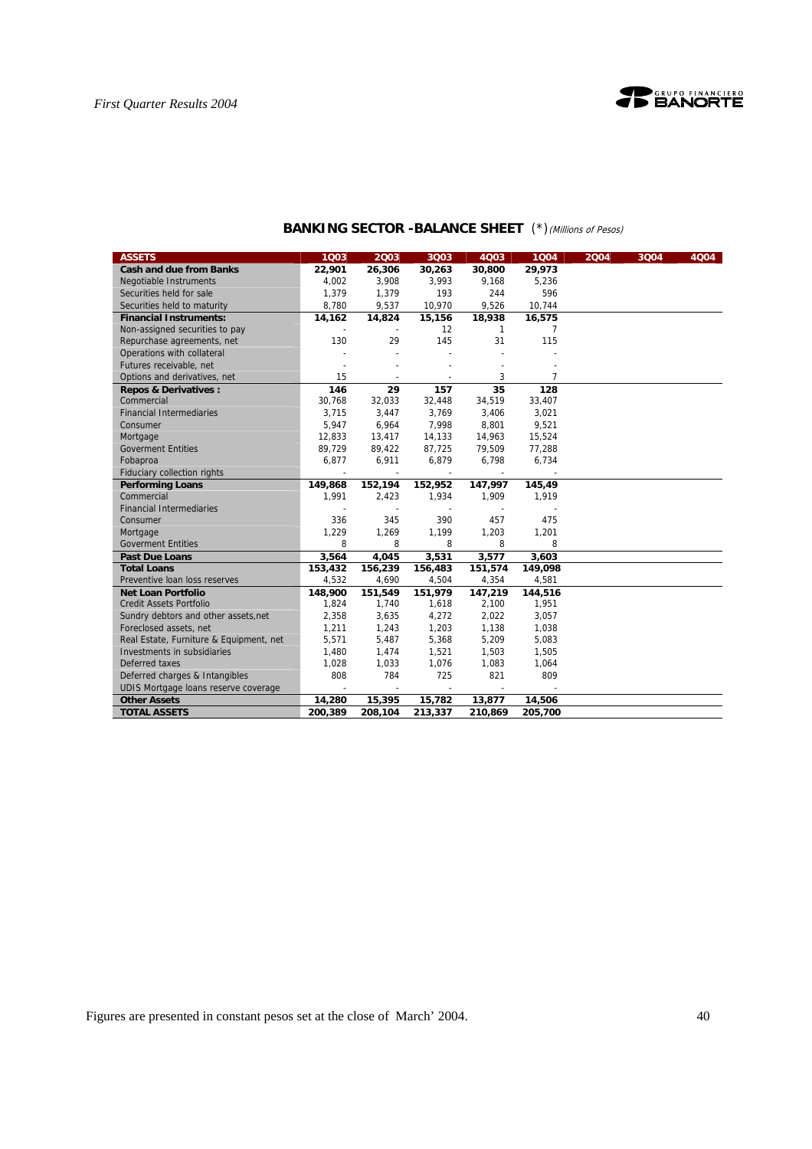

| <b>ASSETS</b>                           | 1003    | 2003            | 3003                     | 4003            | 1Q04    | 2004 | 3Q04 | 4004 |
|-----------------------------------------|---------|-----------------|--------------------------|-----------------|---------|------|------|------|
| <b>Cash and due from Banks</b>          | 22,901  | 26,306          | 30,263                   | 30,800          | 29,973  |      |      |      |
| Negotiable Instruments                  | 4,002   | 3,908           | 3,993                    | 9,168           | 5,236   |      |      |      |
| Securities held for sale                | 1,379   | 1,379           | 193                      | 244             | 596     |      |      |      |
| Securities held to maturity             | 8,780   | 9,537           | 10,970                   | 9,526           | 10,744  |      |      |      |
| <b>Financial Instruments:</b>           | 14,162  | 14,824          | 15,156                   | 18,938          | 16,575  |      |      |      |
| Non-assigned securities to pay          |         |                 | 12                       | $\mathbf{1}$    | 7       |      |      |      |
| Repurchase agreements, net              | 130     | 29              | 145                      | 31              | 115     |      |      |      |
| Operations with collateral              |         |                 |                          |                 |         |      |      |      |
| Futures receivable, net                 |         |                 |                          |                 |         |      |      |      |
| Options and derivatives, net            | 15      |                 |                          | 3               | 7       |      |      |      |
| <b>Repos &amp; Derivatives:</b>         | 146     | $\overline{29}$ | 157                      | $\overline{35}$ | 128     |      |      |      |
| Commercial                              | 30,768  | 32,033          | 32,448                   | 34,519          | 33,407  |      |      |      |
| <b>Financial Intermediaries</b>         | 3,715   | 3,447           | 3,769                    | 3,406           | 3,021   |      |      |      |
| Consumer                                | 5,947   | 6,964           | 7,998                    | 8,801           | 9,521   |      |      |      |
| Mortgage                                | 12,833  | 13,417          | 14,133                   | 14,963          | 15,524  |      |      |      |
| <b>Goverment Entities</b>               | 89,729  | 89,422          | 87,725                   | 79,509          | 77,288  |      |      |      |
| Fobaproa                                | 6,877   | 6,911           | 6,879                    | 6,798           | 6,734   |      |      |      |
| <b>Fiduciary collection rights</b>      |         |                 | $\overline{\phantom{a}}$ |                 |         |      |      |      |
| <b>Performing Loans</b>                 | 149,868 | 152,194         | 152,952                  | 147,997         | 145,49  |      |      |      |
| Commercial                              | 1.991   | 2,423           | 1,934                    | 1,909           | 1,919   |      |      |      |
| <b>Financial Intermediaries</b>         |         |                 |                          |                 |         |      |      |      |
| Consumer                                | 336     | 345             | 390                      | 457             | 475     |      |      |      |
| Mortgage                                | 1,229   | 1,269           | 1,199                    | 1,203           | 1,201   |      |      |      |
| <b>Goverment Entities</b>               | 8       | 8               | 8                        | 8               | 8       |      |      |      |
| <b>Past Due Loans</b>                   | 3,564   | 4,045           | 3,531                    | 3,577           | 3,603   |      |      |      |
| <b>Total Loans</b>                      | 153,432 | 156,239         | 156,483                  | 151,574         | 149,098 |      |      |      |
| Preventive loan loss reserves           | 4,532   | 4,690           | 4,504                    | 4,354           | 4,581   |      |      |      |
| <b>Net Loan Portfolio</b>               | 148,900 | 151,549         | 151,979                  | 147,219         | 144,516 |      |      |      |
| <b>Credit Assets Portfolio</b>          | 1,824   | 1,740           | 1,618                    | 2,100           | 1,951   |      |      |      |
| Sundry debtors and other assets, net    | 2,358   | 3,635           | 4,272                    | 2,022           | 3,057   |      |      |      |
| Foreclosed assets, net                  | 1,211   | 1,243           | 1,203                    | 1,138           | 1,038   |      |      |      |
| Real Estate, Furniture & Equipment, net | 5,571   | 5,487           | 5,368                    | 5,209           | 5,083   |      |      |      |
| Investments in subsidiaries             | 1,480   | 1,474           | 1,521                    | 1,503           | 1,505   |      |      |      |
| Deferred taxes                          | 1,028   | 1,033           | 1,076                    | 1,083           | 1,064   |      |      |      |
| Deferred charges & Intangibles          | 808     | 784             | 725                      | 821             | 809     |      |      |      |
| UDIS Mortgage loans reserve coverage    |         |                 |                          |                 |         |      |      |      |
| <b>Other Assets</b>                     | 14,280  | 15,395          | 15,782                   | 13,877          | 14,506  |      |      |      |
| <b>TOTAL ASSETS</b>                     | 200.389 | 208,104         | 213,337                  | 210,869         | 205,700 |      |      |      |

# **BANKING SECTOR -BALANCE SHEET** (\*)(Millions of Pesos)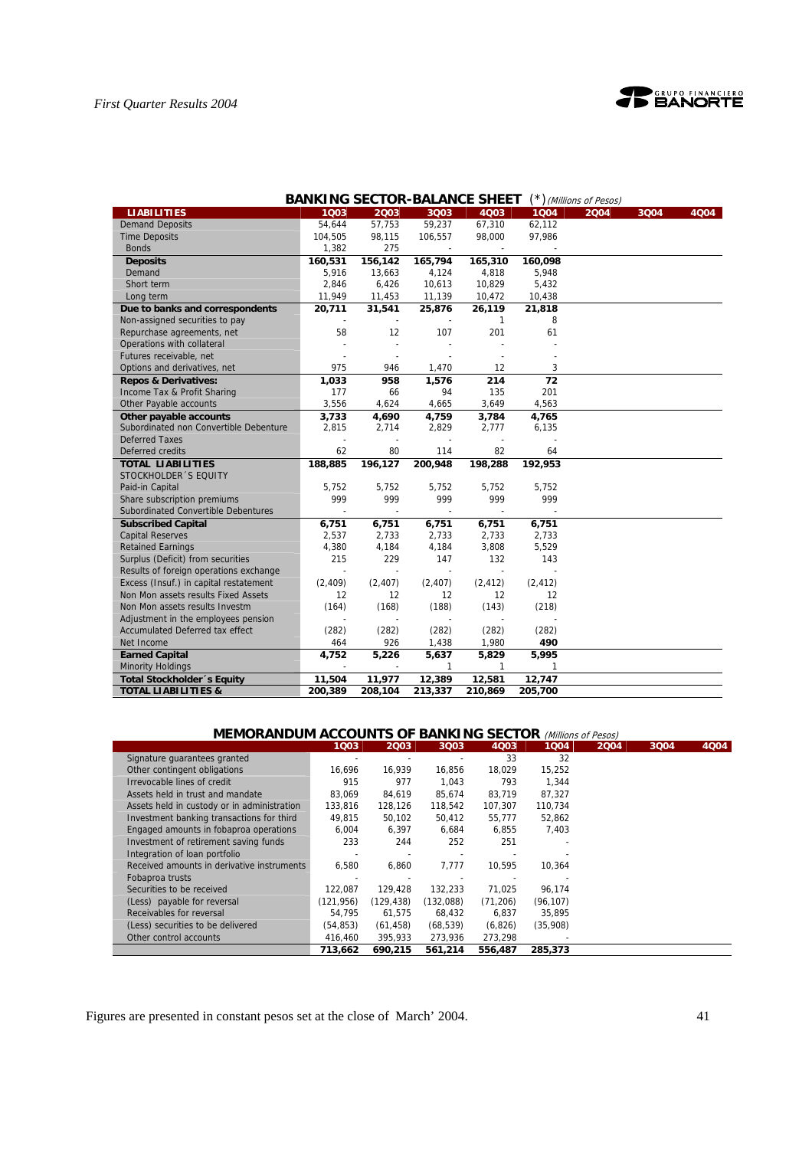

|                                        |          |                |                          | <b>BANKING SECTOR-BALANCE SHEET</b> |              | (*) (Millions of Pesos) |      |      |
|----------------------------------------|----------|----------------|--------------------------|-------------------------------------|--------------|-------------------------|------|------|
| <b>LIABILITIES</b>                     | 1003     | 2003           | 3Q03                     | 4Q03                                | 1004         | 2004                    | 3Q04 | 4Q04 |
| <b>Demand Deposits</b>                 | 54.644   | 57,753         | 59,237                   | 67,310                              | 62,112       |                         |      |      |
| <b>Time Deposits</b>                   | 104,505  | 98,115         | 106,557                  | 98,000                              | 97,986       |                         |      |      |
| <b>Bonds</b>                           | 1,382    | 275            |                          |                                     |              |                         |      |      |
| <b>Deposits</b>                        | 160,531  | 156,142        | 165,794                  | 165,310                             | 160,098      |                         |      |      |
| Demand                                 | 5,916    | 13,663         | 4,124                    | 4,818                               | 5,948        |                         |      |      |
| Short term                             | 2,846    | 6,426          | 10,613                   | 10,829                              | 5,432        |                         |      |      |
| Long term                              | 11,949   | 11,453         | 11,139                   | 10,472                              | 10,438       |                         |      |      |
| Due to banks and correspondents        | 20,711   | 31,541         | 25,876                   | 26,119                              | 21,818       |                         |      |      |
| Non-assigned securities to pay         |          |                |                          | 1                                   | 8            |                         |      |      |
| Repurchase agreements, net             | 58       | 12             | 107                      | 201                                 | 61           |                         |      |      |
| Operations with collateral             |          |                |                          |                                     |              |                         |      |      |
| Futures receivable, net                |          |                |                          |                                     |              |                         |      |      |
| Options and derivatives, net           | 975      | 946            | 1,470                    | 12                                  | 3            |                         |      |      |
| <b>Repos &amp; Derivatives:</b>        | 1,033    | 958            | 1,576                    | 214                                 | 72           |                         |      |      |
| Income Tax & Profit Sharing            | 177      | 66             | 94                       | 135                                 | 201          |                         |      |      |
| Other Payable accounts                 | 3,556    | 4,624          | 4,665                    | 3,649                               | 4,563        |                         |      |      |
| Other payable accounts                 | 3,733    | 4,690          | 4,759                    | 3,784                               | 4,765        |                         |      |      |
| Subordinated non Convertible Debenture | 2,815    | 2.714          | 2,829                    | 2,777                               | 6,135        |                         |      |      |
| <b>Deferred Taxes</b>                  |          |                |                          |                                     |              |                         |      |      |
| Deferred credits                       | 62       | 80             | 114                      | 82                                  | 64           |                         |      |      |
| <b>TOTAL LIABILITIES</b>               | 188,885  | 196,127        | 200,948                  | 198,288                             | 192,953      |                         |      |      |
| STOCKHOLDER 'S EQUITY                  |          |                |                          |                                     |              |                         |      |      |
| Paid-in Capital                        | 5,752    | 5,752          | 5,752                    | 5,752                               | 5,752        |                         |      |      |
| Share subscription premiums            | 999      | 999            | 999                      | 999                                 | 999          |                         |      |      |
| Subordinated Convertible Debentures    |          | $\mathbf{r}$   | $\mathbf{r}$             |                                     |              |                         |      |      |
| <b>Subscribed Capital</b>              | 6,751    | 6,751          | 6,751                    | 6,751                               | 6,751        |                         |      |      |
| <b>Capital Reserves</b>                | 2,537    | 2,733          | 2,733                    | 2,733                               | 2,733        |                         |      |      |
| <b>Retained Earnings</b>               | 4,380    | 4,184          | 4,184                    | 3,808                               | 5,529        |                         |      |      |
| Surplus (Deficit) from securities      | 215      | 229            | 147                      | 132                                 | 143          |                         |      |      |
| Results of foreign operations exchange | ä,       | $\overline{a}$ | $\overline{\phantom{a}}$ | $\overline{\phantom{a}}$            |              |                         |      |      |
| Excess (Insuf.) in capital restatement | (2, 409) | (2, 407)       | (2, 407)                 | (2, 412)                            | (2, 412)     |                         |      |      |
| Non Mon assets results Fixed Assets    | 12       | 12             | $12 \overline{ }$        | 12                                  | 12           |                         |      |      |
| Non Mon assets results Investm         | (164)    | (168)          | (188)                    | (143)                               | (218)        |                         |      |      |
| Adjustment in the employees pension    |          |                |                          |                                     |              |                         |      |      |
| <b>Accumulated Deferred tax effect</b> | (282)    | (282)          | (282)                    | (282)                               | (282)        |                         |      |      |
| Net Income                             | 464      | 926            | 1,438                    | 1,980                               | 490          |                         |      |      |
| <b>Earned Capital</b>                  | 4,752    | 5,226          | 5,637                    | 5,829                               | 5,995        |                         |      |      |
| <b>Minority Holdings</b>               |          |                | $\mathbf{1}$             | $\mathbf{1}$                        | $\mathbf{1}$ |                         |      |      |
| Total Stockholder 's Equity            | 11,504   | 11,977         | 12,389                   | 12,581                              | 12,747       |                         |      |      |
| <b>TOTAL LIABILITIES &amp;</b>         | 200.389  | 208,104        | 213,337                  | 210,869                             | 205,700      |                         |      |      |

# **MEMORANDUM ACCOUNTS OF BANKING SECTOR** (Millions of Pesos)

|                                             | 1003       | 2003       | 3Q03       | 4Q03      | 1004      | 2004 | 3004 | 4004 |
|---------------------------------------------|------------|------------|------------|-----------|-----------|------|------|------|
| Signature quarantees granted                |            |            |            | 33        | 32        |      |      |      |
| Other contingent obligations                | 16.696     | 16.939     | 16.856     | 18,029    | 15,252    |      |      |      |
| Irrevocable lines of credit                 | 915        | 977        | 1,043      | 793       | 1,344     |      |      |      |
| Assets held in trust and mandate            | 83.069     | 84.619     | 85.674     | 83.719    | 87,327    |      |      |      |
| Assets held in custody or in administration | 133,816    | 128,126    | 118,542    | 107,307   | 110,734   |      |      |      |
| Investment banking transactions for third   | 49,815     | 50,102     | 50,412     | 55,777    | 52,862    |      |      |      |
| Engaged amounts in fobaproa operations      | 6,004      | 6,397      | 6,684      | 6,855     | 7,403     |      |      |      |
| Investment of retirement saving funds       | 233        | 244        | 252        | 251       |           |      |      |      |
| Integration of loan portfolio               |            |            |            |           |           |      |      |      |
| Received amounts in derivative instruments  | 6,580      | 6,860      | 7,777      | 10,595    | 10,364    |      |      |      |
| Fobaproa trusts                             |            |            |            |           |           |      |      |      |
| Securities to be received                   | 122.087    | 129,428    | 132,233    | 71,025    | 96,174    |      |      |      |
| (Less) payable for reversal                 | (121, 956) | (129, 438) | (132, 088) | (71, 206) | (96, 107) |      |      |      |
| Receivables for reversal                    | 54,795     | 61.575     | 68.432     | 6.837     | 35.895    |      |      |      |
| (Less) securities to be delivered           | (54.853)   | (61, 458)  | (68, 539)  | (6,826)   | (35,908)  |      |      |      |
| Other control accounts                      | 416,460    | 395,933    | 273,936    | 273,298   |           |      |      |      |
|                                             | 713.662    | 690.215    | 561.214    | 556,487   | 285,373   |      |      |      |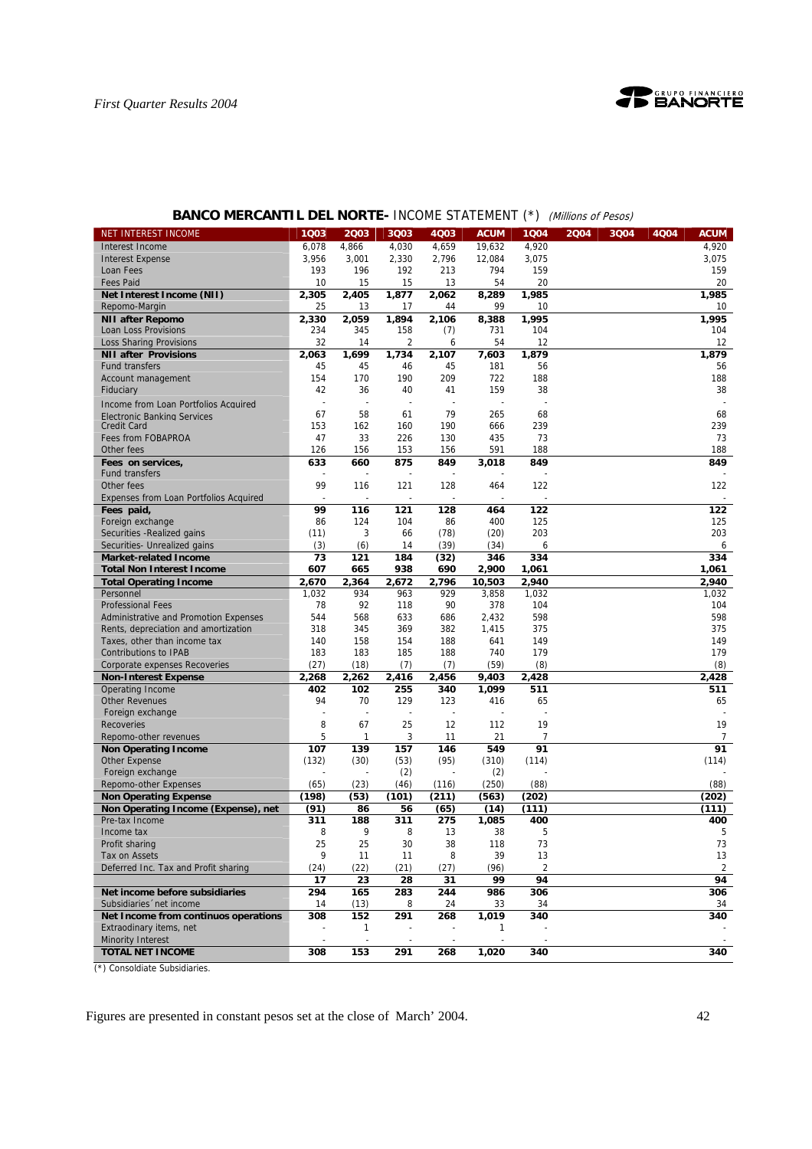

| <b>BANCO MERCANTIL DEL NORTE- INCOME STATEMENT (*)</b> (Millions of Pesos) |  |  |                                              |  |  |
|----------------------------------------------------------------------------|--|--|----------------------------------------------|--|--|
| EREST INCOME                                                               |  |  | 1003 2003 3003 4003 ACUM 1004 2004 3004 4004 |  |  |

| <b>NET INTEREST INCOME</b>             | 1Q03           | 2Q03           | 3Q03  | 4Q03           | <b>ACUM</b> | 1Q04           | 2004 | 3Q04 | 4Q04 | <b>ACUM</b>    |
|----------------------------------------|----------------|----------------|-------|----------------|-------------|----------------|------|------|------|----------------|
| Interest Income                        | 6,078          | 4,866          | 4,030 | 4,659          | 19,632      | 4,920          |      |      |      | 4,920          |
| <b>Interest Expense</b>                | 3,956          | 3,001          | 2,330 | 2,796          | 12,084      | 3,075          |      |      |      | 3,075          |
| Loan Fees                              | 193            | 196            | 192   | 213            | 794         | 159            |      |      |      | 159            |
| <b>Fees Paid</b>                       | 10             | 15             | 15    | 13             | 54          | 20             |      |      |      | 20             |
| Net Interest Income (NII)              | 2,305          | 2,405          | 1,877 | 2,062          | 8,289       | 1,985          |      |      |      | 1,985          |
| Repomo-Margin                          | 25             | 13             | 17    | 44             | 99          | 10             |      |      |      | 10             |
| <b>NII after Repomo</b>                | 2,330          | 2,059          | 1,894 | 2,106          | 8,388       | 1,995          |      |      |      | 1,995          |
| Loan Loss Provisions                   | 234            | 345            | 158   | (7)            | 731         | 104            |      |      |      | 104            |
| <b>Loss Sharing Provisions</b>         | 32             | 14             | 2     | 6              | 54          | 12             |      |      |      | 12             |
| <b>NII after Provisions</b>            | 2,063          | 1,699          | 1,734 | 2,107          | 7,603       | 1,879          |      |      |      | 1,879          |
| Fund transfers                         | 45             | 45             | 46    | 45             | 181         | 56             |      |      |      | 56             |
| Account management                     | 154            | 170            | 190   | 209            | 722         | 188            |      |      |      | 188            |
| Fiduciary                              | 42             | 36             | 40    | 41             | 159         | 38             |      |      |      | 38             |
|                                        |                |                |       |                |             |                |      |      |      |                |
| Income from Loan Portfolios Acquired   | $\overline{a}$ | $\overline{a}$ | ÷,    |                |             |                |      |      |      |                |
| <b>Electronic Banking Services</b>     | 67             | 58             | 61    | 79             | 265         | 68             |      |      |      | 68             |
| <b>Credit Card</b>                     | 153            | 162            | 160   | 190            | 666         | 239            |      |      |      | 239            |
| Fees from FOBAPROA                     | 47             | 33             | 226   | 130            | 435         | 73             |      |      |      | 73             |
| Other fees                             | 126            | 156            | 153   | 156            | 591         | 188            |      |      |      | 188            |
| Fees on services,                      | 633            | 660            | 875   | 849            | 3,018       | 849            |      |      |      | 849            |
| <b>Fund transfers</b>                  |                |                |       |                |             |                |      |      |      |                |
| Other fees                             | 99             | 116            | 121   | 128            | 464         | 122            |      |      |      | 122            |
| Expenses from Loan Portfolios Acquired |                |                |       |                |             |                |      |      |      |                |
| Fees paid,                             | 99             | 116            | 121   | 128            | 464         | 122            |      |      |      | 122            |
| Foreign exchange                       | 86             | 124            | 104   | 86             | 400         | 125            |      |      |      | 125            |
| Securities - Realized gains            | (11)           | 3              | 66    | (78)           | (20)        | 203            |      |      |      | 203            |
| Securities- Unrealized gains           | (3)            | (6)            | 14    | (39)           | (34)        | 6              |      |      |      | 6              |
| <b>Market-related Income</b>           | 73             | 121            | 184   | (32)           | 346         | 334            |      |      |      | 334            |
| <b>Total Non Interest Income</b>       | 607            | 665            | 938   | 690            | 2,900       | 1,061          |      |      |      | 1,061          |
| <b>Total Operating Income</b>          | 2,670          | 2,364          | 2,672 | 2,796          | 10,503      | 2,940          |      |      |      | 2,940          |
| Personnel                              | 1,032          | 934            | 963   | 929            | 3,858       | 1,032          |      |      |      | 1,032          |
| <b>Professional Fees</b>               | 78             | 92             | 118   | 90             | 378         | 104            |      |      |      | 104            |
| Administrative and Promotion Expenses  | 544            | 568            | 633   | 686            | 2,432       | 598            |      |      |      | 598            |
| Rents, depreciation and amortization   | 318            | 345            | 369   | 382            | 1,415       | 375            |      |      |      | 375            |
| Taxes, other than income tax           | 140            | 158            | 154   | 188            | 641         | 149            |      |      |      | 149            |
| <b>Contributions to IPAB</b>           | 183            | 183            | 185   | 188            | 740         | 179            |      |      |      | 179            |
|                                        | (27)           |                |       |                | (59)        | (8)            |      |      |      | (8)            |
| Corporate expenses Recoveries          |                | (18)           | (7)   | (7)            |             |                |      |      |      |                |
| <b>Non-Interest Expense</b>            | 2,268          | 2,262          | 2,416 | 2,456          | 9,403       | 2,428          |      |      |      | 2,428          |
| Operating Income                       | 402            | 102            | 255   | 340            | 1,099       | 511            |      |      |      | 511            |
| <b>Other Revenues</b>                  | 94             | 70             | 129   | 123            | 416         | 65             |      |      |      | 65             |
| Foreign exchange                       | $\sim$         | ÷,             | ÷,    | $\overline{a}$ |             |                |      |      |      |                |
| <b>Recoveries</b>                      | 8              | 67             | 25    | 12             | 112         | 19             |      |      |      | 19             |
| Repomo-other revenues                  | 5              | 1              | 3     | 11             | 21          | $\overline{7}$ |      |      |      | $\overline{7}$ |
| <b>Non Operating Income</b>            | 107            | 139            | 157   | 146            | 549         | 91             |      |      |      | 91             |
| Other Expense                          | (132)          | (30)           | (53)  | (95)           | (310)       | (114)          |      |      |      | (114)          |
| Foreign exchange                       |                |                | (2)   |                | (2)         |                |      |      |      |                |
| Repomo-other Expenses                  | (65)           | (23)           | (46)  | (116)          | (250)       | (88)           |      |      |      | (88)           |
| <b>Non Operating Expense</b>           | (198)          | (53)           | (101) | (211)          | (563)       | (202)          |      |      |      | (202)          |
| Non Operating Income (Expense), net    | (91)           | 86             | 56    | (65)           | (14)        | (111)          |      |      |      | (111)          |
| Pre-tax Income                         | 311            | 188            | 311   | 275            | 1,085       | 400            |      |      |      | 400            |
| Income tax                             | 8              | 9              | 8     | 13             | 38          | 5              |      |      |      | 5              |
| Profit sharing                         | 25             | 25             | 30    | 38             | 118         | 73             |      |      |      | 73             |
| Tax on Assets                          | 9              | 11             | 11    | 8              | 39          | 13             |      |      |      | 13             |
| Deferred Inc. Tax and Profit sharing   | (24)           | (22)           | (21)  | (27)           | (96)        | $\overline{2}$ |      |      |      | $\overline{2}$ |
|                                        | 17             | 23             | 28    | 31             | 99          | 94             |      |      |      | 94             |
| Net income before subsidiaries         | 294            | 165            | 283   | 244            | 986         | 306            |      |      |      | 306            |
| Subsidiaries 'net income               | 14             | (13)           | 8     | 24             | 33          | 34             |      |      |      | 34             |
| Net Income from continuos operations   | 308            | 152            | 291   | 268            | 1,019       | 340            |      |      |      | 340            |
| Extraodinary items, net                |                | 1              |       |                | 1           |                |      |      |      |                |
| <b>Minority Interest</b>               |                |                |       |                |             |                |      |      |      |                |
| <b>TOTAL NET INCOME</b>                |                | 153            |       |                | 1,020       |                |      |      |      | 340            |
|                                        | 308            |                | 291   | 268            |             | 340            |      |      |      |                |

(\*) Consoldiate Subsidiaries.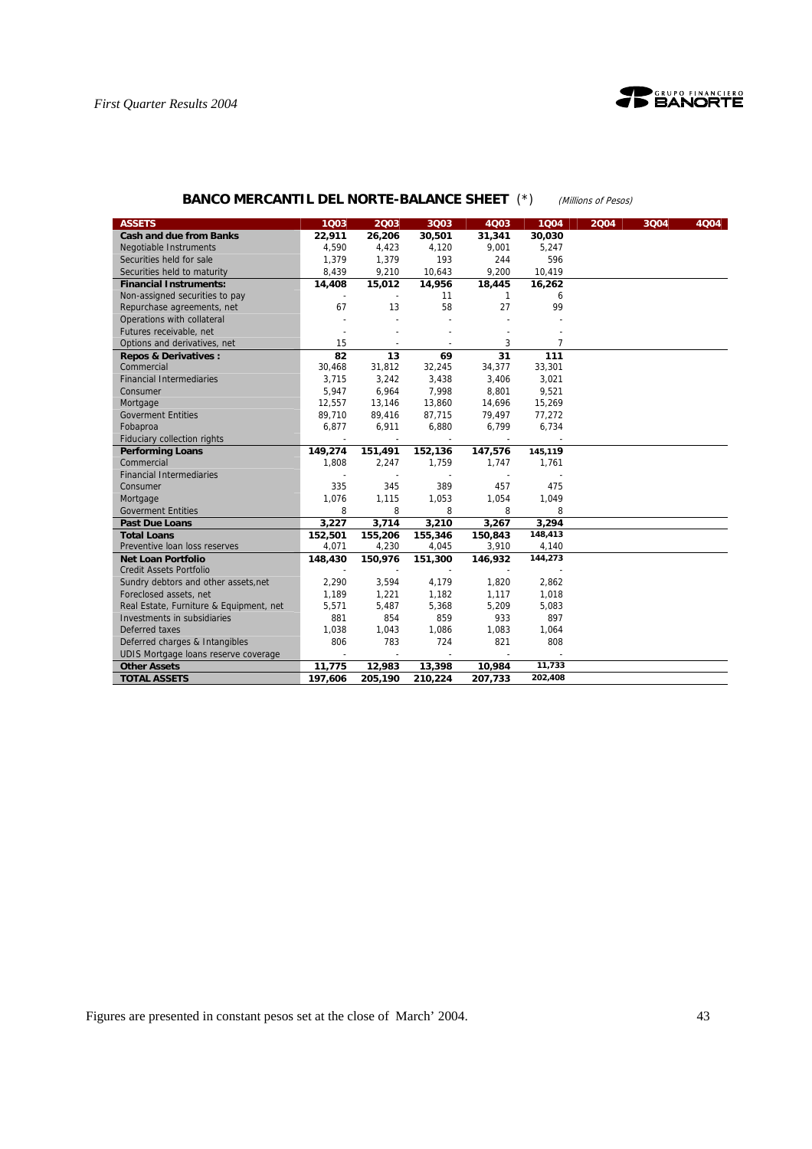



# **BANCO MERCANTIL DEL NORTE-BALANCE SHEET** (\*) (Millions of Pesos)

| <b>ASSETS</b>                           | 1003                     | 2003                     | 3Q03                     | 4Q03                     | 1004    | 2004 | 3004 | 4004 |
|-----------------------------------------|--------------------------|--------------------------|--------------------------|--------------------------|---------|------|------|------|
| <b>Cash and due from Banks</b>          | 22,911                   | 26,206                   | 30,501                   | 31,341                   | 30,030  |      |      |      |
| <b>Negotiable Instruments</b>           | 4,590                    | 4,423                    | 4,120                    | 9,001                    | 5,247   |      |      |      |
| Securities held for sale                | 1,379                    | 1,379                    | 193                      | 244                      | 596     |      |      |      |
| Securities held to maturity             | 8,439                    | 9,210                    | 10,643                   | 9,200                    | 10,419  |      |      |      |
| <b>Financial Instruments:</b>           | 14,408                   | 15,012                   | 14,956                   | 18,445                   | 16,262  |      |      |      |
| Non-assigned securities to pay          |                          |                          | 11                       | $\mathbf{1}$             | 6       |      |      |      |
| Repurchase agreements, net              | 67                       | 13                       | 58                       | 27                       | 99      |      |      |      |
| Operations with collateral              |                          |                          |                          |                          |         |      |      |      |
| Futures receivable, net                 |                          |                          |                          |                          |         |      |      |      |
| Options and derivatives, net            | 15                       |                          |                          | 3                        | 7       |      |      |      |
| <b>Repos &amp; Derivatives:</b>         | 82                       | 13                       | 69                       | 31                       | 111     |      |      |      |
| Commercial                              | 30,468                   | 31,812                   | 32,245                   | 34,377                   | 33,301  |      |      |      |
| <b>Financial Intermediaries</b>         | 3,715                    | 3,242                    | 3,438                    | 3,406                    | 3,021   |      |      |      |
| Consumer                                | 5,947                    | 6,964                    | 7,998                    | 8,801                    | 9,521   |      |      |      |
| Mortgage                                | 12,557                   | 13,146                   | 13,860                   | 14,696                   | 15,269  |      |      |      |
| <b>Goverment Entities</b>               | 89,710                   | 89,416                   | 87,715                   | 79,497                   | 77,272  |      |      |      |
| Fobaproa                                | 6,877                    | 6,911                    | 6,880                    | 6,799                    | 6,734   |      |      |      |
| <b>Fiduciary collection rights</b>      | $\overline{\phantom{a}}$ | $\overline{\phantom{a}}$ | $\overline{\phantom{a}}$ | $\overline{\phantom{a}}$ |         |      |      |      |
| <b>Performing Loans</b>                 | 149,274                  | 151,491                  | 152,136                  | 147,576                  | 145,119 |      |      |      |
| Commercial                              | 1.808                    | 2,247                    | 1,759                    | 1,747                    | 1,761   |      |      |      |
| <b>Financial Intermediaries</b>         |                          |                          |                          |                          |         |      |      |      |
| Consumer                                | 335                      | 345                      | 389                      | 457                      | 475     |      |      |      |
| Mortgage                                | 1,076                    | 1,115                    | 1,053                    | 1,054                    | 1,049   |      |      |      |
| <b>Goverment Entities</b>               | 8                        | 8                        | 8                        | 8                        | 8       |      |      |      |
| <b>Past Due Loans</b>                   | 3,227                    | 3,714                    | 3,210                    | 3,267                    | 3,294   |      |      |      |
| <b>Total Loans</b>                      | 152,501                  | 155,206                  | 155,346                  | 150,843                  | 148,413 |      |      |      |
| Preventive Ioan loss reserves           | 4,071                    | 4,230                    | 4,045                    | 3,910                    | 4,140   |      |      |      |
| <b>Net Loan Portfolio</b>               | 148,430                  | 150,976                  | 151,300                  | 146,932                  | 144,273 |      |      |      |
| <b>Credit Assets Portfolio</b>          | ÷,                       |                          | ä,                       | ÷,                       |         |      |      |      |
| Sundry debtors and other assets, net    | 2,290                    | 3,594                    | 4,179                    | 1,820                    | 2,862   |      |      |      |
| Foreclosed assets, net                  | 1,189                    | 1,221                    | 1,182                    | 1,117                    | 1,018   |      |      |      |
| Real Estate, Furniture & Equipment, net | 5,571                    | 5,487                    | 5,368                    | 5,209                    | 5,083   |      |      |      |
| Investments in subsidiaries             | 881                      | 854                      | 859                      | 933                      | 897     |      |      |      |
| Deferred taxes                          | 1,038                    | 1,043                    | 1,086                    | 1,083                    | 1,064   |      |      |      |
| Deferred charges & Intangibles          | 806                      | 783                      | 724                      | 821                      | 808     |      |      |      |
| UDIS Mortgage loans reserve coverage    |                          |                          |                          |                          |         |      |      |      |
| <b>Other Assets</b>                     | 11,775                   | 12,983                   | 13,398                   | 10,984                   | 11,733  |      |      |      |
| <b>TOTAL ASSETS</b>                     | 197,606                  | 205,190                  | 210,224                  | 207,733                  | 202,408 |      |      |      |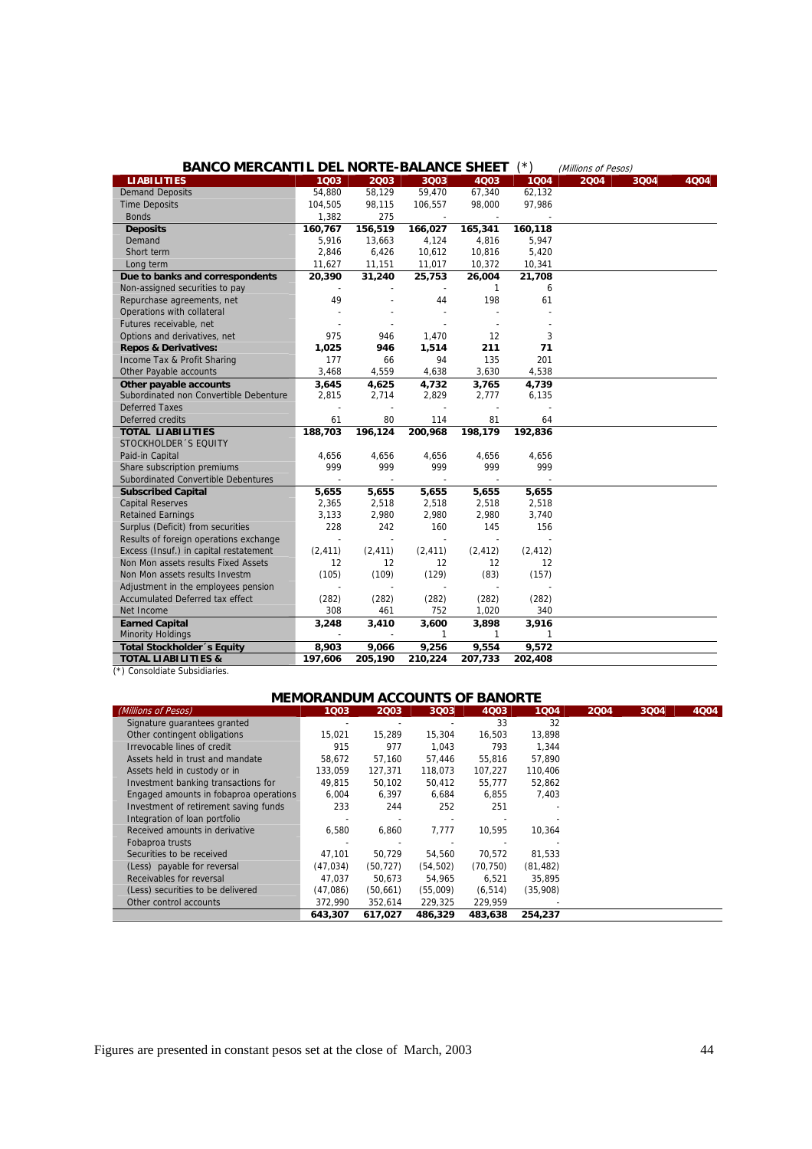| <b>BANCO MERCANTIL DEL NORTE-BALANCE SHEET</b>                |                          |                          |                          |                          | (*)          | (Millions of Pesos) |      |      |
|---------------------------------------------------------------|--------------------------|--------------------------|--------------------------|--------------------------|--------------|---------------------|------|------|
| <b>LIABILITIES</b>                                            | 1003                     | 2003                     | 3Q03                     | 4003                     | 1004         | 2004                | 3004 | 4004 |
| <b>Demand Deposits</b>                                        | 54,880                   | 58,129                   | 59,470                   | 67,340                   | 62,132       |                     |      |      |
| <b>Time Deposits</b>                                          | 104,505                  | 98,115                   | 106,557                  | 98,000                   | 97,986       |                     |      |      |
| <b>Bonds</b>                                                  | 1,382                    | 275                      | $\overline{\phantom{a}}$ | $\overline{\phantom{a}}$ |              |                     |      |      |
| <b>Deposits</b>                                               | 160,767                  | 156,519                  | 166,027                  | 165,341                  | 160,118      |                     |      |      |
| Demand                                                        | 5,916                    | 13,663                   | 4,124                    | 4,816                    | 5,947        |                     |      |      |
| Short term                                                    | 2,846                    | 6,426                    | 10,612                   | 10,816                   | 5,420        |                     |      |      |
| Long term                                                     | 11,627                   | 11,151                   | 11,017                   | 10,372                   | 10,341       |                     |      |      |
| Due to banks and correspondents                               | 20,390                   | 31,240                   | 25,753                   | 26,004                   | 21,708       |                     |      |      |
| Non-assigned securities to pay                                |                          |                          |                          | $\mathbf{1}$             | 6            |                     |      |      |
| Repurchase agreements, net                                    | 49                       |                          | 44                       | 198                      | 61           |                     |      |      |
| Operations with collateral                                    |                          |                          |                          |                          |              |                     |      |      |
| Futures receivable, net                                       |                          |                          |                          |                          |              |                     |      |      |
| Options and derivatives, net                                  | 975                      | 946                      | 1,470                    | 12                       | 3            |                     |      |      |
| <b>Repos &amp; Derivatives:</b>                               | 1,025                    | 946                      | 1,514                    | 211                      | 71           |                     |      |      |
| Income Tax & Profit Sharing                                   | 177                      | 66                       | 94                       | 135                      | 201          |                     |      |      |
| Other Payable accounts                                        | 3,468                    | 4,559                    | 4,638                    | 3,630                    | 4,538        |                     |      |      |
| Other payable accounts                                        | 3,645                    | 4,625                    | 4,732                    | 3,765                    | 4,739        |                     |      |      |
| Subordinated non Convertible Debenture                        | 2,815                    | 2,714                    | 2,829                    | 2,777                    | 6,135        |                     |      |      |
| <b>Deferred Taxes</b>                                         |                          |                          |                          | $\overline{a}$           |              |                     |      |      |
| Deferred credits                                              | 61                       | 80                       | 114                      | 81                       | 64           |                     |      |      |
| <b>TOTAL LIABILITIES</b>                                      | 188,703                  | 196,124                  | 200,968                  | 198,179                  | 192,836      |                     |      |      |
| STOCKHOLDER 'S EQUITY                                         |                          |                          |                          |                          |              |                     |      |      |
| Paid-in Capital                                               | 4,656                    | 4,656                    | 4,656                    | 4,656                    | 4,656        |                     |      |      |
| Share subscription premiums                                   | 999                      | 999                      | 999                      | 999                      | 999          |                     |      |      |
| Subordinated Convertible Debentures                           |                          |                          |                          |                          |              |                     |      |      |
| <b>Subscribed Capital</b>                                     | 5,655                    | 5,655                    | 5,655                    | 5,655                    | 5,655        |                     |      |      |
| <b>Capital Reserves</b>                                       | 2,365                    | 2,518                    | 2,518                    | 2,518                    | 2,518        |                     |      |      |
| <b>Retained Earnings</b>                                      | 3,133                    | 2,980                    | 2,980                    | 2,980                    | 3,740        |                     |      |      |
| Surplus (Deficit) from securities                             | 228                      | 242                      | 160                      | 145                      | 156          |                     |      |      |
| Results of foreign operations exchange                        | $\overline{\phantom{a}}$ | $\overline{a}$           | $\overline{\phantom{a}}$ | $\sim$                   |              |                     |      |      |
| Excess (Insuf.) in capital restatement                        | (2, 411)                 | (2, 411)                 | (2, 411)                 | (2, 412)                 | (2, 412)     |                     |      |      |
| Non Mon assets results Fixed Assets                           | 12                       | 12                       | 12                       | 12                       | 12           |                     |      |      |
| Non Mon assets results Investm                                | (105)                    | (109)                    | (129)                    | (83)                     | (157)        |                     |      |      |
| Adjustment in the employees pension                           |                          |                          | $\sim$                   |                          |              |                     |      |      |
| Accumulated Deferred tax effect                               | (282)                    | (282)                    | (282)                    | (282)                    | (282)        |                     |      |      |
| Net Income                                                    | 308                      | 461                      | 752                      | 1,020                    | 340          |                     |      |      |
| <b>Earned Capital</b>                                         | 3,248                    | 3,410                    | 3,600                    | 3,898                    | 3,916        |                     |      |      |
| <b>Minority Holdings</b>                                      |                          | $\overline{\phantom{a}}$ | $\mathbf{1}$             | $\mathbf{1}$             | $\mathbf{1}$ |                     |      |      |
| <b>Total Stockholder</b> 's Equity                            | 8,903                    | 9,066                    | 9,256                    | 9,554                    | 9,572        |                     |      |      |
| <b>TOTAL LIABILITIES &amp;</b><br>*) Concoldinto Cubeidiorice | 197,606                  | 205,190                  | 210,224                  | 207,733                  | 202,408      |                     |      |      |

|  | (*) Consoldiate Subsidiaries. |
|--|-------------------------------|

| <b>MEMORANDUM ACCOUNTS OF BANORTE</b>  |          |           |          |           |           |      |      |      |
|----------------------------------------|----------|-----------|----------|-----------|-----------|------|------|------|
| (Millions of Pesos)                    | 1003     | 2003      | 3003     | 4Q03      | 1004      | 2004 | 3Q04 | 4Q04 |
| Signature guarantees granted           |          |           |          | 33        | 32        |      |      |      |
| Other contingent obligations           | 15,021   | 15,289    | 15,304   | 16,503    | 13,898    |      |      |      |
| Irrevocable lines of credit            | 915      | 977       | 1.043    | 793       | 1.344     |      |      |      |
| Assets held in trust and mandate       | 58,672   | 57,160    | 57.446   | 55,816    | 57,890    |      |      |      |
| Assets held in custody or in           | 133,059  | 127,371   | 118,073  | 107,227   | 110,406   |      |      |      |
| Investment banking transactions for    | 49.815   | 50,102    | 50.412   | 55,777    | 52,862    |      |      |      |
| Engaged amounts in fobaproa operations | 6,004    | 6,397     | 6,684    | 6,855     | 7,403     |      |      |      |
| Investment of retirement saving funds  | 233      | 244       | 252      | 251       |           |      |      |      |
| Integration of loan portfolio          |          |           |          |           |           |      |      |      |
| Received amounts in derivative         | 6,580    | 6,860     | 7.777    | 10.595    | 10,364    |      |      |      |
| Fobaproa trusts                        |          |           |          |           |           |      |      |      |
| Securities to be received              | 47,101   | 50.729    | 54.560   | 70.572    | 81,533    |      |      |      |
| (Less) payable for reversal            | (47,034) | (50, 727) | (54,502) | (70, 750) | (81, 482) |      |      |      |
| Receivables for reversal               | 47,037   | 50,673    | 54.965   | 6,521     | 35,895    |      |      |      |
| (Less) securities to be delivered      | (47,086) | (50,661)  | (55,009) | (6, 514)  | (35,908)  |      |      |      |
| Other control accounts                 | 372,990  | 352,614   | 229,325  | 229,959   |           |      |      |      |
|                                        | 643,307  | 617.027   | 486,329  | 483.638   | 254,237   |      |      |      |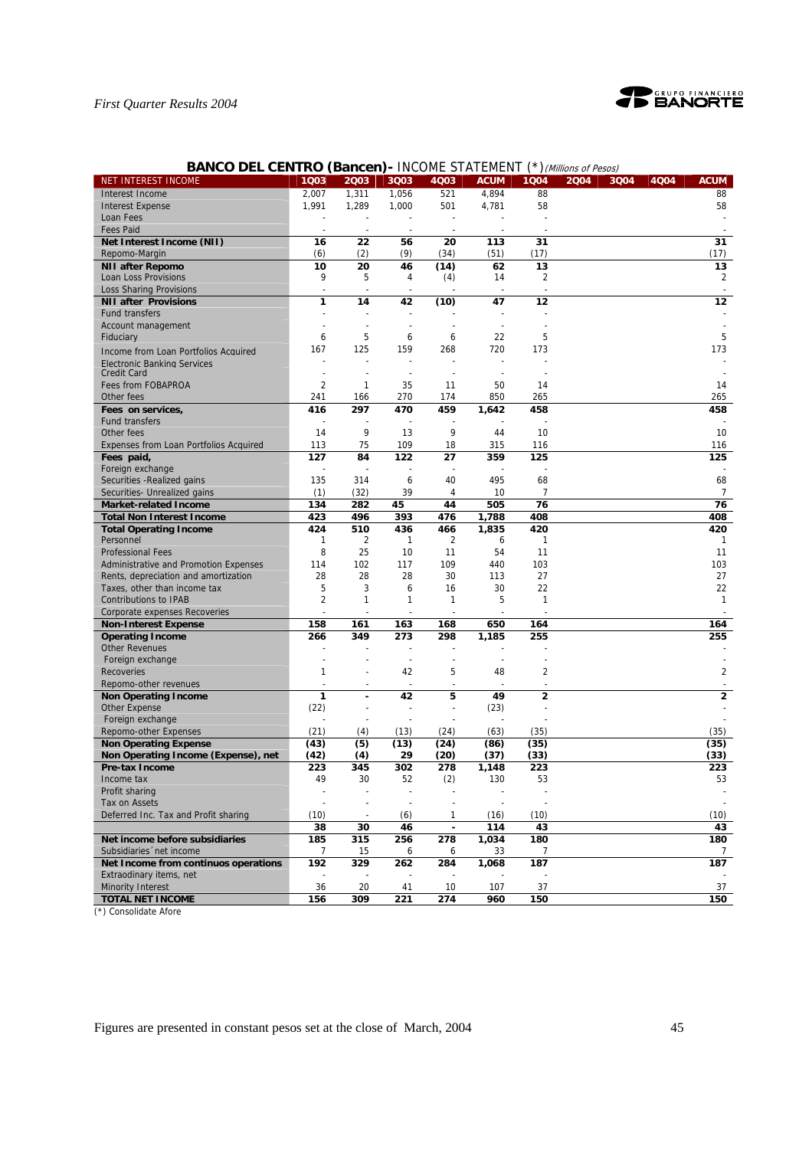

# **BANCO DEL CENTRO (Bancen) - INCOME STATEMENT (\*) (Millions of Pesos)**

| NET INTEREST INCOME                           | 1Q03           | 2003                     | 3Q03                     | 4Q03                     | <b>ACUM</b>    | 1Q04                    | 2004 | 3Q04 | 4Q04 | <b>ACUM</b>    |
|-----------------------------------------------|----------------|--------------------------|--------------------------|--------------------------|----------------|-------------------------|------|------|------|----------------|
| Interest Income                               | 2,007          | 1,311                    | 1,056                    | 521                      | 4,894          | 88                      |      |      |      | 88             |
| <b>Interest Expense</b>                       | 1,991          | 1,289                    | 1,000                    | 501                      | 4,781          | 58                      |      |      |      | 58             |
| Loan Fees                                     |                |                          |                          |                          |                |                         |      |      |      |                |
| <b>Fees Paid</b>                              |                | $\overline{\phantom{a}}$ | $\blacksquare$           |                          |                |                         |      |      |      |                |
| Net Interest Income (NII)                     | 16             | 22                       | 56                       | 20                       | 113            | 31                      |      |      |      | 31             |
| Repomo-Margin                                 | (6)            | (2)                      | (9)                      | (34)                     | (51)           | (17)                    |      |      |      | (17)           |
| <b>NII after Repomo</b>                       | 10             | 20                       | 46                       | (14)                     | 62             | 13                      |      |      |      | 13             |
| Loan Loss Provisions                          | 9              | 5                        | 4                        | (4)                      | 14             | 2                       |      |      |      | $\overline{2}$ |
| <b>Loss Sharing Provisions</b>                | $\overline{a}$ |                          |                          |                          |                |                         |      |      |      |                |
| <b>NII after Provisions</b>                   | 1              | 14                       | 42                       | (10)                     | 47             | 12                      |      |      |      | 12             |
| Fund transfers                                |                |                          |                          |                          |                |                         |      |      |      |                |
| Account management                            |                |                          |                          |                          |                |                         |      |      |      |                |
| Fiduciary                                     | 6              | 5                        | 6                        | 6                        | 22             | 5                       |      |      |      | 5              |
| Income from Loan Portfolios Acquired          | 167            | 125                      | 159                      | 268                      | 720            | 173                     |      |      |      | 173            |
| <b>Electronic Banking Services</b>            |                |                          |                          |                          |                |                         |      |      |      |                |
| <b>Credit Card</b>                            |                |                          | $\overline{\phantom{a}}$ |                          |                |                         |      |      |      |                |
| Fees from FOBAPROA                            | $\overline{2}$ | 1                        | 35                       | 11                       | 50             | 14                      |      |      |      | 14             |
| Other fees                                    | 241            | 166                      | 270                      | 174                      | 850            | 265                     |      |      |      | 265            |
| Fees on services,                             | 416            | 297                      | 470                      | 459                      | 1,642          | 458                     |      |      |      | 458            |
| <b>Fund transfers</b>                         |                |                          |                          |                          |                |                         |      |      |      |                |
| Other fees                                    | 14             | 9                        | 13                       | 9                        | 44             | 10                      |      |      |      | 10             |
| <b>Expenses from Loan Portfolios Acquired</b> | 113            | 75                       | 109                      | 18                       | 315            | 116                     |      |      |      | 116            |
| Fees paid,                                    | 127            | 84                       | 122                      | 27                       | 359            | 125                     |      |      |      | 125            |
| Foreign exchange                              |                |                          |                          |                          |                |                         |      |      |      |                |
| Securities - Realized gains                   | 135            | 314                      | 6                        | 40                       | 495            | 68                      |      |      |      | 68             |
| Securities- Unrealized gains                  | (1)            | (32)                     | 39                       | 4                        | 10             | 7                       |      |      |      | $\overline{7}$ |
| <b>Market-related Income</b>                  | 134            | 282                      | 45                       | 44                       | 505            | 76                      |      |      |      | 76             |
| <b>Total Non Interest Income</b>              | 423            | 496                      | 393                      | 476                      | 1,788          | 408                     |      |      |      | 408            |
| <b>Total Operating Income</b>                 | 424            | 510                      | 436                      | 466                      | 1,835          | 420                     |      |      |      | 420            |
| Personnel                                     | 1              | 2                        | 1                        | 2                        | 6              | $\mathbf{1}$            |      |      |      | 1              |
| <b>Professional Fees</b>                      | 8              | 25                       | 10                       | 11                       | 54             | 11                      |      |      |      | 11             |
| Administrative and Promotion Expenses         | 114            | 102                      | 117                      | 109                      | 440            | 103                     |      |      |      | 103            |
| Rents, depreciation and amortization          | 28             | 28                       | 28                       | 30                       | 113            | 27                      |      |      |      | 27             |
| Taxes, other than income tax                  | 5              | 3                        | 6                        | 16                       | 30             | 22                      |      |      |      | 22             |
| <b>Contributions to IPAB</b>                  | 2              | 1                        | 1                        | 1                        | 5              | $\mathbf{1}$            |      |      |      | $\mathbf{1}$   |
| Corporate expenses Recoveries                 |                |                          |                          |                          |                |                         |      |      |      |                |
| <b>Non-Interest Expense</b>                   | 158            | 161                      | 163                      | 168                      | 650            | 164                     |      |      |      | 164            |
| <b>Operating Income</b>                       | 266            | 349                      | 273                      | 298                      | 1,185          | 255                     |      |      |      | 255            |
| <b>Other Revenues</b>                         |                |                          |                          |                          |                |                         |      |      |      |                |
| Foreign exchange                              |                |                          | $\frac{1}{2}$            | $\sim$                   | $\blacksquare$ |                         |      |      |      |                |
| <b>Recoveries</b>                             | 1              |                          | 42                       | 5                        | 48             | 2                       |      |      |      | $\overline{2}$ |
| Repomo-other revenues                         |                | $\overline{a}$           | $\frac{1}{2}$            | $\sim$                   |                |                         |      |      |      |                |
| <b>Non Operating Income</b>                   | $\mathbf{1}$   |                          | 42                       | 5                        | 49             | $\overline{\mathbf{c}}$ |      |      |      | $\mathbf{2}$   |
| Other Expense                                 | (22)           | ÷,                       |                          | $\overline{\phantom{a}}$ | (23)           |                         |      |      |      |                |
| Foreign exchange                              |                |                          |                          |                          |                |                         |      |      |      |                |
| Repomo-other Expenses                         | (21)           | (4)                      | (13)                     | (24)                     | (63)           | (35)                    |      |      |      | (35)           |
| <b>Non Operating Expense</b>                  | (43)           | (5)                      | (13)                     | (24)                     | (86)           | (35)                    |      |      |      | (35)           |
| Non Operating Income (Expense), net           | (42)           | (4)                      | 29                       | (20)                     | (37)           | (33)                    |      |      |      | (33)           |
| Pre-tax Income                                | 223            | 345                      | 302                      | 278                      | 1,148          | 223                     |      |      |      | 223            |
| Income tax                                    | 49             | 30                       | 52                       | (2)                      | 130            | 53                      |      |      |      | 53             |
| Profit sharing                                |                |                          |                          |                          |                |                         |      |      |      |                |
| Tax on Assets                                 |                |                          |                          |                          |                |                         |      |      |      |                |
| Deferred Inc. Tax and Profit sharing          | (10)           |                          | (6)                      | 1                        | (16)           | (10)                    |      |      |      | (10)           |
|                                               | 38             | 30                       | 46                       | $\blacksquare$           | 114            | 43                      |      |      |      | 43             |
| Net income before subsidiaries                | 185            | 315                      | 256                      | 278                      | 1,034          | 180                     |      |      |      | 180            |
| Subsidiaries net income                       | 7              | 15                       | 6                        | 6                        | 33             | 7                       |      |      |      |                |
| Net Income from continuos operations          | 192            | 329                      | 262                      | 284                      | 1,068          | 187                     |      |      |      | 187            |
| Extraodinary items, net                       |                |                          |                          |                          |                |                         |      |      |      |                |
| <b>Minority Interest</b>                      | 36             | 20                       | 41                       | 10                       | 107            | 37                      |      |      |      | 37             |
| <b>TOTAL NET INCOME</b>                       | 156            | 309                      | 221                      | 274                      | 960            | 150                     |      |      |      | 150            |

(\*) Consolidate Afore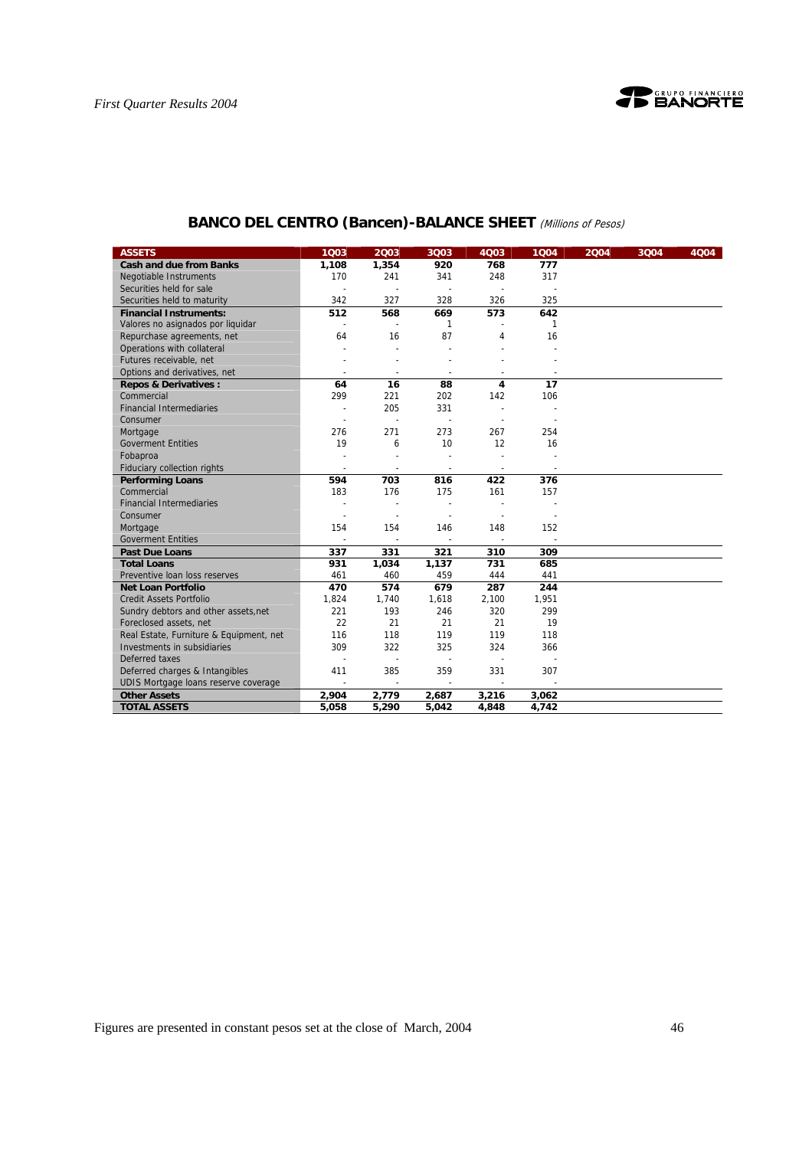

| <b>ASSETS</b>                           | 1003                     | 2003                     | 3Q03                     | 4Q03                     | 1004                     | 2004 | 3Q04 | 4Q04 |
|-----------------------------------------|--------------------------|--------------------------|--------------------------|--------------------------|--------------------------|------|------|------|
| <b>Cash and due from Banks</b>          | 1,108                    | 1,354                    | 920                      | 768                      | 777                      |      |      |      |
| <b>Negotiable Instruments</b>           | 170                      | 241                      | 341                      | 248                      | 317                      |      |      |      |
| Securities held for sale                |                          |                          |                          |                          |                          |      |      |      |
| Securities held to maturity             | 342                      | 327                      | 328                      | 326                      | 325                      |      |      |      |
| <b>Financial Instruments:</b>           | 512                      | 568                      | 669                      | 573                      | 642                      |      |      |      |
| Valores no asignados por liquidar       |                          |                          | 1                        |                          | 1                        |      |      |      |
| Repurchase agreements, net              | 64                       | 16                       | 87                       | 4                        | 16                       |      |      |      |
| Operations with collateral              |                          |                          |                          |                          |                          |      |      |      |
| Futures receivable, net                 |                          |                          |                          |                          |                          |      |      |      |
| Options and derivatives, net            |                          | $\sim$                   | $\sim$                   |                          |                          |      |      |      |
| <b>Repos &amp; Derivatives:</b>         | 64                       | 16                       | 88                       | 4                        | 17                       |      |      |      |
| Commercial                              | 299                      | 221                      | 202                      | 142                      | 106                      |      |      |      |
| <b>Financial Intermediaries</b>         | $\sim$                   | 205                      | 331                      |                          |                          |      |      |      |
| Consumer                                | $\overline{a}$           |                          | $\overline{\phantom{a}}$ |                          |                          |      |      |      |
| Mortgage                                | 276                      | 271                      | 273                      | 267                      | 254                      |      |      |      |
| <b>Goverment Entities</b>               | 19                       | 6                        | 10                       | 12                       | 16                       |      |      |      |
| Fobaproa                                |                          | $\overline{a}$           | $\overline{a}$           |                          |                          |      |      |      |
| Fiduciary collection rights             | $\overline{\phantom{a}}$ | $\overline{\phantom{a}}$ | $\overline{\phantom{a}}$ | $\overline{\phantom{a}}$ | $\overline{\phantom{a}}$ |      |      |      |
| <b>Performing Loans</b>                 | 594                      | 703                      | 816                      | 422                      | 376                      |      |      |      |
| Commercial                              | 183                      | 176                      | 175                      | 161                      | 157                      |      |      |      |
| <b>Financial Intermediaries</b>         |                          |                          |                          |                          |                          |      |      |      |
| Consumer                                | $\overline{a}$           | $\overline{a}$           |                          | $\overline{a}$           |                          |      |      |      |
| Mortgage                                | 154                      | 154                      | 146                      | 148                      | 152                      |      |      |      |
| <b>Goverment Entities</b>               |                          |                          |                          |                          |                          |      |      |      |
| <b>Past Due Loans</b>                   | 337                      | 331                      | 321                      | 310                      | 309                      |      |      |      |
| <b>Total Loans</b>                      | 931                      | 1,034                    | 1,137                    | 731                      | 685                      |      |      |      |
| Preventive loan loss reserves           | 461                      | 460                      | 459                      | 444                      | 441                      |      |      |      |
| <b>Net Loan Portfolio</b>               | 470                      | 574                      | 679                      | 287                      | 244                      |      |      |      |
| <b>Credit Assets Portfolio</b>          | 1.824                    | 1,740                    | 1,618                    | 2,100                    | 1,951                    |      |      |      |
| Sundry debtors and other assets, net    | 221                      | 193                      | 246                      | 320                      | 299                      |      |      |      |
| Foreclosed assets, net                  | 22                       | 21                       | 21                       | 21                       | 19                       |      |      |      |
| Real Estate, Furniture & Equipment, net | 116                      | 118                      | 119                      | 119                      | 118                      |      |      |      |
| Investments in subsidiaries             | 309                      | 322                      | 325                      | 324                      | 366                      |      |      |      |
| Deferred taxes                          |                          | $\overline{a}$           | $\sim$                   | $\overline{\phantom{a}}$ |                          |      |      |      |
| Deferred charges & Intangibles          | 411                      | 385                      | 359                      | 331                      | 307                      |      |      |      |
| UDIS Mortgage loans reserve coverage    | $\blacksquare$           | $\overline{\phantom{a}}$ | $\sim$                   |                          |                          |      |      |      |
| <b>Other Assets</b>                     | 2,904                    | 2,779                    | 2,687                    | 3,216                    | 3,062                    |      |      |      |
| <b>TOTAL ASSETS</b>                     | 5,058                    | 5,290                    | 5,042                    | 4,848                    | 4,742                    |      |      |      |

# **BANCO DEL CENTRO (Bancen)-BALANCE SHEET** (Millions of Pesos)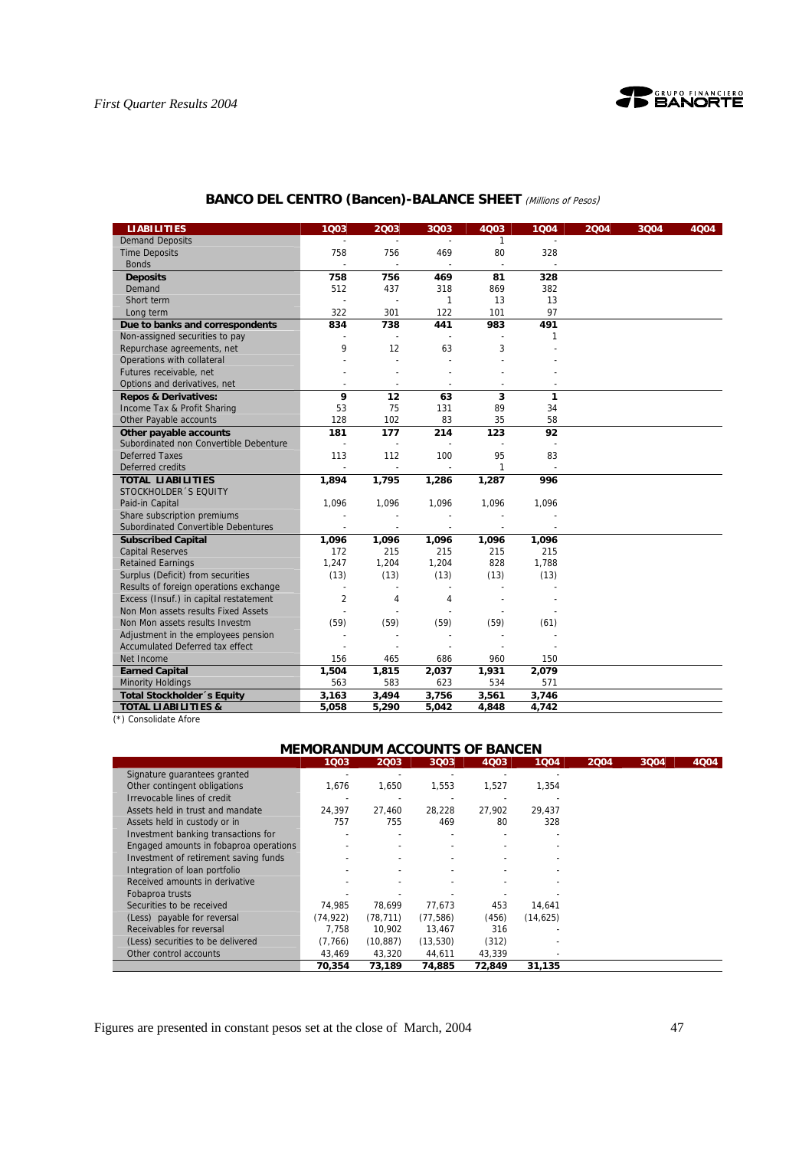

# **BANCO DEL CENTRO (Bancen)-BALANCE SHEET** (Millions of Pesos)

| <b>LIABILITIES</b>                     | 1Q03           | 2003           | 3Q03                     | 4Q03         | 1Q04  | 2004 | 3Q04 | 4Q04 |
|----------------------------------------|----------------|----------------|--------------------------|--------------|-------|------|------|------|
| <b>Demand Deposits</b>                 |                |                |                          | $\mathbf{1}$ |       |      |      |      |
| <b>Time Deposits</b>                   | 758            | 756            | 469                      | 80           | 328   |      |      |      |
| <b>Bonds</b>                           |                |                |                          |              |       |      |      |      |
| <b>Deposits</b>                        | 758            | 756            | 469                      | 81           | 328   |      |      |      |
| Demand                                 | 512            | 437            | 318                      | 869          | 382   |      |      |      |
| Short term                             |                |                | 1                        | 13           | 13    |      |      |      |
| Long term                              | 322            | 301            | 122                      | 101          | 97    |      |      |      |
| Due to banks and correspondents        | 834            | 738            | 441                      | 983          | 491   |      |      |      |
| Non-assigned securities to pay         |                |                |                          |              | 1     |      |      |      |
| Repurchase agreements, net             | 9              | 12             | 63                       | 3            |       |      |      |      |
| Operations with collateral             |                |                |                          |              |       |      |      |      |
| Futures receivable, net                |                |                |                          |              |       |      |      |      |
| Options and derivatives, net           |                |                |                          |              |       |      |      |      |
| <b>Repos &amp; Derivatives:</b>        | 9              | 12             | 63                       | 3            | 1     |      |      |      |
| Income Tax & Profit Sharing            | 53             | 75             | 131                      | 89           | 34    |      |      |      |
| Other Payable accounts                 | 128            | 102            | 83                       | 35           | 58    |      |      |      |
| Other payable accounts                 | 181            | 177            | 214                      | 123          | 92    |      |      |      |
| Subordinated non Convertible Debenture | ÷,             |                |                          |              |       |      |      |      |
| <b>Deferred Taxes</b>                  | 113            | 112            | 100                      | 95           | 83    |      |      |      |
| Deferred credits                       | $\blacksquare$ | $\blacksquare$ | $\overline{\phantom{a}}$ | 1            |       |      |      |      |
| <b>TOTAL LIABILITIES</b>               | 1,894          | 1,795          | 1,286                    | 1,287        | 996   |      |      |      |
| STOCKHOLDER 'S EQUITY                  |                |                |                          |              |       |      |      |      |
| Paid-in Capital                        | 1,096          | 1,096          | 1,096                    | 1,096        | 1,096 |      |      |      |
| Share subscription premiums            |                |                |                          |              |       |      |      |      |
| Subordinated Convertible Debentures    |                | $\blacksquare$ | $\overline{\phantom{a}}$ |              |       |      |      |      |
| <b>Subscribed Capital</b>              | 1,096          | 1,096          | 1,096                    | 1,096        | 1,096 |      |      |      |
| <b>Capital Reserves</b>                | 172            | 215            | 215                      | 215          | 215   |      |      |      |
| <b>Retained Earnings</b>               | 1,247          | 1,204          | 1,204                    | 828          | 1,788 |      |      |      |
| Surplus (Deficit) from securities      | (13)           | (13)           | (13)                     | (13)         | (13)  |      |      |      |
| Results of foreign operations exchange | $\overline{a}$ |                | $\overline{a}$           |              |       |      |      |      |
| Excess (Insuf.) in capital restatement | $\overline{2}$ | 4              | 4                        |              |       |      |      |      |
| Non Mon assets results Fixed Assets    |                |                |                          |              |       |      |      |      |
| Non Mon assets results Investm         | (59)           | (59)           | (59)                     | (59)         | (61)  |      |      |      |
| Adjustment in the employees pension    |                |                |                          |              |       |      |      |      |
| Accumulated Deferred tax effect        |                |                |                          |              |       |      |      |      |
| Net Income                             | 156            | 465            | 686                      | 960          | 150   |      |      |      |
| <b>Earned Capital</b>                  | 1,504          | 1,815          | 2,037                    | 1,931        | 2,079 |      |      |      |
| <b>Minority Holdings</b>               | 563            | 583            | 623                      | 534          | 571   |      |      |      |
| Total Stockholder 's Equity            | 3,163          | 3,494          | 3,756                    | 3,561        | 3,746 |      |      |      |
| <b>TOTAL LIABILITIES &amp;</b>         | 5,058          | 5,290          | 5,042                    | 4,848        | 4,742 |      |      |      |

(\*) Consolidate Afore

# **MEMORANDUM ACCOUNTS OF BANCEN**

|                                        | 1003      | 2003      | 3Q03      | 4Q03   | 1004      | 2004 | 3004 | 4Q04 |
|----------------------------------------|-----------|-----------|-----------|--------|-----------|------|------|------|
| Signature guarantees granted           |           |           |           |        |           |      |      |      |
| Other contingent obligations           | 1,676     | 1.650     | 1,553     | 1,527  | 1,354     |      |      |      |
| Irrevocable lines of credit            |           |           |           |        |           |      |      |      |
| Assets held in trust and mandate       | 24.397    | 27,460    | 28.228    | 27.902 | 29.437    |      |      |      |
| Assets held in custody or in           | 757       | 755       | 469       | 80     | 328       |      |      |      |
| Investment banking transactions for    |           |           |           |        |           |      |      |      |
| Engaged amounts in fobaproa operations |           |           |           |        |           |      |      |      |
| Investment of retirement saving funds  |           |           |           |        |           |      |      |      |
| Integration of loan portfolio          |           |           |           |        |           |      |      |      |
| Received amounts in derivative         |           |           |           |        |           |      |      |      |
| Fobaproa trusts                        |           |           |           |        |           |      |      |      |
| Securities to be received              | 74.985    | 78.699    | 77.673    | 453    | 14.641    |      |      |      |
| (Less) payable for reversal            | (74, 922) | (78, 711) | (77, 586) | (456)  | (14, 625) |      |      |      |
| Receivables for reversal               | 7,758     | 10.902    | 13.467    | 316    |           |      |      |      |
| (Less) securities to be delivered      | (7, 766)  | (10, 887) | (13,530)  | (312)  |           |      |      |      |
| Other control accounts                 | 43,469    | 43,320    | 44,611    | 43,339 |           |      |      |      |
|                                        | 70.354    | 73.189    | 74.885    | 72.849 | 31.135    |      |      |      |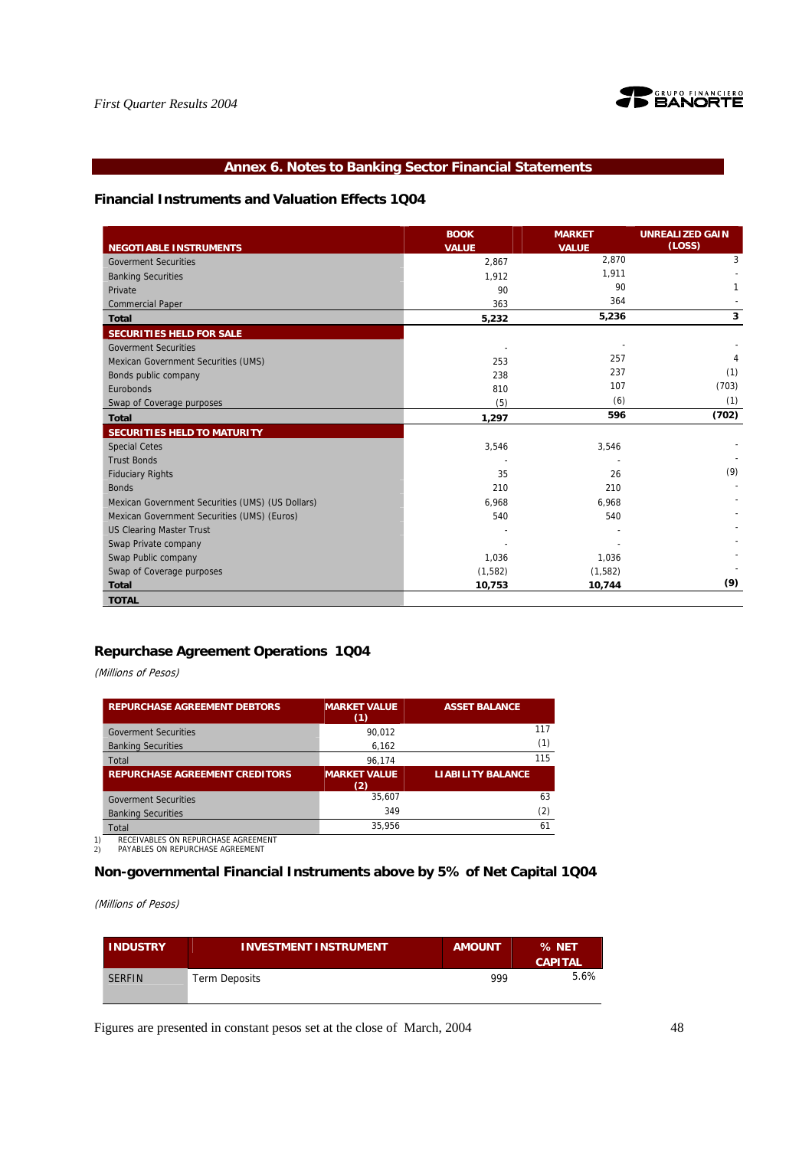

# **Annex 6. Notes to Banking Sector Financial Statements**

# **Financial Instruments and Valuation Effects 1Q04**

|                                                  | <b>BOOK</b>  | <b>MARKET</b> | <b>UNREALIZED GAIN</b> |
|--------------------------------------------------|--------------|---------------|------------------------|
| NEGOTIABLE INSTRUMENTS                           | <b>VALUE</b> | <b>VALUE</b>  | (LOSS)                 |
| <b>Goverment Securities</b>                      | 2,867        | 2,870         | 3                      |
| <b>Banking Securities</b>                        | 1,912        | 1,911         |                        |
| Private                                          | 90           | 90            |                        |
| <b>Commercial Paper</b>                          | 363          | 364           |                        |
| <b>Total</b>                                     | 5,232        | 5,236         | 3                      |
| SECURITIES HELD FOR SALE                         |              |               |                        |
| <b>Goverment Securities</b>                      |              |               |                        |
| Mexican Government Securities (UMS)              | 253          | 257           |                        |
| Bonds public company                             | 238          | 237           | (1)                    |
| Eurobonds                                        | 810          | 107           | (703)                  |
| Swap of Coverage purposes                        | (5)          | (6)           | (1)                    |
| <b>Total</b>                                     | 1,297        | 596           | (702)                  |
| SECURITIES HELD TO MATURITY                      |              |               |                        |
| <b>Special Cetes</b>                             | 3,546        | 3,546         |                        |
| <b>Trust Bonds</b>                               |              |               |                        |
| <b>Fiduciary Rights</b>                          | 35           | 26            | (9)                    |
| <b>Bonds</b>                                     | 210          | 210           |                        |
| Mexican Government Securities (UMS) (US Dollars) | 6.968        | 6.968         |                        |
| Mexican Government Securities (UMS) (Euros)      | 540          | 540           |                        |
| <b>US Clearing Master Trust</b>                  |              |               |                        |
| Swap Private company                             |              |               |                        |
| Swap Public company                              | 1,036        | 1,036         |                        |
| Swap of Coverage purposes                        | (1, 582)     | (1,582)       |                        |
| <b>Total</b>                                     | 10,753       | 10,744        | (9)                    |
| <b>TOTAL</b>                                     |              |               |                        |

# **Repurchase Agreement Operations 1Q04**

(Millions of Pesos)

| <b>REPURCHASE AGREEMENT DEBTORS</b>   | <b>MARKET VALUE</b><br>(1) | <b>ASSET BALANCE</b>     |
|---------------------------------------|----------------------------|--------------------------|
| <b>Goverment Securities</b>           | 90.012                     | 117                      |
| <b>Banking Securities</b>             | 6,162                      | (1)                      |
| Total                                 | 96.174                     | 115                      |
| <b>REPURCHASE AGREEMENT CREDITORS</b> | <b>MARKET VALUE</b><br>(2) | <b>LIABILITY BALANCE</b> |
| <b>Goverment Securities</b>           | 35.607                     | 63                       |
| <b>Banking Securities</b>             | 349                        | (2)                      |
| Total                                 | 35.956                     | 61                       |

1) RECEIVABLES ON REPURCHASE AGREEMENT 2) PAYABLES ON REPURCHASE AGREEMENT

# **Non-governmental Financial Instruments above by 5% of Net Capital 1Q04**

(Millions of Pesos)

| <b>INDUSTRY</b> | <b>INVESTMENT INSTRUMENT</b> | <b>AMOUNT</b> | % NET<br><b>CAPITAL</b> |
|-----------------|------------------------------|---------------|-------------------------|
| <b>SERFIN</b>   | Term Deposits                | 999           | 5.6%                    |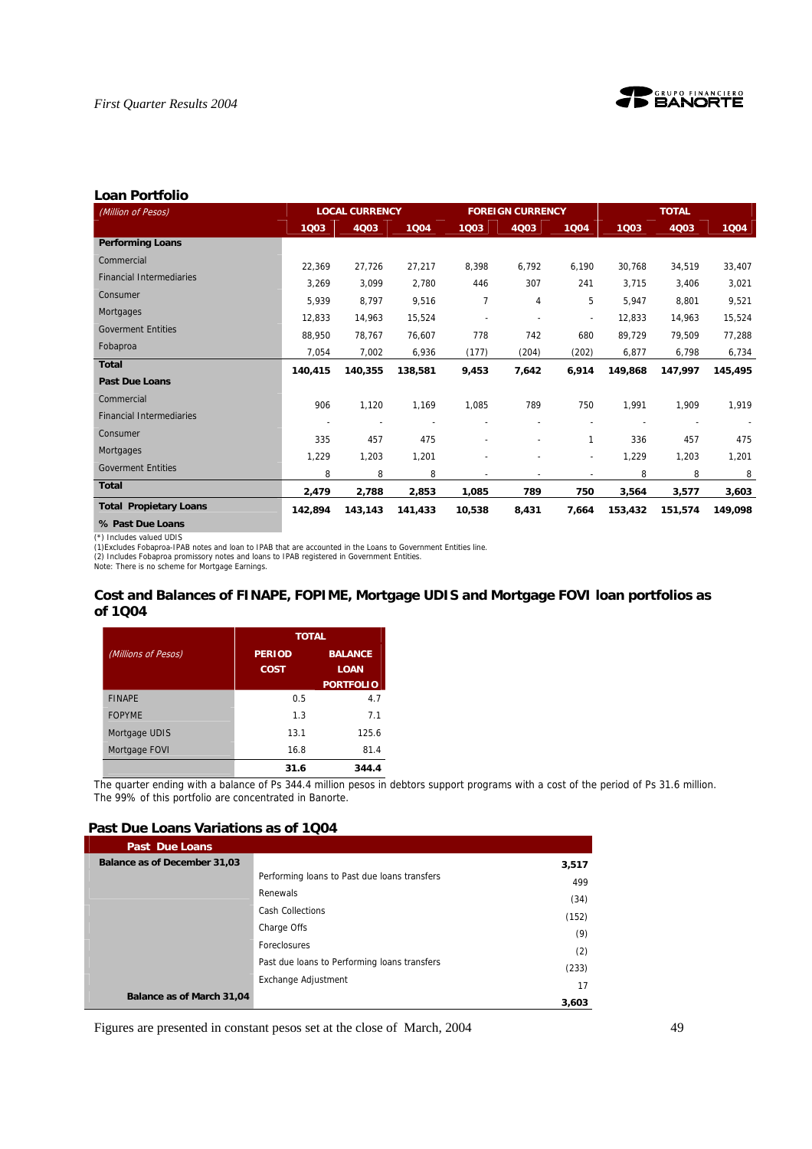

#### **Loan Portfolio**

| (Million of Pesos)              |                          | <b>LOCAL CURRENCY</b> |         |                | <b>FOREIGN CURRENCY</b>  |                          |         | <b>TOTAL</b> |         |
|---------------------------------|--------------------------|-----------------------|---------|----------------|--------------------------|--------------------------|---------|--------------|---------|
|                                 | 1003                     | 4Q03                  | 1004    | 1003           | 4Q03                     | 1004                     | 1Q03    | 4Q03         | 1004    |
| <b>Performing Loans</b>         |                          |                       |         |                |                          |                          |         |              |         |
| Commercial                      | 22,369                   | 27,726                | 27,217  | 8,398          | 6,792                    | 6,190                    | 30,768  | 34,519       | 33,407  |
| <b>Financial Intermediaries</b> | 3,269                    | 3,099                 | 2,780   | 446            | 307                      | 241                      | 3,715   | 3,406        | 3,021   |
| Consumer                        | 5,939                    | 8,797                 | 9,516   | 7              | 4                        | 5                        | 5,947   | 8,801        | 9,521   |
| Mortgages                       | 12,833                   | 14,963                | 15,524  | $\overline{a}$ | $\overline{\phantom{a}}$ | $\overline{\phantom{a}}$ | 12,833  | 14,963       | 15,524  |
| <b>Goverment Entities</b>       | 88.950                   | 78,767                | 76,607  | 778            | 742                      | 680                      | 89,729  | 79.509       | 77,288  |
| Fobaproa                        | 7,054                    | 7,002                 | 6,936   | (177)          | (204)                    | (202)                    | 6,877   | 6,798        | 6,734   |
| <b>Total</b>                    | 140,415                  | 140,355               | 138,581 | 9,453          | 7,642                    | 6,914                    | 149,868 | 147,997      | 145,495 |
| <b>Past Due Loans</b>           |                          |                       |         |                |                          |                          |         |              |         |
| Commercial                      | 906                      | 1,120                 | 1,169   | 1,085          | 789                      | 750                      | 1,991   | 1,909        | 1,919   |
| <b>Financial Intermediaries</b> | $\overline{\phantom{a}}$ | ٠                     |         | ٠              | ÷                        | $\overline{\phantom{0}}$ |         |              |         |
| Consumer                        | 335                      | 457                   | 475     | ٠              | $\overline{\phantom{a}}$ | 1                        | 336     | 457          | 475     |
| Mortgages                       | 1,229                    | 1,203                 | 1,201   |                |                          |                          | 1,229   | 1,203        |         |
| <b>Goverment Entities</b>       | 8                        | 8                     | 8       |                | ٠                        | $\overline{\phantom{a}}$ | 8       | 8            | 1,201   |
| <b>Total</b>                    |                          |                       |         | $\overline{a}$ | $\blacksquare$           | $\blacksquare$           |         |              | 8       |
| <b>Total Propietary Loans</b>   | 2,479                    | 2,788                 | 2,853   | 1,085          | 789                      | 750                      | 3,564   | 3,577        | 3,603   |
|                                 | 142,894                  | 143,143               | 141,433 | 10,538         | 8,431                    | 7,664                    | 153,432 | 151,574      | 149.098 |
| % Past Due Loans                |                          |                       |         |                |                          |                          |         |              |         |

(\*) Includes valued UDIS

(1)Excludes Fobaproa-IPAB notes and loan to IPAB that are accounted in the Loans to Government Entities line.<br>(2) Includes Fobaproa promissory notes and loans to IPAB registered in Government Entities.<br>Note: There is no sc

# **Cost and Balances of FINAPE, FOPIME, Mortgage UDIS and Mortgage FOVI loan portfolios as of 1Q04**

|                     | <b>TOTAL</b>          |                               |
|---------------------|-----------------------|-------------------------------|
| (Millions of Pesos) | <b>PERIOD</b><br>COST | <b>BALANCE</b><br><b>LOAN</b> |
|                     |                       | <b>PORTFOLIO</b>              |
| <b>FINAPE</b>       | 0.5                   | 4.7                           |
| <b>FOPYME</b>       | 1.3                   | 7 <sub>1</sub>                |
| Mortgage UDIS       | 13.1                  | 125.6                         |
| Mortgage FOVI       | 16.8                  | 81.4                          |
|                     | 31.6                  | 344.4                         |

The quarter ending with a balance of Ps 344.4 million pesos in debtors support programs with a cost of the period of Ps 31.6 million. The 99% of this portfolio are concentrated in Banorte.

# **Past Due Loans Variations as of 1Q04**

| <b>Past Due Loans</b>        |                                              |       |
|------------------------------|----------------------------------------------|-------|
| Balance as of December 31,03 |                                              | 3,517 |
|                              | Performing loans to Past due loans transfers | 499   |
|                              | Renewals                                     | (34)  |
|                              | <b>Cash Collections</b>                      | (152) |
|                              | Charge Offs                                  |       |
|                              | Foreclosures                                 | (9)   |
|                              | Past due loans to Performing loans transfers | (2)   |
|                              |                                              | (233) |
|                              | Exchange Adjustment                          | 17    |
| Balance as of March 31,04    |                                              | 3,603 |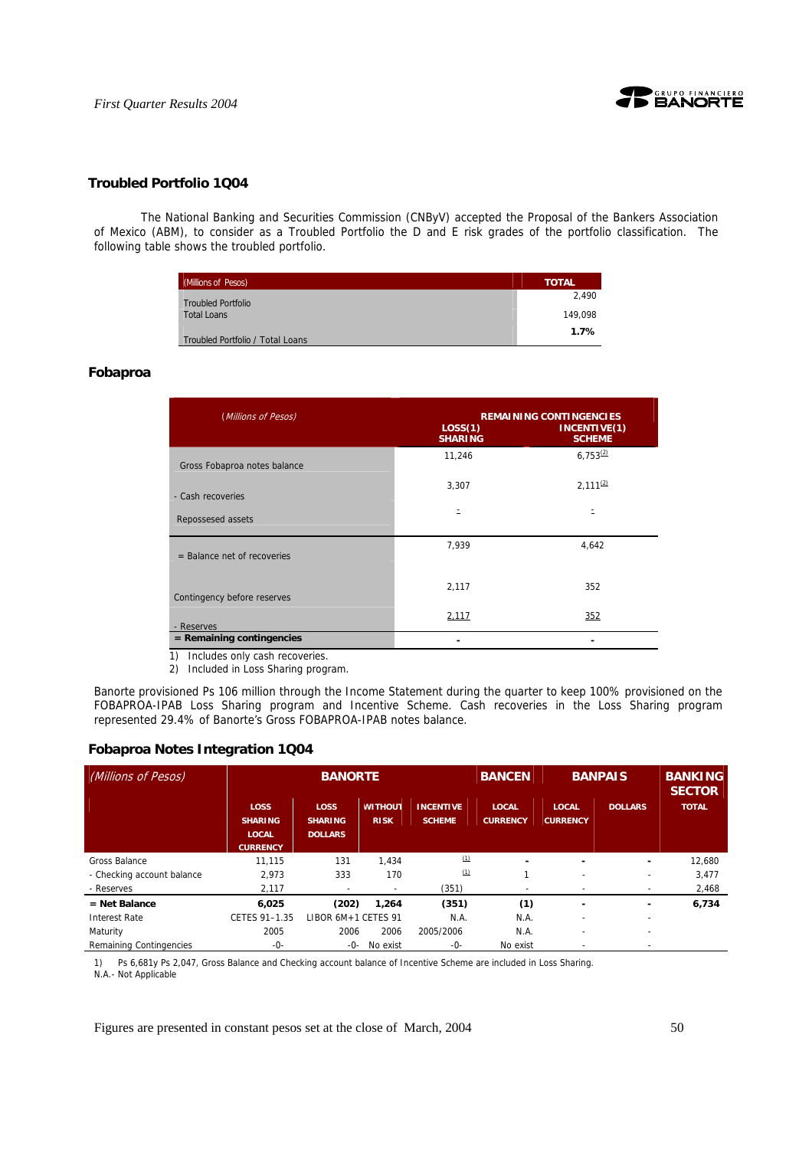



# **Troubled Portfolio 1Q04**

 The National Banking and Securities Commission (CNByV) accepted the Proposal of the Bankers Association of Mexico (ABM), to consider as a Troubled Portfolio the D and E risk grades of the portfolio classification. The following table shows the troubled portfolio.

| <b>(Millions of Pesos)</b>       | <b>TOTAL</b> |
|----------------------------------|--------------|
| <b>Troubled Portfolio</b>        | 2.490        |
| <b>Total Loans</b>               | 149.098      |
| Troubled Portfolio / Total Loans | 1.7%         |

### **Fobaproa**

| (Millions of Pesos)              | <b>REMAINING CONTINGENCIES</b> |                               |  |  |  |
|----------------------------------|--------------------------------|-------------------------------|--|--|--|
|                                  | LOS(1)<br><b>SHARING</b>       | INCENTIVE(1)<br><b>SCHEME</b> |  |  |  |
| Gross Fobaproa notes balance     | 11,246                         | $6,753^{(2)}$                 |  |  |  |
| - Cash recoveries                | 3,307                          | $2,111^{(2)}$                 |  |  |  |
| Repossesed assets                | Ξ                              |                               |  |  |  |
| $=$ Balance net of recoveries    | 7,939                          | 4,642                         |  |  |  |
| Contingency before reserves      | 2,117                          | 352                           |  |  |  |
| - Reserves                       | 2,117                          | 352                           |  |  |  |
| $=$ Remaining contingencies<br>. |                                |                               |  |  |  |

1) Includes only cash recoveries.

2) Included in Loss Sharing program.

Banorte provisioned Ps 106 million through the Income Statement during the quarter to keep 100% provisioned on the FOBAPROA-IPAB Loss Sharing program and Incentive Scheme. Cash recoveries in the Loss Sharing program represented 29.4% of Banorte's Gross FOBAPROA-IPAB notes balance.

## **Fobaproa Notes Integration 1Q04**

| (Millions of Pesos)        | <b>BANORTE</b>                                                   |                                                 |                               | <b>BANCEN</b>                     | <b>BANPAIS</b>                  |                                 | <b>BANKING</b><br><b>SECTOR</b> |              |
|----------------------------|------------------------------------------------------------------|-------------------------------------------------|-------------------------------|-----------------------------------|---------------------------------|---------------------------------|---------------------------------|--------------|
|                            | <b>LOSS</b><br><b>SHARING</b><br><b>LOCAL</b><br><b>CURRENCY</b> | <b>LOSS</b><br><b>SHARING</b><br><b>DOLLARS</b> | <b>WITHOUT</b><br><b>RISK</b> | <b>INCENTIVE</b><br><b>SCHEME</b> | <b>LOCAL</b><br><b>CURRENCY</b> | <b>LOCAL</b><br><b>CURRENCY</b> | <b>DOLLARS</b>                  | <b>TOTAL</b> |
| Gross Balance              | 11.115                                                           | 131                                             | 1.434                         | (1)                               |                                 |                                 | ۰                               | 12.680       |
| - Checking account balance | 2.973                                                            | 333                                             | 170                           | (1)                               |                                 |                                 | ۰                               | 3.477        |
| - Reserves                 | 2.117                                                            | ٠                                               |                               | (351)                             | $\overline{\phantom{a}}$        |                                 | ۰                               | 2,468        |
| $=$ Net Balance            | 6.025                                                            | (202)                                           | 1.264                         | (351)                             | (1)                             |                                 | ۰                               | 6,734        |
| <b>Interest Rate</b>       | CETES 91-1.35                                                    | LIBOR 6M+1 CETES 91                             |                               | N.A.                              | N.A.                            |                                 | ٠                               |              |
| Maturity                   | 2005                                                             | 2006                                            | 2006                          | 2005/2006                         | N.A.                            | $\overline{\phantom{0}}$        | $\overline{\phantom{a}}$        |              |
| Remaining Contingencies    | -0-                                                              | -0-                                             | No exist                      | -0-                               | No exist                        |                                 |                                 |              |

1) Ps 6,681y Ps 2,047, Gross Balance and Checking account balance of Incentive Scheme are included in Loss Sharing. N.A.- Not Applicable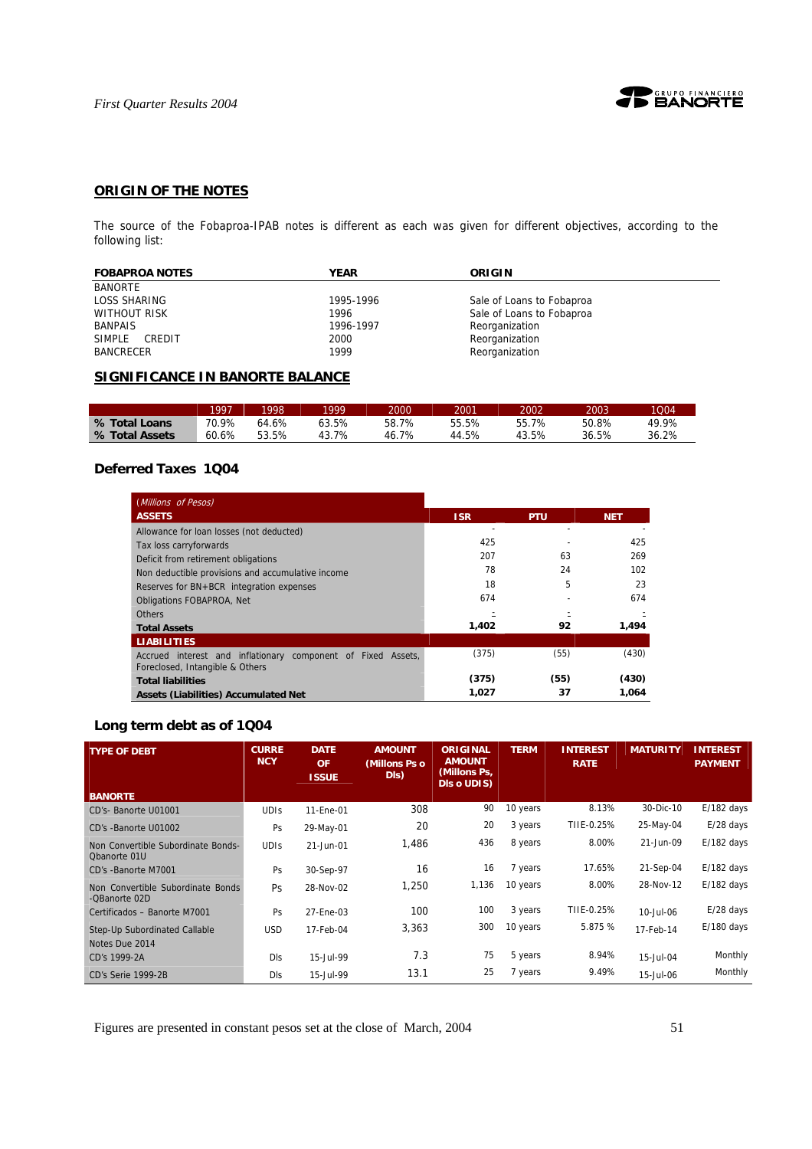

# **ORIGIN OF THE NOTES**

The source of the Fobaproa-IPAB notes is different as each was given for different objectives, according to the following list:

| <b>FOBAPROA NOTES</b> | <b>YEAR</b> | ORIGIN                    |
|-----------------------|-------------|---------------------------|
| <b>BANORTE</b>        |             |                           |
| LOSS SHARING          | 1995-1996   | Sale of Loans to Fobaproa |
| <b>WITHOUT RISK</b>   | 1996        | Sale of Loans to Fobaproa |
| BANPAIS               | 1996-1997   | Reorganization            |
| SIMPLE<br>CREDIT      | 2000        | Reorganization            |
| <b>BANCRECER</b>      | 1999        | Reorganization            |

# **SIGNIFICANCE IN BANORTE BALANCE**

|                | 1997  | 1998  | 1000       | 2000  | 2001  | 2002  | 2003  | 1004  |
|----------------|-------|-------|------------|-------|-------|-------|-------|-------|
| % Total Loans  | 70.9% | 64.6% | 63.5%      | 58.7% | 55.5% | 55.7% | 50.8% | 49.9% |
| % Total Assets | 60.6% | 53.5% | .7%<br>43. | 46.7% | 44.5% | 43.5% | 36.5% | 36.2% |

# **Deferred Taxes 1Q04**

| (Millions of Pesos)                                                                             |            |            |            |
|-------------------------------------------------------------------------------------------------|------------|------------|------------|
| <b>ASSETS</b>                                                                                   | <b>ISR</b> | <b>PTU</b> | <b>NET</b> |
| Allowance for loan losses (not deducted)                                                        |            |            |            |
| Tax loss carryforwards                                                                          | 425        |            | 425        |
| Deficit from retirement obligations                                                             | 207        | 63         | 269        |
| Non deductible provisions and accumulative income                                               | 78         | 24         | 102        |
| Reserves for BN+BCR integration expenses                                                        | 18         | 5          | 23         |
| <b>Obligations FOBAPROA, Net</b>                                                                | 674        |            | 674        |
| <b>Others</b>                                                                                   |            |            |            |
| <b>Total Assets</b>                                                                             | 1,402      | 92         | 1,494      |
| <b>LIABILITIES</b>                                                                              |            |            |            |
| Accrued interest and inflationary component of Fixed Assets,<br>Foreclosed, Intangible & Others | (375)      | (55)       | (430)      |
| <b>Total liabilities</b>                                                                        | (375)      | (55)       | (430)      |
| <b>Assets (Liabilities) Accumulated Net</b>                                                     | 1,027      | 37         | 1.064      |

# **Long term debt as of 1Q04**

| <b>TYPE OF DEBT</b>                                | <b>CURRE</b><br><b>NCY</b> | <b>DATE</b><br><b>OF</b><br><b>ISSUE</b> | <b>AMOUNT</b><br>(Millons Ps o<br>DIS) | <b>ORIGINAL</b><br><b>AMOUNT</b><br>(Millons Ps,<br>Dis o UDIS) | <b>TERM</b> | <b>INTEREST</b><br><b>RATE</b> | <b>MATURITY</b> | <b>INTEREST</b><br><b>PAYMENT</b> |
|----------------------------------------------------|----------------------------|------------------------------------------|----------------------------------------|-----------------------------------------------------------------|-------------|--------------------------------|-----------------|-----------------------------------|
| <b>BANORTE</b>                                     |                            |                                          |                                        |                                                                 |             |                                |                 |                                   |
| CD's- Banorte U01001                               | <b>UDIS</b>                | 11-Ene-01                                | 308                                    | 90                                                              | 10 years    | 8.13%                          | 30-Dic-10       | $E/182$ days                      |
| CD's -Banorte U01002                               | Ps                         | 29-May-01                                | 20                                     | 20                                                              | 3 years     | TIIE-0.25%                     | 25-May-04       | $E/28$ days                       |
| Non Convertible Subordinate Bonds-<br>Obanorte 01U | <b>UDIS</b>                | 21-Jun-01                                | 1,486                                  | 436                                                             | 8 years     | 8.00%                          | 21-Jun-09       | $E/182$ days                      |
| CD's -Banorte M7001                                | Ps                         | 30-Sep-97                                | 16                                     | 16                                                              | 7 years     | 17.65%                         | 21-Sep-04       | $E/182$ days                      |
| Non Convertible Subordinate Bonds<br>-QBanorte 02D | <b>Ps</b>                  | 28-Nov-02                                | 1,250                                  | 1,136                                                           | 10 years    | 8.00%                          | 28-Nov-12       | $E/182$ days                      |
| Certificados - Banorte M7001                       | Ps                         | 27-Ene-03                                | 100                                    | 100                                                             | 3 years     | TIIE-0.25%                     | 10-Jul-06       | $E/28$ days                       |
| Step-Up Subordinated Callable<br>Notes Due 2014    | <b>USD</b>                 | 17-Feb-04                                | 3,363                                  | 300                                                             | 10 years    | 5.875 %                        | 17-Feb-14       | $E/180$ days                      |
| CD's 1999-2A                                       | <b>DIs</b>                 | 15-Jul-99                                | 7.3                                    | 75                                                              | 5 years     | 8.94%                          | 15-Jul-04       | Monthly                           |
| CD's Serie 1999-2B                                 | Dls                        | 15-Jul-99                                | 13.1                                   | 25                                                              | 7 years     | 9.49%                          | 15-Jul-06       | Monthly                           |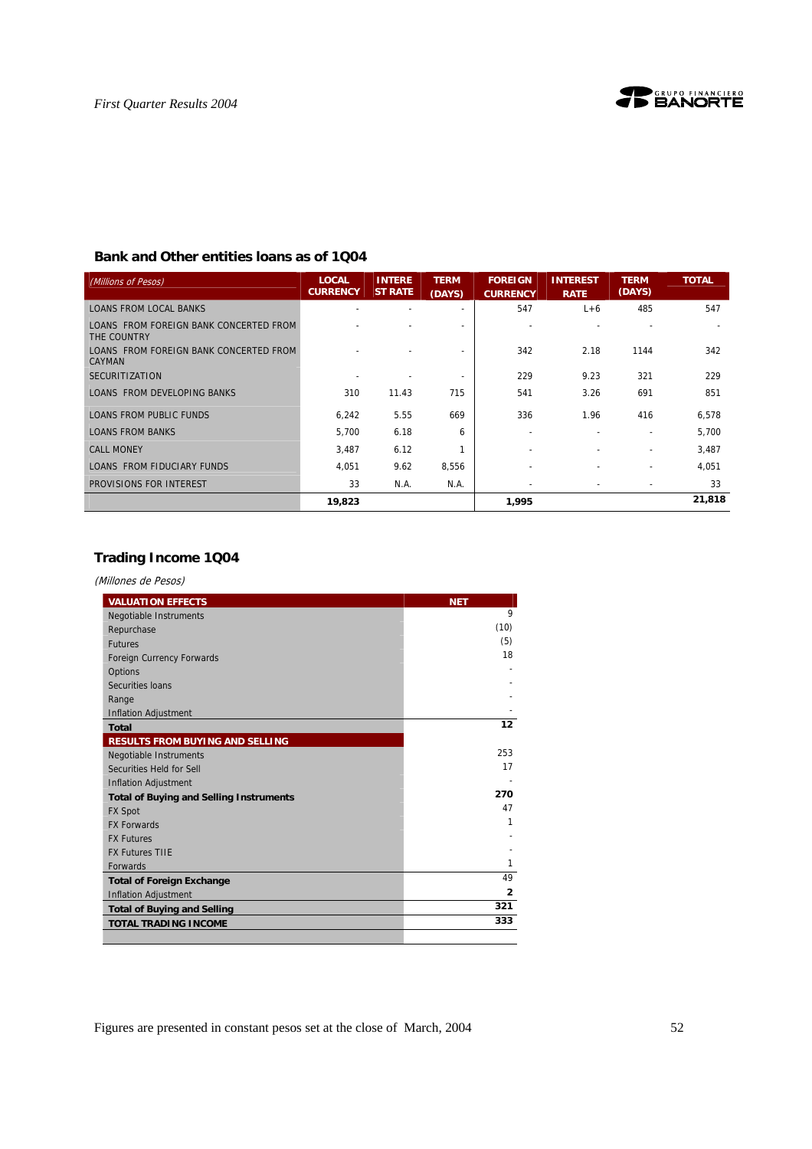# **Bank and Other entities loans as of 1Q04**

| (Millions of Pesos)                                   | <b>LOCAL</b><br><b>CURRENCY</b> | <b>INTERE</b><br><b>ST RATE</b> | <b>TERM</b><br>(DAYS) | <b>FOREIGN</b><br><b>CURRENCY</b> | <b>INTEREST</b><br><b>RATE</b> | <b>TERM</b><br>(DAYS) | <b>TOTAL</b> |
|-------------------------------------------------------|---------------------------------|---------------------------------|-----------------------|-----------------------------------|--------------------------------|-----------------------|--------------|
| <b>LOANS FROM LOCAL BANKS</b>                         |                                 |                                 |                       | 547                               | $L+6$                          | 485                   | 547          |
| LOANS FROM FOREIGN BANK CONCERTED FROM<br>THE COUNTRY |                                 |                                 |                       |                                   |                                |                       |              |
| LOANS FROM FOREIGN BANK CONCERTED FROM<br>CAYMAN      |                                 |                                 |                       | 342                               | 2.18                           | 1144                  | 342          |
| <b>SECURITIZATION</b>                                 |                                 |                                 |                       | 229                               | 9.23                           | 321                   | 229          |
| LOANS FROM DEVELOPING BANKS                           | 310                             | 11.43                           | 715                   | 541                               | 3.26                           | 691                   | 851          |
| <b>LOANS FROM PUBLIC FUNDS</b>                        | 6.242                           | 5.55                            | 669                   | 336                               | 1.96                           | 416                   | 6,578        |
| <b>LOANS FROM BANKS</b>                               | 5,700                           | 6.18                            | 6                     | ٠                                 |                                |                       | 5,700        |
| <b>CALL MONEY</b>                                     | 3,487                           | 6.12                            |                       |                                   |                                | $\overline{a}$        | 3,487        |
| LOANS FROM FIDUCIARY FUNDS                            | 4,051                           | 9.62                            | 8,556                 |                                   |                                | ٠                     | 4,051        |
| PROVISIONS FOR INTEREST                               | 33                              | N.A.                            | N.A.                  | $\overline{\phantom{a}}$          |                                | ٠                     | 33           |
|                                                       | 19,823                          |                                 |                       | 1,995                             |                                |                       | 21,818       |

# **Trading Income 1Q04**

(Millones de Pesos)

| <b>VALUATION EFFECTS</b>                       | <b>NET</b>     |
|------------------------------------------------|----------------|
| Negotiable Instruments                         | 9              |
| Repurchase                                     | (10)           |
| <b>Futures</b>                                 | (5)            |
| Foreign Currency Forwards                      | 18             |
| Options                                        |                |
| Securities Ioans                               |                |
| Range                                          |                |
| <b>Inflation Adjustment</b>                    |                |
| <b>Total</b>                                   | 12             |
| RESULTS FROM BUYING AND SELLING                |                |
| Negotiable Instruments                         | 253            |
| Securities Held for Sell                       | 17             |
| <b>Inflation Adjustment</b>                    |                |
| <b>Total of Buying and Selling Instruments</b> | 270            |
| <b>FX Spot</b>                                 | 47             |
| <b>FX Forwards</b>                             | 1              |
| <b>FX Futures</b>                              |                |
| <b>FX Futures TIIE</b>                         |                |
| <b>Forwards</b>                                | 1              |
| <b>Total of Foreign Exchange</b>               | 49             |
| <b>Inflation Adjustment</b>                    | $\overline{2}$ |
| <b>Total of Buying and Selling</b>             | 321            |
| <b>TOTAL TRADING INCOME</b>                    | 333            |
|                                                |                |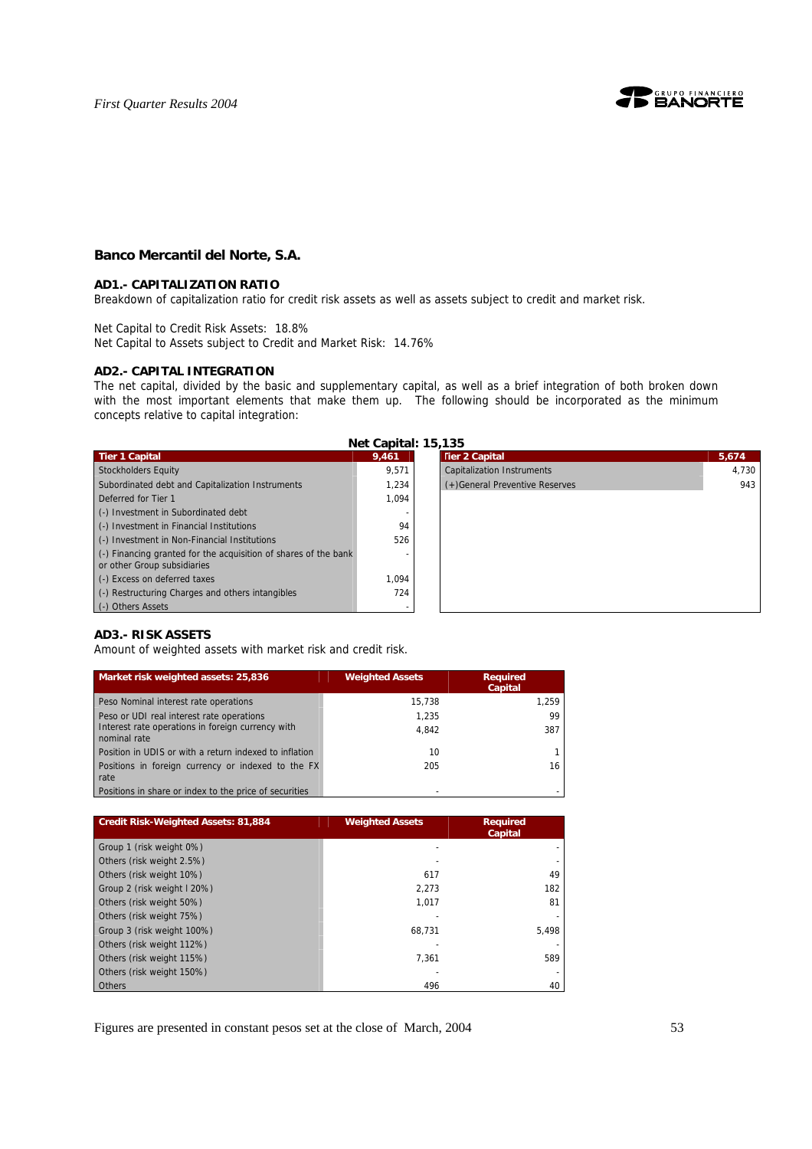

# **Banco Mercantil del Norte, S.A.**

#### **AD1.- CAPITALIZATION RATIO**

Breakdown of capitalization ratio for credit risk assets as well as assets subject to credit and market risk.

Net Capital to Credit Risk Assets: 18.8% Net Capital to Assets subject to Credit and Market Risk: 14.76%

#### **AD2.- CAPITAL INTEGRATION**

The net capital, divided by the basic and supplementary capital, as well as a brief integration of both broken down with the most important elements that make them up. The following should be incorporated as the minimum concepts relative to capital integration:

| Net Capital: 15,135                                                                            |       |                                   |       |  |  |  |  |
|------------------------------------------------------------------------------------------------|-------|-----------------------------------|-------|--|--|--|--|
| <b>Tier 1 Capital</b>                                                                          | 9,461 | <b>Tier 2 Capital</b>             | 5,674 |  |  |  |  |
| Stockholders Equity                                                                            | 9.571 | <b>Capitalization Instruments</b> | 4.73  |  |  |  |  |
| Subordinated debt and Capitalization Instruments                                               | 1.234 | (+)General Preventive Reserves    | 9     |  |  |  |  |
| Deferred for Tier 1                                                                            | 1.094 |                                   |       |  |  |  |  |
| (-) Investment in Subordinated debt                                                            |       |                                   |       |  |  |  |  |
| (-) Investment in Financial Institutions                                                       | 94    |                                   |       |  |  |  |  |
| (-) Investment in Non-Financial Institutions                                                   | 526   |                                   |       |  |  |  |  |
| (-) Financing granted for the acquisition of shares of the bank<br>or other Group subsidiaries |       |                                   |       |  |  |  |  |
| (-) Excess on deferred taxes                                                                   | 1.094 |                                   |       |  |  |  |  |
| (-) Restructuring Charges and others intangibles                                               | 724   |                                   |       |  |  |  |  |
| (-) Others Assets                                                                              |       |                                   |       |  |  |  |  |



#### **AD3.- RISK ASSETS**

Amount of weighted assets with market risk and credit risk.

| Market risk weighted assets: 25,836                               | <b>Weighted Assets</b> | <b>Required</b><br><b>Capital</b> |
|-------------------------------------------------------------------|------------------------|-----------------------------------|
| Peso Nominal interest rate operations                             | 15.738                 | 1.259                             |
| Peso or UDI real interest rate operations                         | 1.235                  | 99                                |
| Interest rate operations in foreign currency with<br>nominal rate | 4.842                  | 387                               |
| Position in UDIS or with a return indexed to inflation            | 10                     |                                   |
| Positions in foreign currency or indexed to the FX<br>rate        | 205                    | 16                                |
| Positions in share or index to the price of securities            |                        |                                   |

| <b>Credit Risk-Weighted Assets: 81,884</b> | <b>Weighted Assets</b> | <b>Required</b><br><b>Capital</b> |
|--------------------------------------------|------------------------|-----------------------------------|
| Group 1 (risk weight 0%)                   |                        |                                   |
| Others (risk weight 2.5%)                  |                        |                                   |
| Others (risk weight 10%)                   | 617                    | 49                                |
| Group 2 (risk weight I 20%)                | 2.273                  | 182                               |
| Others (risk weight 50%)                   | 1,017                  | 81                                |
| Others (risk weight 75%)                   |                        |                                   |
| Group 3 (risk weight 100%)                 | 68.731                 | 5.498                             |
| Others (risk weight 112%)                  |                        |                                   |
| Others (risk weight 115%)                  | 7.361                  | 589                               |
| Others (risk weight 150%)                  |                        |                                   |
| Others                                     | 496                    | 40                                |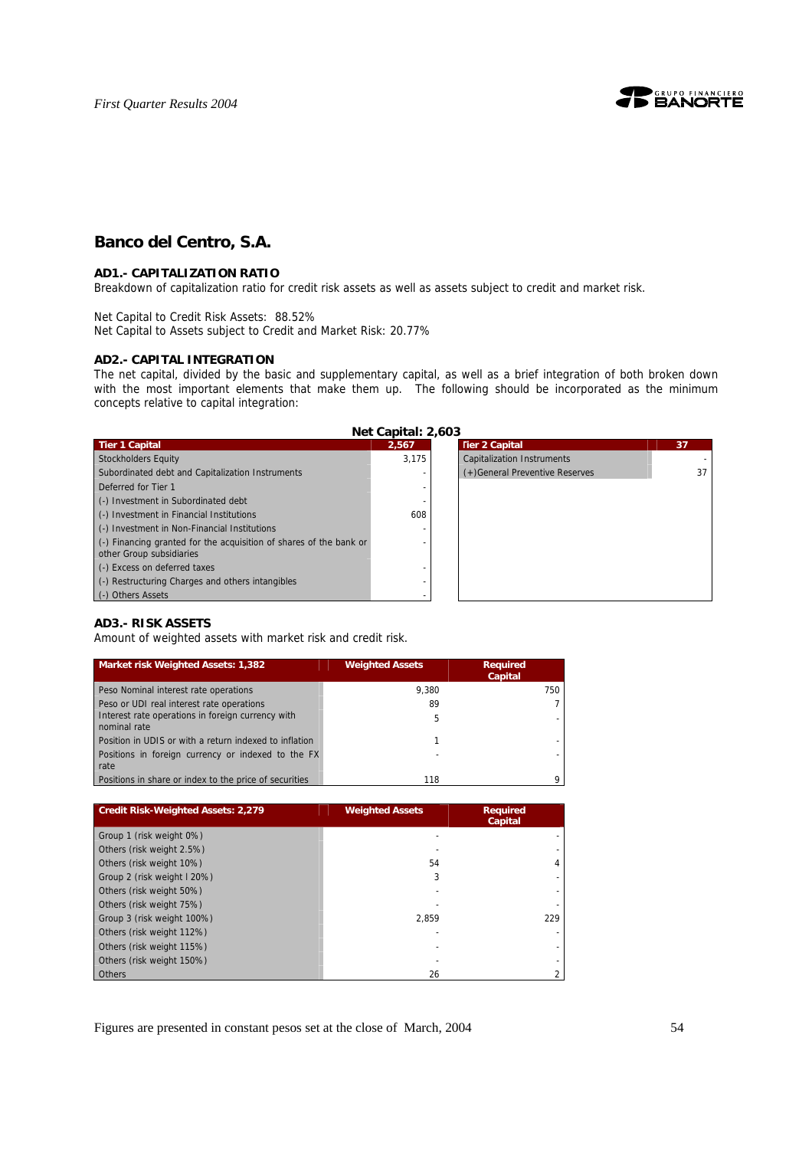

# **Banco del Centro, S.A.**

### **AD1.- CAPITALIZATION RATIO**

Breakdown of capitalization ratio for credit risk assets as well as assets subject to credit and market risk.

Net Capital to Credit Risk Assets: 88.52% Net Capital to Assets subject to Credit and Market Risk: 20.77%

#### **AD2.- CAPITAL INTEGRATION**

The net capital, divided by the basic and supplementary capital, as well as a brief integration of both broken down with the most important elements that make them up. The following should be incorporated as the minimum concepts relative to capital integration:

**Net Capital: 2,603** 

| <b>Tier 1 Capital</b>                                              | 2,567 | <b>Tier 2 Capital</b>             | 37 |
|--------------------------------------------------------------------|-------|-----------------------------------|----|
| Stockholders Equity                                                | 3.175 | <b>Capitalization Instruments</b> |    |
| Subordinated debt and Capitalization Instruments                   |       | (+)General Preventive Reserves    | 37 |
| Deferred for Tier 1                                                |       |                                   |    |
| (-) Investment in Subordinated debt                                |       |                                   |    |
| (-) Investment in Financial Institutions                           | 608   |                                   |    |
| (-) Investment in Non-Financial Institutions                       |       |                                   |    |
| (-) Financing granted for the acquisition of shares of the bank or |       |                                   |    |
| other Group subsidiaries                                           |       |                                   |    |
| (-) Excess on deferred taxes                                       |       |                                   |    |
| (-) Restructuring Charges and others intangibles                   |       |                                   |    |
| (-) Others Assets                                                  |       |                                   |    |

# **AD3.- RISK ASSETS**

Amount of weighted assets with market risk and credit risk.

| Market risk Weighted Assets: 1,382                                | <b>Weighted Assets</b> | <b>Required</b><br>Capital |
|-------------------------------------------------------------------|------------------------|----------------------------|
| Peso Nominal interest rate operations                             | 9.380                  | 750                        |
| Peso or UDI real interest rate operations                         | 89                     |                            |
| Interest rate operations in foreign currency with<br>nominal rate | 5                      |                            |
| Position in UDIS or with a return indexed to inflation            |                        |                            |
| Positions in foreign currency or indexed to the FX<br>rate        |                        |                            |
| Positions in share or index to the price of securities            | 118                    |                            |

| <b>Credit Risk-Weighted Assets: 2,279</b> | <b>Weighted Assets</b> | <b>Required</b><br>Capital |  |
|-------------------------------------------|------------------------|----------------------------|--|
| Group 1 (risk weight 0%)                  |                        |                            |  |
| Others (risk weight 2.5%)                 |                        |                            |  |
| Others (risk weight 10%)                  | 54                     | 4                          |  |
| Group 2 (risk weight I 20%)               | 3                      |                            |  |
| Others (risk weight 50%)                  |                        |                            |  |
| Others (risk weight 75%)                  |                        |                            |  |
| Group 3 (risk weight 100%)                | 2.859                  | 229                        |  |
| Others (risk weight 112%)                 |                        |                            |  |
| Others (risk weight 115%)                 |                        |                            |  |
| Others (risk weight 150%)                 |                        |                            |  |
| <b>Others</b>                             | 26                     |                            |  |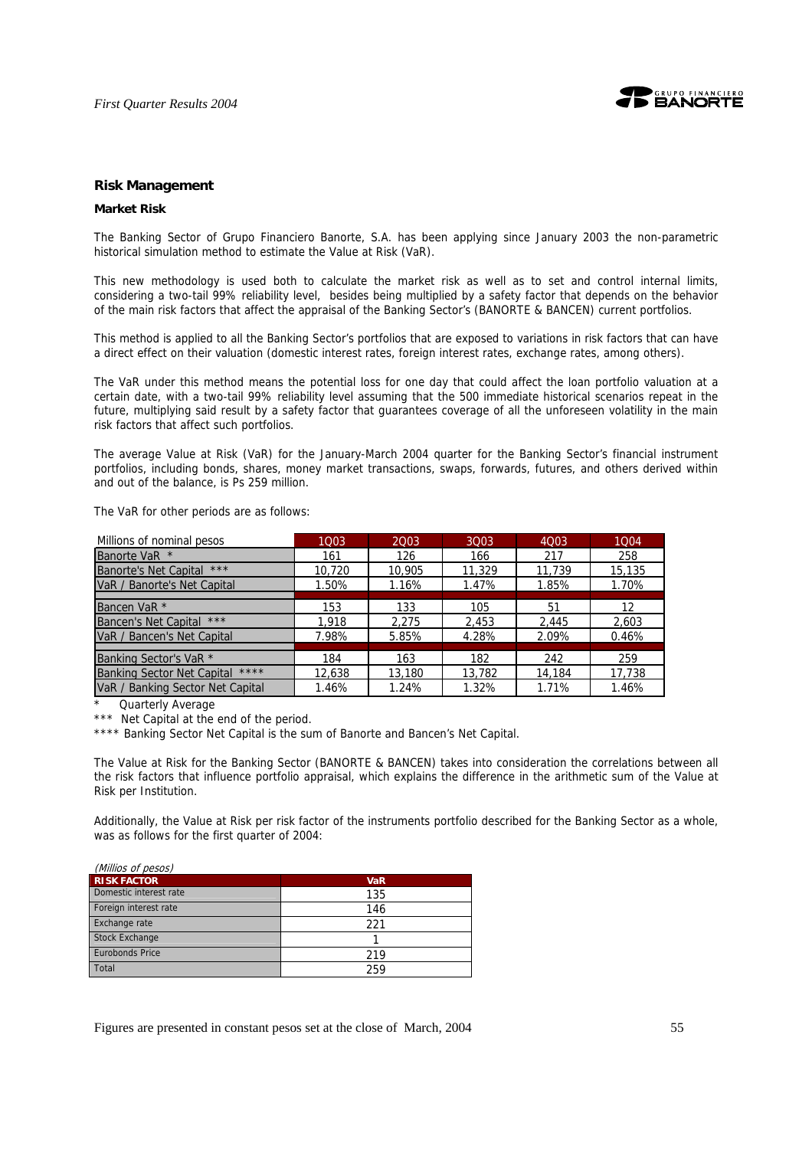

#### **Risk Management**

#### **Market Risk**

The Banking Sector of Grupo Financiero Banorte, S.A. has been applying since January 2003 the non-parametric historical simulation method to estimate the Value at Risk (VaR).

This new methodology is used both to calculate the market risk as well as to set and control internal limits, considering a two-tail 99% reliability level, besides being multiplied by a safety factor that depends on the behavior of the main risk factors that affect the appraisal of the Banking Sector's (BANORTE & BANCEN) current portfolios.

This method is applied to all the Banking Sector's portfolios that are exposed to variations in risk factors that can have a direct effect on their valuation (domestic interest rates, foreign interest rates, exchange rates, among others).

The VaR under this method means the potential loss for one day that could affect the loan portfolio valuation at a certain date, with a two-tail 99% reliability level assuming that the 500 immediate historical scenarios repeat in the future, multiplying said result by a safety factor that guarantees coverage of all the unforeseen volatility in the main risk factors that affect such portfolios.

The average Value at Risk (VaR) for the January-March 2004 quarter for the Banking Sector's financial instrument portfolios, including bonds, shares, money market transactions, swaps, forwards, futures, and others derived within and out of the balance, is Ps 259 million.

The VaR for other periods are as follows:

| Millions of nominal pesos         | 1003   | 2003   | 3003   | 4Q03   | 1004   |
|-----------------------------------|--------|--------|--------|--------|--------|
| Banorte VaR *                     | 161    | 126    | 166    | 217    | 258    |
| Banorte's Net Capital ***         | 10,720 | 10,905 | 11,329 | 11,739 | 15,135 |
| VaR / Banorte's Net Capital       | 1.50%  | 1.16%  | 1.47%  | 1.85%  | 1.70%  |
|                                   |        |        |        |        |        |
| Bancen VaR <sup>*</sup>           | 153    | 133    | 105    | 51     | 12     |
| Bancen's Net Capital ***          | 1,918  | 2,275  | 2,453  | 2,445  | 2,603  |
| VaR / Bancen's Net Capital        | 7.98%  | 5.85%  | 4.28%  | 2.09%  | 0.46%  |
|                                   |        |        |        |        |        |
| Banking Sector's VaR <sup>*</sup> | 184    | 163    | 182    | 242    | 259    |
| Banking Sector Net Capital ****   | 12,638 | 13,180 | 13,782 | 14,184 | 17,738 |
| VaR / Banking Sector Net Capital  | 1.46%  | 1.24%  | 1.32%  | 1.71%  | 1.46%  |

Quarterly Average

\*\*\* Net Capital at the end of the period.

\*\*\*\* Banking Sector Net Capital is the sum of Banorte and Bancen's Net Capital.

The Value at Risk for the Banking Sector (BANORTE & BANCEN) takes into consideration the correlations between all the risk factors that influence portfolio appraisal, which explains the difference in the arithmetic sum of the Value at Risk per Institution.

Additionally, the Value at Risk per risk factor of the instruments portfolio described for the Banking Sector as a whole, was as follows for the first quarter of 2004:

| (Millios of pesos)     |            |
|------------------------|------------|
| <b>RISK FACTOR</b>     | <b>VaR</b> |
| Domestic interest rate | 135        |
| Foreign interest rate  | 146        |
| Exchange rate          | 221        |
| <b>Stock Exchange</b>  |            |
| <b>Eurobonds Price</b> | 219        |
| Total                  | 259        |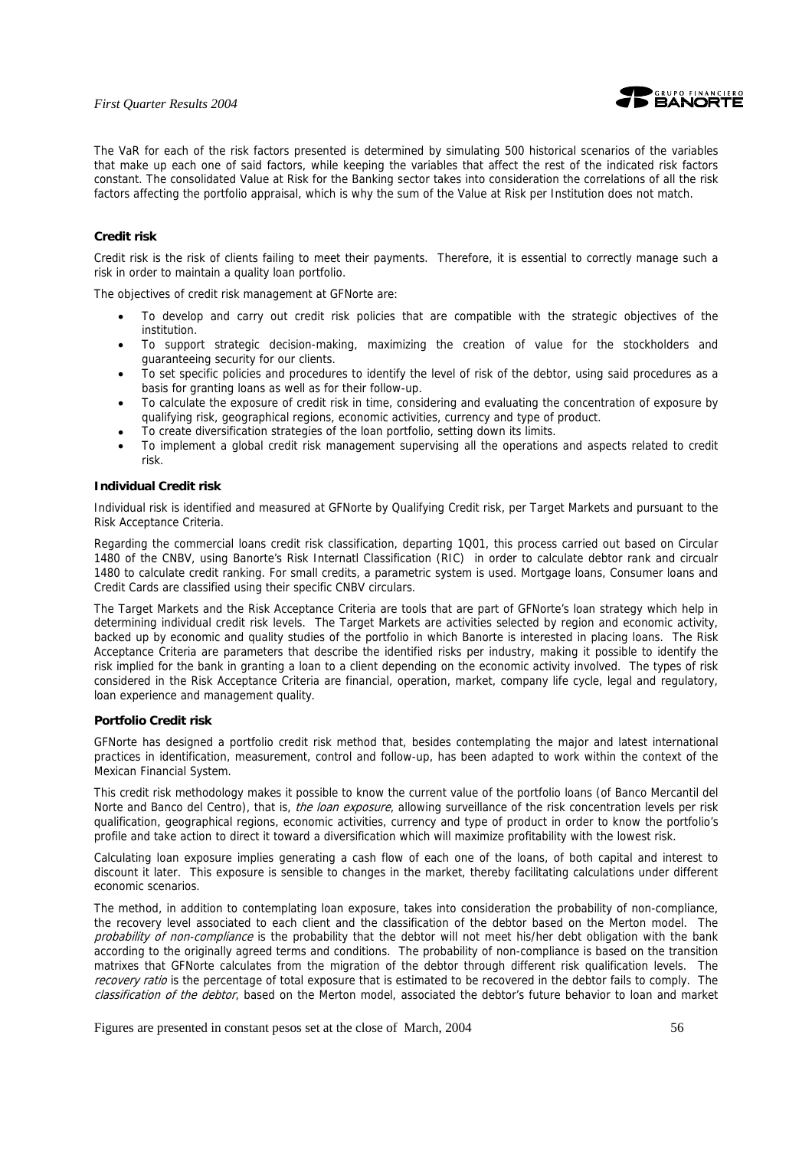

The VaR for each of the risk factors presented is determined by simulating 500 historical scenarios of the variables that make up each one of said factors, while keeping the variables that affect the rest of the indicated risk factors constant. The consolidated Value at Risk for the Banking sector takes into consideration the correlations of all the risk factors affecting the portfolio appraisal, which is why the sum of the Value at Risk per Institution does not match.

### **Credit risk**

Credit risk is the risk of clients failing to meet their payments. Therefore, it is essential to correctly manage such a risk in order to maintain a quality loan portfolio.

The objectives of credit risk management at GFNorte are:

- To develop and carry out credit risk policies that are compatible with the strategic objectives of the institution.
- To support strategic decision-making, maximizing the creation of value for the stockholders and guaranteeing security for our clients.
- To set specific policies and procedures to identify the level of risk of the debtor, using said procedures as a basis for granting loans as well as for their follow-up.
- To calculate the exposure of credit risk in time, considering and evaluating the concentration of exposure by qualifying risk, geographical regions, economic activities, currency and type of product.
- To create diversification strategies of the loan portfolio, setting down its limits.
- To implement a global credit risk management supervising all the operations and aspects related to credit risk.

#### **Individual Credit risk**

Individual risk is identified and measured at GFNorte by Qualifying Credit risk, per Target Markets and pursuant to the Risk Acceptance Criteria.

Regarding the commercial loans credit risk classification, departing 1Q01, this process carried out based on Circular 1480 of the CNBV, using Banorte's Risk Internatl Classification (RIC) in order to calculate debtor rank and circualr 1480 to calculate credit ranking. For small credits, a parametric system is used. Mortgage loans, Consumer loans and Credit Cards are classified using their specific CNBV circulars.

The Target Markets and the Risk Acceptance Criteria are tools that are part of GFNorte's loan strategy which help in determining individual credit risk levels. The Target Markets are activities selected by region and economic activity, backed up by economic and quality studies of the portfolio in which Banorte is interested in placing loans. The Risk Acceptance Criteria are parameters that describe the identified risks per industry, making it possible to identify the risk implied for the bank in granting a loan to a client depending on the economic activity involved. The types of risk considered in the Risk Acceptance Criteria are financial, operation, market, company life cycle, legal and regulatory, loan experience and management quality.

#### **Portfolio Credit risk**

GFNorte has designed a portfolio credit risk method that, besides contemplating the major and latest international practices in identification, measurement, control and follow-up, has been adapted to work within the context of the Mexican Financial System.

This credit risk methodology makes it possible to know the current value of the portfolio loans (of Banco Mercantil del Norte and Banco del Centro), that is, the loan exposure, allowing surveillance of the risk concentration levels per risk qualification, geographical regions, economic activities, currency and type of product in order to know the portfolio's profile and take action to direct it toward a diversification which will maximize profitability with the lowest risk.

Calculating loan exposure implies generating a cash flow of each one of the loans, of both capital and interest to discount it later. This exposure is sensible to changes in the market, thereby facilitating calculations under different economic scenarios.

The method, in addition to contemplating loan exposure, takes into consideration the probability of non-compliance, the recovery level associated to each client and the classification of the debtor based on the Merton model. The probability of non-compliance is the probability that the debtor will not meet his/her debt obligation with the bank according to the originally agreed terms and conditions. The probability of non-compliance is based on the transition matrixes that GFNorte calculates from the migration of the debtor through different risk qualification levels. The recovery ratio is the percentage of total exposure that is estimated to be recovered in the debtor fails to comply. The classification of the debtor, based on the Merton model, associated the debtor's future behavior to loan and market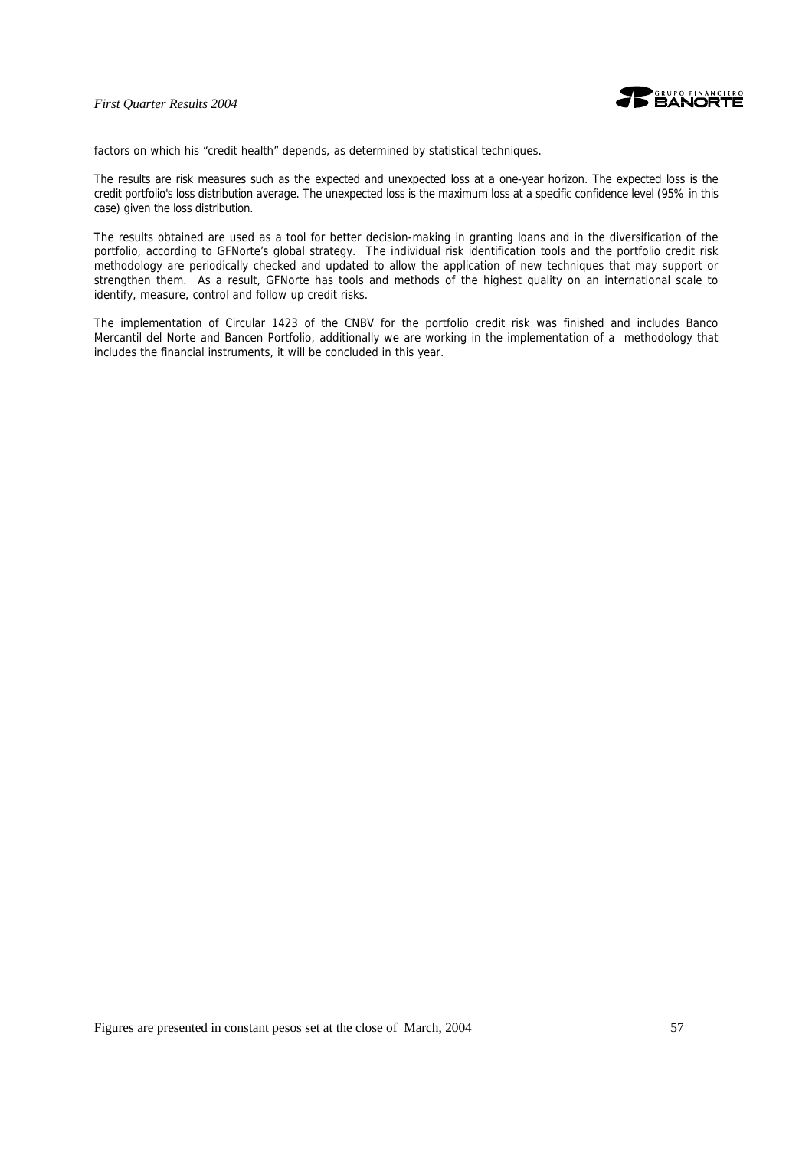

factors on which his "credit health" depends, as determined by statistical techniques.

The results are risk measures such as the expected and unexpected loss at a one-year horizon. The expected loss is the credit portfolio's loss distribution average. The unexpected loss is the maximum loss at a specific confidence level (95% in this case) given the loss distribution.

The results obtained are used as a tool for better decision-making in granting loans and in the diversification of the portfolio, according to GFNorte's global strategy. The individual risk identification tools and the portfolio credit risk methodology are periodically checked and updated to allow the application of new techniques that may support or strengthen them. As a result, GFNorte has tools and methods of the highest quality on an international scale to identify, measure, control and follow up credit risks.

The implementation of Circular 1423 of the CNBV for the portfolio credit risk was finished and includes Banco Mercantil del Norte and Bancen Portfolio, additionally we are working in the implementation of a methodology that includes the financial instruments, it will be concluded in this year.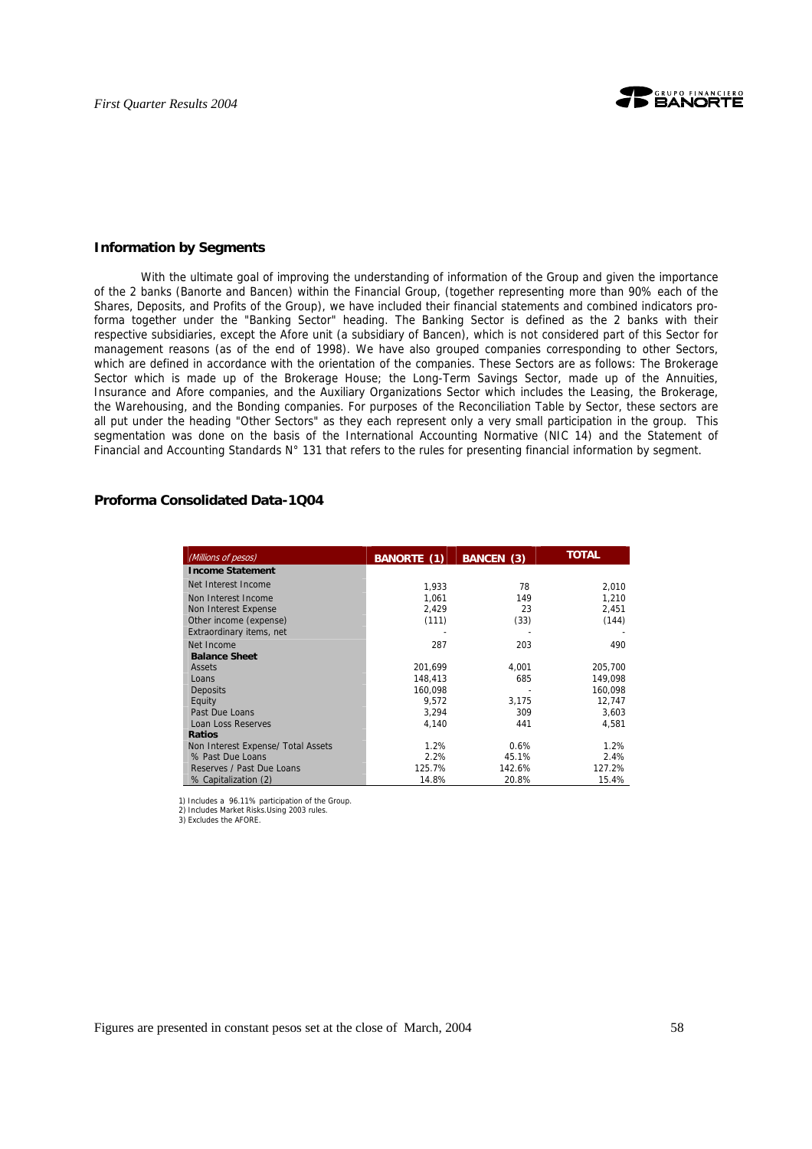

#### **Information by Segments**

With the ultimate goal of improving the understanding of information of the Group and given the importance of the 2 banks (Banorte and Bancen) within the Financial Group, (together representing more than 90% each of the Shares, Deposits, and Profits of the Group), we have included their financial statements and combined indicators proforma together under the "Banking Sector" heading. The Banking Sector is defined as the 2 banks with their respective subsidiaries, except the Afore unit (a subsidiary of Bancen), which is not considered part of this Sector for management reasons (as of the end of 1998). We have also grouped companies corresponding to other Sectors, which are defined in accordance with the orientation of the companies. These Sectors are as follows: The Brokerage Sector which is made up of the Brokerage House; the Long-Term Savings Sector, made up of the Annuities, Insurance and Afore companies, and the Auxiliary Organizations Sector which includes the Leasing, the Brokerage, the Warehousing, and the Bonding companies. For purposes of the Reconciliation Table by Sector, these sectors are all put under the heading "Other Sectors" as they each represent only a very small participation in the group. This segmentation was done on the basis of the International Accounting Normative (NIC 14) and the Statement of Financial and Accounting Standards N° 131 that refers to the rules for presenting financial information by segment.

# **Proforma Consolidated Data-1Q04**

| (Millions of pesos)                | <b>BANORTE (1)</b> | <b>BANCEN (3)</b> | <b>TOTAL</b> |
|------------------------------------|--------------------|-------------------|--------------|
| <b>Income Statement</b>            |                    |                   |              |
| Net Interest Income                | 1,933              | 78                | 2,010        |
| Non Interest Income                | 1,061              | 149               | 1,210        |
| Non Interest Expense               | 2,429              | 23                | 2,451        |
| Other income (expense)             | (111)              | (33)              | (144)        |
| Extraordinary items, net           |                    |                   |              |
| Net Income                         | 287                | 203               | 490          |
| <b>Balance Sheet</b>               |                    |                   |              |
| <b>Assets</b>                      | 201,699            | 4,001             | 205,700      |
| Loans                              | 148.413            | 685               | 149.098      |
| Deposits                           | 160,098            |                   | 160,098      |
| Equity                             | 9,572              | 3,175             | 12,747       |
| Past Due Loans                     | 3,294              | 309               | 3,603        |
| Loan Loss Reserves                 | 4.140              | 441               | 4.581        |
| <b>Ratios</b>                      |                    |                   |              |
| Non Interest Expense/ Total Assets | 1.2%               | 0.6%              | 1.2%         |
| % Past Due Loans                   | 2.2%               | 45.1%             | 2.4%         |
| Reserves / Past Due Loans          | 125.7%             | 142.6%            | 127.2%       |
| % Capitalization (2)               | 14.8%              | 20.8%             | 15.4%        |

1) Includes a 96.11% participation of the Group.

2) Includes Market Risks.Using 2003 rules. 3) Excludes the AFORE.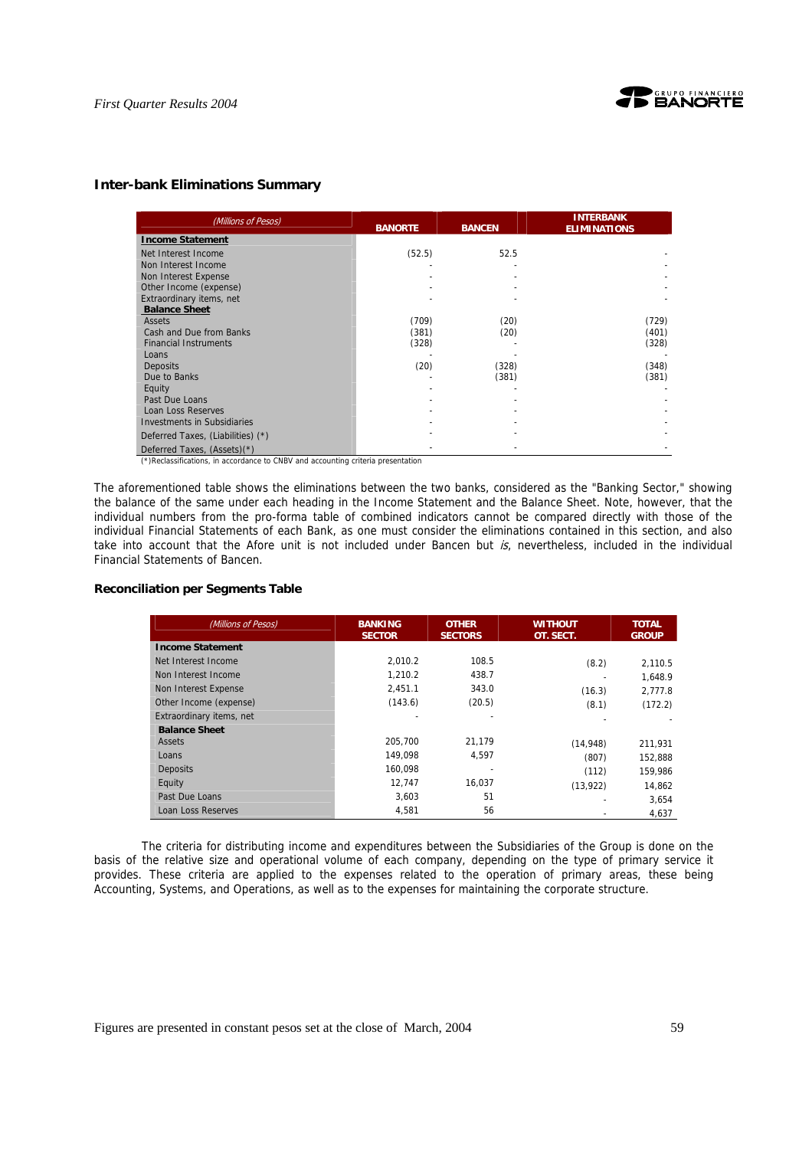

## **Inter-bank Eliminations Summary**

| (Millions of Pesos)               | <b>BANORTE</b> | <b>BANCEN</b> | <b>INTERBANK</b><br><b>ELIMINATIONS</b> |
|-----------------------------------|----------------|---------------|-----------------------------------------|
| <b>Income Statement</b>           |                |               |                                         |
| Net Interest Income               | (52.5)         | 52.5          |                                         |
| Non Interest Income               |                |               |                                         |
| Non Interest Expense              |                |               |                                         |
| Other Income (expense)            |                |               |                                         |
| Extraordinary items, net          |                |               |                                         |
| <b>Balance Sheet</b>              |                |               |                                         |
| Assets                            | (709)          | (20)          | (729)                                   |
| Cash and Due from Banks           | (381)          | (20)          | (401)                                   |
| <b>Financial Instruments</b>      | (328)          |               | (328)                                   |
| Loans                             |                |               |                                         |
| <b>Deposits</b>                   | (20)           | (328)         | (348)                                   |
| Due to Banks                      |                | (381)         | (381)                                   |
| Equity                            |                |               |                                         |
| Past Due Loans                    |                |               |                                         |
| <b>Loan Loss Reserves</b>         |                |               |                                         |
| Investments in Subsidiaries       |                |               |                                         |
| Deferred Taxes, (Liabilities) (*) |                |               |                                         |
| Deferred Taxes, (Assets)(*)       |                |               |                                         |

(\*)Reclassifications, in accordance to CNBV and accounting criteria presentation

The aforementioned table shows the eliminations between the two banks, considered as the "Banking Sector," showing the balance of the same under each heading in the Income Statement and the Balance Sheet. Note, however, that the individual numbers from the pro-forma table of combined indicators cannot be compared directly with those of the individual Financial Statements of each Bank, as one must consider the eliminations contained in this section, and also take into account that the Afore unit is not included under Bancen but is, nevertheless, included in the individual Financial Statements of Bancen.

### **Reconciliation per Segments Table**

| (Millions of Pesos)      | <b>BANKING</b><br><b>SECTOR</b> | <b>OTHER</b><br><b>SECTORS</b> | <b>WITHOUT</b><br>OT. SECT. | <b>TOTAL</b><br><b>GROUP</b> |
|--------------------------|---------------------------------|--------------------------------|-----------------------------|------------------------------|
| <b>Income Statement</b>  |                                 |                                |                             |                              |
| Net Interest Income      | 2.010.2                         | 108.5                          | (8.2)                       | 2.110.5                      |
| Non Interest Income      | 1.210.2                         | 438.7                          |                             | 1.648.9                      |
| Non Interest Expense     | 2.451.1                         | 343.0                          | (16.3)                      | 2.777.8                      |
| Other Income (expense)   | (143.6)                         | (20.5)                         | (8.1)                       | (172.2)                      |
| Extraordinary items, net |                                 |                                |                             |                              |
| <b>Balance Sheet</b>     |                                 |                                |                             |                              |
| Assets                   | 205.700                         | 21.179                         | (14, 948)                   | 211,931                      |
| Loans                    | 149.098                         | 4.597                          | (807)                       | 152.888                      |
| <b>Deposits</b>          | 160.098                         |                                | (112)                       | 159.986                      |
| Equity                   | 12.747                          | 16,037                         | (13, 922)                   | 14.862                       |
| Past Due Loans           | 3.603                           | 51                             |                             | 3.654                        |
| Loan Loss Reserves       | 4,581                           | 56                             |                             | 4,637                        |

The criteria for distributing income and expenditures between the Subsidiaries of the Group is done on the basis of the relative size and operational volume of each company, depending on the type of primary service it provides. These criteria are applied to the expenses related to the operation of primary areas, these being Accounting, Systems, and Operations, as well as to the expenses for maintaining the corporate structure.